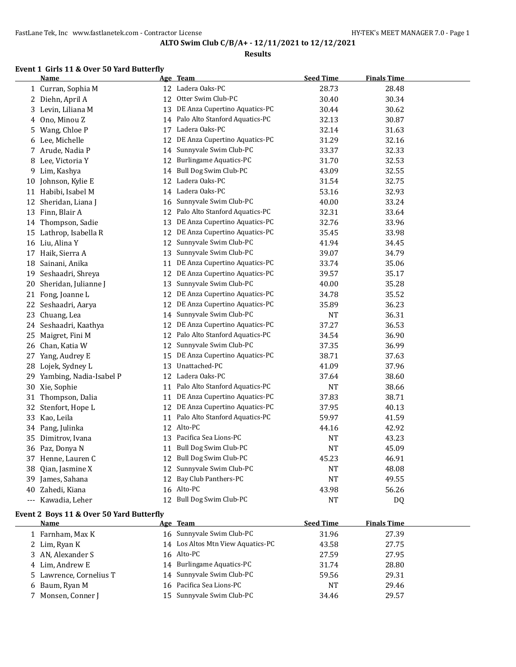#### **Results**

### **Event 1 Girls 11 & Over 50 Yard Butterfly**

|    | <b>Name</b>                              |    | Age Team                       | <b>Seed Time</b> | <b>Finals Time</b> |
|----|------------------------------------------|----|--------------------------------|------------------|--------------------|
|    | 1 Curran, Sophia M                       |    | 12 Ladera Oaks-PC              | 28.73            | 28.48              |
|    | 2 Diehn, April A                         | 12 | Otter Swim Club-PC             | 30.40            | 30.34              |
| 3. | Levin, Liliana M                         | 13 | DE Anza Cupertino Aquatics-PC  | 30.44            | 30.62              |
| 4  | Ono, Minou Z                             | 14 | Palo Alto Stanford Aquatics-PC | 32.13            | 30.87              |
| 5  | Wang, Chloe P                            | 17 | Ladera Oaks-PC                 | 32.14            | 31.63              |
| 6  | Lee, Michelle                            | 12 | DE Anza Cupertino Aquatics-PC  | 31.29            | 32.16              |
| 7  | Arude, Nadia P                           | 14 | Sunnyvale Swim Club-PC         | 33.37            | 32.33              |
| 8  | Lee, Victoria Y                          | 12 | Burlingame Aquatics-PC         | 31.70            | 32.53              |
| 9  | Lim, Kashya                              | 14 | <b>Bull Dog Swim Club-PC</b>   | 43.09            | 32.55              |
| 10 | Johnson, Kylie E                         | 12 | Ladera Oaks-PC                 | 31.54            | 32.75              |
|    | 11 Habibi, Isabel M                      | 14 | Ladera Oaks-PC                 | 53.16            | 32.93              |
| 12 | Sheridan, Liana J                        | 16 | Sunnyvale Swim Club-PC         | 40.00            | 33.24              |
| 13 | Finn, Blair A                            | 12 | Palo Alto Stanford Aquatics-PC | 32.31            | 33.64              |
| 14 | Thompson, Sadie                          | 13 | DE Anza Cupertino Aquatics-PC  | 32.76            | 33.96              |
| 15 | Lathrop, Isabella R                      | 12 | DE Anza Cupertino Aquatics-PC  | 35.45            | 33.98              |
| 16 | Liu, Alina Y                             | 12 | Sunnyvale Swim Club-PC         | 41.94            | 34.45              |
| 17 | Haik, Sierra A                           | 13 | Sunnyvale Swim Club-PC         | 39.07            | 34.79              |
| 18 | Sainani, Anika                           | 11 | DE Anza Cupertino Aquatics-PC  | 33.74            | 35.06              |
| 19 | Seshaadri, Shreya                        | 12 | DE Anza Cupertino Aquatics-PC  | 39.57            | 35.17              |
| 20 | Sheridan, Julianne J                     | 13 | Sunnyvale Swim Club-PC         | 40.00            | 35.28              |
| 21 | Fong, Joanne L                           | 12 | DE Anza Cupertino Aquatics-PC  | 34.78            | 35.52              |
| 22 | Seshaadri, Aarya                         | 12 | DE Anza Cupertino Aquatics-PC  | 35.89            | 36.23              |
| 23 | Chuang, Lea                              | 14 | Sunnyvale Swim Club-PC         | NT               | 36.31              |
| 24 | Seshaadri, Kaathya                       | 12 | DE Anza Cupertino Aquatics-PC  | 37.27            | 36.53              |
| 25 | Maigret, Fini M                          | 12 | Palo Alto Stanford Aquatics-PC | 34.54            | 36.90              |
| 26 | Chan, Katia W                            | 12 | Sunnyvale Swim Club-PC         | 37.35            | 36.99              |
| 27 | Yang, Audrey E                           | 15 | DE Anza Cupertino Aquatics-PC  | 38.71            | 37.63              |
| 28 | Lojek, Sydney L                          | 13 | Unattached-PC                  | 41.09            | 37.96              |
| 29 | Yambing, Nadia-Isabel P                  | 12 | Ladera Oaks-PC                 | 37.64            | 38.60              |
| 30 | Xie, Sophie                              | 11 | Palo Alto Stanford Aquatics-PC | <b>NT</b>        | 38.66              |
| 31 | Thompson, Dalia                          | 11 | DE Anza Cupertino Aquatics-PC  | 37.83            | 38.71              |
| 32 | Stenfort, Hope L                         | 12 | DE Anza Cupertino Aquatics-PC  | 37.95            | 40.13              |
| 33 | Kao, Leila                               | 11 | Palo Alto Stanford Aquatics-PC | 59.97            | 41.59              |
| 34 | Pang, Julinka                            |    | 12 Alto-PC                     | 44.16            | 42.92              |
| 35 | Dimitrov, Ivana                          |    | 13 Pacifica Sea Lions-PC       | <b>NT</b>        | 43.23              |
| 36 | Paz, Donya N                             | 11 | Bull Dog Swim Club-PC          | <b>NT</b>        | 45.09              |
|    | 37 Henne, Lauren C                       |    | 12 Bull Dog Swim Club-PC       | 45.23            | 46.91              |
| 38 | Qian, Jasmine X                          |    | 12 Sunnyvale Swim Club-PC      | <b>NT</b>        | 48.08              |
| 39 | James, Sahana                            | 12 | Bay Club Panthers-PC           | <b>NT</b>        | 49.55              |
| 40 | Zahedi, Kiana                            |    | 16 Alto-PC                     | 43.98            | 56.26              |
|    | --- Kawadia, Leher                       |    | 12 Bull Dog Swim Club-PC       | NT               | DQ                 |
|    | Event 2 Boys 11 & Over 50 Yard Butterfly |    |                                |                  |                    |
|    | Name                                     |    | Age Team                       | <b>Seed Time</b> | <b>Finals Time</b> |
|    | $1$ Earnham May $V$                      |    | 16 Sunnwyale Swim Club-PC      | 2106             | 27.20              |

| --------                | ---- -----                        | --------  |       |  |
|-------------------------|-----------------------------------|-----------|-------|--|
| 1 Farnham, Max K        | 16 Sunnyvale Swim Club-PC         | 31.96     | 27.39 |  |
| 2 Lim, Ryan K           | 14 Los Altos Mtn View Aquatics-PC | 43.58     | 27.75 |  |
| 3 AN, Alexander S       | 16 Alto-PC                        | 27.59     | 27.95 |  |
| 4 Lim. Andrew E         | 14 Burlingame Aquatics-PC         | 31.74     | 28.80 |  |
| 5 Lawrence, Cornelius T | 14 Sunnyvale Swim Club-PC         | 59.56     | 29.31 |  |
| 6 Baum, Ryan M          | 16 Pacifica Sea Lions-PC          | <b>NT</b> | 29.46 |  |
| 7 Monsen, Conner J      | 15 Sunnyvale Swim Club-PC         | 34.46     | 29.57 |  |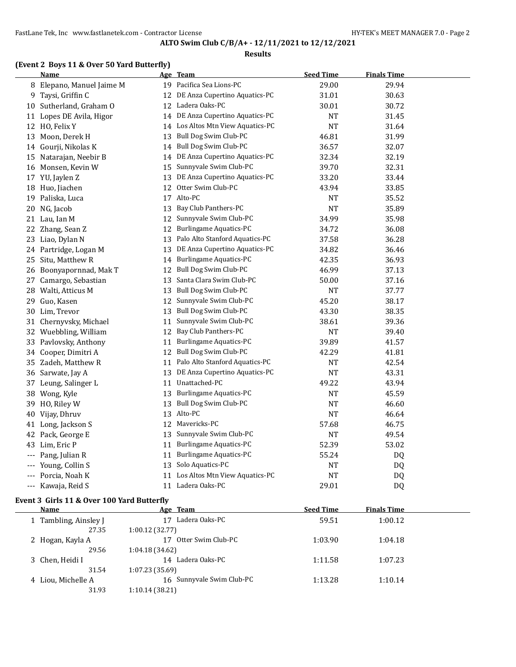#### **Results**

### **(Event 2 Boys 11 & Over 50 Yard Butterfly)**

|     | Name                      |    | <u>Age Team</u>                  | <b>Seed Time</b> | <b>Finals Time</b> |  |
|-----|---------------------------|----|----------------------------------|------------------|--------------------|--|
|     | 8 Elepano, Manuel Jaime M |    | 19 Pacifica Sea Lions-PC         | 29.00            | 29.94              |  |
| 9   | Taysi, Griffin C          |    | 12 DE Anza Cupertino Aquatics-PC | 31.01            | 30.63              |  |
| 10  | Sutherland, Graham O      |    | 12 Ladera Oaks-PC                | 30.01            | 30.72              |  |
|     | 11 Lopes DE Avila, Higor  |    | 14 DE Anza Cupertino Aquatics-PC | NT               | 31.45              |  |
|     | 12 HO, Felix Y            | 14 | Los Altos Mtn View Aquatics-PC   | <b>NT</b>        | 31.64              |  |
| 13  | Moon, Derek H             | 13 | Bull Dog Swim Club-PC            | 46.81            | 31.99              |  |
|     | 14 Gourji, Nikolas K      |    | 14 Bull Dog Swim Club-PC         | 36.57            | 32.07              |  |
| 15  | Natarajan, Neebir B       | 14 | DE Anza Cupertino Aquatics-PC    | 32.34            | 32.19              |  |
| 16  | Monsen, Kevin W           | 15 | Sunnyvale Swim Club-PC           | 39.70            | 32.31              |  |
|     | 17 YU, Jaylen Z           | 13 | DE Anza Cupertino Aquatics-PC    | 33.20            | 33.44              |  |
| 18  | Huo, Jiachen              | 12 | Otter Swim Club-PC               | 43.94            | 33.85              |  |
| 19  | Paliska, Luca             |    | 17 Alto-PC                       | <b>NT</b>        | 35.52              |  |
|     | 20 NG, Jacob              | 13 | Bay Club Panthers-PC             | <b>NT</b>        | 35.89              |  |
| 21  | Lau, Ian M                | 12 | Sunnyvale Swim Club-PC           | 34.99            | 35.98              |  |
| 22  | Zhang, Sean Z             | 12 | <b>Burlingame Aquatics-PC</b>    | 34.72            | 36.08              |  |
| 23  | Liao, Dylan N             | 13 | Palo Alto Stanford Aquatics-PC   | 37.58            | 36.28              |  |
|     | 24 Partridge, Logan M     | 13 | DE Anza Cupertino Aquatics-PC    | 34.82            | 36.46              |  |
| 25  | Situ, Matthew R           | 14 | <b>Burlingame Aquatics-PC</b>    | 42.35            | 36.93              |  |
|     | 26 Boonyapornnad, Mak T   |    | 12 Bull Dog Swim Club-PC         | 46.99            | 37.13              |  |
| 27  | Camargo, Sebastian        | 13 | Santa Clara Swim Club-PC         | 50.00            | 37.16              |  |
| 28  | Walti, Atticus M          | 13 | Bull Dog Swim Club-PC            | <b>NT</b>        | 37.77              |  |
| 29  | Guo, Kasen                | 12 | Sunnyvale Swim Club-PC           | 45.20            | 38.17              |  |
| 30  | Lim, Trevor               | 13 | Bull Dog Swim Club-PC            | 43.30            | 38.35              |  |
| 31  | Chernyvsky, Michael       | 11 | Sunnyvale Swim Club-PC           | 38.61            | 39.36              |  |
|     | 32 Wuebbling, William     |    | 12 Bay Club Panthers-PC          | <b>NT</b>        | 39.40              |  |
| 33  | Pavlovsky, Anthony        | 11 | <b>Burlingame Aquatics-PC</b>    | 39.89            | 41.57              |  |
| 34  | Cooper, Dimitri A         | 12 | Bull Dog Swim Club-PC            | 42.29            | 41.81              |  |
| 35  | Zadeh, Matthew R          | 11 | Palo Alto Stanford Aquatics-PC   | <b>NT</b>        | 42.54              |  |
|     | 36 Sarwate, Jay A         | 13 | DE Anza Cupertino Aquatics-PC    | <b>NT</b>        | 43.31              |  |
| 37  | Leung, Salinger L         | 11 | Unattached-PC                    | 49.22            | 43.94              |  |
| 38  | Wong, Kyle                | 13 | Burlingame Aquatics-PC           | NT               | 45.59              |  |
| 39  | HO, Riley W               |    | 13 Bull Dog Swim Club-PC         | <b>NT</b>        | 46.60              |  |
| 40  | Vijay, Dhruv              | 13 | Alto-PC                          | <b>NT</b>        | 46.64              |  |
| 41  | Long, Jackson S           | 12 | Mavericks-PC                     | 57.68            | 46.75              |  |
|     | 42 Pack, George E         | 13 | Sunnyvale Swim Club-PC           | <b>NT</b>        | 49.54              |  |
| 43  | Lim, Eric P               | 11 | Burlingame Aquatics-PC           | 52.39            | 53.02              |  |
| --- | Pang, Julian R            | 11 | <b>Burlingame Aquatics-PC</b>    | 55.24            | DQ                 |  |
| --- | Young, Collin S           |    | 13 Solo Aquatics-PC              | <b>NT</b>        | DQ                 |  |
|     | Porcia, Noah K            | 11 | Los Altos Mtn View Aquatics-PC   | <b>NT</b>        | DQ                 |  |
| --- | Kawaja, Reid S            | 11 | Ladera Oaks-PC                   | 29.01            | DQ                 |  |

#### **Event 3 Girls 11 & Over 100 Yard Butterfly**

| <b>Name</b>           | Age Team                  | <b>Seed Time</b> | <b>Finals Time</b> |  |
|-----------------------|---------------------------|------------------|--------------------|--|
| 1 Tambling, Ainsley J | Ladera Oaks-PC<br>17      | 59.51            | 1:00.12            |  |
| 27.35                 | 1:00.12(32.77)            |                  |                    |  |
| 2 Hogan, Kayla A      | Otter Swim Club-PC<br>17  | 1:03.90          | 1:04.18            |  |
| 29.56                 | 1:04.18(34.62)            |                  |                    |  |
| 3 Chen, Heidi I       | 14 Ladera Oaks-PC         | 1:11.58          | 1:07.23            |  |
| 31.54                 | 1:07.23(35.69)            |                  |                    |  |
| 4 Liou, Michelle A    | 16 Sunnyvale Swim Club-PC | 1:13.28          | 1:10.14            |  |
| 31.93                 | 1:10.14(38.21)            |                  |                    |  |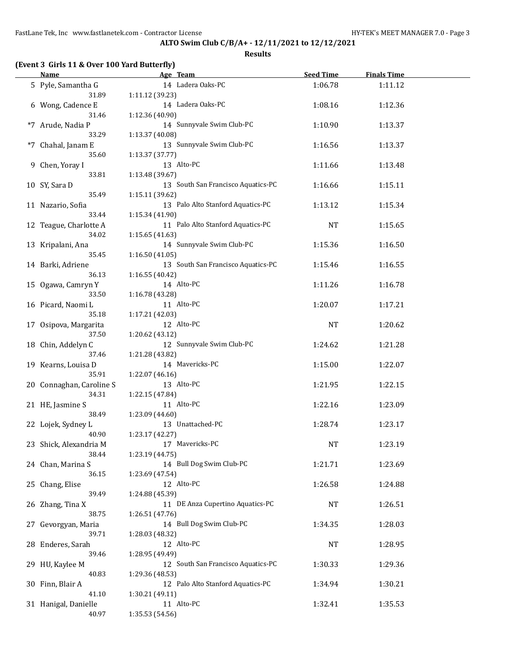|  | (Event 3 Girls 11 & Over 100 Yard Butterfly) |  |
|--|----------------------------------------------|--|
|--|----------------------------------------------|--|

| <b>Name</b>              | Age Team                           | <b>Seed Time</b> | <b>Finals Time</b> |  |
|--------------------------|------------------------------------|------------------|--------------------|--|
| 5 Pyle, Samantha G       | 14 Ladera Oaks-PC                  | 1:06.78          | 1:11.12            |  |
| 31.89                    | 1:11.12 (39.23)                    |                  |                    |  |
| 6 Wong, Cadence E        | 14 Ladera Oaks-PC                  | 1:08.16          | 1:12.36            |  |
| 31.46                    | 1:12.36 (40.90)                    |                  |                    |  |
| *7 Arude, Nadia P        | 14 Sunnyvale Swim Club-PC          | 1:10.90          | 1:13.37            |  |
| 33.29                    | 1:13.37 (40.08)                    |                  |                    |  |
| *7 Chahal, Janam E       | 13 Sunnyvale Swim Club-PC          | 1:16.56          | 1:13.37            |  |
| 35.60                    | 1:13.37 (37.77)                    |                  |                    |  |
| 9 Chen, Yoray I          | 13 Alto-PC                         | 1:11.66          | 1:13.48            |  |
| 33.81                    | 1:13.48 (39.67)                    |                  |                    |  |
| 10 SY, Sara D            | 13 South San Francisco Aquatics-PC | 1:16.66          | 1:15.11            |  |
| 35.49                    | 1:15.11 (39.62)                    |                  |                    |  |
| 11 Nazario, Sofia        | 13 Palo Alto Stanford Aquatics-PC  | 1:13.12          | 1:15.34            |  |
| 33.44                    | 1:15.34 (41.90)                    |                  |                    |  |
| 12 Teague, Charlotte A   | 11 Palo Alto Stanford Aquatics-PC  | NT               | 1:15.65            |  |
| 34.02                    | 1:15.65(41.63)                     |                  |                    |  |
| 13 Kripalani, Ana        | 14 Sunnyvale Swim Club-PC          | 1:15.36          | 1:16.50            |  |
| 35.45                    | 1:16.50(41.05)                     |                  |                    |  |
| 14 Barki, Adriene        | 13 South San Francisco Aquatics-PC | 1:15.46          | 1:16.55            |  |
| 36.13                    | 1:16.55(40.42)                     |                  |                    |  |
| 15 Ogawa, Camryn Y       | 14 Alto-PC                         |                  |                    |  |
| 33.50                    |                                    | 1:11.26          | 1:16.78            |  |
|                          | 1:16.78 (43.28)<br>11 Alto-PC      |                  |                    |  |
| 16 Picard, Naomi L       |                                    | 1:20.07          | 1:17.21            |  |
| 35.18                    | 1:17.21(42.03)<br>12 Alto-PC       |                  |                    |  |
| 17 Osipova, Margarita    |                                    | NT               | 1:20.62            |  |
| 37.50                    | 1:20.62 (43.12)                    |                  |                    |  |
| 18 Chin, Addelyn C       | 12 Sunnyvale Swim Club-PC          | 1:24.62          | 1:21.28            |  |
| 37.46                    | 1:21.28 (43.82)                    |                  |                    |  |
| 19 Kearns, Louisa D      | 14 Mavericks-PC                    | 1:15.00          | 1:22.07            |  |
| 35.91                    | 1:22.07 (46.16)                    |                  |                    |  |
| 20 Connaghan, Caroline S | 13 Alto-PC                         | 1:21.95          | 1:22.15            |  |
| 34.31                    | 1:22.15 (47.84)                    |                  |                    |  |
| 21 HE, Jasmine S         | 11 Alto-PC                         | 1:22.16          | 1:23.09            |  |
| 38.49                    | 1:23.09 (44.60)                    |                  |                    |  |
| 22 Lojek, Sydney L       | 13 Unattached-PC                   | 1:28.74          | 1:23.17            |  |
| 40.90                    | 1:23.17 (42.27)                    |                  |                    |  |
| 23 Shick, Alexandria M   | 17 Mavericks-PC                    | NT               | 1:23.19            |  |
| 38.44                    | 1:23.19 (44.75)                    |                  |                    |  |
| 24 Chan, Marina S        | 14 Bull Dog Swim Club-PC           | 1:21.71          | 1:23.69            |  |
| 36.15                    | 1:23.69 (47.54)                    |                  |                    |  |
| 25 Chang, Elise          | 12 Alto-PC                         | 1:26.58          | 1:24.88            |  |
| 39.49                    | 1:24.88 (45.39)                    |                  |                    |  |
| 26 Zhang, Tina X         | 11 DE Anza Cupertino Aquatics-PC   | NT               | 1:26.51            |  |
| 38.75                    | 1:26.51 (47.76)                    |                  |                    |  |
| 27 Gevorgyan, Maria      | 14 Bull Dog Swim Club-PC           | 1:34.35          | 1:28.03            |  |
| 39.71                    | 1:28.03 (48.32)                    |                  |                    |  |
| 28 Enderes, Sarah        | 12 Alto-PC                         | NT               | 1:28.95            |  |
| 39.46                    | 1:28.95 (49.49)                    |                  |                    |  |
| 29 HU, Kaylee M          | 12 South San Francisco Aquatics-PC | 1:30.33          | 1:29.36            |  |
| 40.83                    | 1:29.36 (48.53)                    |                  |                    |  |
| 30 Finn, Blair A         | 12 Palo Alto Stanford Aquatics-PC  | 1:34.94          | 1:30.21            |  |
| 41.10                    | 1:30.21 (49.11)                    |                  |                    |  |
| 31 Hanigal, Danielle     | 11 Alto-PC                         | 1:32.41          | 1:35.53            |  |
| 40.97                    | 1:35.53 (54.56)                    |                  |                    |  |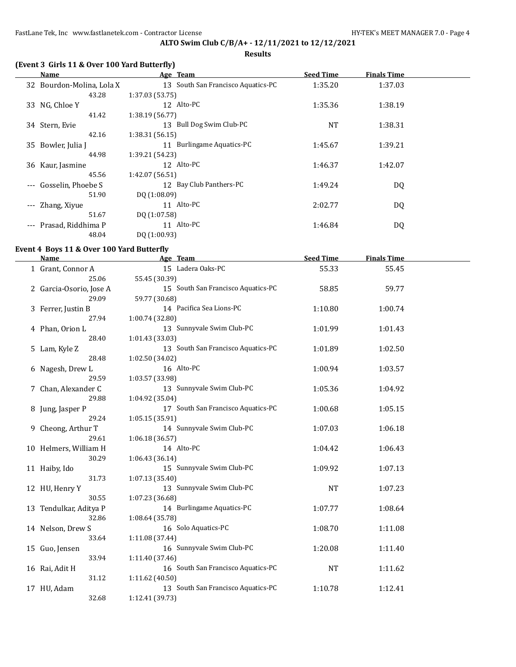**Results**

| (Event 3 Girls 11 & Over 100 Yard Butterfly) |  |  |  |  |
|----------------------------------------------|--|--|--|--|
|----------------------------------------------|--|--|--|--|

|                     | Name                      | Age Team                           | <b>Seed Time</b> | <b>Finals Time</b> |  |
|---------------------|---------------------------|------------------------------------|------------------|--------------------|--|
|                     | 32 Bourdon-Molina, Lola X | 13 South San Francisco Aquatics-PC | 1:35.20          | 1:37.03            |  |
|                     | 43.28                     | 1:37.03(53.75)                     |                  |                    |  |
|                     | 33 NG, Chloe Y            | 12 Alto-PC                         | 1:35.36          | 1:38.19            |  |
|                     | 41.42                     | 1:38.19 (56.77)                    |                  |                    |  |
|                     | 34 Stern, Evie            | Bull Dog Swim Club-PC<br>13        | <b>NT</b>        | 1:38.31            |  |
|                     | 42.16                     | 1:38.31(56.15)                     |                  |                    |  |
|                     | 35 Bowler, Julia J        | 11 Burlingame Aquatics-PC          | 1:45.67          | 1:39.21            |  |
|                     | 44.98                     | 1:39.21 (54.23)                    |                  |                    |  |
|                     | 36 Kaur, Jasmine          | 12 Alto-PC                         | 1:46.37          | 1:42.07            |  |
|                     | 45.56                     | 1:42.07(56.51)                     |                  |                    |  |
| $---$               | Gosselin, Phoebe S        | 12 Bay Club Panthers-PC            | 1:49.24          | DQ.                |  |
|                     | 51.90                     | DQ (1:08.09)                       |                  |                    |  |
| $\qquad \qquad - -$ | Zhang, Xiyue              | 11 Alto-PC                         | 2:02.77          | DQ                 |  |
|                     | 51.67                     | DQ (1:07.58)                       |                  |                    |  |
| $---$               | Prasad, Riddhima P        | 11 Alto-PC                         | 1:46.84          | DQ                 |  |
|                     | 48.04                     | DQ (1:00.93)                       |                  |                    |  |

### **Event 4 Boys 11 & Over 100 Yard Butterfly**

| <b>Name</b>             | Age Team                           | <b>Seed Time</b> | <b>Finals Time</b> |  |
|-------------------------|------------------------------------|------------------|--------------------|--|
| 1 Grant, Connor A       | 15 Ladera Oaks-PC                  | 55.33            | 55.45              |  |
| 25.06                   | 55.45 (30.39)                      |                  |                    |  |
| 2 Garcia-Osorio, Jose A | 15 South San Francisco Aquatics-PC | 58.85            | 59.77              |  |
| 29.09                   | 59.77 (30.68)                      |                  |                    |  |
| 3 Ferrer, Justin B      | 14 Pacifica Sea Lions-PC           | 1:10.80          | 1:00.74            |  |
| 27.94                   | 1:00.74 (32.80)                    |                  |                    |  |
| 4 Phan, Orion L         | 13 Sunnyvale Swim Club-PC          | 1:01.99          | 1:01.43            |  |
| 28.40                   | 1:01.43 (33.03)                    |                  |                    |  |
| 5 Lam, Kyle Z           | 13 South San Francisco Aquatics-PC | 1:01.89          | 1:02.50            |  |
| 28.48                   | 1:02.50 (34.02)                    |                  |                    |  |
| 6 Nagesh, Drew L        | 16 Alto-PC                         | 1:00.94          | 1:03.57            |  |
| 29.59                   | 1:03.57 (33.98)                    |                  |                    |  |
| 7 Chan, Alexander C     | 13 Sunnyvale Swim Club-PC          | 1:05.36          | 1:04.92            |  |
| 29.88                   | 1:04.92 (35.04)                    |                  |                    |  |
| 8 Jung, Jasper P        | 17 South San Francisco Aquatics-PC | 1:00.68          | 1:05.15            |  |
| 29.24                   | 1:05.15(35.91)                     |                  |                    |  |
| 9 Cheong, Arthur T      | 14 Sunnyvale Swim Club-PC          | 1:07.03          | 1:06.18            |  |
| 29.61                   | 1:06.18(36.57)                     |                  |                    |  |
| 10 Helmers, William H   | 14 Alto-PC                         | 1:04.42          | 1:06.43            |  |
| 30.29                   | 1:06.43(36.14)                     |                  |                    |  |
| 11 Haiby, Ido           | 15 Sunnyvale Swim Club-PC          | 1:09.92          | 1:07.13            |  |
| 31.73                   | 1:07.13 (35.40)                    |                  |                    |  |
| 12 HU, Henry Y          | 13 Sunnyvale Swim Club-PC          | <b>NT</b>        | 1:07.23            |  |
| 30.55                   | 1:07.23 (36.68)                    |                  |                    |  |
| 13 Tendulkar, Aditya P  | 14 Burlingame Aquatics-PC          | 1:07.77          | 1:08.64            |  |
| 32.86                   | 1:08.64 (35.78)                    |                  |                    |  |
| 14 Nelson, Drew S       | 16 Solo Aquatics-PC                | 1:08.70          | 1:11.08            |  |
| 33.64                   | 1:11.08 (37.44)                    |                  |                    |  |
| 15 Guo, Jensen          | 16 Sunnyvale Swim Club-PC          | 1:20.08          | 1:11.40            |  |
| 33.94                   | 1:11.40 (37.46)                    |                  |                    |  |
| 16 Rai, Adit H          | 16 South San Francisco Aquatics-PC | <b>NT</b>        | 1:11.62            |  |
| 31.12                   | 1:11.62 (40.50)                    |                  |                    |  |
| 17 HU, Adam             | 13 South San Francisco Aquatics-PC | 1:10.78          | 1:12.41            |  |
| 32.68                   | 1:12.41 (39.73)                    |                  |                    |  |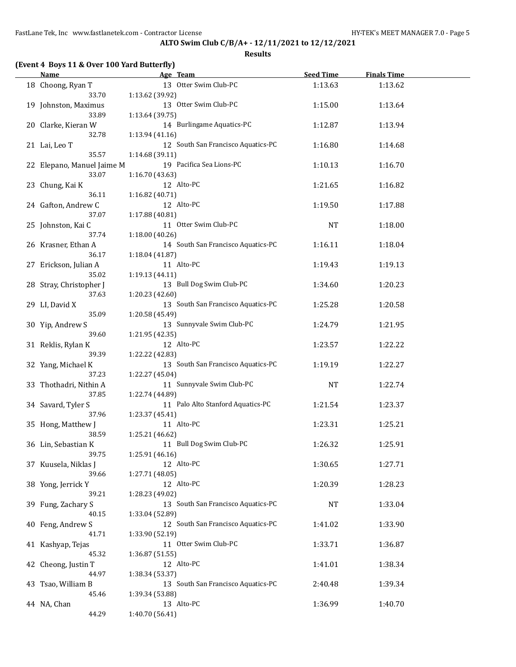| Name                         | Age Team                           | <b>Seed Time</b> | <b>Finals Time</b> |  |
|------------------------------|------------------------------------|------------------|--------------------|--|
| 18 Choong, Ryan T            | 13 Otter Swim Club-PC              | 1:13.63          | 1:13.62            |  |
| 33.70                        | 1:13.62 (39.92)                    |                  |                    |  |
| 19 Johnston, Maximus         | 13 Otter Swim Club-PC              | 1:15.00          | 1:13.64            |  |
| 33.89                        | 1:13.64 (39.75)                    |                  |                    |  |
| 20 Clarke, Kieran W          | 14 Burlingame Aquatics-PC          | 1:12.87          | 1:13.94            |  |
| 32.78                        | 1:13.94 (41.16)                    |                  |                    |  |
| 21 Lai, Leo T                | 12 South San Francisco Aquatics-PC | 1:16.80          | 1:14.68            |  |
| 35.57                        | 1:14.68 (39.11)                    |                  |                    |  |
| 22 Elepano, Manuel Jaime M   | 19 Pacifica Sea Lions-PC           | 1:10.13          | 1:16.70            |  |
| 33.07                        | 1:16.70 (43.63)                    |                  |                    |  |
| 23 Chung, Kai K              | 12 Alto-PC                         | 1:21.65          | 1:16.82            |  |
| 36.11                        | 1:16.82 (40.71)                    |                  |                    |  |
| 24 Gafton, Andrew C          | 12 Alto-PC                         | 1:19.50          | 1:17.88            |  |
| 37.07                        | 1:17.88 (40.81)                    |                  |                    |  |
|                              | 11 Otter Swim Club-PC              |                  |                    |  |
| 25 Johnston, Kai C<br>37.74  |                                    | NT               | 1:18.00            |  |
|                              | 1:18.00 (40.26)                    |                  |                    |  |
| 26 Krasner, Ethan A          | 14 South San Francisco Aquatics-PC | 1:16.11          | 1:18.04            |  |
| 36.17                        | 1:18.04 (41.87)                    |                  |                    |  |
| 27 Erickson, Julian A        | 11 Alto-PC                         | 1:19.43          | 1:19.13            |  |
| 35.02                        | 1:19.13 (44.11)                    |                  |                    |  |
| 28 Stray, Christopher J      | 13 Bull Dog Swim Club-PC           | 1:34.60          | 1:20.23            |  |
| 37.63                        | 1:20.23 (42.60)                    |                  |                    |  |
| 29 LI, David X               | 13 South San Francisco Aquatics-PC | 1:25.28          | 1:20.58            |  |
| 35.09                        | 1:20.58 (45.49)                    |                  |                    |  |
| 30 Yip, Andrew S             | 13 Sunnyvale Swim Club-PC          | 1:24.79          | 1:21.95            |  |
| 39.60                        | 1:21.95 (42.35)                    |                  |                    |  |
| 31 Reklis, Rylan K           | 12 Alto-PC                         | 1:23.57          | 1:22.22            |  |
| 39.39                        | 1:22.22 (42.83)                    |                  |                    |  |
| 32 Yang, Michael K           | 13 South San Francisco Aquatics-PC | 1:19.19          | 1:22.27            |  |
| 37.23                        | 1:22.27 (45.04)                    |                  |                    |  |
| 33 Thothadri, Nithin A       | 11 Sunnyvale Swim Club-PC          | <b>NT</b>        | 1:22.74            |  |
| 37.85                        | 1:22.74 (44.89)                    |                  |                    |  |
| 34 Savard, Tyler S           | 11 Palo Alto Stanford Aquatics-PC  | 1:21.54          | 1:23.37            |  |
| 37.96                        | 1:23.37 (45.41)                    |                  |                    |  |
| 35 Hong, Matthew J           | 11 Alto-PC                         | 1:23.31          | 1:25.21            |  |
| 38.59                        | 1:25.21 (46.62)                    |                  |                    |  |
| 36 Lin, Sebastian K          | 11 Bull Dog Swim Club-PC           | 1:26.32          | 1:25.91            |  |
| 39.75                        | 1:25.91 (46.16)                    |                  |                    |  |
| 37 Kuusela, Niklas J         | 12 Alto-PC                         | 1:30.65          | 1:27.71            |  |
| 39.66                        | 1:27.71 (48.05)                    |                  |                    |  |
| 38 Yong, Jerrick Y           | 12 Alto-PC                         | 1:20.39          | 1:28.23            |  |
| 39.21                        | 1:28.23 (49.02)                    |                  |                    |  |
| 39 Fung, Zachary S           | 13 South San Francisco Aquatics-PC | <b>NT</b>        | 1:33.04            |  |
| 40.15                        | 1:33.04 (52.89)                    |                  |                    |  |
| 40 Feng, Andrew S            | 12 South San Francisco Aquatics-PC | 1:41.02          | 1:33.90            |  |
| 41.71                        | 1:33.90 (52.19)                    |                  |                    |  |
| 41 Kashyap, Tejas            | 11 Otter Swim Club-PC              | 1:33.71          | 1:36.87            |  |
| 45.32                        | 1:36.87 (51.55)                    |                  |                    |  |
|                              | 12 Alto-PC                         |                  |                    |  |
| 42 Cheong, Justin T<br>44.97 |                                    | 1:41.01          | 1:38.34            |  |
|                              | 1:38.34 (53.37)                    |                  |                    |  |
| 43 Tsao, William B           | 13 South San Francisco Aquatics-PC | 2:40.48          | 1:39.34            |  |
| 45.46                        | 1:39.34 (53.88)                    |                  |                    |  |
| 44 NA, Chan                  | 13 Alto-PC                         | 1:36.99          | 1:40.70            |  |
| 44.29                        | 1:40.70 (56.41)                    |                  |                    |  |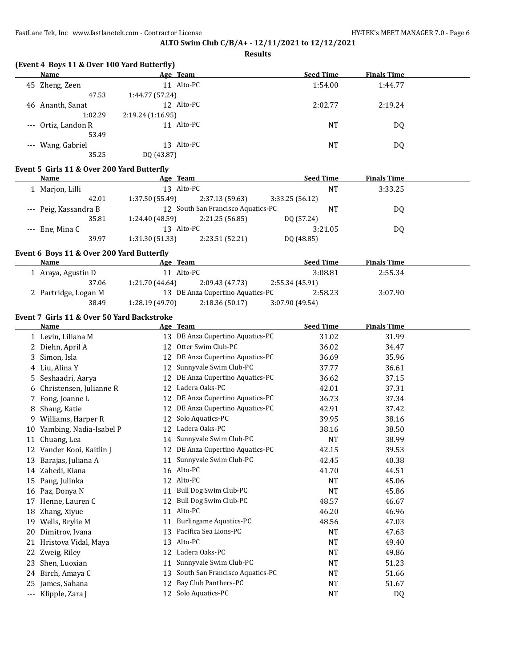**Results**

| Name                | Age Team         | <b>Seed Time</b> | <b>Finals Time</b> |
|---------------------|------------------|------------------|--------------------|
| 45 Zheng, Zeen      | 11 Alto-PC       | 1:54.00          | 1:44.77            |
| 47.53               | 1:44.77 (57.24)  |                  |                    |
| Ananth, Sanat<br>46 | 12 Alto-PC       | 2:02.77          | 2:19.24            |
| 1:02.29             | 2:19.24(1:16.95) |                  |                    |
| --- Ortiz, Landon R | 11 Alto-PC       | <b>NT</b>        | DQ                 |
| 53.49               |                  |                  |                    |
| --- Wang, Gabriel   | 13 Alto-PC       | NT               | DQ                 |
| 35.25               | DQ (43.87)       |                  |                    |

#### **Event 5 Girls 11 & Over 200 Yard Butterfly**

| Name                  |       | Age Team        |                                    | <b>Seed Time</b> |         | <b>Finals Time</b> |  |
|-----------------------|-------|-----------------|------------------------------------|------------------|---------|--------------------|--|
| 1 Marjon, Lilli       |       | 13 Alto-PC      |                                    |                  | NT      | 3:33.25            |  |
|                       | 42.01 | 1:37.50(55.49)  | 2:37.13 (59.63)                    | 3:33.25(56.12)   |         |                    |  |
| --- Peig, Kassandra B |       |                 | 12 South San Francisco Aquatics-PC |                  | ΝT      | DO.                |  |
|                       | 35.81 | 1:24.40 (48.59) | 2:21.25(56.85)                     | DQ (57.24)       |         |                    |  |
| --- Ene, Mina C       |       | 13 Alto-PC      |                                    |                  | 3:21.05 | DO.                |  |
|                       | 39.97 | 1:31.30 (51.33) | 2:23.51 (52.21)                    | DQ (48.85)       |         |                    |  |

#### **Event 6 Boys 11 & Over 200 Yard Butterfly**

| Name                 | Age Team        |                                  | <b>Seed Time</b> | <b>Finals Time</b> |  |
|----------------------|-----------------|----------------------------------|------------------|--------------------|--|
| 1 Araya, Agustin D   | 11 Alto-PC      |                                  | 3:08.81          | 2:55.34            |  |
| 37.06                | 1:21.70 (44.64) | 2:09.43 (47.73)                  | 2:55.34 (45.91)  |                    |  |
| 2 Partridge, Logan M |                 | 13 DE Anza Cupertino Aquatics-PC | 2:58.23          | 3:07.90            |  |
| 38.49                | 1:28.19(49.70)  | 2:18.36(50.17)                   | 3:07.90 (49.54)  |                    |  |

### **Event 7 Girls 11 & Over 50 Yard Backstroke**

|       | Name                    |    | Age Team                        | <b>Seed Time</b> | <b>Finals Time</b> |
|-------|-------------------------|----|---------------------------------|------------------|--------------------|
| 1     | Levin, Liliana M        | 13 | DE Anza Cupertino Aquatics-PC   | 31.02            | 31.99              |
| 2     | Diehn, April A          | 12 | Otter Swim Club-PC              | 36.02            | 34.47              |
| 3     | Simon, Isla             | 12 | DE Anza Cupertino Aquatics-PC   | 36.69            | 35.96              |
| 4     | Liu, Alina Y            | 12 | Sunnyvale Swim Club-PC          | 37.77            | 36.61              |
| 5     | Seshaadri, Aarya        | 12 | DE Anza Cupertino Aquatics-PC   | 36.62            | 37.15              |
| 6     | Christensen, Julianne R | 12 | Ladera Oaks-PC                  | 42.01            | 37.31              |
| 7     | Fong, Joanne L          | 12 | DE Anza Cupertino Aquatics-PC   | 36.73            | 37.34              |
| 8     | Shang, Katie            | 12 | DE Anza Cupertino Aquatics-PC   | 42.91            | 37.42              |
| 9     | Williams, Harper R      | 12 | Solo Aquatics-PC                | 39.95            | 38.16              |
| 10    | Yambing, Nadia-Isabel P | 12 | Ladera Oaks-PC                  | 38.16            | 38.50              |
| 11    | Chuang, Lea             | 14 | Sunnyvale Swim Club-PC          | <b>NT</b>        | 38.99              |
| 12    | Vander Kooi, Kaitlin J  | 12 | DE Anza Cupertino Aquatics-PC   | 42.15            | 39.53              |
| 13    | Barajas, Juliana A      | 11 | Sunnyvale Swim Club-PC          | 42.45            | 40.38              |
| 14    | Zahedi, Kiana           | 16 | Alto-PC                         | 41.70            | 44.51              |
| 15    | Pang, Julinka           | 12 | Alto-PC                         | <b>NT</b>        | 45.06              |
| 16    | Paz, Donya N            | 11 | Bull Dog Swim Club-PC           | <b>NT</b>        | 45.86              |
| 17    | Henne, Lauren C         | 12 | Bull Dog Swim Club-PC           | 48.57            | 46.67              |
| 18    | Zhang, Xiyue            | 11 | Alto-PC                         | 46.20            | 46.96              |
| 19    | Wells, Brylie M         | 11 | <b>Burlingame Aquatics-PC</b>   | 48.56            | 47.03              |
| 20    | Dimitrov, Ivana         | 13 | Pacifica Sea Lions-PC           | NT               | 47.63              |
| 21    | Hristova Vidal, Maya    | 13 | Alto-PC                         | $\rm{NT}$        | 49.40              |
| 22    | Zweig, Riley            | 12 | Ladera Oaks-PC                  | <b>NT</b>        | 49.86              |
| 23    | Shen, Luoxian           | 11 | Sunnyvale Swim Club-PC          | <b>NT</b>        | 51.23              |
| 24    | Birch, Amaya C          | 13 | South San Francisco Aquatics-PC | NT               | 51.66              |
| 25    | James, Sahana           | 12 | Bay Club Panthers-PC            | <b>NT</b>        | 51.67              |
| $---$ | Klipple, Zara J         | 12 | Solo Aquatics-PC                | <b>NT</b>        | D <sub>Q</sub>     |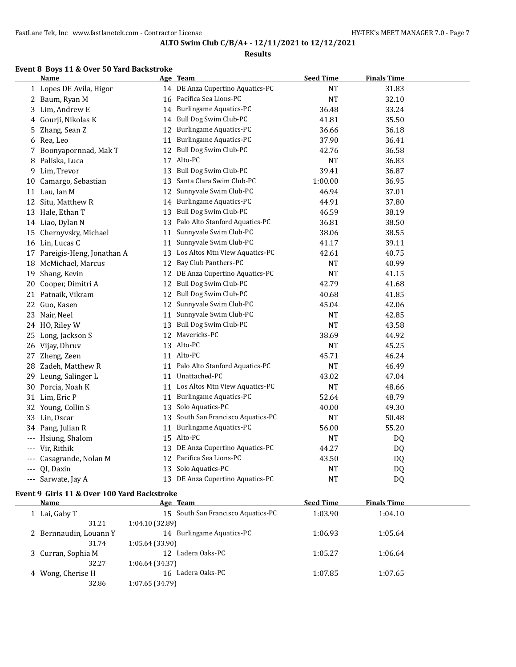#### **Results**

### **Event 8 Boys 11 & Over 50 Yard Backstroke**

|          | Name                         |    | Age Team                           | <b>Seed Time</b> | <b>Finals Time</b> |  |
|----------|------------------------------|----|------------------------------------|------------------|--------------------|--|
|          | 1 Lopes DE Avila, Higor      |    | 14 DE Anza Cupertino Aquatics-PC   | NT               | 31.83              |  |
|          | 2 Baum, Ryan M               |    | 16 Pacifica Sea Lions-PC           | <b>NT</b>        | 32.10              |  |
|          | 3 Lim, Andrew E              |    | 14 Burlingame Aquatics-PC          | 36.48            | 33.24              |  |
|          | 4 Gourji, Nikolas K          |    | 14 Bull Dog Swim Club-PC           | 41.81            | 35.50              |  |
|          | 5 Zhang, Sean Z              | 12 | <b>Burlingame Aquatics-PC</b>      | 36.66            | 36.18              |  |
|          | 6 Rea, Leo                   | 11 | Burlingame Aquatics-PC             | 37.90            | 36.41              |  |
|          | 7 Boonyapornnad, Mak T       | 12 | Bull Dog Swim Club-PC              | 42.76            | 36.58              |  |
| 8        | Paliska, Luca                |    | 17 Alto-PC                         | <b>NT</b>        | 36.83              |  |
| 9        | Lim, Trevor                  |    | 13 Bull Dog Swim Club-PC           | 39.41            | 36.87              |  |
|          | 10 Camargo, Sebastian        |    | 13 Santa Clara Swim Club-PC        | 1:00.00          | 36.95              |  |
|          | 11 Lau, Ian M                |    | 12 Sunnyvale Swim Club-PC          | 46.94            | 37.01              |  |
| 12       | Situ, Matthew R              | 14 | <b>Burlingame Aquatics-PC</b>      | 44.91            | 37.80              |  |
|          | 13 Hale, Ethan T             | 13 | Bull Dog Swim Club-PC              | 46.59            | 38.19              |  |
|          | 14 Liao, Dylan N             | 13 | Palo Alto Stanford Aquatics-PC     | 36.81            | 38.50              |  |
|          | 15 Chernyvsky, Michael       | 11 | Sunnyvale Swim Club-PC             | 38.06            | 38.55              |  |
|          | 16 Lin, Lucas C              | 11 | Sunnyvale Swim Club-PC             | 41.17            | 39.11              |  |
|          | 17 Pareigis-Heng, Jonathan A |    | 13 Los Altos Mtn View Aquatics-PC  | 42.61            | 40.75              |  |
|          | 18 McMichael, Marcus         | 12 | Bay Club Panthers-PC               | NT               | 40.99              |  |
|          | 19 Shang, Kevin              |    | 12 DE Anza Cupertino Aquatics-PC   | <b>NT</b>        | 41.15              |  |
| 20       | Cooper, Dimitri A            |    | 12 Bull Dog Swim Club-PC           | 42.79            | 41.68              |  |
|          | 21 Patnaik, Vikram           | 12 | Bull Dog Swim Club-PC              | 40.68            | 41.85              |  |
|          | 22 Guo, Kasen                | 12 | Sunnyvale Swim Club-PC             | 45.04            | 42.06              |  |
|          | 23 Nair, Neel                | 11 | Sunnyvale Swim Club-PC             | <b>NT</b>        | 42.85              |  |
|          | 24 HO, Riley W               |    | 13 Bull Dog Swim Club-PC           | NT               | 43.58              |  |
|          | 25 Long, Jackson S           |    | 12 Mavericks-PC                    | 38.69            | 44.92              |  |
|          | 26 Vijay, Dhruv              |    | 13 Alto-PC                         | <b>NT</b>        | 45.25              |  |
|          | 27 Zheng, Zeen               |    | 11 Alto-PC                         | 45.71            | 46.24              |  |
|          | 28 Zadeh, Matthew R          |    | 11 Palo Alto Stanford Aquatics-PC  | NT               | 46.49              |  |
|          | 29 Leung, Salinger L         | 11 | Unattached-PC                      | 43.02            | 47.04              |  |
|          | 30 Porcia, Noah K            | 11 | Los Altos Mtn View Aquatics-PC     | <b>NT</b>        | 48.66              |  |
|          | 31 Lim, Eric P               | 11 | Burlingame Aquatics-PC             | 52.64            | 48.79              |  |
|          | 32 Young, Collin S           | 13 | Solo Aquatics-PC                   | 40.00            | 49.30              |  |
|          | 33 Lin, Oscar                |    | 13 South San Francisco Aquatics-PC | <b>NT</b>        | 50.48              |  |
| 34       | Pang, Julian R               | 11 | <b>Burlingame Aquatics-PC</b>      | 56.00            | 55.20              |  |
| $---$    | Hsiung, Shalom               |    | 15 Alto-PC                         | <b>NT</b>        | DQ                 |  |
| $\cdots$ | Vir, Rithik                  |    | 13 DE Anza Cupertino Aquatics-PC   | 44.27            | DQ                 |  |
|          | Casagrande, Nolan M          |    | 12 Pacifica Sea Lions-PC           | 43.50            | DQ                 |  |
|          | QI, Daxin                    |    | 13 Solo Aquatics-PC                | NT               | DQ                 |  |
| $---$    | Sarwate, Jay A               |    | 13 DE Anza Cupertino Aquatics-PC   | <b>NT</b>        | <b>DQ</b>          |  |

### **Event 9 Girls 11 & Over 100 Yard Backstroke**

 $\equiv$ 

| Name                   | Age Team                           | <b>Seed Time</b> | <b>Finals Time</b> |  |
|------------------------|------------------------------------|------------------|--------------------|--|
| 1 Lai, Gaby T          | 15 South San Francisco Aquatics-PC | 1:03.90          | 1:04.10            |  |
| 31.21                  | 1:04.10 (32.89)                    |                  |                    |  |
| 2 Bernnaudin, Louann Y | 14 Burlingame Aquatics-PC          | 1:06.93          | 1:05.64            |  |
| 31.74                  | 1:05.64 (33.90)                    |                  |                    |  |
| 3 Curran, Sophia M     | 12 Ladera Oaks-PC                  | 1:05.27          | 1:06.64            |  |
| 32.27                  | 1:06.64 (34.37)                    |                  |                    |  |
| 4 Wong, Cherise H      | 16 Ladera Oaks-PC                  | 1:07.85          | 1:07.65            |  |
| 32.86                  | 1:07.65 (34.79)                    |                  |                    |  |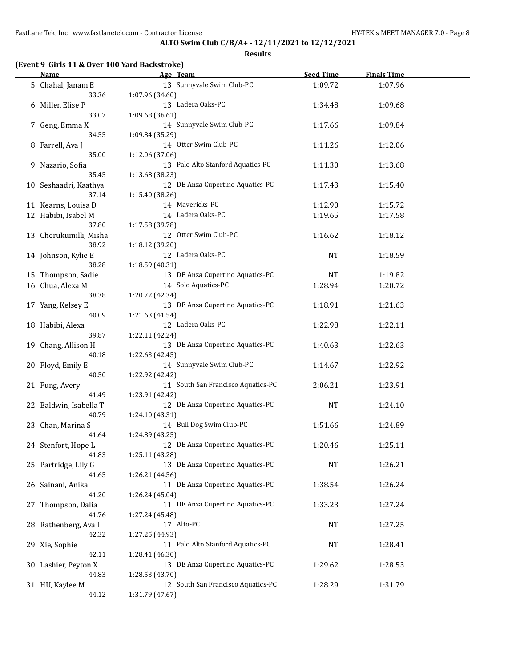**Results**

# **(Event 9 Girls 11 & Over 100 Yard Backstroke)**

| Name                   | Age Team                           | <b>Seed Time</b> | <b>Finals Time</b> |  |
|------------------------|------------------------------------|------------------|--------------------|--|
| 5 Chahal, Janam E      | 13 Sunnyvale Swim Club-PC          | 1:09.72          | 1:07.96            |  |
| 33.36                  | 1:07.96 (34.60)                    |                  |                    |  |
| 6 Miller, Elise P      | 13 Ladera Oaks-PC                  | 1:34.48          | 1:09.68            |  |
| 33.07                  | 1:09.68 (36.61)                    |                  |                    |  |
| 7 Geng, Emma X         | 14 Sunnyvale Swim Club-PC          | 1:17.66          | 1:09.84            |  |
| 34.55                  | 1:09.84 (35.29)                    |                  |                    |  |
| 8 Farrell, Ava J       | 14 Otter Swim Club-PC              | 1:11.26          | 1:12.06            |  |
| 35.00                  | 1:12.06 (37.06)                    |                  |                    |  |
| 9 Nazario, Sofia       | 13 Palo Alto Stanford Aquatics-PC  | 1:11.30          | 1:13.68            |  |
| 35.45                  | 1:13.68 (38.23)                    |                  |                    |  |
| 10 Seshaadri, Kaathya  | 12 DE Anza Cupertino Aquatics-PC   | 1:17.43          | 1:15.40            |  |
| 37.14                  | 1:15.40 (38.26)                    |                  |                    |  |
|                        | 14 Mavericks-PC                    |                  |                    |  |
| 11 Kearns, Louisa D    |                                    | 1:12.90          | 1:15.72            |  |
| 12 Habibi, Isabel M    | 14 Ladera Oaks-PC                  | 1:19.65          | 1:17.58            |  |
| 37.80                  | 1:17.58 (39.78)                    |                  |                    |  |
| 13 Cherukumilli, Misha | 12 Otter Swim Club-PC              | 1:16.62          | 1:18.12            |  |
| 38.92                  | 1:18.12 (39.20)                    |                  |                    |  |
| 14 Johnson, Kylie E    | 12 Ladera Oaks-PC                  | <b>NT</b>        | 1:18.59            |  |
| 38.28                  | 1:18.59 (40.31)                    |                  |                    |  |
| 15 Thompson, Sadie     | 13 DE Anza Cupertino Aquatics-PC   | NT               | 1:19.82            |  |
| 16 Chua, Alexa M       | 14 Solo Aquatics-PC                | 1:28.94          | 1:20.72            |  |
| 38.38                  | 1:20.72 (42.34)                    |                  |                    |  |
| 17 Yang, Kelsey E      | 13 DE Anza Cupertino Aquatics-PC   | 1:18.91          | 1:21.63            |  |
| 40.09                  | 1:21.63 (41.54)                    |                  |                    |  |
| 18 Habibi, Alexa       | 12 Ladera Oaks-PC                  | 1:22.98          | 1:22.11            |  |
| 39.87                  | 1:22.11 (42.24)                    |                  |                    |  |
| 19 Chang, Allison H    | 13 DE Anza Cupertino Aquatics-PC   | 1:40.63          | 1:22.63            |  |
| 40.18                  | 1:22.63 (42.45)                    |                  |                    |  |
| 20 Floyd, Emily E      | 14 Sunnyvale Swim Club-PC          | 1:14.67          | 1:22.92            |  |
| 40.50                  | 1:22.92 (42.42)                    |                  |                    |  |
| 21 Fung, Avery         | 11 South San Francisco Aquatics-PC | 2:06.21          | 1:23.91            |  |
| 41.49                  | 1:23.91 (42.42)                    |                  |                    |  |
| 22 Baldwin, Isabella T | 12 DE Anza Cupertino Aquatics-PC   | <b>NT</b>        | 1:24.10            |  |
| 40.79                  | 1:24.10 (43.31)                    |                  |                    |  |
| 23 Chan, Marina S      | 14 Bull Dog Swim Club-PC           | 1:51.66          | 1:24.89            |  |
| 41.64                  | 1:24.89 (43.25)                    |                  |                    |  |
| 24 Stenfort, Hope L    | 12 DE Anza Cupertino Aquatics-PC   | 1:20.46          | 1:25.11            |  |
| 41.83                  | 1:25.11 (43.28)                    |                  |                    |  |
| 25 Partridge, Lily G   | 13 DE Anza Cupertino Aquatics-PC   | NT               | 1:26.21            |  |
| 41.65                  | 1:26.21 (44.56)                    |                  |                    |  |
| 26 Sainani, Anika      | 11 DE Anza Cupertino Aquatics-PC   | 1:38.54          | 1:26.24            |  |
| 41.20                  | 1:26.24 (45.04)                    |                  |                    |  |
| 27 Thompson, Dalia     | 11 DE Anza Cupertino Aquatics-PC   | 1:33.23          | 1:27.24            |  |
| 41.76                  | 1:27.24 (45.48)                    |                  |                    |  |
| 28 Rathenberg, Ava I   | 17 Alto-PC                         | <b>NT</b>        | 1:27.25            |  |
| 42.32                  | 1:27.25 (44.93)                    |                  |                    |  |
| 29 Xie, Sophie         | 11 Palo Alto Stanford Aquatics-PC  | NT               | 1:28.41            |  |
| 42.11                  | 1:28.41 (46.30)                    |                  |                    |  |
| 30 Lashier, Peyton X   | 13 DE Anza Cupertino Aquatics-PC   | 1:29.62          | 1:28.53            |  |
| 44.83                  | 1:28.53 (43.70)                    |                  |                    |  |
| 31 HU, Kaylee M        | 12 South San Francisco Aquatics-PC | 1:28.29          | 1:31.79            |  |
| 44.12                  | 1:31.79 (47.67)                    |                  |                    |  |
|                        |                                    |                  |                    |  |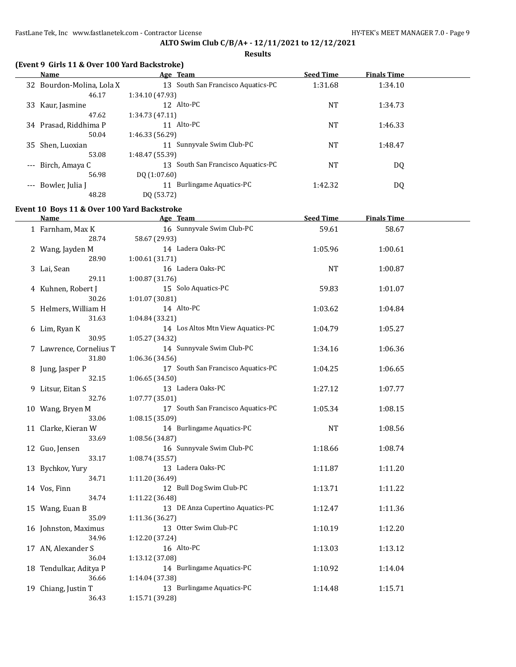#### **Results**

|  |  | (Event 9 Girls 11 & Over 100 Yard Backstroke) |
|--|--|-----------------------------------------------|
|--|--|-----------------------------------------------|

|       | Name                      | Age Team                           | <b>Seed Time</b> | <b>Finals Time</b> |  |
|-------|---------------------------|------------------------------------|------------------|--------------------|--|
|       | 32 Bourdon-Molina, Lola X | 13 South San Francisco Aquatics-PC | 1:31.68          | 1:34.10            |  |
|       | 46.17                     | 1:34.10 (47.93)                    |                  |                    |  |
| 33    | Kaur, Jasmine             | 12 Alto-PC                         | <b>NT</b>        | 1:34.73            |  |
|       | 47.62                     | 1:34.73(47.11)                     |                  |                    |  |
| 34    | Prasad, Riddhima P        | 11 Alto-PC                         | <b>NT</b>        | 1:46.33            |  |
|       | 50.04                     | 1:46.33(56.29)                     |                  |                    |  |
|       | 35 Shen, Luoxian          | 11 Sunnyvale Swim Club-PC          | <b>NT</b>        | 1:48.47            |  |
|       | 53.08                     | 1:48.47 (55.39)                    |                  |                    |  |
| $---$ | Birch, Amaya C            | 13 South San Francisco Aquatics-PC | <b>NT</b>        | DQ                 |  |
|       | 56.98                     | DQ(1:07.60)                        |                  |                    |  |
| $---$ | Bowler, Julia J           | Burlingame Aquatics-PC             | 1:42.32          | DQ                 |  |
|       | 48.28                     | DO (53.72)                         |                  |                    |  |

## **Event 10 Boys 11 & Over 100 Yard Backstroke**

| Name                    | Age Team                           | <b>Seed Time</b> | <b>Finals Time</b> |  |
|-------------------------|------------------------------------|------------------|--------------------|--|
| 1 Farnham, Max K        | 16 Sunnyvale Swim Club-PC          | 59.61            | 58.67              |  |
| 28.74                   | 58.67 (29.93)                      |                  |                    |  |
| 2 Wang, Jayden M        | 14 Ladera Oaks-PC                  | 1:05.96          | 1:00.61            |  |
| 28.90                   | 1:00.61 (31.71)                    |                  |                    |  |
| 3 Lai, Sean             | 16 Ladera Oaks-PC                  | <b>NT</b>        | 1:00.87            |  |
| 29.11                   | 1:00.87 (31.76)                    |                  |                    |  |
| 4 Kuhnen, Robert J      | 15 Solo Aquatics-PC                | 59.83            | 1:01.07            |  |
| 30.26                   | 1:01.07 (30.81)                    |                  |                    |  |
| 5 Helmers, William H    | 14 Alto-PC                         | 1:03.62          | 1:04.84            |  |
| 31.63                   | 1:04.84 (33.21)                    |                  |                    |  |
| 6 Lim, Ryan K           | 14 Los Altos Mtn View Aquatics-PC  | 1:04.79          | 1:05.27            |  |
| 30.95                   | 1:05.27 (34.32)                    |                  |                    |  |
| 7 Lawrence, Cornelius T | 14 Sunnyvale Swim Club-PC          | 1:34.16          | 1:06.36            |  |
| 31.80                   | 1:06.36 (34.56)                    |                  |                    |  |
| 8 Jung, Jasper P        | 17 South San Francisco Aquatics-PC | 1:04.25          | 1:06.65            |  |
| 32.15                   | 1:06.65 (34.50)                    |                  |                    |  |
| 9 Litsur, Eitan S       | 13 Ladera Oaks-PC                  | 1:27.12          | 1:07.77            |  |
| 32.76                   | 1:07.77 (35.01)                    |                  |                    |  |
| 10 Wang, Bryen M        | 17 South San Francisco Aquatics-PC | 1:05.34          | 1:08.15            |  |
| 33.06                   | 1:08.15 (35.09)                    |                  |                    |  |
| 11 Clarke, Kieran W     | 14 Burlingame Aquatics-PC          | <b>NT</b>        | 1:08.56            |  |
| 33.69                   | 1:08.56 (34.87)                    |                  |                    |  |
| 12 Guo, Jensen          | 16 Sunnyvale Swim Club-PC          | 1:18.66          | 1:08.74            |  |
| 33.17                   | 1:08.74 (35.57)                    |                  |                    |  |
| 13 Bychkov, Yury        | 13 Ladera Oaks-PC                  | 1:11.87          | 1:11.20            |  |
| 34.71                   | 1:11.20 (36.49)                    |                  |                    |  |
| 14 Vos, Finn            | 12 Bull Dog Swim Club-PC           | 1:13.71          | 1:11.22            |  |
| 34.74                   | 1:11.22 (36.48)                    |                  |                    |  |
| 15 Wang, Euan B         | 13 DE Anza Cupertino Aquatics-PC   | 1:12.47          | 1:11.36            |  |
| 35.09                   | 1:11.36 (36.27)                    |                  |                    |  |
| 16 Johnston, Maximus    | 13 Otter Swim Club-PC              | 1:10.19          | 1:12.20            |  |
| 34.96                   | 1:12.20 (37.24)                    |                  |                    |  |
| 17 AN, Alexander S      | 16 Alto-PC                         | 1:13.03          | 1:13.12            |  |
| 36.04                   | 1:13.12 (37.08)                    |                  |                    |  |
| 18 Tendulkar, Aditya P  | 14 Burlingame Aquatics-PC          | 1:10.92          | 1:14.04            |  |
| 36.66                   | 1:14.04 (37.38)                    |                  |                    |  |
| 19 Chiang, Justin T     | 13 Burlingame Aquatics-PC          | 1:14.48          | 1:15.71            |  |
| 36.43                   | 1:15.71 (39.28)                    |                  |                    |  |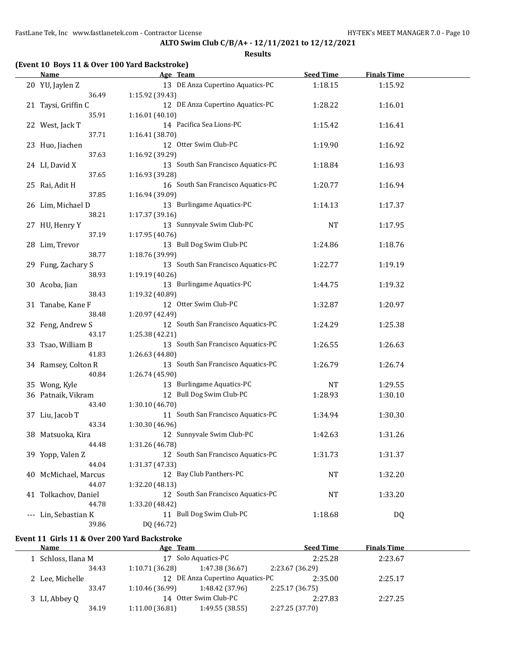**Results**

### **(Event 10 Boys 11 & Over 100 Yard Backstroke)**

| <b>Name</b>          | Age Team                           | <b>Seed Time</b> | <b>Finals Time</b> |  |
|----------------------|------------------------------------|------------------|--------------------|--|
| 20 YU, Jaylen Z      | 13 DE Anza Cupertino Aquatics-PC   | 1:18.15          | 1:15.92            |  |
| 36.49                | 1:15.92 (39.43)                    |                  |                    |  |
| 21 Taysi, Griffin C  | 12 DE Anza Cupertino Aquatics-PC   | 1:28.22          | 1:16.01            |  |
| 35.91                | 1:16.01 (40.10)                    |                  |                    |  |
| 22 West, Jack T      | 14 Pacifica Sea Lions-PC           | 1:15.42          | 1:16.41            |  |
| 37.71                | 1:16.41 (38.70)                    |                  |                    |  |
| 23 Huo, Jiachen      | 12 Otter Swim Club-PC              | 1:19.90          | 1:16.92            |  |
| 37.63                | 1:16.92 (39.29)                    |                  |                    |  |
| 24 LI, David X       | 13 South San Francisco Aquatics-PC | 1:18.84          | 1:16.93            |  |
| 37.65                | 1:16.93 (39.28)                    |                  |                    |  |
| 25 Rai, Adit H       | 16 South San Francisco Aquatics-PC | 1:20.77          | 1:16.94            |  |
| 37.85                | 1:16.94 (39.09)                    |                  |                    |  |
| 26 Lim, Michael D    | 13 Burlingame Aquatics-PC          | 1:14.13          | 1:17.37            |  |
| 38.21                | 1:17.37 (39.16)                    |                  |                    |  |
| 27 HU, Henry Y       | 13 Sunnyvale Swim Club-PC          | <b>NT</b>        | 1:17.95            |  |
| 37.19                | 1:17.95 (40.76)                    |                  |                    |  |
| 28 Lim, Trevor       | 13 Bull Dog Swim Club-PC           | 1:24.86          | 1:18.76            |  |
| 38.77                | 1:18.76 (39.99)                    |                  |                    |  |
| 29 Fung, Zachary S   | 13 South San Francisco Aquatics-PC | 1:22.77          | 1:19.19            |  |
| 38.93                | 1:19.19 (40.26)                    |                  |                    |  |
| 30 Acoba, Jian       | 13 Burlingame Aquatics-PC          | 1:44.75          | 1:19.32            |  |
| 38.43                | 1:19.32 (40.89)                    |                  |                    |  |
| 31 Tanabe, Kane F    | 12 Otter Swim Club-PC              | 1:32.87          | 1:20.97            |  |
| 38.48                | 1:20.97 (42.49)                    |                  |                    |  |
| 32 Feng, Andrew S    | 12 South San Francisco Aquatics-PC | 1:24.29          | 1:25.38            |  |
| 43.17                | 1:25.38 (42.21)                    |                  |                    |  |
| 33 Tsao, William B   | 13 South San Francisco Aquatics-PC | 1:26.55          | 1:26.63            |  |
| 41.83                | 1:26.63 (44.80)                    |                  |                    |  |
| 34 Ramsey, Colton R  | 13 South San Francisco Aquatics-PC | 1:26.79          | 1:26.74            |  |
| 40.84                | 1:26.74 (45.90)                    |                  |                    |  |
| 35 Wong, Kyle        | 13 Burlingame Aquatics-PC          | <b>NT</b>        | 1:29.55            |  |
| 36 Patnaik, Vikram   | 12 Bull Dog Swim Club-PC           | 1:28.93          | 1:30.10            |  |
| 43.40                | 1:30.10 (46.70)                    |                  |                    |  |
| 37 Liu, Jacob T      | 11 South San Francisco Aquatics-PC | 1:34.94          | 1:30.30            |  |
| 43.34                | 1:30.30 (46.96)                    |                  |                    |  |
| 38 Matsuoka, Kira    | 12 Sunnyvale Swim Club-PC          | 1:42.63          | 1:31.26            |  |
| 44.48                | 1:31.26 (46.78)                    |                  |                    |  |
| 39 Yopp, Valen Z     | 12 South San Francisco Aquatics-PC | 1:31.73          | 1:31.37            |  |
| 44.04                | 1:31.37 (47.33)                    |                  |                    |  |
| 40 McMichael, Marcus | 12 Bay Club Panthers-PC            | NT               | 1:32.20            |  |
| 44.07                | 1:32.20 (48.13)                    |                  |                    |  |
| 41 Tolkachov, Daniel | 12 South San Francisco Aquatics-PC | NT               | 1:33.20            |  |
| 44.78                | 1:33.20 (48.42)                    |                  |                    |  |
| --- Lin, Sebastian K | 11 Bull Dog Swim Club-PC           | 1:18.68          | DQ                 |  |
| 39.86                | DQ (46.72)                         |                  |                    |  |
|                      |                                    |                  |                    |  |

### **Event 11 Girls 11 & Over 200 Yard Backstroke**

| Name                                   | Age Team        |                                  | <b>Seed Time</b> | <b>Finals Time</b> |  |
|----------------------------------------|-----------------|----------------------------------|------------------|--------------------|--|
| 1 Schloss, Ilana M                     |                 | 17 Solo Aquatics-PC              | 2:25.28          | 2:23.67            |  |
| 34.43                                  | 1:10.71(36.28)  | 1:47.38 (36.67)                  | 2:23.67 (36.29)  |                    |  |
| 2 Lee, Michelle                        |                 | 12 DE Anza Cupertino Aquatics-PC | 2:35.00          | 2:25.17            |  |
| 33.47                                  | 1:10.46 (36.99) | 1:48.42 (37.96)                  | 2:25.17 (36.75)  |                    |  |
| 14 Otter Swim Club-PC<br>3 LI, Abbey Q |                 |                                  | 2:27.83          | 2:27.25            |  |
| 34.19                                  | 1:11.00(36.81)  | 1:49.55(38.55)                   | 2:27.25 (37.70)  |                    |  |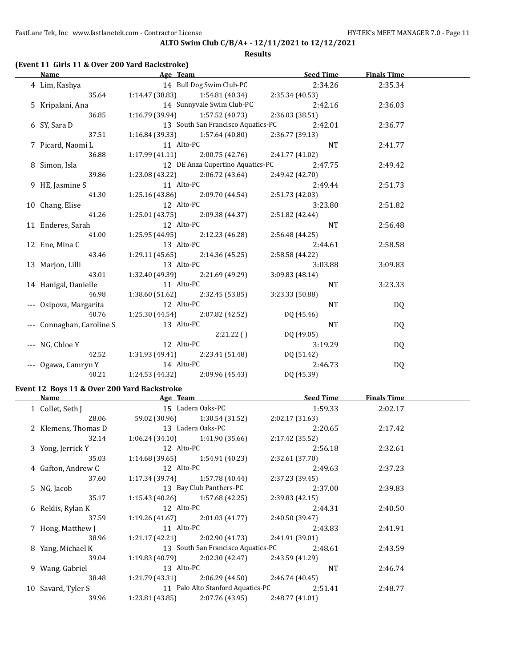#### **Results**

# **(Event 11 Girls 11 & Over 200 Yard Backstroke)**

| Name                                        |            |                                                            | <b>Example 20 April 20 April 20 April 20 April 20 April 20 April 20 April 20 April 20 April 20 April 20 April 20</b> | <b>Finals Time</b> |  |
|---------------------------------------------|------------|------------------------------------------------------------|----------------------------------------------------------------------------------------------------------------------|--------------------|--|
| 4 Lim, Kashya                               |            |                                                            | 14 Bull Dog Swim Club-PC 2:34.26                                                                                     | 2:35.34            |  |
|                                             |            | 35.64 1:14.47 (38.83) 1:54.81 (40.34) 2:35.34 (40.53)      |                                                                                                                      |                    |  |
| 5 Kripalani, Ana                            |            | 14 Sunnyvale Swim Club-PC                                  | 2:42.16                                                                                                              | 2:36.03            |  |
| 36.85                                       |            | $1:16.79$ (39.94) $1:57.52$ (40.73)                        | 2:36.03 (38.51)                                                                                                      |                    |  |
| 6 SY, Sara D                                |            |                                                            | 13 South San Francisco Aquatics-PC 2:42.01                                                                           | 2:36.77            |  |
| 37.51                                       |            | $1:16.84(39.33)$ $1:57.64(40.80)$                          | 2:36.77 (39.13)                                                                                                      |                    |  |
| 7 Picard, Naomi L                           | 11 Alto-PC |                                                            | NT                                                                                                                   | 2:41.77            |  |
| 36.88                                       |            | $1:17.99(41.11)$ $2:00.75(42.76)$                          | 2:41.77 (41.02)                                                                                                      |                    |  |
| 8 Simon, Isla                               |            |                                                            | 12 DE Anza Cupertino Aquatics-PC 2:47.75                                                                             | 2:49.42            |  |
| 39.86                                       |            |                                                            | $1:23.08(43.22)$ $2:06.72(43.64)$ $2:49.42(42.70)$                                                                   |                    |  |
| 9 HE, Jasmine S                             |            | 11 Alto-PC<br>1:25.16 (43.86) 2:09.70 (44.54) 2:51.73 (42. | 2:49.44                                                                                                              | 2:51.73            |  |
| 41.30                                       |            |                                                            | 2:51.73 (42.03)                                                                                                      |                    |  |
| 10 Chang, Elise                             | 12 Alto-PC |                                                            | 3:23.80                                                                                                              | 2:51.82            |  |
| 41.26                                       |            | $1:25.01(43.75)$ $2:09.38(44.37)$                          | 2:51.82 (42.44)                                                                                                      |                    |  |
| 11 Enderes, Sarah                           | 12 Alto-PC |                                                            | <b>NT</b>                                                                                                            | 2:56.48            |  |
| 41.00                                       |            | $1:25.95(44.95)$ $2:12.23(46.28)$                          | 2:56.48 (44.25)                                                                                                      |                    |  |
| 12 Ene, Mina C                              | 13 Alto-PC |                                                            | 2:44.61                                                                                                              | 2:58.58            |  |
| 43.46                                       |            | $1:29.11(45.65)$ $2:14.36(45.25)$                          | 2:58.58 (44.22)                                                                                                      |                    |  |
| 13 Marjon, Lilli                            | 13 Alto-PC |                                                            | 3:03.88                                                                                                              | 3:09.83            |  |
| 43.01                                       |            | $1:32.40(49.39)$ $2:21.69(49.29)$                          | 3:09.83(48.14)                                                                                                       |                    |  |
| 14 Hanigal, Danielle 11 Alto-PC             |            |                                                            | <b>NT</b>                                                                                                            | 3:23.33            |  |
|                                             |            | 46.98 1:38.60 (51.62) 2:32.45 (53.85)                      | 3:23.33 (50.88)                                                                                                      |                    |  |
| --- Osipova, Margarita 12 Alto-PC           |            |                                                            | <b>NT</b>                                                                                                            | DQ                 |  |
| 40.76                                       |            | 1:25.30 (44.54) $2:07.82$ (42.52) $DQ$ (45.46)             |                                                                                                                      |                    |  |
| --- Connaghan, Caroline S                   | 13 Alto-PC |                                                            | <b>NT</b>                                                                                                            | DQ                 |  |
|                                             |            |                                                            | $2:21.22$ () DQ (49.05)                                                                                              |                    |  |
| --- NG, Chloe Y                             | 12 Alto-PC |                                                            | 3:19.29                                                                                                              | DQ                 |  |
|                                             |            | 42.52 1:31.93 (49.41) 2:23.41 (51.48) DQ (51.42)           |                                                                                                                      |                    |  |
| --- Ogawa, Camryn Y 14 Alto-PC              |            |                                                            | 2:46.73                                                                                                              | DQ                 |  |
|                                             |            | 40.21 1:24.53 (44.32) 2:09.96 (45.43) DQ (45.39)           |                                                                                                                      |                    |  |
| Event 12 Boys 11 & Over 200 Yard Backstroke |            |                                                            |                                                                                                                      |                    |  |
|                                             |            |                                                            | $\mathbf{r}$ and $\mathbf{r}$                                                                                        |                    |  |

| Name                | Age Team        |                                                    |                 | <b>Seed Time</b> | <b>Finals Time</b> |  |
|---------------------|-----------------|----------------------------------------------------|-----------------|------------------|--------------------|--|
| 1 Collet, Seth J    |                 | 15 Ladera Oaks-PC                                  |                 | 1:59.33          | 2:02.17            |  |
| 28.06               |                 | $59.02(30.96)$ 1:30.54 (31.52)                     | 2:02.17(31.63)  |                  |                    |  |
| 2 Klemens, Thomas D |                 | 13 Ladera Oaks-PC                                  |                 | 2:20.65          | 2:17.42            |  |
| 32.14               |                 | $1:06.24(34.10)$ $1:41.90(35.66)$                  | 2:17.42 (35.52) |                  |                    |  |
| 3 Yong, Jerrick Y   | 12 Alto-PC      |                                                    |                 | 2:56.18          | 2:32.61            |  |
| 35.03               |                 | $1:14.68(39.65)$ $1:54.91(40.23)$                  | 2:32.61(37.70)  |                  |                    |  |
| 4 Gafton, Andrew C  | 12 Alto-PC      |                                                    |                 | 2:49.63          | 2:37.23            |  |
| 37.60               |                 | $1:17.34(39.74)$ $1:57.78(40.44)$                  | 2:37.23(39.45)  |                  |                    |  |
| 5 NG, Jacob         |                 | 13 Bay Club Panthers-PC                            |                 | 2:37.00          | 2:39.83            |  |
| 35.17               |                 | $1:15.43(40.26)$ $1:57.68(42.25)$ $2:39.83(42.15)$ |                 |                  |                    |  |
| 6 Reklis, Rylan K   | 12 Alto-PC      |                                                    |                 | 2:44.31          | 2:40.50            |  |
| 37.59               |                 | $1:19.26(41.67)$ $2:01.03(41.77)$                  | 2:40.50 (39.47) |                  |                    |  |
| 7 Hong, Matthew J   | 11 Alto-PC      |                                                    |                 | 2:43.83          | 2:41.91            |  |
| 38.96               |                 | $1:21.17(42.21)$ $2:02.90(41.73)$                  | 2:41.91 (39.01) |                  |                    |  |
| 8 Yang, Michael K   |                 | 13 South San Francisco Aquatics-PC                 |                 | 2:48.61          | 2:43.59            |  |
| 39.04               |                 | $1:19.83(40.79)$ $2:02.30(42.47)$ $2:43.59(41.29)$ |                 |                  |                    |  |
| 9 Wang, Gabriel     | 13 Alto-PC      |                                                    |                 | NT.              | 2:46.74            |  |
| 38.48               |                 | $1:21.79(43.31)$ $2:06.29(44.50)$ $2:46.74(40.45)$ |                 |                  |                    |  |
| 10 Savard, Tyler S  |                 | 11 Palo Alto Stanford Aquatics-PC                  |                 | 2:51.41          | 2:48.77            |  |
| 39.96               | 1:23.81 (43.85) | 2:07.76 (43.95)                                    | 2:48.77(41.01)  |                  |                    |  |
|                     |                 |                                                    |                 |                  |                    |  |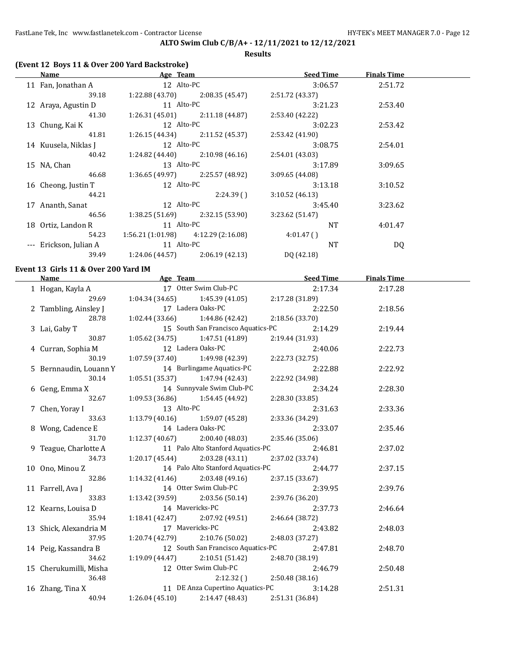**Results**

### **(Event 12 Boys 11 & Over 200 Yard Backstroke)**

| <b>Name</b>          | Age Team                              |                                   | <b>Seed Time</b> |           | <b>Finals Time</b> |  |
|----------------------|---------------------------------------|-----------------------------------|------------------|-----------|--------------------|--|
| 11 Fan, Jonathan A   | 12 Alto-PC                            |                                   |                  | 3:06.57   | 2:51.72            |  |
| 39.18                | 1:22.88(43.70)                        | 2:08.35 (45.47)                   | 2:51.72 (43.37)  |           |                    |  |
| 12 Araya, Agustin D  | 11 Alto-PC                            |                                   |                  | 3:21.23   | 2:53.40            |  |
| 41.30                |                                       | $1:26.31(45.01)$ $2:11.18(44.87)$ | 2:53.40 (42.22)  |           |                    |  |
| 13 Chung, Kai K      | 12 Alto-PC                            |                                   |                  | 3:02.23   | 2:53.42            |  |
| 41.81                |                                       | $1:26.15(44.34)$ $2:11.52(45.37)$ | 2:53.42 (41.90)  |           |                    |  |
| 14 Kuusela, Niklas J | 12 Alto-PC                            |                                   |                  | 3:08.75   | 2:54.01            |  |
| 40.42                | 1:24.82 (44.40)                       | 2:10.98 (46.16)                   | 2:54.01 (43.03)  |           |                    |  |
| 15 NA, Chan          | 13 Alto-PC                            |                                   |                  | 3:17.89   | 3:09.65            |  |
| 46.68                | 1:36.65 (49.97)                       | 2:25.57 (48.92)                   | 3:09.65(44.08)   |           |                    |  |
| 16 Cheong, Justin T  | 12 Alto-PC                            |                                   |                  | 3:13.18   | 3:10.52            |  |
| 44.21                |                                       | 2:24.39(                          | 3:10.52(46.13)   |           |                    |  |
| 17 Ananth, Sanat     | 12 Alto-PC                            |                                   |                  | 3:45.40   | 3:23.62            |  |
| 46.56                | 1:38.25(51.69)                        | 2:32.15 (53.90)                   | 3:23.62 (51.47)  |           |                    |  |
| 18 Ortiz, Landon R   | 11 Alto-PC                            |                                   |                  | <b>NT</b> | 4:01.47            |  |
| 54.23                | $1:56.21(1:01.98)$ $4:12.29(2:16.08)$ |                                   | 4:01.47()        |           |                    |  |
| Erickson, Julian A   | 11 Alto-PC                            |                                   |                  | <b>NT</b> | DQ                 |  |
| 39.49                | 1:24.06 (44.57)                       | 2:06.19(42.13)                    | DQ (42.18)       |           |                    |  |
|                      |                                       |                                   |                  |           |                    |  |

#### **Event 13 Girls 11 & Over 200 Yard IM**

|                                                                                                   |                   |                                                                          | <b>Name</b> Seed Time Seed Age Team Seed Time      | <b>Finals Time</b> |  |
|---------------------------------------------------------------------------------------------------|-------------------|--------------------------------------------------------------------------|----------------------------------------------------|--------------------|--|
| 1 Hogan, Kayla A 17 Otter Swim Club-PC                                                            |                   |                                                                          | 2:17.34                                            | 2:17.28            |  |
|                                                                                                   |                   | 29.69 1:04.34 (34.65) 1:45.39 (41.05) 2:17.28 (31.89)                    |                                                    |                    |  |
| 2 Tambling, Ainsley J<br>28.78 1:02.44 (33.66) 1:44.86 (42.42) 2:18.56 (33.70)<br>2:14.96 PC 2:14 |                   |                                                                          | 2:22.50                                            | 2:18.56            |  |
|                                                                                                   |                   |                                                                          |                                                    |                    |  |
| 3 Lai, Gaby T                                                                                     |                   |                                                                          | 15 South San Francisco Aquatics-PC 2:14.29         | 2:19.44            |  |
| 30.87                                                                                             |                   | $1:05.62(34.75)$ $1:47.51(41.89)$                                        | 2:19.44 (31.93)                                    |                    |  |
| 4 Curran, Sophia M                                                                                |                   | 12 Ladera Oaks-PC 2:4<br>1:07.59 (37.40) 1:49.98 (42.39) 2:22.73 (32.75) | 2:40.06                                            | 2:22.73            |  |
| 30.19                                                                                             |                   |                                                                          |                                                    |                    |  |
| 5 Bernnaudin, Louann Y 14 Burlingame Aquatics-PC                                                  |                   |                                                                          | 2:22.88                                            | 2:22.92            |  |
| 30.14                                                                                             |                   | $1:05.51(35.37)$ $1:47.94(42.43)$                                        | 2:22.92 (34.98)                                    |                    |  |
| 6 Geng, Emma X                                                                                    |                   | 14 Sunnyvale Swim Club-PC<br>1:09.53 (36.86) 1:54.45 (44.92)             | 2:34.24                                            | 2:28.30            |  |
| 32.67                                                                                             |                   |                                                                          | 2:28.30 (33.85)                                    |                    |  |
| 7 Chen, Yoray I                                                                                   | 13 Alto-PC        |                                                                          | 2:31.63                                            | 2:33.36            |  |
| 33.63                                                                                             |                   | $1:13.79(40.16)$ $1:59.07(45.28)$                                        | 2:33.36 (34.29)                                    |                    |  |
| 8 Wong, Cadence E                                                                                 | 14 Ladera Oaks-PC |                                                                          | 2:33.07                                            | 2:35.46            |  |
| 31.70                                                                                             |                   | $1:12.37(40.67)$ $2:00.40(48.03)$                                        | 2:35.46 (35.06)                                    |                    |  |
| 9 Teague, Charlotte A                                                                             |                   |                                                                          | 11 Palo Alto Stanford Aquatics-PC 2:46.81          | 2:37.02            |  |
| 34.73                                                                                             |                   |                                                                          | $1:20.17(45.44)$ $2:03.28(43.11)$ $2:37.02(33.74)$ |                    |  |
| 10 Ono, Minou Z                                                                                   |                   |                                                                          | 14 Palo Alto Stanford Aquatics-PC 2:44.77          | 2:37.15            |  |
| 32.86                                                                                             |                   | $1:14.32$ (41.46) $2:03.48$ (49.16) $2:37.15$ (33.67)                    |                                                    |                    |  |
| 11 Farrell, Ava J                                                                                 |                   |                                                                          | 14 Otter Swim Club-PC 2:39.95                      | 2:39.76            |  |
| 33.83                                                                                             |                   | 1:13.42 (39.59) $2:03.56$ (50.14) $2:39.76$ (36.20)                      |                                                    |                    |  |
| 12 Kearns, Louisa D 14 Mavericks-PC                                                               |                   |                                                                          | 2:37.73                                            | 2:46.64            |  |
| 35.94                                                                                             |                   |                                                                          | 1:18.41 (42.47) 2:07.92 (49.51) 2:46.64 (38.72)    |                    |  |
| 13 Shick, Alexandria M                                                                            |                   | 17 Mavericks-PC                                                          | 2:43.82                                            | 2:48.03            |  |
| 37.95                                                                                             |                   | $1:20.74(42.79)$ $2:10.76(50.02)$                                        | 2:48.03 (37.27)                                    |                    |  |
| 14 Peig, Kassandra B 12 South San Francisco Aquatics-PC 2:47.81                                   |                   |                                                                          |                                                    | 2:48.70            |  |
| 34.62                                                                                             |                   | 1:19.09 (44.47) 2:10.51 (51.42) 2:48.70 (38.19)                          |                                                    |                    |  |
| 15 Cherukumilli, Misha                                                                            |                   | 12 Otter Swim Club-PC                                                    | 2:46.79                                            | 2:50.48            |  |
| 36.48                                                                                             |                   |                                                                          | $2:12.32$ () $2:50.48$ (38.16)                     |                    |  |
| 16 Zhang, Tina X                                                                                  |                   |                                                                          | 11 DE Anza Cupertino Aquatics-PC 3:14.28           | 2:51.31            |  |
| 40.94                                                                                             |                   | $1:26.04(45.10)$ $2:14.47(48.43)$                                        | 2:51.31 (36.84)                                    |                    |  |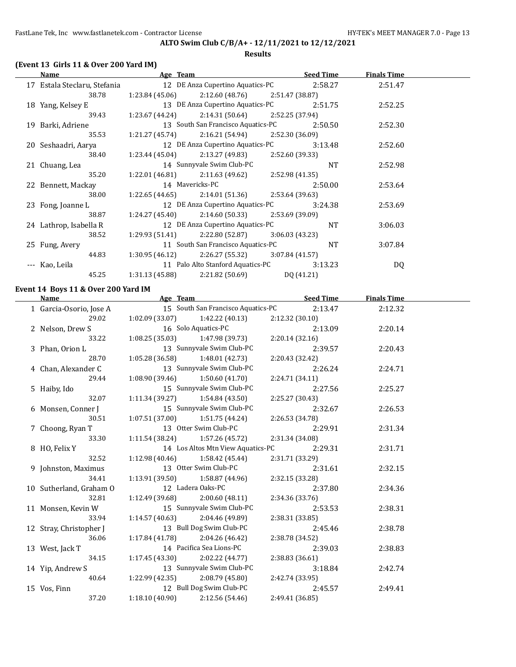#### **ALTO Swim Club C/B/A+ - 12/11/2021 to 12/12/2021 Results**

#### **(Event 13 Girls 11 & Over 200 Yard IM)**

#### **Age Team Seed Time Finals Time** 17 Estala Steclaru, Stefania 12 DE Anza Cupertino Aquatics-PC 2:58.27 2:51.47 38.78 1:23.84 (45.06) 2:12.60 (48.76) 2:51.47 (38.87) 18 Yang, Kelsey E 13 DE Anza Cupertino Aquatics-PC 2:51.75 2:52.25 39.43 1:23.67 (44.24) 2:14.31 (50.64) 2:52.25 (37.94) 19 Barki, Adriene 13 South San Francisco Aquatics-PC 2:50.50 2:52.30 35.53 1:21.27 (45.74) 2:16.21 (54.94) 2:52.30 (36.09) 20 Seshaadri, Aarya 12 DE Anza Cupertino Aquatics-PC 3:13.48 2:52.60 38.40 1:23.44 (45.04) 2:13.27 (49.83) 2:52.60 (39.33) 21 Chuang, Lea 14 Sunnyvale Swim Club-PC NT 2:52.98 35.20 1:22.01 (46.81) 2:11.63 (49.62) 2:52.98 (41.35) 22 Bennett, Mackay 14 Mavericks-PC 2:50.00 2:53.64 38.00 1:22.65 (44.65) 2:14.01 (51.36) 2:53.64 (39.63) 23 Fong, Joanne L 12 DE Anza Cupertino Aquatics-PC 3:24.38 2:53.69 38.87 1:24.27 (45.40) 2:14.60 (50.33) 2:53.69 (39.09) 24 Lathrop, Isabella R 12 DE Anza Cupertino Aquatics-PC NT 3:06.03 38.52 1:29.93 (51.41) 2:22.80 (52.87) 3:06.03 (43.23) 25 Fung, Avery 11 South San Francisco Aquatics-PC NT 3:07.84 44.83 1:30.95 (46.12) 2:26.27 (55.32) 3:07.84 (41.57) --- Kao, Leila 11 Palo Alto Stanford Aquatics-PC 3:13.23 DQ 45.25 1:31.13 (45.88) 2:21.82 (50.69) DQ (41.21)

#### **Event 14 Boys 11 & Over 200 Yard IM**

| Name                    | Age Team              |                                    | <b>Seed Time</b> | <b>Finals Time</b> |  |
|-------------------------|-----------------------|------------------------------------|------------------|--------------------|--|
| 1 Garcia-Osorio, Jose A |                       | 15 South San Francisco Aquatics-PC | 2:13.47          | 2:12.32            |  |
| 29.02                   |                       | $1:02.09(33.07)$ $1:42.22(40.13)$  | 2:12.32(30.10)   |                    |  |
| 2 Nelson, Drew S        |                       | 16 Solo Aquatics-PC                | 2:13.09          | 2:20.14            |  |
| 33.22                   |                       | $1:08.25(35.03)$ $1:47.98(39.73)$  | 2:20.14(32.16)   |                    |  |
| 3 Phan, Orion L         |                       | 13 Sunnyvale Swim Club-PC          | 2:39.57          | 2:20.43            |  |
| 28.70                   |                       | $1:05.28(36.58)$ $1:48.01(42.73)$  | 2:20.43(32.42)   |                    |  |
| 4 Chan, Alexander C     |                       | 13 Sunnyvale Swim Club-PC          | 2:26.24          | 2:24.71            |  |
| 29.44                   |                       | $1:08.90(39.46)$ $1:50.60(41.70)$  | 2:24.71(34.11)   |                    |  |
| 5 Haiby, Ido            |                       | 15 Sunnyvale Swim Club-PC          | 2:27.56          | 2:25.27            |  |
| 32.07                   |                       | $1:11.34(39.27)$ $1:54.84(43.50)$  | 2:25.27 (30.43)  |                    |  |
| 6 Monsen, Conner J      |                       | 15 Sunnyvale Swim Club-PC          | 2:32.67          | 2:26.53            |  |
| 30.51                   |                       | $1:07.51(37.00)$ $1:51.75(44.24)$  | 2:26.53 (34.78)  |                    |  |
| 7 Choong, Ryan T        |                       | 13 Otter Swim Club-PC              | 2:29.91          | 2:31.34            |  |
| 33.30                   |                       | $1:11.54(38.24)$ $1:57.26(45.72)$  | 2:31.34 (34.08)  |                    |  |
| 8 HO, Felix Y           |                       | 14 Los Altos Mtn View Aquatics-PC  | 2:29.31          | 2:31.71            |  |
| 32.52                   |                       | $1:12.98(40.46)$ $1:58.42(45.44)$  | 2:31.71 (33.29)  |                    |  |
| 9 Johnston, Maximus     | 13 Otter Swim Club-PC |                                    | 2:31.61          | 2:32.15            |  |
| 34.41                   |                       | $1:13.91(39.50)$ $1:58.87(44.96)$  | 2:32.15 (33.28)  |                    |  |
| 10 Sutherland, Graham O |                       | 12 Ladera Oaks-PC                  | 2:37.80          | 2:34.36            |  |
| 32.81                   | 1:12.49 (39.68)       | 2:00.60(48.11)                     | 2:34.36(33.76)   |                    |  |
| 11 Monsen, Kevin W      |                       | 15 Sunnyvale Swim Club-PC          | 2:53.53          | 2:38.31            |  |
| 33.94                   |                       | $1:14.57(40.63)$ $2:04.46(49.89)$  | 2:38.31 (33.85)  |                    |  |
| 12 Stray, Christopher J |                       | 13 Bull Dog Swim Club-PC           | 2:45.46          | 2:38.78            |  |
| 36.06                   |                       | $1:17.84(41.78)$ $2:04.26(46.42)$  | 2:38.78 (34.52)  |                    |  |
| 13 West, Jack T         |                       | 14 Pacifica Sea Lions-PC           | 2:39.03          | 2:38.83            |  |
| 34.15                   |                       | $1:17.45(43.30)$ $2:02.22(44.77)$  | 2:38.83(36.61)   |                    |  |
| 14 Yip, Andrew S        |                       | 13 Sunnyvale Swim Club-PC          | 3:18.84          | 2:42.74            |  |
| 40.64                   |                       | $1:22.99(42.35)$ $2:08.79(45.80)$  | 2:42.74 (33.95)  |                    |  |
| 15 Vos, Finn            |                       | 12 Bull Dog Swim Club-PC           | 2:45.57          | 2:49.41            |  |
| 37.20                   | 1:18.10(40.90)        | 2:12.56 (54.46)                    | 2:49.41 (36.85)  |                    |  |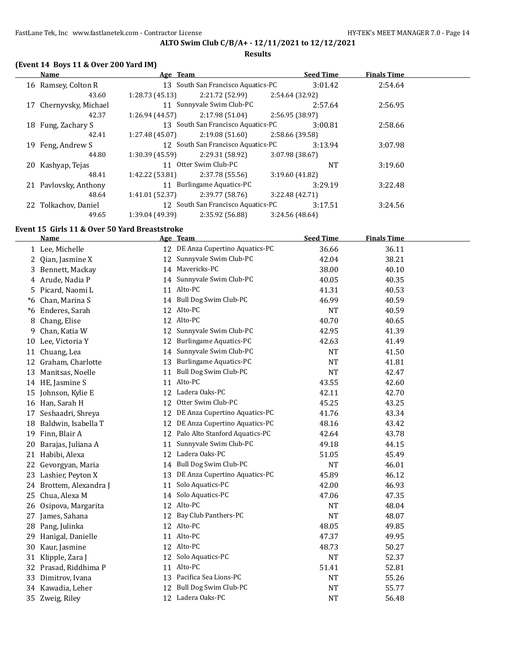### **ALTO Swim Club C/B/A+ - 12/11/2021 to 12/12/2021 Results**

### **(Event 14 Boys 11 & Over 200 Yard IM)**

| Name                   | Age Team        |                                    | <b>Seed Time</b> | <b>Finals Time</b> |  |
|------------------------|-----------------|------------------------------------|------------------|--------------------|--|
| 16 Ramsey, Colton R    |                 | 13 South San Francisco Aquatics-PC | 3:01.42          | 2:54.64            |  |
| 43.60                  | 1:28.73(45.13)  | 2:21.72 (52.99)                    | 2:54.64 (32.92)  |                    |  |
| 17 Chernyvsky, Michael |                 | 11 Sunnyvale Swim Club-PC          | 2:57.64          | 2:56.95            |  |
| 42.37                  | 1:26.94 (44.57) | 2:17.98 (51.04)                    | 2:56.95 (38.97)  |                    |  |
| 18 Fung, Zachary S     |                 | 13 South San Francisco Aquatics-PC | 3:00.81          | 2:58.66            |  |
| 42.41                  | 1:27.48 (45.07) | 2:19.08(51.60)                     | 2:58.66 (39.58)  |                    |  |
| 19 Feng, Andrew S      |                 | 12 South San Francisco Aquatics-PC | 3:13.94          | 3:07.98            |  |
| 44.80                  | 1:30.39 (45.59) | 2:29.31 (58.92)                    | 3:07.98 (38.67)  |                    |  |
| 20 Kashyap, Tejas      |                 | 11 Otter Swim Club-PC              | <b>NT</b>        | 3:19.60            |  |
| 48.41                  | 1:42.22 (53.81) | 2:37.78 (55.56)                    | 3:19.60(41.82)   |                    |  |
| 21 Pavlovsky, Anthony  |                 | 11 Burlingame Aquatics-PC          | 3:29.19          | 3:22.48            |  |
| 48.64                  | 1:41.01(52.37)  | 2:39.77 (58.76)                    | 3:22.48(42.71)   |                    |  |
| 22 Tolkachov, Daniel   |                 | 12 South San Francisco Aquatics-PC | 3:17.51          | 3:24.56            |  |
| 49.65                  | 1:39.04 (49.39) | 2:35.92 (56.88)                    | 3:24.56 (48.64)  |                    |  |

### **Event 15 Girls 11 & Over 50 Yard Breaststroke**

|    | <b>Name</b>           |    | Age Team                          | <b>Seed Time</b> | <b>Finals Time</b> |  |
|----|-----------------------|----|-----------------------------------|------------------|--------------------|--|
|    | 1 Lee, Michelle       |    | 12 DE Anza Cupertino Aquatics-PC  | 36.66            | 36.11              |  |
| 2  | Qian, Jasmine X       |    | 12 Sunnyvale Swim Club-PC         | 42.04            | 38.21              |  |
|    | 3 Bennett, Mackay     |    | 14 Mavericks-PC                   | 38.00            | 40.10              |  |
|    | 4 Arude, Nadia P      | 14 | Sunnyvale Swim Club-PC            | 40.05            | 40.35              |  |
|    | 5 Picard, Naomi L     | 11 | Alto-PC                           | 41.31            | 40.53              |  |
| *6 | Chan, Marina S        |    | 14 Bull Dog Swim Club-PC          | 46.99            | 40.59              |  |
| *6 | Enderes, Sarah        |    | 12 Alto-PC                        | <b>NT</b>        | 40.59              |  |
| 8  | Chang, Elise          |    | 12 Alto-PC                        | 40.70            | 40.65              |  |
| 9  | Chan, Katia W         |    | 12 Sunnyvale Swim Club-PC         | 42.95            | 41.39              |  |
|    | 10 Lee, Victoria Y    |    | 12 Burlingame Aquatics-PC         | 42.63            | 41.49              |  |
|    | 11 Chuang, Lea        |    | 14 Sunnyvale Swim Club-PC         | <b>NT</b>        | 41.50              |  |
| 12 | Graham, Charlotte     |    | 13 Burlingame Aquatics-PC         | NT               | 41.81              |  |
| 13 | Manitsas, Noelle      | 11 | Bull Dog Swim Club-PC             | <b>NT</b>        | 42.47              |  |
|    | 14 HE, Jasmine S      | 11 | Alto-PC                           | 43.55            | 42.60              |  |
| 15 | Johnson, Kylie E      |    | 12 Ladera Oaks-PC                 | 42.11            | 42.70              |  |
|    | 16 Han, Sarah H       | 12 | Otter Swim Club-PC                | 45.25            | 43.25              |  |
|    | 17 Seshaadri, Shreya  |    | 12 DE Anza Cupertino Aquatics-PC  | 41.76            | 43.34              |  |
| 18 | Baldwin, Isabella T   |    | 12 DE Anza Cupertino Aquatics-PC  | 48.16            | 43.42              |  |
| 19 | Finn, Blair A         |    | 12 Palo Alto Stanford Aquatics-PC | 42.64            | 43.78              |  |
| 20 | Barajas, Juliana A    | 11 | Sunnyvale Swim Club-PC            | 49.18            | 44.15              |  |
|    | 21 Habibi, Alexa      | 12 | Ladera Oaks-PC                    | 51.05            | 45.49              |  |
| 22 | Gevorgyan, Maria      |    | 14 Bull Dog Swim Club-PC          | <b>NT</b>        | 46.01              |  |
|    | 23 Lashier, Peyton X  | 13 | DE Anza Cupertino Aquatics-PC     | 45.89            | 46.12              |  |
| 24 | Brottem, Alexandra J  | 11 | Solo Aquatics-PC                  | 42.00            | 46.93              |  |
| 25 | Chua, Alexa M         | 14 | Solo Aquatics-PC                  | 47.06            | 47.35              |  |
| 26 | Osipova, Margarita    |    | 12 Alto-PC                        | <b>NT</b>        | 48.04              |  |
|    | 27 James, Sahana      | 12 | Bay Club Panthers-PC              | <b>NT</b>        | 48.07              |  |
| 28 | Pang, Julinka         |    | 12 Alto-PC                        | 48.05            | 49.85              |  |
| 29 | Hanigal, Danielle     | 11 | Alto-PC                           | 47.37            | 49.95              |  |
| 30 | Kaur, Jasmine         |    | 12 Alto-PC                        | 48.73            | 50.27              |  |
| 31 | Klipple, Zara J       | 12 | Solo Aquatics-PC                  | <b>NT</b>        | 52.37              |  |
|    | 32 Prasad, Riddhima P |    | 11 Alto-PC                        | 51.41            | 52.81              |  |
|    | 33 Dimitrov, Ivana    |    | 13 Pacifica Sea Lions-PC          | <b>NT</b>        | 55.26              |  |
|    | 34 Kawadia, Leher     | 12 | Bull Dog Swim Club-PC             | NT               | 55.77              |  |
|    | 35 Zweig, Riley       |    | 12 Ladera Oaks-PC                 | <b>NT</b>        | 56.48              |  |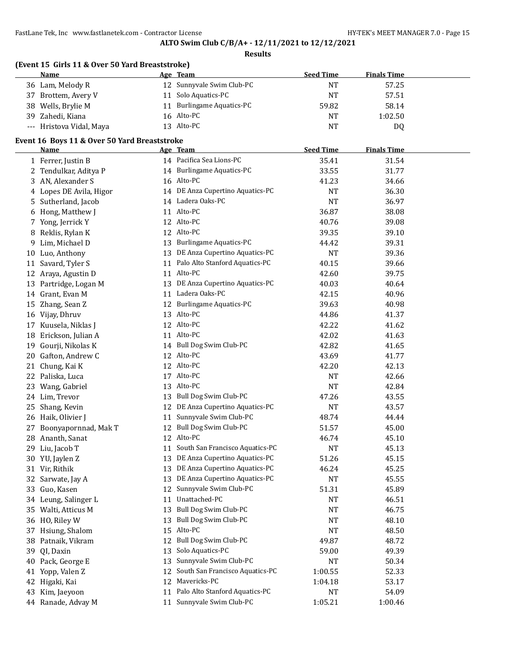**Results**

# **(Event 15 Girls 11 & Over 50 Yard Breaststroke)**

| <b>Name</b>              | Age Team                  | <b>Seed Time</b> | <b>Finals Time</b> |  |
|--------------------------|---------------------------|------------------|--------------------|--|
| 36 Lam, Melody R         | 12 Sunnyvale Swim Club-PC | <b>NT</b>        | 57.25              |  |
| 37 Brottem, Avery V      | Solo Aquatics-PC          | <b>NT</b>        | 57.51              |  |
| 38 Wells, Brylie M       | Burlingame Aquatics-PC    | 59.82            | 58.14              |  |
| 39 Zahedi, Kiana         | 16 Alto-PC                | <b>NT</b>        | 1:02.50            |  |
| --- Hristova Vidal, Maya | 13 Alto-PC                | <b>NT</b>        | D <sub>0</sub>     |  |

### **Event 16 Boys 11 & Over 50 Yard Breaststroke**

|    | <b>Name</b>             |    | Age Team                          | <b>Seed Time</b> | <b>Finals Time</b> |  |
|----|-------------------------|----|-----------------------------------|------------------|--------------------|--|
|    | 1 Ferrer, Justin B      |    | 14 Pacifica Sea Lions-PC          | 35.41            | 31.54              |  |
|    | 2 Tendulkar, Aditya P   |    | 14 Burlingame Aquatics-PC         | 33.55            | 31.77              |  |
|    | 3 AN, Alexander S       |    | 16 Alto-PC                        | 41.23            | 34.66              |  |
|    | 4 Lopes DE Avila, Higor |    | 14 DE Anza Cupertino Aquatics-PC  | NT               | 36.30              |  |
|    | 5 Sutherland, Jacob     |    | 14 Ladera Oaks-PC                 | <b>NT</b>        | 36.97              |  |
|    | 6 Hong, Matthew J       |    | 11 Alto-PC                        | 36.87            | 38.08              |  |
|    | 7 Yong, Jerrick Y       |    | 12 Alto-PC                        | 40.76            | 39.08              |  |
|    | 8 Reklis, Rylan K       |    | 12 Alto-PC                        | 39.35            | 39.10              |  |
|    | 9 Lim, Michael D        |    | 13 Burlingame Aquatics-PC         | 44.42            | 39.31              |  |
|    | 10 Luo, Anthony         |    | 13 DE Anza Cupertino Aquatics-PC  | <b>NT</b>        | 39.36              |  |
|    | 11 Savard, Tyler S      |    | 11 Palo Alto Stanford Aquatics-PC | 40.15            | 39.66              |  |
|    | 12 Araya, Agustin D     |    | 11 Alto-PC                        | 42.60            | 39.75              |  |
|    | 13 Partridge, Logan M   |    | 13 DE Anza Cupertino Aquatics-PC  | 40.03            | 40.64              |  |
|    | 14 Grant, Evan M        | 11 | Ladera Oaks-PC                    | 42.15            | 40.96              |  |
| 15 | Zhang, Sean Z           | 12 | Burlingame Aquatics-PC            | 39.63            | 40.98              |  |
|    | 16 Vijay, Dhruv         |    | 13 Alto-PC                        | 44.86            | 41.37              |  |
|    | 17 Kuusela, Niklas J    |    | 12 Alto-PC                        | 42.22            | 41.62              |  |
|    | 18 Erickson, Julian A   |    | 11 Alto-PC                        | 42.02            | 41.63              |  |
| 19 | Gourji, Nikolas K       |    | 14 Bull Dog Swim Club-PC          | 42.82            | 41.65              |  |
| 20 | Gafton, Andrew C        |    | 12 Alto-PC                        | 43.69            | 41.77              |  |
|    | 21 Chung, Kai K         |    | 12 Alto-PC                        | 42.20            | 42.13              |  |
|    | 22 Paliska, Luca        |    | 17 Alto-PC                        | NT               | 42.66              |  |
|    | 23 Wang, Gabriel        |    | 13 Alto-PC                        | <b>NT</b>        | 42.84              |  |
|    | 24 Lim, Trevor          |    | 13 Bull Dog Swim Club-PC          | 47.26            | 43.55              |  |
| 25 | Shang, Kevin            |    | 12 DE Anza Cupertino Aquatics-PC  | <b>NT</b>        | 43.57              |  |
|    | 26 Haik, Olivier J      | 11 | Sunnyvale Swim Club-PC            | 48.74            | 44.44              |  |
| 27 | Boonyapornnad, Mak T    | 12 | Bull Dog Swim Club-PC             | 51.57            | 45.00              |  |
|    | 28 Ananth, Sanat        |    | 12 Alto-PC                        | 46.74            | 45.10              |  |
|    | 29 Liu, Jacob T         | 11 | South San Francisco Aquatics-PC   | <b>NT</b>        | 45.13              |  |
|    | 30 YU, Jaylen Z         |    | 13 DE Anza Cupertino Aquatics-PC  | 51.26            | 45.15              |  |
|    | 31 Vir, Rithik          |    | 13 DE Anza Cupertino Aquatics-PC  | 46.24            | 45.25              |  |
| 32 | Sarwate, Jay A          | 13 | DE Anza Cupertino Aquatics-PC     | <b>NT</b>        | 45.55              |  |
|    | 33 Guo, Kasen           | 12 | Sunnyvale Swim Club-PC            | 51.31            | 45.89              |  |
|    | 34 Leung, Salinger L    | 11 | Unattached-PC                     | NT               | 46.51              |  |
|    | 35 Walti, Atticus M     |    | 13 Bull Dog Swim Club-PC          | NT               | 46.75              |  |
|    | 36 HO, Riley W          |    | 13 Bull Dog Swim Club-PC          | <b>NT</b>        | 48.10              |  |
|    | 37 Hsiung, Shalom       |    | 15 Alto-PC                        | NT               | 48.50              |  |
|    | 38 Patnaik, Vikram      | 12 | Bull Dog Swim Club-PC             | 49.87            | 48.72              |  |
|    | 39 QI, Daxin            | 13 | Solo Aquatics-PC                  | 59.00            | 49.39              |  |
|    | 40 Pack, George E       | 13 | Sunnyvale Swim Club-PC            | NT               | 50.34              |  |
| 41 | Yopp, Valen Z           | 12 | South San Francisco Aquatics-PC   | 1:00.55          | 52.33              |  |
|    | 42 Higaki, Kai          | 12 | Mavericks-PC                      | 1:04.18          | 53.17              |  |
|    | 43 Kim, Jaeyoon         | 11 | Palo Alto Stanford Aquatics-PC    | NT               | 54.09              |  |
|    | 44 Ranade, Advay M      | 11 | Sunnyvale Swim Club-PC            | 1:05.21          | 1:00.46            |  |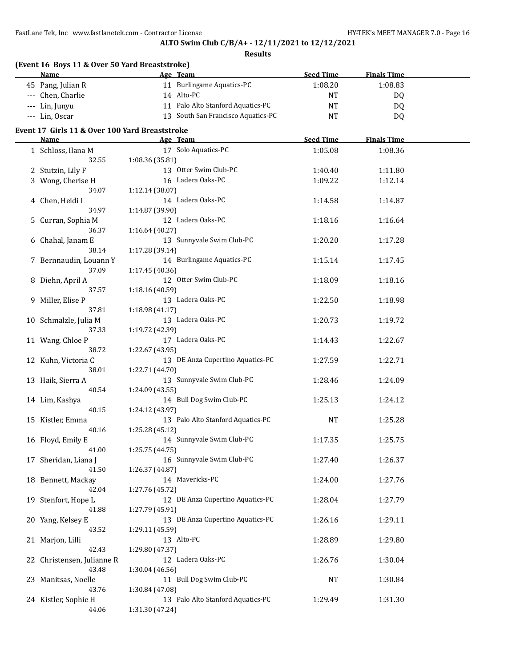| (Event 16 Boys 11 & Over 50 Yard Breaststroke) |                 |                                    |                  |                    |  |
|------------------------------------------------|-----------------|------------------------------------|------------------|--------------------|--|
| Name                                           |                 | Age Team                           | <b>Seed Time</b> | <b>Finals Time</b> |  |
| 45 Pang, Julian R                              |                 | 11 Burlingame Aquatics-PC          | 1:08.20          | 1:08.83            |  |
| --- Chen, Charlie                              |                 | 14 Alto-PC                         | NT               | DQ                 |  |
| --- Lin, Junyu                                 |                 | 11 Palo Alto Stanford Aquatics-PC  | NT               | <b>DQ</b>          |  |
| --- Lin, Oscar                                 |                 | 13 South San Francisco Aquatics-PC | NT               | DQ                 |  |
|                                                |                 |                                    |                  |                    |  |
| Event 17 Girls 11 & Over 100 Yard Breaststroke |                 |                                    |                  |                    |  |
| Name                                           |                 | Age Team                           | <b>Seed Time</b> | <b>Finals Time</b> |  |
| 1 Schloss, Ilana M                             |                 | 17 Solo Aquatics-PC                | 1:05.08          | 1:08.36            |  |
| 32.55                                          | 1:08.36 (35.81) |                                    |                  |                    |  |
| 2 Stutzin, Lily F                              |                 | 13 Otter Swim Club-PC              | 1:40.40          | 1:11.80            |  |
| 3 Wong, Cherise H                              |                 | 16 Ladera Oaks-PC                  | 1:09.22          | 1:12.14            |  |
| 34.07                                          | 1:12.14 (38.07) |                                    |                  |                    |  |
| 4 Chen, Heidi I                                |                 | 14 Ladera Oaks-PC                  | 1:14.58          | 1:14.87            |  |
| 34.97                                          | 1:14.87 (39.90) |                                    |                  |                    |  |
| 5 Curran, Sophia M                             |                 | 12 Ladera Oaks-PC                  | 1:18.16          | 1:16.64            |  |
| 36.37                                          | 1:16.64 (40.27) |                                    |                  |                    |  |
| 6 Chahal, Janam E                              |                 | 13 Sunnyvale Swim Club-PC          | 1:20.20          | 1:17.28            |  |
| 38.14                                          | 1:17.28 (39.14) |                                    |                  |                    |  |
| 7 Bernnaudin, Louann Y                         |                 | 14 Burlingame Aquatics-PC          | 1:15.14          | 1:17.45            |  |
| 37.09                                          | 1:17.45 (40.36) |                                    |                  |                    |  |
| 8 Diehn, April A                               |                 | 12 Otter Swim Club-PC              | 1:18.09          | 1:18.16            |  |
| 37.57                                          | 1:18.16 (40.59) |                                    |                  |                    |  |
| 9 Miller, Elise P                              |                 | 13 Ladera Oaks-PC                  | 1:22.50          | 1:18.98            |  |
| 37.81                                          | 1:18.98(41.17)  |                                    |                  |                    |  |
| 10 Schmalzle, Julia M                          |                 | 13 Ladera Oaks-PC                  | 1:20.73          | 1:19.72            |  |
| 37.33                                          | 1:19.72 (42.39) |                                    |                  |                    |  |
| 11 Wang, Chloe P                               |                 | 17 Ladera Oaks-PC                  | 1:14.43          | 1:22.67            |  |
| 38.72                                          | 1:22.67 (43.95) |                                    |                  |                    |  |
| 12 Kuhn, Victoria C                            |                 | 13 DE Anza Cupertino Aquatics-PC   | 1:27.59          | 1:22.71            |  |
| 38.01                                          | 1:22.71 (44.70) |                                    |                  |                    |  |
| 13 Haik, Sierra A                              |                 | 13 Sunnyvale Swim Club-PC          | 1:28.46          | 1:24.09            |  |
| 40.54                                          | 1:24.09 (43.55) |                                    |                  |                    |  |
| 14 Lim, Kashya                                 |                 | 14 Bull Dog Swim Club-PC           | 1:25.13          | 1:24.12            |  |
| 40.15                                          | 1:24.12 (43.97) |                                    |                  |                    |  |
| 15 Kistler, Emma                               |                 | 13 Palo Alto Stanford Aquatics-PC  | NT               | 1:25.28            |  |
| 40.16                                          | 1:25.28 (45.12) |                                    |                  |                    |  |
| 16 Floyd, Emily E                              |                 | 14 Sunnyvale Swim Club-PC          | 1:17.35          | 1:25.75            |  |
| 41.00                                          | 1:25.75 (44.75) |                                    |                  |                    |  |
| 17 Sheridan, Liana J                           |                 | 16 Sunnyvale Swim Club-PC          | 1:27.40          | 1:26.37            |  |
| 41.50                                          | 1:26.37 (44.87) |                                    |                  |                    |  |
| 18 Bennett, Mackay                             |                 | 14 Mavericks-PC                    | 1:24.00          | 1:27.76            |  |
| 42.04                                          | 1:27.76 (45.72) |                                    |                  |                    |  |
| 19 Stenfort, Hope L                            |                 | 12 DE Anza Cupertino Aquatics-PC   | 1:28.04          | 1:27.79            |  |
| 41.88                                          | 1:27.79 (45.91) |                                    |                  |                    |  |
| 20 Yang, Kelsey E                              |                 | 13 DE Anza Cupertino Aquatics-PC   | 1:26.16          | 1:29.11            |  |
| 43.52                                          | 1:29.11 (45.59) |                                    |                  |                    |  |
| 21 Marjon, Lilli                               |                 | 13 Alto-PC                         | 1:28.89          | 1:29.80            |  |
| 42.43                                          | 1:29.80 (47.37) |                                    |                  |                    |  |
| 22 Christensen, Julianne R                     |                 | 12 Ladera Oaks-PC                  | 1:26.76          | 1:30.04            |  |
| 43.48                                          | 1:30.04 (46.56) |                                    |                  |                    |  |
| 23 Manitsas, Noelle                            |                 | 11 Bull Dog Swim Club-PC           | NT               | 1:30.84            |  |
| 43.76                                          | 1:30.84 (47.08) |                                    |                  |                    |  |
| 24 Kistler, Sophie H                           |                 | 13 Palo Alto Stanford Aquatics-PC  | 1:29.49          | 1:31.30            |  |
| 44.06                                          | 1:31.30 (47.24) |                                    |                  |                    |  |
|                                                |                 |                                    |                  |                    |  |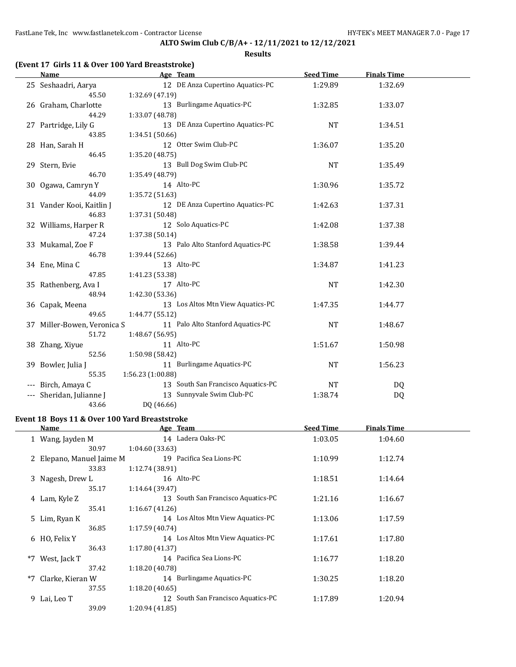#### **Results**

|  | (Event 17 Girls 11 & Over 100 Yard Breaststroke) |  |
|--|--------------------------------------------------|--|
|--|--------------------------------------------------|--|

|     | Name                        | Age Team                           | <b>Seed Time</b> | <b>Finals Time</b> |  |
|-----|-----------------------------|------------------------------------|------------------|--------------------|--|
|     | 25 Seshaadri, Aarya         | 12 DE Anza Cupertino Aquatics-PC   | 1:29.89          | 1:32.69            |  |
|     | 45.50                       | 1:32.69 (47.19)                    |                  |                    |  |
|     | 26 Graham, Charlotte        | 13 Burlingame Aquatics-PC          | 1:32.85          | 1:33.07            |  |
|     | 44.29                       | 1:33.07 (48.78)                    |                  |                    |  |
|     | 27 Partridge, Lily G        | 13 DE Anza Cupertino Aquatics-PC   | <b>NT</b>        | 1:34.51            |  |
|     | 43.85                       | 1:34.51 (50.66)                    |                  |                    |  |
|     | 28 Han, Sarah H             | 12 Otter Swim Club-PC              | 1:36.07          | 1:35.20            |  |
|     | 46.45                       | 1:35.20 (48.75)                    |                  |                    |  |
|     | 29 Stern, Evie              | 13 Bull Dog Swim Club-PC           | <b>NT</b>        | 1:35.49            |  |
|     | 46.70                       | 1:35.49 (48.79)                    |                  |                    |  |
|     | 30 Ogawa, Camryn Y          | 14 Alto-PC                         | 1:30.96          | 1:35.72            |  |
|     | 44.09                       | 1:35.72 (51.63)                    |                  |                    |  |
|     | 31 Vander Kooi, Kaitlin J   | 12 DE Anza Cupertino Aquatics-PC   | 1:42.63          | 1:37.31            |  |
|     | 46.83                       | 1:37.31 (50.48)                    |                  |                    |  |
|     | 32 Williams, Harper R       | 12 Solo Aquatics-PC                | 1:42.08          | 1:37.38            |  |
|     | 47.24                       | 1:37.38 (50.14)                    |                  |                    |  |
|     | 33 Mukamal, Zoe F           | 13 Palo Alto Stanford Aquatics-PC  | 1:38.58          | 1:39.44            |  |
|     | 46.78                       | 1:39.44 (52.66)                    |                  |                    |  |
|     | 34 Ene, Mina C              | 13 Alto-PC                         | 1:34.87          | 1:41.23            |  |
|     | 47.85                       | 1:41.23 (53.38)                    |                  |                    |  |
|     | 35 Rathenberg, Ava I        | 17 Alto-PC                         | <b>NT</b>        | 1:42.30            |  |
|     | 48.94                       | 1:42.30 (53.36)                    |                  |                    |  |
|     | 36 Capak, Meena             | 13 Los Altos Mtn View Aquatics-PC  | 1:47.35          | 1:44.77            |  |
|     | 49.65                       | 1:44.77 (55.12)                    |                  |                    |  |
|     | 37 Miller-Bowen, Veronica S | 11 Palo Alto Stanford Aquatics-PC  | <b>NT</b>        | 1:48.67            |  |
|     | 51.72                       | 1:48.67 (56.95)                    |                  |                    |  |
|     | 38 Zhang, Xiyue             | 11 Alto-PC                         | 1:51.67          | 1:50.98            |  |
|     | 52.56                       | 1:50.98 (58.42)                    |                  |                    |  |
|     | 39 Bowler, Julia J          | 11 Burlingame Aquatics-PC          | <b>NT</b>        | 1:56.23            |  |
|     | 55.35                       | 1:56.23 (1:00.88)                  |                  |                    |  |
|     | Birch, Amaya C              | 13 South San Francisco Aquatics-PC | <b>NT</b>        | DQ                 |  |
| --- | Sheridan, Julianne J        | 13 Sunnyvale Swim Club-PC          | 1:38.74          | DQ                 |  |
|     | 43.66                       | DQ (46.66)                         |                  |                    |  |

### **Event 18 Boys 11 & Over 100 Yard Breaststroke**

 $\overline{\phantom{a}}$ 

| Name                      |                 | Age Team                           | <b>Seed Time</b> | <b>Finals Time</b> |  |
|---------------------------|-----------------|------------------------------------|------------------|--------------------|--|
| 1 Wang, Jayden M          |                 | 14 Ladera Oaks-PC                  | 1:03.05          | 1:04.60            |  |
| 30.97                     | 1:04.60(33.63)  |                                    |                  |                    |  |
| 2 Elepano, Manuel Jaime M |                 | 19 Pacifica Sea Lions-PC           | 1:10.99          | 1:12.74            |  |
| 33.83                     | 1:12.74(38.91)  |                                    |                  |                    |  |
| 3 Nagesh, Drew L          |                 | 16 Alto-PC                         | 1:18.51          | 1:14.64            |  |
| 35.17                     | 1:14.64(39.47)  |                                    |                  |                    |  |
| 4 Lam, Kyle Z             |                 | 13 South San Francisco Aquatics-PC | 1:21.16          | 1:16.67            |  |
| 35.41                     | 1:16.67(41.26)  |                                    |                  |                    |  |
| 5 Lim, Ryan K             |                 | 14 Los Altos Mtn View Aquatics-PC  | 1:13.06          | 1:17.59            |  |
| 36.85                     | 1:17.59(40.74)  |                                    |                  |                    |  |
| 6 HO, Felix Y             |                 | 14 Los Altos Mtn View Aquatics-PC  | 1:17.61          | 1:17.80            |  |
| 36.43                     | 1:17.80(41.37)  |                                    |                  |                    |  |
| *7 West, Jack T           |                 | 14 Pacifica Sea Lions-PC           | 1:16.77          | 1:18.20            |  |
| 37.42                     | 1:18.20(40.78)  |                                    |                  |                    |  |
| *7 Clarke, Kieran W       |                 | 14 Burlingame Aquatics-PC          | 1:30.25          | 1:18.20            |  |
| 37.55                     | 1:18.20(40.65)  |                                    |                  |                    |  |
| 9 Lai, Leo T              |                 | 12 South San Francisco Aquatics-PC | 1:17.89          | 1:20.94            |  |
| 39.09                     | 1:20.94 (41.85) |                                    |                  |                    |  |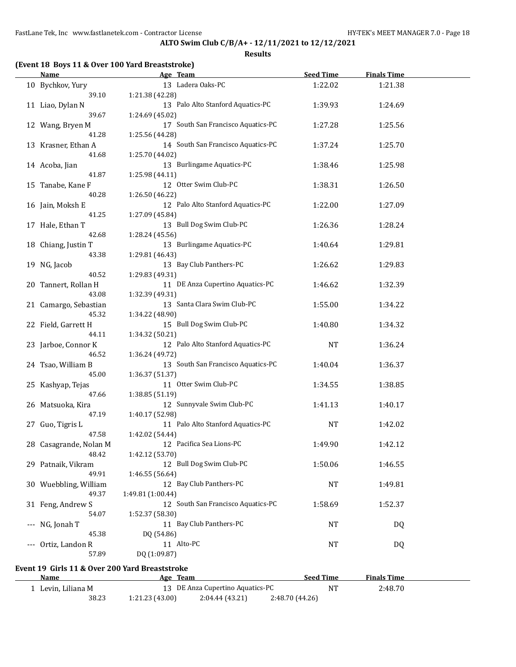**Results**

### **(Event 18 Boys 11 & Over 100 Yard Breaststroke)**

| <b>Name</b>                                    | Age Team                           | <b>Seed Time</b> | <b>Finals Time</b> |  |
|------------------------------------------------|------------------------------------|------------------|--------------------|--|
| 10 Bychkov, Yury                               | 13 Ladera Oaks-PC                  | 1:22.02          | 1:21.38            |  |
| 39.10                                          | 1:21.38 (42.28)                    |                  |                    |  |
| 11 Liao, Dylan N                               | 13 Palo Alto Stanford Aquatics-PC  | 1:39.93          | 1:24.69            |  |
| 39.67                                          | 1:24.69 (45.02)                    |                  |                    |  |
| 12 Wang, Bryen M                               | 17 South San Francisco Aquatics-PC | 1:27.28          | 1:25.56            |  |
| 41.28                                          |                                    |                  |                    |  |
|                                                | 1:25.56 (44.28)                    |                  |                    |  |
| 13 Krasner, Ethan A                            | 14 South San Francisco Aquatics-PC | 1:37.24          | 1:25.70            |  |
| 41.68                                          | 1:25.70 (44.02)                    |                  |                    |  |
| 14 Acoba, Jian                                 | 13 Burlingame Aquatics-PC          | 1:38.46          | 1:25.98            |  |
| 41.87                                          | 1:25.98 (44.11)                    |                  |                    |  |
| 15 Tanabe, Kane F                              | 12 Otter Swim Club-PC              | 1:38.31          | 1:26.50            |  |
| 40.28                                          | 1:26.50 (46.22)                    |                  |                    |  |
| 16 Jain, Moksh E                               | 12 Palo Alto Stanford Aquatics-PC  | 1:22.00          | 1:27.09            |  |
| 41.25                                          | 1:27.09 (45.84)                    |                  |                    |  |
| 17 Hale, Ethan T                               | 13 Bull Dog Swim Club-PC           | 1:26.36          | 1:28.24            |  |
| 42.68                                          | 1:28.24 (45.56)                    |                  |                    |  |
|                                                | 13 Burlingame Aquatics-PC          |                  |                    |  |
| 18 Chiang, Justin T                            |                                    | 1:40.64          | 1:29.81            |  |
| 43.38                                          | 1:29.81 (46.43)                    |                  |                    |  |
| 19 NG, Jacob                                   | 13 Bay Club Panthers-PC            | 1:26.62          | 1:29.83            |  |
| 40.52                                          | 1:29.83 (49.31)                    |                  |                    |  |
| 20 Tannert, Rollan H                           | 11 DE Anza Cupertino Aquatics-PC   | 1:46.62          | 1:32.39            |  |
| 43.08                                          | 1:32.39 (49.31)                    |                  |                    |  |
| 21 Camargo, Sebastian                          | 13 Santa Clara Swim Club-PC        | 1:55.00          | 1:34.22            |  |
| 45.32                                          | 1:34.22 (48.90)                    |                  |                    |  |
| 22 Field, Garrett H                            | 15 Bull Dog Swim Club-PC           | 1:40.80          | 1:34.32            |  |
| 44.11                                          | 1:34.32 (50.21)                    |                  |                    |  |
| 23 Jarboe, Connor K                            | 12 Palo Alto Stanford Aquatics-PC  | <b>NT</b>        | 1:36.24            |  |
| 46.52                                          | 1:36.24 (49.72)                    |                  |                    |  |
|                                                | 13 South San Francisco Aquatics-PC |                  |                    |  |
| 24 Tsao, William B                             |                                    | 1:40.04          | 1:36.37            |  |
| 45.00                                          | 1:36.37 (51.37)                    |                  |                    |  |
| 25 Kashyap, Tejas                              | 11 Otter Swim Club-PC              | 1:34.55          | 1:38.85            |  |
| 47.66                                          | 1:38.85 (51.19)                    |                  |                    |  |
| 26 Matsuoka, Kira                              | 12 Sunnyvale Swim Club-PC          | 1:41.13          | 1:40.17            |  |
| 47.19                                          | 1:40.17 (52.98)                    |                  |                    |  |
| 27 Guo, Tigris L                               | 11 Palo Alto Stanford Aquatics-PC  | <b>NT</b>        | 1:42.02            |  |
| 47.58                                          | 1:42.02 (54.44)                    |                  |                    |  |
| 28 Casagrande, Nolan M                         | 12 Pacifica Sea Lions-PC           | 1:49.90          | 1:42.12            |  |
| 48.42                                          | 1:42.12 (53.70)                    |                  |                    |  |
| 29 Patnaik, Vikram                             | 12 Bull Dog Swim Club-PC           | 1:50.06          | 1:46.55            |  |
| 49.91                                          | 1:46.55 (56.64)                    |                  |                    |  |
|                                                | 12 Bay Club Panthers-PC            |                  |                    |  |
| 30 Wuebbling, William                          |                                    | <b>NT</b>        | 1:49.81            |  |
| 49.37                                          | 1:49.81 (1:00.44)                  |                  |                    |  |
| 31 Feng, Andrew S                              | 12 South San Francisco Aquatics-PC | 1:58.69          | 1:52.37            |  |
| 54.07                                          | 1:52.37 (58.30)                    |                  |                    |  |
| --- NG, Jonah T                                | 11 Bay Club Panthers-PC            | <b>NT</b>        | <b>DQ</b>          |  |
| 45.38                                          | DQ (54.86)                         |                  |                    |  |
| --- Ortiz, Landon R                            | 11 Alto-PC                         | <b>NT</b>        | <b>DQ</b>          |  |
| 57.89                                          | DQ (1:09.87)                       |                  |                    |  |
|                                                |                                    |                  |                    |  |
| Event 19 Girls 11 & Over 200 Yard Breaststroke |                                    |                  |                    |  |
| Name                                           | Age Team                           | <b>Seed Time</b> | <b>Finals Time</b> |  |
| 1 Levin, Liliana M                             | 13 DE Anza Cupertino Aquatics-PC   | <b>NT</b>        | 2:48.70            |  |
| 38.23                                          | 2:04.44 (43.21)<br>1:21.23 (43.00) | 2:48.70 (44.26)  |                    |  |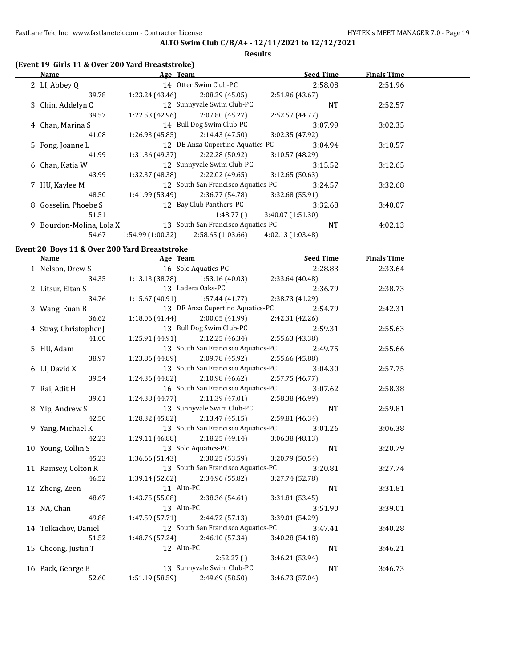#### **Results**

### **(Event 19 Girls 11 & Over 200 Yard Breaststroke)**

| Name                     | Age Team         |                                    | <b>Seed Time</b>  | <b>Finals Time</b> |  |
|--------------------------|------------------|------------------------------------|-------------------|--------------------|--|
| 2 LI, Abbey Q            |                  | 14 Otter Swim Club-PC              | 2:58.08           | 2:51.96            |  |
| 39.78                    | 1:23.24 (43.46)  | 2:08.29(45.05)                     | 2:51.96 (43.67)   |                    |  |
| 3 Chin, Addelyn C        |                  | 12 Sunnyvale Swim Club-PC          | <b>NT</b>         | 2:52.57            |  |
| 39.57                    | 1:22.53(42.96)   | 2:07.80(45.27)                     | 2:52.57(44.77)    |                    |  |
| 4 Chan, Marina S         |                  | 14 Bull Dog Swim Club-PC           | 3:07.99           | 3:02.35            |  |
| 41.08                    | 1:26.93(45.85)   | 2:14.43(47.50)                     | 3:02.35 (47.92)   |                    |  |
| 5 Fong, Joanne L         |                  | 12 DE Anza Cupertino Aquatics-PC   | 3:04.94           | 3:10.57            |  |
| 41.99                    | 1:31.36(49.37)   | 2:22.28 (50.92)                    | 3:10.57(48.29)    |                    |  |
| 6 Chan, Katia W          |                  | 12 Sunnyvale Swim Club-PC          | 3:15.52           | 3:12.65            |  |
| 43.99                    | 1:32.37 (48.38)  | 2:22.02 (49.65)                    | 3:12.65(50.63)    |                    |  |
| 7 HU, Kaylee M           |                  | 12 South San Francisco Aquatics-PC | 3:24.57           | 3:32.68            |  |
| 48.50                    | 1:41.99 (53.49)  | 2:36.77 (54.78)                    | 3:32.68 (55.91)   |                    |  |
| 8 Gosselin, Phoebe S     |                  | 12 Bay Club Panthers-PC            | 3:32.68           | 3:40.07            |  |
| 51.51                    |                  | 1:48.77(                           | 3:40.07(1:51.30)  |                    |  |
| 9 Bourdon-Molina, Lola X |                  | 13 South San Francisco Aquatics-PC | <b>NT</b>         | 4:02.13            |  |
| 54.67                    | 1:54.99(1:00.32) | 2:58.65(1:03.66)                   | 4:02.13 (1:03.48) |                    |  |

### **Event 20 Boys 11 & Over 200 Yard Breaststroke**

| Name Seed Time Seed Time Age Team Seed Time                     |                                                       |                                                       |                 |         | <b>Finals Time</b> |  |
|-----------------------------------------------------------------|-------------------------------------------------------|-------------------------------------------------------|-----------------|---------|--------------------|--|
| 1 Nelson, Drew S 16 Solo Aquatics-PC                            |                                                       |                                                       |                 | 2:28.83 | 2:33.64            |  |
|                                                                 | 34.35 1:13.13 (38.78) 1:53.16 (40.03) 2:33.64 (40.48) |                                                       |                 |         |                    |  |
| 2 Litsur, Eitan S                                               |                                                       | 13 Ladera Oaks-PC                                     |                 | 2:36.79 | 2:38.73            |  |
| 34.76                                                           |                                                       | 1:15.67 (40.91) 1:57.44 (41.77) 2:38.73 (41.29)       |                 |         |                    |  |
| 3 Wang, Euan B                                                  | 13 DE Anza Cupertino Aquatics-PC 2:54.79              |                                                       |                 |         | 2:42.31            |  |
| 36.62                                                           |                                                       | $1:18.06(41.44)$ $2:00.05(41.99)$ $2:42.31(42.26)$    |                 |         |                    |  |
| 4 Stray, Christopher J                                          |                                                       | 13 Bull Dog Swim Club-PC 2:59.31                      |                 |         | 2:55.63            |  |
| 41.00                                                           |                                                       | 1:25.91 (44.91) 2:12.25 (46.34) 2:55.63 (43.38)       |                 |         |                    |  |
| 5 HU, Adam                                                      |                                                       | 13 South San Francisco Aquatics-PC 2:49.75            |                 |         | 2:55.66            |  |
| 38.97                                                           |                                                       | $1:23.86(44.89)$ $2:09.78(45.92)$ $2:55.66(45.88)$    |                 |         |                    |  |
| 6 LI, David X                                                   |                                                       | 13 South San Francisco Aquatics-PC 3:04.30            |                 |         | 2:57.75            |  |
| 39.54                                                           |                                                       | $1:24.36(44.82)$ $2:10.98(46.62)$ $2:57.75(46.77)$    |                 |         |                    |  |
| 7 Rai, Adit H                                                   |                                                       | 16 South San Francisco Aquatics-PC 3:07.62            |                 |         | 2:58.38            |  |
| 39.61                                                           |                                                       | $1:24.38(44.77)$ $2:11.39(47.01)$ $2:58.38(46.99)$    |                 |         |                    |  |
| 8 Yip, Andrew S                                                 |                                                       | 13 Sunnyvale Swim Club-PC                             |                 | NT      | 2:59.81            |  |
| 42.50                                                           |                                                       | $1:28.32$ (45.82) $2:13.47$ (45.15) $2:59.81$ (46.34) |                 |         |                    |  |
| 9 Yang, Michael K                                               |                                                       | 13 South San Francisco Aquatics-PC                    |                 | 3:01.26 | 3:06.38            |  |
| 42.23                                                           |                                                       | $1:29.11(46.88)$ $2:18.25(49.14)$ $3:06.38(48.13)$    |                 |         |                    |  |
| 10 Young, Collin S                                              |                                                       | 13 Solo Aquatics-PC                                   |                 | NT      | 3:20.79            |  |
| 45.23                                                           |                                                       | $1:36.66(51.43)$ $2:30.25(53.59)$ $3:20.79(50.54)$    |                 |         |                    |  |
| 11 Ramsey, Colton R 13 South San Francisco Aquatics-PC 3:20.81  |                                                       |                                                       |                 |         | 3:27.74            |  |
| 46.52                                                           |                                                       | $1:39.14(52.62)$ $2:34.96(55.82)$                     | 3:27.74 (52.78) |         |                    |  |
| 12 Zheng, Zeen                                                  | 11 Alto-PC                                            |                                                       |                 | NT      | 3:31.81            |  |
| 48.67                                                           |                                                       | $1:43.75(55.08)$ $2:38.36(54.61)$                     | 3:31.81 (53.45) |         |                    |  |
| 13 NA, Chan                                                     | 13 Alto-PC                                            |                                                       |                 | 3:51.90 | 3:39.01            |  |
| 49.88                                                           |                                                       | $1:47.59(57.71)$ $2:44.72(57.13)$                     | 3:39.01 (54.29) |         |                    |  |
| 14 Tolkachov, Daniel 12 South San Francisco Aquatics-PC 3:47.41 |                                                       |                                                       |                 |         | 3:40.28            |  |
| 51.52                                                           |                                                       | $1:48.76(57.24)$ $2:46.10(57.34)$ $3:40.28(54.18)$    |                 |         |                    |  |
| 15 Cheong, Justin T 12 Alto-PC                                  |                                                       |                                                       |                 | NT      | 3:46.21            |  |
|                                                                 |                                                       | 2:52.27(                                              | 3:46.21 (53.94) |         |                    |  |
| 16 Pack, George E                                               | $2:52.27)$<br>13 Sunnyvale Swim Club-PC               |                                                       |                 | NT      | 3:46.73            |  |
| 52.60                                                           | $1:51.19(58.59)$ $2:49.69(58.50)$                     |                                                       | 3:46.73 (57.04) |         |                    |  |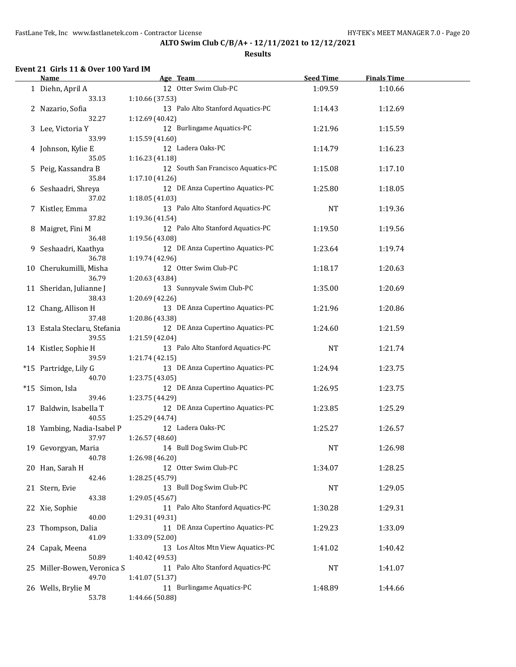#### **Results**

### **Event 21 Girls 11 & Over 100 Yard IM**

| <b>Name</b>                           | Age Team                                              | <b>Seed Time</b> | <b>Finals Time</b> |  |
|---------------------------------------|-------------------------------------------------------|------------------|--------------------|--|
| 1 Diehn, April A<br>33.13             | 12 Otter Swim Club-PC<br>1:10.66 (37.53)              | 1:09.59          | 1:10.66            |  |
| 2 Nazario, Sofia                      | 13 Palo Alto Stanford Aquatics-PC                     | 1:14.43          | 1:12.69            |  |
| 32.27<br>3 Lee, Victoria Y            | 1:12.69 (40.42)<br>12 Burlingame Aquatics-PC          | 1:21.96          | 1:15.59            |  |
| 33.99                                 | 1:15.59 (41.60)                                       |                  |                    |  |
| 4 Johnson, Kylie E<br>35.05           | 12 Ladera Oaks-PC<br>1:16.23 (41.18)                  | 1:14.79          | 1:16.23            |  |
| 5 Peig, Kassandra B<br>35.84          | 12 South San Francisco Aquatics-PC<br>1:17.10 (41.26) | 1:15.08          | 1:17.10            |  |
| 6 Seshaadri, Shreya                   | 12 DE Anza Cupertino Aquatics-PC                      | 1:25.80          | 1:18.05            |  |
| 37.02<br>7 Kistler, Emma              | 1:18.05(41.03)<br>13 Palo Alto Stanford Aquatics-PC   | <b>NT</b>        | 1:19.36            |  |
| 37.82<br>8 Maigret, Fini M            | 1:19.36 (41.54)<br>12 Palo Alto Stanford Aquatics-PC  | 1:19.50          | 1:19.56            |  |
| 36.48                                 | 1:19.56 (43.08)                                       |                  |                    |  |
| 9 Seshaadri, Kaathya<br>36.78         | 12 DE Anza Cupertino Aquatics-PC<br>1:19.74 (42.96)   | 1:23.64          | 1:19.74            |  |
| 10 Cherukumilli, Misha                | 12 Otter Swim Club-PC                                 | 1:18.17          | 1:20.63            |  |
| 36.79<br>11 Sheridan, Julianne J      | 1:20.63 (43.84)<br>13 Sunnyvale Swim Club-PC          | 1:35.00          | 1:20.69            |  |
| 38.43<br>12 Chang, Allison H          | 1:20.69 (42.26)<br>13 DE Anza Cupertino Aquatics-PC   | 1:21.96          | 1:20.86            |  |
| 37.48                                 | 1:20.86 (43.38)                                       |                  |                    |  |
| 13 Estala Steclaru, Stefania<br>39.55 | 12 DE Anza Cupertino Aquatics-PC<br>1:21.59 (42.04)   | 1:24.60          | 1:21.59            |  |
| 14 Kistler, Sophie H<br>39.59         | 13 Palo Alto Stanford Aquatics-PC<br>1:21.74 (42.15)  | <b>NT</b>        | 1:21.74            |  |
| *15 Partridge, Lily G                 | 13 DE Anza Cupertino Aquatics-PC                      | 1:24.94          | 1:23.75            |  |
| 40.70<br>*15 Simon, Isla              | 1:23.75 (43.05)<br>12 DE Anza Cupertino Aquatics-PC   | 1:26.95          | 1:23.75            |  |
| 39.46<br>17 Baldwin, Isabella T       | 1:23.75 (44.29)<br>12 DE Anza Cupertino Aquatics-PC   | 1:23.85          | 1:25.29            |  |
| 40.55                                 | 1:25.29 (44.74)                                       |                  |                    |  |
| 18 Yambing, Nadia-Isabel P<br>37.97   | 12 Ladera Oaks-PC<br>1:26.57 (48.60)                  | 1:25.27          | 1:26.57            |  |
| 19 Gevorgyan, Maria                   | 14 Bull Dog Swim Club-PC                              | <b>NT</b>        | 1:26.98            |  |
| 40.78<br>20 Han, Sarah H              | 1:26.98 (46.20)<br>12 Otter Swim Club-PC              | 1:34.07          | 1:28.25            |  |
| 42.46                                 | 1:28.25 (45.79)                                       |                  |                    |  |
| 21 Stern, Evie<br>43.38               | 13 Bull Dog Swim Club-PC<br>1:29.05 (45.67)           | NT               | 1:29.05            |  |
| 22 Xie, Sophie<br>40.00               | 11 Palo Alto Stanford Aquatics-PC<br>1:29.31 (49.31)  | 1:30.28          | 1:29.31            |  |
| 23 Thompson, Dalia                    | 11 DE Anza Cupertino Aquatics-PC                      | 1:29.23          | 1:33.09            |  |
| 41.09<br>24 Capak, Meena              | 1:33.09 (52.00)<br>13 Los Altos Mtn View Aquatics-PC  | 1:41.02          | 1:40.42            |  |
| 50.89<br>25 Miller-Bowen, Veronica S  | 1:40.42 (49.53)<br>11 Palo Alto Stanford Aquatics-PC  | NT               | 1:41.07            |  |
| 49.70                                 | 1:41.07 (51.37)<br>11 Burlingame Aquatics-PC          |                  |                    |  |
| 26 Wells, Brylie M<br>53.78           | 1:44.66 (50.88)                                       | 1:48.89          | 1:44.66            |  |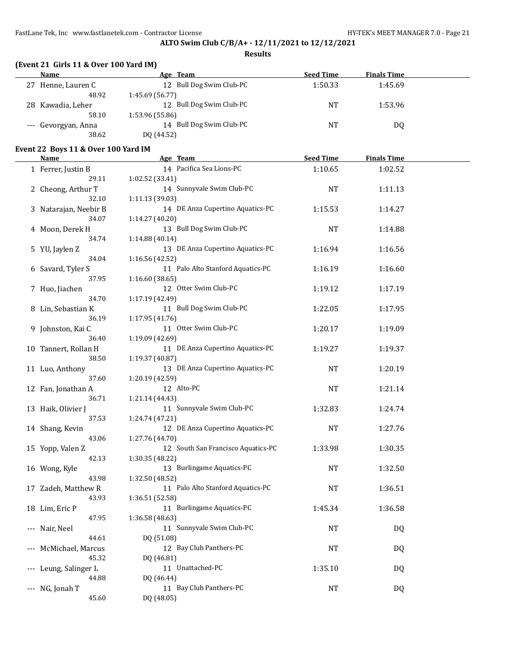**Results**

| (Event 21 Girls 11 & Over 100 Yard IM) |  |  |  |  |
|----------------------------------------|--|--|--|--|
|----------------------------------------|--|--|--|--|

|    | Name                | Age Team                 | <b>Seed Time</b> | <b>Finals Time</b> |  |
|----|---------------------|--------------------------|------------------|--------------------|--|
|    | 27 Henne, Lauren C  | 12 Bull Dog Swim Club-PC | 1:50.33          | 1:45.69            |  |
|    | 48.92               | 1:45.69(56.77)           |                  |                    |  |
| 28 | Kawadia, Leher      | 12 Bull Dog Swim Club-PC | NT               | 1:53.96            |  |
|    | 58.10               | 1:53.96 (55.86)          |                  |                    |  |
|    | --- Gevorgyan, Anna | 14 Bull Dog Swim Club-PC | NT               | D0                 |  |
|    | 38.62               | DQ (44.52)               |                  |                    |  |

### **Event 22 Boys 11 & Over 100 Yard IM**

| <b>Name</b>           | Age Team                           | <b>Seed Time</b> | <b>Finals Time</b> |  |
|-----------------------|------------------------------------|------------------|--------------------|--|
| 1 Ferrer, Justin B    | 14 Pacifica Sea Lions-PC           | 1:10.65          | 1:02.52            |  |
| 29.11                 | 1:02.52 (33.41)                    |                  |                    |  |
| 2 Cheong, Arthur T    | 14 Sunnyvale Swim Club-PC          | <b>NT</b>        | 1:11.13            |  |
| 32.10                 | 1:11.13 (39.03)                    |                  |                    |  |
| 3 Natarajan, Neebir B | 14 DE Anza Cupertino Aquatics-PC   | 1:15.53          | 1:14.27            |  |
| 34.07                 | 1:14.27 (40.20)                    |                  |                    |  |
| 4 Moon, Derek H       | 13 Bull Dog Swim Club-PC           | <b>NT</b>        | 1:14.88            |  |
| 34.74                 | 1:14.88 (40.14)                    |                  |                    |  |
| 5 YU, Jaylen Z        | 13 DE Anza Cupertino Aquatics-PC   | 1:16.94          | 1:16.56            |  |
| 34.04                 | 1:16.56 (42.52)                    |                  |                    |  |
| 6 Savard, Tyler S     | 11 Palo Alto Stanford Aquatics-PC  | 1:16.19          | 1:16.60            |  |
| 37.95                 | 1:16.60 (38.65)                    |                  |                    |  |
| 7 Huo, Jiachen        | 12 Otter Swim Club-PC              | 1:19.12          | 1:17.19            |  |
| 34.70                 | 1:17.19 (42.49)                    |                  |                    |  |
| 8 Lin, Sebastian K    | 11 Bull Dog Swim Club-PC           | 1:22.05          | 1:17.95            |  |
| 36.19                 | 1:17.95 (41.76)                    |                  |                    |  |
| 9 Johnston, Kai C     | 11 Otter Swim Club-PC              | 1:20.17          | 1:19.09            |  |
| 36.40                 | 1:19.09 (42.69)                    |                  |                    |  |
| 10 Tannert, Rollan H  | 11 DE Anza Cupertino Aquatics-PC   | 1:19.27          | 1:19.37            |  |
| 38.50                 | 1:19.37 (40.87)                    |                  |                    |  |
| 11 Luo, Anthony       | 13 DE Anza Cupertino Aquatics-PC   | <b>NT</b>        | 1:20.19            |  |
| 37.60                 | 1:20.19 (42.59)                    |                  |                    |  |
| 12 Fan, Jonathan A    | 12 Alto-PC                         | <b>NT</b>        | 1:21.14            |  |
| 36.71                 | 1:21.14 (44.43)                    |                  |                    |  |
| 13 Haik, Olivier J    | 11 Sunnyvale Swim Club-PC          | 1:32.83          | 1:24.74            |  |
| 37.53                 | 1:24.74 (47.21)                    |                  |                    |  |
| 14 Shang, Kevin       | 12 DE Anza Cupertino Aquatics-PC   | <b>NT</b>        | 1:27.76            |  |
| 43.06                 | 1:27.76 (44.70)                    |                  |                    |  |
| 15 Yopp, Valen Z      | 12 South San Francisco Aquatics-PC | 1:33.98          | 1:30.35            |  |
| 42.13                 | 1:30.35 (48.22)                    |                  |                    |  |
| 16 Wong, Kyle         | 13 Burlingame Aquatics-PC          | <b>NT</b>        | 1:32.50            |  |
| 43.98                 | 1:32.50 (48.52)                    |                  |                    |  |
| 17 Zadeh, Matthew R   | 11 Palo Alto Stanford Aquatics-PC  | NT               | 1:36.51            |  |
| 43.93                 | 1:36.51 (52.58)                    |                  |                    |  |
| 18 Lim, Eric P        | 11 Burlingame Aquatics-PC          | 1:45.34          | 1:36.58            |  |
| 47.95                 | 1:36.58 (48.63)                    |                  |                    |  |
| --- Nair, Neel        | 11 Sunnyvale Swim Club-PC          | <b>NT</b>        | DQ                 |  |
| 44.61                 | DQ (51.08)                         |                  |                    |  |
| --- McMichael, Marcus | 12 Bay Club Panthers-PC            | NT               | DQ                 |  |
| 45.32                 | DQ (46.81)                         |                  |                    |  |
| --- Leung, Salinger L | 11 Unattached-PC                   | 1:35.10          | DQ                 |  |
| 44.88                 | DQ (46.44)                         |                  |                    |  |
| --- NG, Jonah T       | 11 Bay Club Panthers-PC            | NT               | <b>DQ</b>          |  |
| 45.60                 | DQ (48.05)                         |                  |                    |  |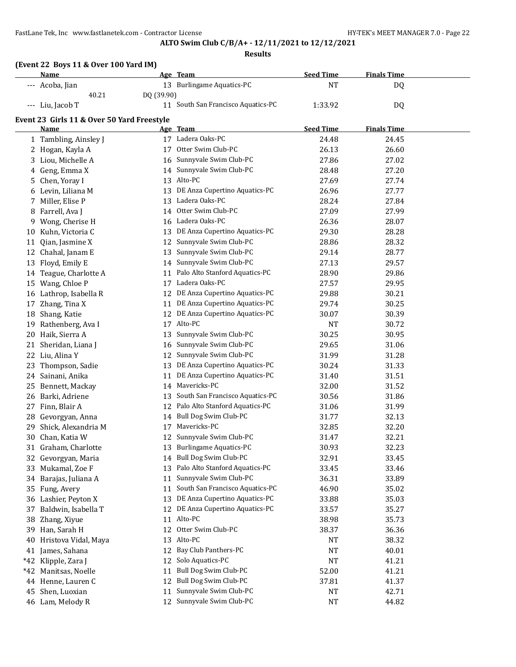FastLane Tek, Inc www.fastlanetek.com - Contractor License **HY-TEK's MEET MANAGER 7.0** - Page 22

# **ALTO Swim Club C/B/A+ - 12/11/2021 to 12/12/2021**

|       | (Event 22 Boys 11 & Over 100 Yard IM)<br>Name |            | Age Team                           | <b>Seed Time</b> | <b>Finals Time</b> |  |
|-------|-----------------------------------------------|------------|------------------------------------|------------------|--------------------|--|
|       |                                               |            | 13 Burlingame Aquatics-PC          |                  |                    |  |
|       | --- Acoba, Jian<br>40.21                      | DQ (39.90) |                                    | <b>NT</b>        | DQ                 |  |
|       | --- Liu, Jacob T                              |            | 11 South San Francisco Aquatics-PC | 1:33.92          | DQ                 |  |
|       |                                               |            |                                    |                  |                    |  |
|       | Event 23 Girls 11 & Over 50 Yard Freestyle    |            |                                    |                  |                    |  |
|       | <u>Name</u>                                   |            | Age Team                           | <b>Seed Time</b> | <b>Finals Time</b> |  |
|       | 1 Tambling, Ainsley J                         |            | 17 Ladera Oaks-PC                  | 24.48            | 24.45              |  |
|       | 2 Hogan, Kayla A                              |            | 17 Otter Swim Club-PC              | 26.13            | 26.60              |  |
|       | 3 Liou, Michelle A                            |            | 16 Sunnyvale Swim Club-PC          | 27.86            | 27.02              |  |
|       | 4 Geng, Emma X                                |            | 14 Sunnyvale Swim Club-PC          | 28.48            | 27.20              |  |
| 5.    | Chen, Yoray I                                 |            | 13 Alto-PC                         | 27.69            | 27.74              |  |
| 6     | Levin, Liliana M                              | 13         | DE Anza Cupertino Aquatics-PC      | 26.96            | 27.77              |  |
| 7     | Miller, Elise P                               | 13         | Ladera Oaks-PC                     | 28.24            | 27.84              |  |
| 8     | Farrell, Ava J                                | 14         | Otter Swim Club-PC                 | 27.09            | 27.99              |  |
| 9     | Wong, Cherise H                               | 16         | Ladera Oaks-PC                     | 26.36            | 28.07              |  |
| 10    | Kuhn, Victoria C                              | 13         | DE Anza Cupertino Aquatics-PC      | 29.30            | 28.28              |  |
|       | 11 Qian, Jasmine X                            | 12         | Sunnyvale Swim Club-PC             | 28.86            | 28.32              |  |
|       | 12 Chahal, Janam E                            | 13         | Sunnyvale Swim Club-PC             | 29.14            | 28.77              |  |
|       | 13 Floyd, Emily E                             | 14         | Sunnyvale Swim Club-PC             | 27.13            | 29.57              |  |
|       | 14 Teague, Charlotte A                        | 11         | Palo Alto Stanford Aquatics-PC     | 28.90            | 29.86              |  |
| 15    | Wang, Chloe P                                 | 17         | Ladera Oaks-PC                     | 27.57            | 29.95              |  |
|       | 16 Lathrop, Isabella R                        |            | 12 DE Anza Cupertino Aquatics-PC   | 29.88            | 30.21              |  |
| 17    | Zhang, Tina X                                 | 11         | DE Anza Cupertino Aquatics-PC      | 29.74            | 30.25              |  |
| 18    | Shang, Katie                                  |            | 12 DE Anza Cupertino Aquatics-PC   | 30.07            | 30.39              |  |
| 19    | Rathenberg, Ava I                             |            | 17 Alto-PC                         | NT               | 30.72              |  |
| 20    | Haik, Sierra A                                | 13         | Sunnyvale Swim Club-PC             | 30.25            | 30.95              |  |
| 21    | Sheridan, Liana J                             | 16         | Sunnyvale Swim Club-PC             | 29.65            | 31.06              |  |
| 22    | Liu, Alina Y                                  | 12         | Sunnyvale Swim Club-PC             | 31.99            | 31.28              |  |
| 23    | Thompson, Sadie                               | 13         | DE Anza Cupertino Aquatics-PC      | 30.24            | 31.33              |  |
|       | 24 Sainani, Anika                             | 11         | DE Anza Cupertino Aquatics-PC      | 31.40            | 31.51              |  |
| 25    | Bennett, Mackay                               | 14         | Mavericks-PC                       | 32.00            | 31.52              |  |
| 26    | Barki, Adriene                                | 13         | South San Francisco Aquatics-PC    | 30.56            | 31.86              |  |
| 27    | Finn, Blair A                                 | 12         | Palo Alto Stanford Aquatics-PC     | 31.06            | 31.99              |  |
|       | 28 Gevorgyan, Anna                            | 14         | Bull Dog Swim Club-PC              | 31.77            | 32.13              |  |
| 29    | Shick, Alexandria M                           |            | 17 Mavericks-PC                    | 32.85            | 32.20              |  |
|       | 30 Chan, Katia W                              |            | 12 Sunnyvale Swim Club-PC          | 31.47            | 32.21              |  |
|       | 31 Graham, Charlotte                          | 13         | <b>Burlingame Aquatics-PC</b>      | 30.93            | 32.23              |  |
|       | 32 Gevorgyan, Maria                           | 14         | Bull Dog Swim Club-PC              | 32.91            | 33.45              |  |
|       | 33 Mukamal, Zoe F                             | 13         | Palo Alto Stanford Aquatics-PC     | 33.45            | 33.46              |  |
|       | 34 Barajas, Juliana A                         | 11         | Sunnyvale Swim Club-PC             | 36.31            | 33.89              |  |
|       | 35 Fung, Avery                                | 11         | South San Francisco Aquatics-PC    | 46.90            | 35.02              |  |
|       | 36 Lashier, Peyton X                          | 13         | DE Anza Cupertino Aquatics-PC      | 33.88            | 35.03              |  |
| 37    | Baldwin, Isabella T                           | 12         | DE Anza Cupertino Aquatics-PC      | 33.57            | 35.27              |  |
| 38    | Zhang, Xiyue                                  | 11         | Alto-PC                            | 38.98            | 35.73              |  |
| 39    | Han, Sarah H                                  | 12         | Otter Swim Club-PC                 | 38.37            | 36.36              |  |
| 40    | Hristova Vidal, Maya                          | 13         | Alto-PC                            | NT               | 38.32              |  |
| 41    | James, Sahana                                 | 12         | Bay Club Panthers-PC               | NT               | 40.01              |  |
| *42   | Klipple, Zara J                               | 12         | Solo Aquatics-PC                   | <b>NT</b>        | 41.21              |  |
| $*42$ | Manitsas, Noelle                              | 11         | Bull Dog Swim Club-PC              | 52.00            | 41.21              |  |
|       | 44 Henne, Lauren C                            | 12         | <b>Bull Dog Swim Club-PC</b>       | 37.81            | 41.37              |  |
| 45    | Shen, Luoxian                                 | 11         | Sunnyvale Swim Club-PC             | NT               | 42.71              |  |
|       | 46 Lam, Melody R                              |            | 12 Sunnyvale Swim Club-PC          | NT               | 44.82              |  |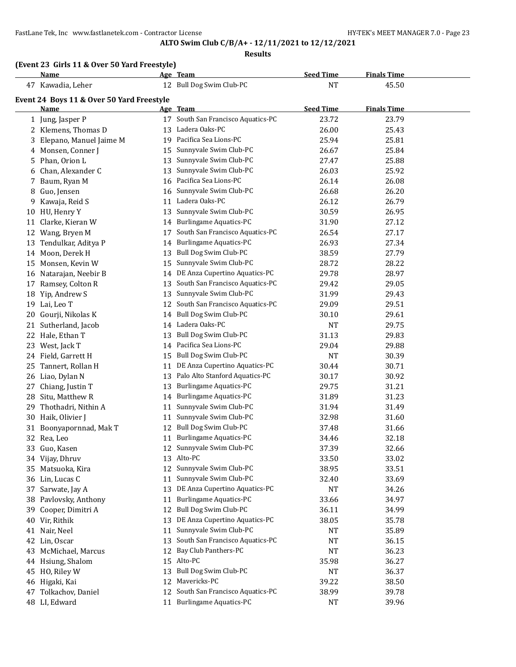FastLane Tek, Inc www.fastlanetek.com - Contractor License HY-TEK's MEET MANAGER 7.0 - Page 23

# **ALTO Swim Club C/B/A+ - 12/11/2021 to 12/12/2021**

|  |  |  | (Event 23 Girls 11 & Over 50 Yard Freestyle) |
|--|--|--|----------------------------------------------|
|--|--|--|----------------------------------------------|

|    | Name                                      |    | Age Team                           | <b>Seed Time</b> | <b>Finals Time</b> |  |
|----|-------------------------------------------|----|------------------------------------|------------------|--------------------|--|
|    | 47 Kawadia, Leher                         |    | 12 Bull Dog Swim Club-PC           | <b>NT</b>        | 45.50              |  |
|    | Event 24 Boys 11 & Over 50 Yard Freestyle |    |                                    |                  |                    |  |
|    | Name                                      |    | Age Team                           | <b>Seed Time</b> | <b>Finals Time</b> |  |
|    | 1 Jung, Jasper P                          |    | 17 South San Francisco Aquatics-PC | 23.72            | 23.79              |  |
|    | 2 Klemens, Thomas D                       |    | 13 Ladera Oaks-PC                  | 26.00            | 25.43              |  |
| 3  | Elepano, Manuel Jaime M                   |    | 19 Pacifica Sea Lions-PC           | 25.94            | 25.81              |  |
|    | 4 Monsen, Conner J                        | 15 | Sunnyvale Swim Club-PC             | 26.67            | 25.84              |  |
|    | 5 Phan, Orion L                           | 13 | Sunnyvale Swim Club-PC             | 27.47            | 25.88              |  |
|    | 6 Chan, Alexander C                       | 13 | Sunnyvale Swim Club-PC             | 26.03            | 25.92              |  |
|    | 7 Baum, Ryan M                            | 16 | Pacifica Sea Lions-PC              | 26.14            | 26.08              |  |
| 8  | Guo, Jensen                               | 16 | Sunnyvale Swim Club-PC             | 26.68            | 26.20              |  |
| 9  | Kawaja, Reid S                            | 11 | Ladera Oaks-PC                     | 26.12            | 26.79              |  |
|    | 10 HU, Henry Y                            | 13 | Sunnyvale Swim Club-PC             | 30.59            | 26.95              |  |
|    | 11 Clarke, Kieran W                       |    | 14 Burlingame Aquatics-PC          | 31.90            | 27.12              |  |
|    | 12 Wang, Bryen M                          | 17 | South San Francisco Aquatics-PC    | 26.54            | 27.17              |  |
| 13 | Tendulkar, Aditya P                       | 14 | <b>Burlingame Aquatics-PC</b>      | 26.93            | 27.34              |  |
|    | 14 Moon, Derek H                          | 13 | Bull Dog Swim Club-PC              | 38.59            | 27.79              |  |
|    | 15 Monsen, Kevin W                        | 15 | Sunnyvale Swim Club-PC             | 28.72            | 28.22              |  |
|    | 16 Natarajan, Neebir B                    |    | 14 DE Anza Cupertino Aquatics-PC   | 29.78            | 28.97              |  |
| 17 | Ramsey, Colton R                          | 13 | South San Francisco Aquatics-PC    | 29.42            | 29.05              |  |
|    | 18 Yip, Andrew S                          | 13 | Sunnyvale Swim Club-PC             | 31.99            | 29.43              |  |
|    | 19 Lai, Leo T                             | 12 | South San Francisco Aquatics-PC    | 29.09            | 29.51              |  |
| 20 | Gourji, Nikolas K                         | 14 | Bull Dog Swim Club-PC              | 30.10            | 29.61              |  |
| 21 | Sutherland, Jacob                         |    | 14 Ladera Oaks-PC                  | <b>NT</b>        | 29.75              |  |
|    | 22 Hale, Ethan T                          | 13 | Bull Dog Swim Club-PC              | 31.13            | 29.83              |  |
|    | 23 West, Jack T                           | 14 | Pacifica Sea Lions-PC              | 29.04            | 29.88              |  |
|    | 24 Field, Garrett H                       | 15 | Bull Dog Swim Club-PC              | <b>NT</b>        | 30.39              |  |
| 25 | Tannert, Rollan H                         | 11 | DE Anza Cupertino Aquatics-PC      | 30.44            | 30.71              |  |
|    | 26 Liao, Dylan N                          | 13 | Palo Alto Stanford Aquatics-PC     | 30.17            | 30.92              |  |
| 27 | Chiang, Justin T                          | 13 | <b>Burlingame Aquatics-PC</b>      | 29.75            | 31.21              |  |
| 28 | Situ, Matthew R                           | 14 | <b>Burlingame Aquatics-PC</b>      | 31.89            | 31.23              |  |
| 29 | Thothadri, Nithin A                       | 11 | Sunnyvale Swim Club-PC             | 31.94            | 31.49              |  |
|    | 30 Haik, Olivier J                        | 11 | Sunnyvale Swim Club-PC             | 32.98            | 31.60              |  |
|    | 31 Boonyapornnad, Mak T                   |    | 12 Bull Dog Swim Club-PC           | 37.48            | 31.66              |  |
|    | 32 Rea, Leo                               |    | 11 Burlingame Aquatics-PC          | 34.46            | 32.18              |  |
|    | 33 Guo, Kasen                             |    | 12 Sunnyvale Swim Club-PC          | 37.39            | 32.66              |  |
|    | 34 Vijay, Dhruv                           |    | 13 Alto-PC                         | 33.50            | 33.02              |  |
|    | 35 Matsuoka, Kira                         |    | 12 Sunnyvale Swim Club-PC          | 38.95            | 33.51              |  |
|    | 36 Lin, Lucas C                           | 11 | Sunnyvale Swim Club-PC             | 32.40            | 33.69              |  |
|    | 37 Sarwate, Jay A                         | 13 | DE Anza Cupertino Aquatics-PC      | NT               | 34.26              |  |
|    | 38 Pavlovsky, Anthony                     | 11 | <b>Burlingame Aquatics-PC</b>      | 33.66            | 34.97              |  |
|    | 39 Cooper, Dimitri A                      | 12 | Bull Dog Swim Club-PC              | 36.11            | 34.99              |  |
|    | 40 Vir, Rithik                            | 13 | DE Anza Cupertino Aquatics-PC      | 38.05            | 35.78              |  |
|    | 41 Nair, Neel                             | 11 | Sunnyvale Swim Club-PC             | NT               | 35.89              |  |
|    | 42 Lin, Oscar                             | 13 | South San Francisco Aquatics-PC    | NT               | 36.15              |  |
|    | 43 McMichael, Marcus                      | 12 | Bay Club Panthers-PC               | NT               | 36.23              |  |
|    | 44 Hsiung, Shalom                         | 15 | Alto-PC                            | 35.98            | 36.27              |  |
|    | 45 HO, Riley W                            | 13 | Bull Dog Swim Club-PC              | NT               | 36.37              |  |
|    | 46 Higaki, Kai                            |    | 12 Mavericks-PC                    | 39.22            | 38.50              |  |
|    | 47 Tolkachov, Daniel                      |    | 12 South San Francisco Aquatics-PC | 38.99            | 39.78              |  |
|    | 48 LI, Edward                             |    | 11 Burlingame Aquatics-PC          | <b>NT</b>        | 39.96              |  |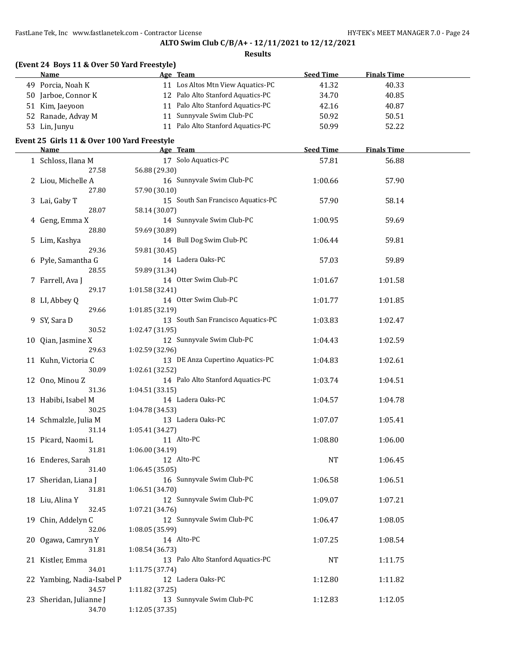FastLane Tek, Inc www.fastlanetek.com - Contractor License HY-TEK's MEET MANAGER 7.0 - Page 24

# **ALTO Swim Club C/B/A+ - 12/11/2021 to 12/12/2021**

| (Event 24 Boys 11 & Over 50 Yard Freestyle) |                           |                                    |                  |                    |  |
|---------------------------------------------|---------------------------|------------------------------------|------------------|--------------------|--|
| Name                                        | Age Team                  |                                    | <b>Seed Time</b> | <b>Finals Time</b> |  |
| 49 Porcia, Noah K                           |                           | 11 Los Altos Mtn View Aquatics-PC  | 41.32            | 40.33              |  |
| 50 Jarboe, Connor K                         |                           | 12 Palo Alto Stanford Aquatics-PC  | 34.70            | 40.85              |  |
| 51 Kim, Jaeyoon                             |                           | 11 Palo Alto Stanford Aquatics-PC  | 42.16            | 40.87              |  |
| 52 Ranade, Advay M                          | 11 Sunnyvale Swim Club-PC |                                    | 50.92            | 50.51              |  |
| 53 Lin, Junyu                               |                           | 11 Palo Alto Stanford Aquatics-PC  | 50.99            | 52.22              |  |
|                                             |                           |                                    |                  |                    |  |
| Event 25 Girls 11 & Over 100 Yard Freestyle |                           |                                    |                  |                    |  |
| Name                                        | Age Team                  |                                    | <b>Seed Time</b> | <b>Finals Time</b> |  |
| 1 Schloss, Ilana M                          | 17 Solo Aquatics-PC       |                                    | 57.81            | 56.88              |  |
| 27.58                                       | 56.88 (29.30)             |                                    |                  |                    |  |
| 2 Liou, Michelle A                          | 16 Sunnyvale Swim Club-PC |                                    | 1:00.66          | 57.90              |  |
| 27.80                                       | 57.90 (30.10)             |                                    |                  |                    |  |
| 3 Lai, Gaby T                               |                           | 15 South San Francisco Aquatics-PC | 57.90            | 58.14              |  |
| 28.07                                       | 58.14 (30.07)             |                                    |                  |                    |  |
| 4 Geng, Emma X                              | 14 Sunnyvale Swim Club-PC |                                    | 1:00.95          | 59.69              |  |
| 28.80                                       | 59.69 (30.89)             |                                    |                  |                    |  |
| 5 Lim, Kashya                               | 14 Bull Dog Swim Club-PC  |                                    | 1:06.44          | 59.81              |  |
| 29.36                                       | 59.81 (30.45)             |                                    |                  |                    |  |
| 6 Pyle, Samantha G                          | 14 Ladera Oaks-PC         |                                    | 57.03            | 59.89              |  |
| 28.55                                       | 59.89 (31.34)             |                                    |                  |                    |  |
| 7 Farrell, Ava J                            | 14 Otter Swim Club-PC     |                                    | 1:01.67          | 1:01.58            |  |
| 29.17                                       | 1:01.58 (32.41)           |                                    |                  |                    |  |
| 8 LI, Abbey Q                               | 14 Otter Swim Club-PC     |                                    | 1:01.77          | 1:01.85            |  |
| 29.66                                       | 1:01.85 (32.19)           |                                    |                  |                    |  |
| 9 SY, Sara D                                |                           | 13 South San Francisco Aquatics-PC | 1:03.83          | 1:02.47            |  |
| 30.52                                       | 1:02.47 (31.95)           |                                    |                  |                    |  |
| 10 Qian, Jasmine X                          | 12 Sunnyvale Swim Club-PC |                                    | 1:04.43          | 1:02.59            |  |
| 29.63                                       | 1:02.59 (32.96)           |                                    |                  |                    |  |
| 11 Kuhn, Victoria C                         |                           | 13 DE Anza Cupertino Aquatics-PC   | 1:04.83          | 1:02.61            |  |
| 30.09                                       | 1:02.61 (32.52)           |                                    |                  |                    |  |
| 12 Ono, Minou Z                             |                           | 14 Palo Alto Stanford Aquatics-PC  | 1:03.74          | 1:04.51            |  |
| 31.36                                       | 1:04.51 (33.15)           |                                    |                  |                    |  |
| 13 Habibi, Isabel M                         | 14 Ladera Oaks-PC         |                                    | 1:04.57          | 1:04.78            |  |
| 30.25                                       | 1:04.78 (34.53)           |                                    |                  |                    |  |
| 14 Schmalzle, Julia M                       | 13 Ladera Oaks-PC         |                                    | 1:07.07          | 1:05.41            |  |
| 31.14                                       | 1:05.41 (34.27)           |                                    |                  |                    |  |
| 15 Picard, Naomi L                          | 11 Alto-PC                |                                    | 1:08.80          | 1:06.00            |  |
| 31.81                                       | 1:06.00 (34.19)           |                                    |                  |                    |  |
| 16 Enderes, Sarah                           | 12 Alto-PC                |                                    | <b>NT</b>        | 1:06.45            |  |
| 31.40                                       | 1:06.45(35.05)            |                                    |                  |                    |  |
| 17 Sheridan, Liana J                        | 16 Sunnyvale Swim Club-PC |                                    | 1:06.58          | 1:06.51            |  |
| 31.81                                       | 1:06.51 (34.70)           |                                    |                  |                    |  |
| 18 Liu, Alina Y                             | 12 Sunnyvale Swim Club-PC |                                    | 1:09.07          | 1:07.21            |  |
| 32.45                                       | 1:07.21 (34.76)           |                                    |                  |                    |  |
| 19 Chin, Addelyn C                          | 12 Sunnyvale Swim Club-PC |                                    | 1:06.47          | 1:08.05            |  |
| 32.06                                       | 1:08.05 (35.99)           |                                    |                  |                    |  |
| 20 Ogawa, Camryn Y                          | 14 Alto-PC                |                                    | 1:07.25          | 1:08.54            |  |
| 31.81                                       | 1:08.54 (36.73)           |                                    |                  |                    |  |
| 21 Kistler, Emma                            |                           | 13 Palo Alto Stanford Aquatics-PC  | <b>NT</b>        | 1:11.75            |  |
| 34.01                                       | 1:11.75 (37.74)           |                                    |                  |                    |  |
| 22 Yambing, Nadia-Isabel P                  | 12 Ladera Oaks-PC         |                                    | 1:12.80          | 1:11.82            |  |
| 34.57                                       | 1:11.82 (37.25)           |                                    |                  |                    |  |
| 23 Sheridan, Julianne J                     | 13 Sunnyvale Swim Club-PC |                                    | 1:12.83          | 1:12.05            |  |
| 34.70                                       | 1:12.05 (37.35)           |                                    |                  |                    |  |
|                                             |                           |                                    |                  |                    |  |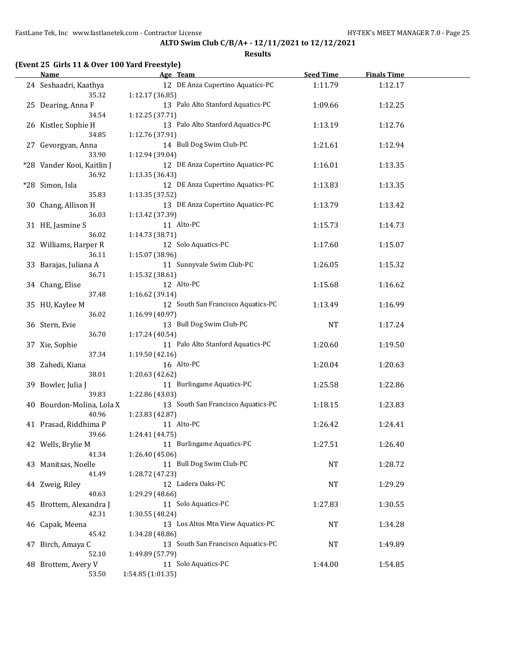| (Event 25 Girls 11 & Over 100 Yard Freestyle) |
|-----------------------------------------------|
|-----------------------------------------------|

| <b>Name</b>                 | Age Team                           | <b>Seed Time</b> | <b>Finals Time</b> |  |
|-----------------------------|------------------------------------|------------------|--------------------|--|
| 24 Seshaadri, Kaathya       | 12 DE Anza Cupertino Aquatics-PC   | 1:11.79          | 1:12.17            |  |
| 35.32                       | 1:12.17 (36.85)                    |                  |                    |  |
| 25 Dearing, Anna F          | 13 Palo Alto Stanford Aquatics-PC  | 1:09.66          | 1:12.25            |  |
| 34.54                       | 1:12.25 (37.71)                    |                  |                    |  |
| 26 Kistler, Sophie H        | 13 Palo Alto Stanford Aquatics-PC  | 1:13.19          | 1:12.76            |  |
| 34.85                       | 1:12.76 (37.91)                    |                  |                    |  |
|                             | 14 Bull Dog Swim Club-PC           |                  |                    |  |
| 27 Gevorgyan, Anna          |                                    | 1:21.61          | 1:12.94            |  |
| 33.90                       | 1:12.94 (39.04)                    |                  |                    |  |
| *28 Vander Kooi, Kaitlin J  | 12 DE Anza Cupertino Aquatics-PC   | 1:16.01          | 1:13.35            |  |
| 36.92                       | 1:13.35(36.43)                     |                  |                    |  |
| *28 Simon, Isla             | 12 DE Anza Cupertino Aquatics-PC   | 1:13.83          | 1:13.35            |  |
| 35.83                       | 1:13.35 (37.52)                    |                  |                    |  |
| 30 Chang, Allison H         | 13 DE Anza Cupertino Aquatics-PC   | 1:13.79          | 1:13.42            |  |
| 36.03                       | 1:13.42 (37.39)                    |                  |                    |  |
| 31 HE, Jasmine S            | 11 Alto-PC                         | 1:15.73          | 1:14.73            |  |
| 36.02                       | 1:14.73 (38.71)                    |                  |                    |  |
| 32 Williams, Harper R       | 12 Solo Aquatics-PC                | 1:17.60          | 1:15.07            |  |
| 36.11                       | 1:15.07 (38.96)                    |                  |                    |  |
| 33 Barajas, Juliana A       | 11 Sunnyvale Swim Club-PC          | 1:26.05          | 1:15.32            |  |
| 36.71                       | 1:15.32 (38.61)                    |                  |                    |  |
|                             | 12 Alto-PC                         |                  |                    |  |
| 34 Chang, Elise             |                                    | 1:15.68          | 1:16.62            |  |
| 37.48                       | 1:16.62(39.14)                     |                  |                    |  |
| 35 HU, Kaylee M             | 12 South San Francisco Aquatics-PC | 1:13.49          | 1:16.99            |  |
| 36.02                       | 1:16.99 (40.97)                    |                  |                    |  |
| 36 Stern, Evie              | 13 Bull Dog Swim Club-PC           | <b>NT</b>        | 1:17.24            |  |
| 36.70                       | 1:17.24 (40.54)                    |                  |                    |  |
| 37 Xie, Sophie              | 11 Palo Alto Stanford Aquatics-PC  | 1:20.60          | 1:19.50            |  |
| 37.34                       | 1:19.50 (42.16)                    |                  |                    |  |
| 38 Zahedi, Kiana            | 16 Alto-PC                         | 1:20.04          | 1:20.63            |  |
| 38.01                       | 1:20.63 (42.62)                    |                  |                    |  |
| 39 Bowler, Julia J          | 11 Burlingame Aquatics-PC          | 1:25.58          | 1:22.86            |  |
| 39.83                       | 1:22.86 (43.03)                    |                  |                    |  |
| 40 Bourdon-Molina, Lola X   | 13 South San Francisco Aquatics-PC | 1:18.15          | 1:23.83            |  |
| 40.96                       | 1:23.83 (42.87)                    |                  |                    |  |
| 41 Prasad, Riddhima P       | 11 Alto-PC                         | 1:26.42          | 1:24.41            |  |
| 39.66                       | 1:24.41 (44.75)                    |                  |                    |  |
|                             | 11 Burlingame Aquatics-PC          | 1:27.51          | 1:26.40            |  |
| 42 Wells, Brylie M<br>41.34 | 1:26.40 (45.06)                    |                  |                    |  |
|                             |                                    |                  |                    |  |
| 43 Manitsas, Noelle         | 11 Bull Dog Swim Club-PC           | <b>NT</b>        | 1:28.72            |  |
| 41.49                       | 1:28.72 (47.23)                    |                  |                    |  |
| 44 Zweig, Riley             | 12 Ladera Oaks-PC                  | NT               | 1:29.29            |  |
| 40.63                       | 1:29.29 (48.66)                    |                  |                    |  |
| 45 Brottem, Alexandra J     | 11 Solo Aquatics-PC                | 1:27.83          | 1:30.55            |  |
| 42.31                       | 1:30.55 (48.24)                    |                  |                    |  |
| 46 Capak, Meena             | 13 Los Altos Mtn View Aquatics-PC  | <b>NT</b>        | 1:34.28            |  |
| 45.42                       | 1:34.28 (48.86)                    |                  |                    |  |
| 47 Birch, Amaya C           | 13 South San Francisco Aquatics-PC | <b>NT</b>        | 1:49.89            |  |
| 52.10                       | 1:49.89 (57.79)                    |                  |                    |  |
| 48 Brottem, Avery V         | 11 Solo Aquatics-PC                | 1:44.00          | 1:54.85            |  |
| 53.50                       | 1:54.85 (1:01.35)                  |                  |                    |  |
|                             |                                    |                  |                    |  |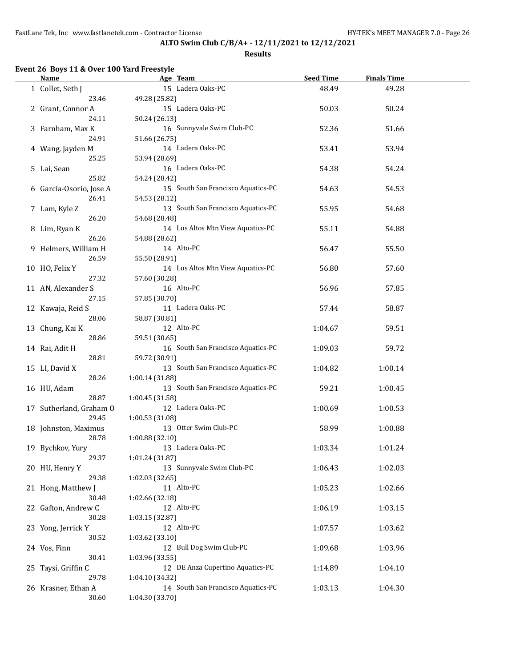#### **Results**

# **Event 26 Boys 11 & Over 100 Yard Freestyle**

| <b>Name</b>             | Age Team                           | <b>Seed Time</b> | <b>Finals Time</b> |  |
|-------------------------|------------------------------------|------------------|--------------------|--|
| 1 Collet, Seth J        | 15 Ladera Oaks-PC                  | 48.49            | 49.28              |  |
| 23.46                   | 49.28 (25.82)                      |                  |                    |  |
| 2 Grant, Connor A       | 15 Ladera Oaks-PC                  | 50.03            | 50.24              |  |
| 24.11                   | 50.24 (26.13)                      |                  |                    |  |
| 3 Farnham, Max K        | 16 Sunnyvale Swim Club-PC          | 52.36            | 51.66              |  |
| 24.91                   | 51.66 (26.75)                      |                  |                    |  |
|                         | 14 Ladera Oaks-PC                  |                  |                    |  |
| 4 Wang, Jayden M        |                                    | 53.41            | 53.94              |  |
| 25.25                   | 53.94 (28.69)                      |                  |                    |  |
| 5 Lai, Sean             | 16 Ladera Oaks-PC                  | 54.38            | 54.24              |  |
| 25.82                   | 54.24 (28.42)                      |                  |                    |  |
| 6 Garcia-Osorio, Jose A | 15 South San Francisco Aquatics-PC | 54.63            | 54.53              |  |
| 26.41                   | 54.53 (28.12)                      |                  |                    |  |
| 7 Lam, Kyle Z           | 13 South San Francisco Aquatics-PC | 55.95            | 54.68              |  |
| 26.20                   | 54.68 (28.48)                      |                  |                    |  |
| 8 Lim, Ryan K           | 14 Los Altos Mtn View Aquatics-PC  | 55.11            | 54.88              |  |
| 26.26                   | 54.88 (28.62)                      |                  |                    |  |
| 9 Helmers, William H    | 14 Alto-PC                         | 56.47            | 55.50              |  |
| 26.59                   | 55.50 (28.91)                      |                  |                    |  |
| 10 HO, Felix Y          | 14 Los Altos Mtn View Aquatics-PC  | 56.80            | 57.60              |  |
| 27.32                   | 57.60 (30.28)                      |                  |                    |  |
| 11 AN, Alexander S      | 16 Alto-PC                         | 56.96            | 57.85              |  |
| 27.15                   | 57.85 (30.70)                      |                  |                    |  |
| 12 Kawaja, Reid S       | 11 Ladera Oaks-PC                  | 57.44            | 58.87              |  |
| 28.06                   | 58.87 (30.81)                      |                  |                    |  |
|                         | 12 Alto-PC                         |                  |                    |  |
| 13 Chung, Kai K         |                                    | 1:04.67          | 59.51              |  |
| 28.86                   | 59.51 (30.65)                      |                  |                    |  |
| 14 Rai, Adit H          | 16 South San Francisco Aquatics-PC | 1:09.03          | 59.72              |  |
| 28.81                   | 59.72 (30.91)                      |                  |                    |  |
| 15 LI, David X          | 13 South San Francisco Aquatics-PC | 1:04.82          | 1:00.14            |  |
| 28.26                   | 1:00.14 (31.88)                    |                  |                    |  |
| 16 HU, Adam             | 13 South San Francisco Aquatics-PC | 59.21            | 1:00.45            |  |
| 28.87                   | 1:00.45 (31.58)                    |                  |                    |  |
| 17 Sutherland, Graham O | 12 Ladera Oaks-PC                  | 1:00.69          | 1:00.53            |  |
| 29.45                   | 1:00.53 (31.08)                    |                  |                    |  |
| 18 Johnston, Maximus    | 13 Otter Swim Club-PC              | 58.99            | 1:00.88            |  |
| 28.78                   | 1:00.88 (32.10)                    |                  |                    |  |
| 19 Bychkov, Yury        | 13 Ladera Oaks-PC                  | 1:03.34          | 1:01.24            |  |
| 29.37                   | 1:01.24 (31.87)                    |                  |                    |  |
| 20 HU, Henry Y          | 13 Sunnyvale Swim Club-PC          | 1:06.43          | 1:02.03            |  |
| 29.38                   | 1:02.03(32.65)                     |                  |                    |  |
| 21 Hong, Matthew J      | 11 Alto-PC                         | 1:05.23          | 1:02.66            |  |
| 30.48                   | 1:02.66 (32.18)                    |                  |                    |  |
| 22 Gafton, Andrew C     | 12 Alto-PC                         |                  |                    |  |
|                         |                                    | 1:06.19          | 1:03.15            |  |
| 30.28                   | 1:03.15 (32.87)                    |                  |                    |  |
| 23 Yong, Jerrick Y      | 12 Alto-PC                         | 1:07.57          | 1:03.62            |  |
| 30.52                   | 1:03.62 (33.10)                    |                  |                    |  |
| 24 Vos, Finn            | 12 Bull Dog Swim Club-PC           | 1:09.68          | 1:03.96            |  |
| 30.41                   | 1:03.96 (33.55)                    |                  |                    |  |
| 25 Taysi, Griffin C     | 12 DE Anza Cupertino Aquatics-PC   | 1:14.89          | 1:04.10            |  |
| 29.78                   | 1:04.10 (34.32)                    |                  |                    |  |
| 26 Krasner, Ethan A     | 14 South San Francisco Aquatics-PC | 1:03.13          | 1:04.30            |  |
| 30.60                   | 1:04.30 (33.70)                    |                  |                    |  |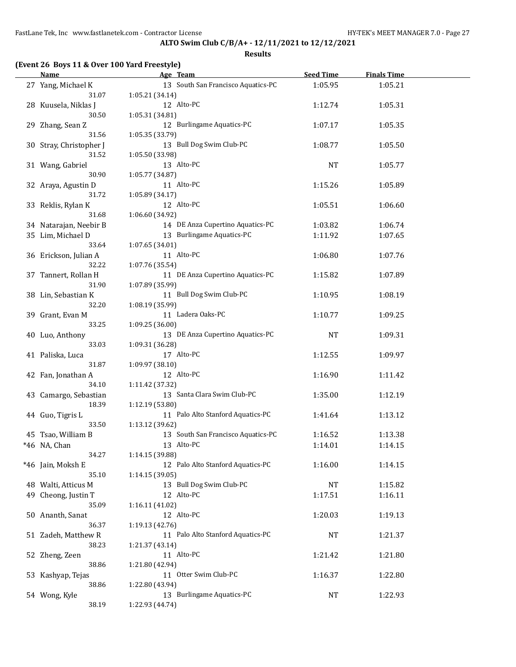| Age Team<br><b>Name</b> |                                    | <b>Seed Time</b> | <b>Finals Time</b> |  |
|-------------------------|------------------------------------|------------------|--------------------|--|
| 27 Yang, Michael K      | 13 South San Francisco Aquatics-PC | 1:05.95          | 1:05.21            |  |
| 31.07                   | 1:05.21(34.14)                     |                  |                    |  |
| 28 Kuusela, Niklas J    | 12 Alto-PC                         | 1:12.74          | 1:05.31            |  |
| 30.50                   | 1:05.31 (34.81)                    |                  |                    |  |
| 29 Zhang, Sean Z        | 12 Burlingame Aquatics-PC          | 1:07.17          | 1:05.35            |  |
| 31.56                   | 1:05.35 (33.79)                    |                  |                    |  |
|                         |                                    |                  |                    |  |
| 30 Stray, Christopher J | 13 Bull Dog Swim Club-PC           | 1:08.77          | 1:05.50            |  |
| 31.52                   | 1:05.50 (33.98)                    |                  |                    |  |
| 31 Wang, Gabriel        | 13 Alto-PC                         | <b>NT</b>        | 1:05.77            |  |
| 30.90                   | 1:05.77 (34.87)                    |                  |                    |  |
| 32 Araya, Agustin D     | 11 Alto-PC                         | 1:15.26          | 1:05.89            |  |
| 31.72                   | 1:05.89 (34.17)                    |                  |                    |  |
| 33 Reklis, Rylan K      | 12 Alto-PC                         | 1:05.51          | 1:06.60            |  |
| 31.68                   | 1:06.60 (34.92)                    |                  |                    |  |
| 34 Natarajan, Neebir B  | 14 DE Anza Cupertino Aquatics-PC   | 1:03.82          | 1:06.74            |  |
| 35 Lim, Michael D       | 13 Burlingame Aquatics-PC          | 1:11.92          | 1:07.65            |  |
| 33.64                   | 1:07.65 (34.01)                    |                  |                    |  |
| 36 Erickson, Julian A   | 11 Alto-PC                         | 1:06.80          | 1:07.76            |  |
| 32.22                   | 1:07.76 (35.54)                    |                  |                    |  |
| 37 Tannert, Rollan H    | 11 DE Anza Cupertino Aquatics-PC   | 1:15.82          | 1:07.89            |  |
| 31.90                   | 1:07.89 (35.99)                    |                  |                    |  |
| 38 Lin, Sebastian K     | 11 Bull Dog Swim Club-PC           | 1:10.95          | 1:08.19            |  |
| 32.20                   | 1:08.19 (35.99)                    |                  |                    |  |
|                         |                                    |                  |                    |  |
| 39 Grant, Evan M        | 11 Ladera Oaks-PC                  | 1:10.77          | 1:09.25            |  |
| 33.25                   | 1:09.25 (36.00)                    |                  |                    |  |
| 40 Luo, Anthony         | 13 DE Anza Cupertino Aquatics-PC   | <b>NT</b>        | 1:09.31            |  |
| 33.03                   | 1:09.31 (36.28)                    |                  |                    |  |
| 41 Paliska, Luca        | 17 Alto-PC                         | 1:12.55          | 1:09.97            |  |
| 31.87                   | 1:09.97 (38.10)                    |                  |                    |  |
| 42 Fan, Jonathan A      | 12 Alto-PC                         | 1:16.90          | 1:11.42            |  |
| 34.10                   | 1:11.42 (37.32)                    |                  |                    |  |
| 43 Camargo, Sebastian   | 13 Santa Clara Swim Club-PC        | 1:35.00          | 1:12.19            |  |
| 18.39                   | 1:12.19 (53.80)                    |                  |                    |  |
| 44 Guo, Tigris L        | 11 Palo Alto Stanford Aquatics-PC  | 1:41.64          | 1:13.12            |  |
| 33.50                   | 1:13.12 (39.62)                    |                  |                    |  |
| 45 Tsao, William B      | 13 South San Francisco Aquatics-PC | 1:16.52          | 1:13.38            |  |
| *46 NA, Chan            | 13 Alto-PC                         | 1:14.01          | 1:14.15            |  |
| 34.27                   | 1:14.15 (39.88)                    |                  |                    |  |
| *46 Jain, Moksh E       | 12 Palo Alto Stanford Aquatics-PC  | 1:16.00          | 1:14.15            |  |
| 35.10                   | 1:14.15 (39.05)                    |                  |                    |  |
| 48 Walti, Atticus M     | 13 Bull Dog Swim Club-PC           | NT               | 1:15.82            |  |
| 49 Cheong, Justin T     | 12 Alto-PC                         | 1:17.51          | 1:16.11            |  |
| 35.09                   | 1:16.11(41.02)                     |                  |                    |  |
|                         | 12 Alto-PC                         |                  |                    |  |
| 50 Ananth, Sanat        |                                    | 1:20.03          | 1:19.13            |  |
| 36.37                   | 1:19.13 (42.76)                    |                  |                    |  |
| 51 Zadeh, Matthew R     | 11 Palo Alto Stanford Aquatics-PC  | NT               | 1:21.37            |  |
| 38.23                   | 1:21.37 (43.14)                    |                  |                    |  |
| 52 Zheng, Zeen          | 11 Alto-PC                         | 1:21.42          | 1:21.80            |  |
| 38.86                   | 1:21.80 (42.94)                    |                  |                    |  |
| 53 Kashyap, Tejas       | 11 Otter Swim Club-PC              | 1:16.37          | 1:22.80            |  |
| 38.86                   | 1:22.80 (43.94)                    |                  |                    |  |
| 54 Wong, Kyle           | 13 Burlingame Aquatics-PC          | NT               | 1:22.93            |  |
| 38.19                   | 1:22.93 (44.74)                    |                  |                    |  |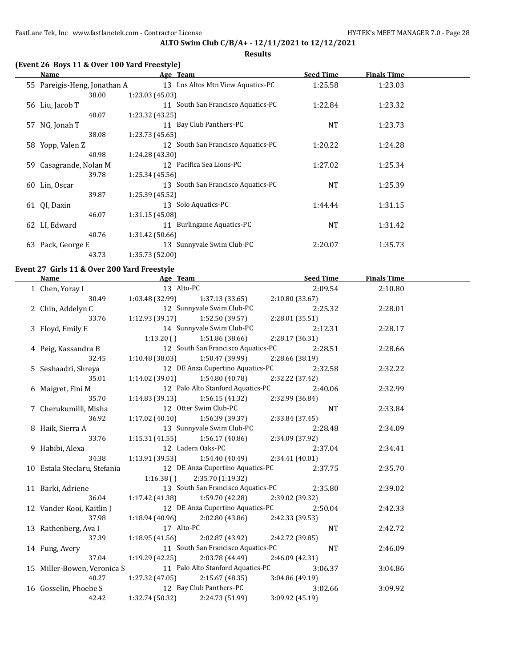#### **Results**

| (Event 26 Boys 11 & Over 100 Yard Freestyle) |                                    |                  |                    |
|----------------------------------------------|------------------------------------|------------------|--------------------|
| <b>Name</b>                                  | Age Team                           | <b>Seed Time</b> | <b>Finals Time</b> |
| 55 Pareigis-Heng, Jonathan A                 | 13 Los Altos Mtn View Aquatics-PC  | 1:25.58          | 1:23.03            |
| 38.00                                        | 1:23.03 (45.03)                    |                  |                    |
| 56 Liu, Jacob T                              | 11 South San Francisco Aquatics-PC | 1:22.84          | 1:23.32            |
| 40.07                                        | 1:23.32 (43.25)                    |                  |                    |
| 57 NG, Jonah T                               | 11 Bay Club Panthers-PC            | <b>NT</b>        | 1:23.73            |
| 38.08                                        | 1:23.73 (45.65)                    |                  |                    |
| 58 Yopp, Valen Z                             | 12 South San Francisco Aquatics-PC | 1:20.22          | 1:24.28            |
| 40.98                                        | 1:24.28 (43.30)                    |                  |                    |
| Casagrande, Nolan M<br>59.                   | 12 Pacifica Sea Lions-PC           | 1:27.02          | 1:25.34            |
| 39.78                                        | 1:25.34 (45.56)                    |                  |                    |
| 60 Lin, Oscar                                | 13 South San Francisco Aquatics-PC | <b>NT</b>        | 1:25.39            |
| 39.87                                        | 1:25.39 (45.52)                    |                  |                    |
| QI, Daxin<br>61                              | 13 Solo Aquatics-PC                | 1:44.44          | 1:31.15            |
| 46.07                                        | 1:31.15 (45.08)                    |                  |                    |
| 62 LI, Edward                                | 11 Burlingame Aquatics-PC          | NT               | 1:31.42            |
| 40.76                                        | 1:31.42 (50.66)                    |                  |                    |
| Pack, George E<br>63                         | 13 Sunnyvale Swim Club-PC          | 2:20.07          | 1:35.73            |
| 43.73                                        | 1:35.73 (52.00)                    |                  |                    |

#### **Event 27 Girls 11 & Over 200 Yard Freestyle**

| <b>Name</b>                                                   | <u>Age Team and Age Team</u>                        |                                                    |                 | <b>Seed Time</b> | <b>Finals Time</b> |  |
|---------------------------------------------------------------|-----------------------------------------------------|----------------------------------------------------|-----------------|------------------|--------------------|--|
| 1 Chen, Yoray I                                               | 13 Alto-PC                                          |                                                    |                 | 2:09.54          | 2:10.80            |  |
| 30.49                                                         | $1:03.48(32.99)$ $1:37.13(33.65)$ $2:10.80(33.67)$  |                                                    |                 |                  |                    |  |
| 2 Chin, Addelyn C                                             | 12 Sunnyvale Swim Club-PC                           |                                                    |                 | 2:25.32          | 2:28.01            |  |
| 33.76                                                         | $1:12.93(39.17)$ $1:52.50(39.57)$                   |                                                    | 2:28.01 (35.51) |                  |                    |  |
| 3 Floyd, Emily E                                              |                                                     | 14 Sunnyvale Swim Club-PC                          |                 | 2:12.31          | 2:28.17            |  |
|                                                               |                                                     | $1:13.20$ () $1:51.86$ (38.66)                     | 2:28.17(36.31)  |                  |                    |  |
| 4 Peig, Kassandra B                                           |                                                     | 12 South San Francisco Aquatics-PC 2:28.51         |                 |                  | 2:28.66            |  |
| 32.45                                                         |                                                     | $1:10.48(38.03)$ $1:50.47(39.99)$                  | 2:28.66 (38.19) |                  |                    |  |
| 5 Seshaadri, Shreya                                           |                                                     | 12 DE Anza Cupertino Aquatics-PC                   |                 | 2:32.58          | 2:32.22            |  |
| 35.01                                                         | 1:14.02 (39.01)                                     | 1:54.80 (40.78)                                    | 2:32.22 (37.42) |                  |                    |  |
| 6 Maigret, Fini M                                             | 12 Palo Alto Stanford Aquatics-PC                   |                                                    |                 | 2:40.06          | 2:32.99            |  |
| 35.70                                                         | 1:14.83 (39.13) 1:56.15 (41.32) 2:32.99 (36.84)     |                                                    |                 |                  |                    |  |
| 7 Cherukumilli, Misha                                         | 12 Otter Swim Club-PC                               |                                                    |                 | NT               | 2:33.84            |  |
| 36.92                                                         | $1:17.02(40.10)$ $1:56.39(39.37)$                   |                                                    | 2:33.84 (37.45) |                  |                    |  |
| 8 Haik, Sierra A                                              | 13 Sunnyvale Swim Club-PC                           |                                                    |                 | 2:28.48          | 2:34.09            |  |
| 33.76                                                         | $1:15.31(41.55)$ $1:56.17(40.86)$                   |                                                    | 2:34.09 (37.92) |                  |                    |  |
| 9 Habibi, Alexa                                               | 12 Ladera Oaks-PC                                   |                                                    |                 | 2:37.04          | 2:34.41            |  |
| 34.38                                                         |                                                     | $1:13.91(39.53)$ $1:54.40(40.49)$ $2:34.41(40.01)$ |                 |                  |                    |  |
| 10 Estala Steclaru, Stefania                                  | 12 DE Anza Cupertino Aquatics-PC 2:37.75            |                                                    |                 |                  | 2:35.70            |  |
|                                                               | $1:16.38$ () $2:35.70$ (1:19.32)                    |                                                    |                 |                  |                    |  |
| 11 Barki, Adriene                                             |                                                     | 13 South San Francisco Aquatics-PC                 |                 | 2:35.80          | 2:39.02            |  |
| 36.04                                                         | 1:17.42 (41.38) $1:59.70$ (42.28) $2:39.02$ (39.32) |                                                    |                 |                  |                    |  |
| 12 Vander Kooi, Kaitlin J                                     | 12 DE Anza Cupertino Aquatics-PC 2:50.04            |                                                    |                 |                  | 2:42.33            |  |
| 37.98                                                         |                                                     | $1:18.94(40.96)$ $2:02.80(43.86)$ $2:42.33(39.53)$ |                 |                  |                    |  |
| 13 Rathenberg, Ava I                                          | 17 Alto-PC                                          |                                                    |                 | <b>NT</b>        | 2:42.72            |  |
| 37.39                                                         | $1:18.95(41.56)$ $2:02.87(43.92)$                   |                                                    | 2:42.72 (39.85) |                  |                    |  |
| 14 Fung, Avery                                                | 11 South San Francisco Aquatics-PC                  |                                                    |                 | NT               | 2:46.09            |  |
| 37.04                                                         | $1:19.29(42.25)$ $2:03.78(44.49)$                   |                                                    | 2:46.09(42.31)  |                  |                    |  |
| 15 Miller-Bowen, Veronica S 11 Palo Alto Stanford Aquatics-PC |                                                     |                                                    |                 | 3:06.37          | 3:04.86            |  |
| 40.27                                                         | $1:27.32$ (47.05) $2:15.67$ (48.35)                 |                                                    | 3:04.86 (49.19) |                  |                    |  |
| 16 Gosselin, Phoebe S 12 Bay Club Panthers-PC                 |                                                     |                                                    |                 | 3:02.66          | 3:09.92            |  |
| 42.42                                                         |                                                     | $1:32.74(50.32)$ $2:24.73(51.99)$                  | 3:09.92 (45.19) |                  |                    |  |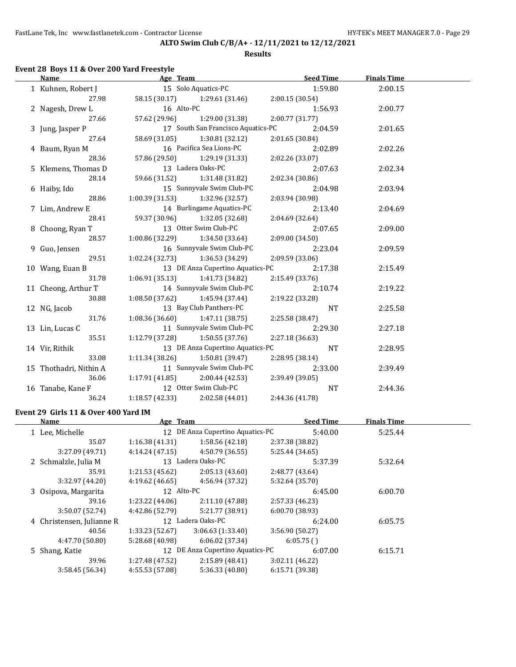FastLane Tek, Inc www.fastlanetek.com - Contractor License Manual According the HY-TEK's MEET MANAGER 7.0 - Page 29

### **ALTO Swim Club C/B/A+ - 12/11/2021 to 12/12/2021**

#### **Results**

# **Event 28 Boys 11 & Over 200 Yard Freestyle**

| Name                   |                                     | Age Team and the contract of the state of the state of the state of the state of the state of the state of the | <b>Seed Time</b> | <b>Finals Time</b> |  |
|------------------------|-------------------------------------|----------------------------------------------------------------------------------------------------------------|------------------|--------------------|--|
| 1 Kuhnen, Robert J     |                                     | 15 Solo Aquatics-PC                                                                                            | 1:59.80          | 2:00.15            |  |
| 27.98                  |                                     | 58.15 (30.17) 1:29.61 (31.46)                                                                                  | 2:00.15(30.54)   |                    |  |
| 2 Nagesh, Drew L       | 16 Alto-PC                          |                                                                                                                | 1:56.93          | 2:00.77            |  |
| 27.66                  |                                     | 57.62 (29.96) 1:29.00 (31.38)                                                                                  | 2:00.77(31.77)   |                    |  |
| 3 Jung, Jasper P       |                                     | 17 South San Francisco Aquatics-PC                                                                             | 2:04.59          | 2:01.65            |  |
| 27.64                  |                                     | 58.69 (31.05) 1:30.81 (32.12)                                                                                  | 2:01.65 (30.84)  |                    |  |
| 4 Baum, Ryan M         |                                     | 16 Pacifica Sea Lions-PC                                                                                       | 2:02.89          | 2:02.26            |  |
| 28.36                  |                                     | 57.86 (29.50) 1:29.19 (31.33)                                                                                  | 2:02.26 (33.07)  |                    |  |
| 5 Klemens, Thomas D    |                                     | 13 Ladera Oaks-PC                                                                                              | 2:07.63          | 2:02.34            |  |
| 28.14                  |                                     | 59.66 (31.52) 1:31.48 (31.82)                                                                                  | 2:02.34(30.86)   |                    |  |
| 6 Haiby, Ido           |                                     | 15 Sunnyvale Swim Club-PC                                                                                      | 2:04.98          | 2:03.94            |  |
| 28.86                  |                                     | $1:00.39(31.53)$ $1:32.96(32.57)$                                                                              | 2:03.94 (30.98)  |                    |  |
| 7 Lim, Andrew E        |                                     | 14 Burlingame Aquatics-PC                                                                                      | 2:13.40          | 2:04.69            |  |
| 28.41                  |                                     | 59.37 (30.96) 1:32.05 (32.68)                                                                                  | 2:04.69(32.64)   |                    |  |
| 8 Choong, Ryan T       |                                     | 13 Otter Swim Club-PC                                                                                          | 2:07.65          | 2:09.00            |  |
| 28.57                  |                                     | $1:00.86(32.29)$ $1:34.50(33.64)$                                                                              | 2:09.00(34.50)   |                    |  |
| 9 Guo, Jensen          |                                     | 16 Sunnyvale Swim Club-PC                                                                                      | 2:23.04          | 2:09.59            |  |
| 29.51                  |                                     | $1:02.24(32.73)$ $1:36.53(34.29)$                                                                              | 2:09.59(33.06)   |                    |  |
| 10 Wang, Euan B        |                                     | 13 DE Anza Cupertino Aquatics-PC                                                                               | 2:17.38          | 2:15.49            |  |
| 31.78                  |                                     | $1:06.91(35.13)$ $1:41.73(34.82)$                                                                              | 2:15.49 (33.76)  |                    |  |
| 11 Cheong, Arthur T    |                                     | 14 Sunnyvale Swim Club-PC                                                                                      | 2:10.74          | 2:19.22            |  |
| 30.88                  |                                     | $1:08.50(37.62)$ $1:45.94(37.44)$                                                                              | 2:19.22 (33.28)  |                    |  |
| 12 NG, Jacob           |                                     | 13 Bay Club Panthers-PC                                                                                        | <b>NT</b>        | 2:25.58            |  |
| 31.76                  |                                     | $1:08.36(36.60)$ $1:47.11(38.75)$                                                                              | 2:25.58 (38.47)  |                    |  |
| 13 Lin, Lucas C        |                                     | 11 Sunnyvale Swim Club-PC                                                                                      | 2:29.30          | 2:27.18            |  |
| 35.51                  | $1:12.79$ (37.28) $1:50.55$ (37.76) |                                                                                                                | 2:27.18 (36.63)  |                    |  |
| 14 Vir, Rithik         |                                     | 13 DE Anza Cupertino Aquatics-PC                                                                               | <b>NT</b>        | 2:28.95            |  |
| 33.08                  |                                     | $1:11.34(38.26)$ $1:50.81(39.47)$                                                                              | 2:28.95 (38.14)  |                    |  |
| 15 Thothadri, Nithin A |                                     | 11 Sunnyvale Swim Club-PC                                                                                      | 2:33.00          | 2:39.49            |  |
| 36.06                  | 1:17.91 (41.85)                     | 2:00.44 (42.53)                                                                                                | 2:39.49 (39.05)  |                    |  |
| 16 Tanabe, Kane F      |                                     | 12 Otter Swim Club-PC                                                                                          | NT               | 2:44.36            |  |
| 36.24                  | 1:18.57 (42.33)                     | 2:02.58 (44.01)                                                                                                | 2:44.36 (41.78)  |                    |  |

### **Event 29 Girls 11 & Over 400 Yard IM**

| Name                      | Age Team        |                                  | <b>Seed Time</b> | <b>Finals Time</b> |  |
|---------------------------|-----------------|----------------------------------|------------------|--------------------|--|
| 1 Lee, Michelle           |                 | 12 DE Anza Cupertino Aquatics-PC | 5:40.00          | 5:25.44            |  |
| 35.07                     | 1:16.38(41.31)  | 1:58.56(42.18)                   | 2:37.38 (38.82)  |                    |  |
| 3:27.09 (49.71)           | 4:14.24(47.15)  | 4:50.79 (36.55)                  | 5:25.44 (34.65)  |                    |  |
| 2 Schmalzle, Julia M      |                 | 13 Ladera Oaks-PC                | 5:37.39          | 5:32.64            |  |
| 35.91                     | 1:21.53(45.62)  | 2:05.13(43.60)                   | 2:48.77 (43.64)  |                    |  |
| 3:32.97 (44.20)           | 4:19.62(46.65)  | 4:56.94 (37.32)                  | 5:32.64 (35.70)  |                    |  |
| 3 Osipova, Margarita      | 12 Alto-PC      |                                  | 6:45.00          | 6:00.70            |  |
| 39.16                     | 1:23.22(44.06)  | 2:11.10(47.88)                   | 2:57.33 (46.23)  |                    |  |
| 3:50.07 (52.74)           | 4:42.86 (52.79) | 5:21.77 (38.91)                  | 6:00.70(38.93)   |                    |  |
| 4 Christensen, Julianne R |                 | 12 Ladera Oaks-PC                | 6:24.00          | 6:05.75            |  |
| 40.56                     | 1:33.23(52.67)  | 3:06.63(1:33.40)                 | 3:56.90 (50.27)  |                    |  |
| 4:47.70 (50.80)           | 5:28.68 (40.98) | 6:06.02(37.34)                   | 6:05.75()        |                    |  |
| 5 Shang, Katie            |                 | 12 DE Anza Cupertino Aquatics-PC | 6:07.00          | 6:15.71            |  |
| 39.96                     | 1:27.48 (47.52) | 2:15.89 (48.41)                  | 3:02.11(46.22)   |                    |  |
| 3:58.45(56.34)            | 4:55.53 (57.08) | 5:36.33 (40.80)                  | 6:15.71 (39.38)  |                    |  |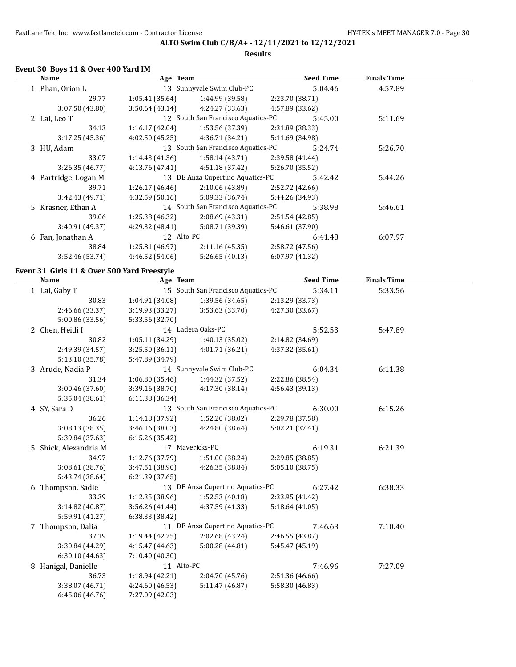**Results**

### **Event 30 Boys 11 & Over 400 Yard IM**

| Name                 | Age Team        |                                    |                 | <b>Seed Time</b> | <b>Finals Time</b> |  |
|----------------------|-----------------|------------------------------------|-----------------|------------------|--------------------|--|
| 1 Phan, Orion L      |                 | 13 Sunnyvale Swim Club-PC          |                 | 5:04.46          | 4:57.89            |  |
| 29.77                | 1:05.41(35.64)  | 1:44.99 (39.58)                    | 2:23.70 (38.71) |                  |                    |  |
| 3:07.50(43.80)       | 3:50.64(43.14)  | 4:24.27 (33.63)                    | 4:57.89 (33.62) |                  |                    |  |
| 2 Lai, Leo T         |                 | 12 South San Francisco Aquatics-PC |                 | 5:45.00          | 5:11.69            |  |
| 34.13                | 1:16.17(42.04)  | 1:53.56(37.39)                     | 2:31.89 (38.33) |                  |                    |  |
| 3:17.25(45.36)       | 4:02.50(45.25)  | 4:36.71(34.21)                     | 5:11.69 (34.98) |                  |                    |  |
| 3 HU, Adam           |                 | 13 South San Francisco Aquatics-PC |                 | 5:24.74          | 5:26.70            |  |
| 33.07                | 1:14.43(41.36)  | 1:58.14(43.71)                     | 2:39.58 (41.44) |                  |                    |  |
| 3:26.35(46.77)       | 4:13.76 (47.41) | 4:51.18 (37.42)                    | 5:26.70 (35.52) |                  |                    |  |
| 4 Partridge, Logan M |                 | 13 DE Anza Cupertino Aquatics-PC   |                 | 5:42.42          | 5:44.26            |  |
| 39.71                | 1:26.17(46.46)  | 2:10.06 (43.89)                    | 2:52.72 (42.66) |                  |                    |  |
| 3:42.43 (49.71)      | 4:32.59(50.16)  | 5:09.33 (36.74)                    | 5:44.26 (34.93) |                  |                    |  |
| 5 Krasner, Ethan A   |                 | 14 South San Francisco Aquatics-PC |                 | 5:38.98          | 5:46.61            |  |
| 39.06                | 1:25.38 (46.32) | 2:08.69(43.31)                     | 2:51.54 (42.85) |                  |                    |  |
| 3:40.91 (49.37)      | 4:29.32 (48.41) | 5:08.71 (39.39)                    | 5:46.61 (37.90) |                  |                    |  |
| 6 Fan, Jonathan A    | 12 Alto-PC      |                                    |                 | 6:41.48          | 6:07.97            |  |
| 38.84                | 1:25.81(46.97)  | 2:11.16(45.35)                     | 2:58.72 (47.56) |                  |                    |  |
| 3:52.46 (53.74)      | 4:46.52 (54.06) | 5:26.65(40.13)                     | 6:07.97(41.32)  |                  |                    |  |
|                      |                 |                                    |                 |                  |                    |  |

### **Event 31 Girls 11 & Over 500 Yard Freestyle**

| <b>Name</b>           | Age Team        |                                    | <b>Seed Time</b> |         | <b>Finals Time</b> |  |
|-----------------------|-----------------|------------------------------------|------------------|---------|--------------------|--|
| 1 Lai, Gaby T         |                 | 15 South San Francisco Aquatics-PC |                  | 5:34.11 | 5:33.56            |  |
| 30.83                 | 1:04.91 (34.08) | 1:39.56(34.65)                     | 2:13.29 (33.73)  |         |                    |  |
| 2:46.66 (33.37)       | 3:19.93(33.27)  | 3:53.63(33.70)                     | 4:27.30 (33.67)  |         |                    |  |
| 5:00.86 (33.56)       | 5:33.56 (32.70) |                                    |                  |         |                    |  |
| 2 Chen, Heidi I       |                 | 14 Ladera Oaks-PC                  |                  | 5:52.53 | 5:47.89            |  |
| 30.82                 | 1:05.11(34.29)  | 1:40.13(35.02)                     | 2:14.82 (34.69)  |         |                    |  |
| 2:49.39 (34.57)       | 3:25.50(36.11)  | 4:01.71 (36.21)                    | 4:37.32 (35.61)  |         |                    |  |
| 5:13.10 (35.78)       | 5:47.89 (34.79) |                                    |                  |         |                    |  |
| 3 Arude, Nadia P      |                 | 14 Sunnyvale Swim Club-PC          |                  | 6:04.34 | 6:11.38            |  |
| 31.34                 | 1:06.80(35.46)  | 1:44.32 (37.52)                    | 2:22.86 (38.54)  |         |                    |  |
| 3:00.46 (37.60)       | 3:39.16(38.70)  | 4:17.30(38.14)                     | 4:56.43 (39.13)  |         |                    |  |
| 5:35.04 (38.61)       | 6:11.38 (36.34) |                                    |                  |         |                    |  |
| 4 SY, Sara D          |                 | 13 South San Francisco Aquatics-PC |                  | 6:30.00 | 6:15.26            |  |
| 36.26                 | 1:14.18(37.92)  | 1:52.20(38.02)                     | 2:29.78 (37.58)  |         |                    |  |
| 3:08.13 (38.35)       | 3:46.16 (38.03) | 4:24.80 (38.64)                    | 5:02.21 (37.41)  |         |                    |  |
| 5:39.84 (37.63)       | 6:15.26(35.42)  |                                    |                  |         |                    |  |
| 5 Shick, Alexandria M |                 | 17 Mavericks-PC                    |                  | 6:19.31 | 6:21.39            |  |
| 34.97                 | 1:12.76 (37.79) | 1:51.00(38.24)                     | 2:29.85 (38.85)  |         |                    |  |
| 3:08.61 (38.76)       | 3:47.51 (38.90) | 4:26.35 (38.84)                    | 5:05.10 (38.75)  |         |                    |  |
| 5:43.74 (38.64)       | 6:21.39(37.65)  |                                    |                  |         |                    |  |
| 6 Thompson, Sadie     |                 | 13 DE Anza Cupertino Aquatics-PC   |                  | 6:27.42 | 6:38.33            |  |
| 33.39                 | 1:12.35(38.96)  | 1:52.53(40.18)                     | 2:33.95 (41.42)  |         |                    |  |
| 3:14.82 (40.87)       | 3:56.26(41.44)  | 4:37.59 (41.33)                    | 5:18.64(41.05)   |         |                    |  |
| 5:59.91 (41.27)       | 6:38.33 (38.42) |                                    |                  |         |                    |  |
| 7 Thompson, Dalia     |                 | 11 DE Anza Cupertino Aquatics-PC   |                  | 7:46.63 | 7:10.40            |  |
| 37.19                 | 1:19.44(42.25)  | 2:02.68(43.24)                     | 2:46.55 (43.87)  |         |                    |  |
| 3:30.84 (44.29)       | 4:15.47 (44.63) | 5:00.28(44.81)                     | 5:45.47 (45.19)  |         |                    |  |
| 6:30.10 (44.63)       | 7:10.40 (40.30) |                                    |                  |         |                    |  |
| 8 Hanigal, Danielle   | 11 Alto-PC      |                                    |                  | 7:46.96 | 7:27.09            |  |
| 36.73                 | 1:18.94 (42.21) | 2:04.70 (45.76)                    | 2:51.36 (46.66)  |         |                    |  |
| 3:38.07 (46.71)       | 4:24.60 (46.53) | 5:11.47(46.87)                     | 5:58.30 (46.83)  |         |                    |  |
| 6:45.06 (46.76)       | 7:27.09 (42.03) |                                    |                  |         |                    |  |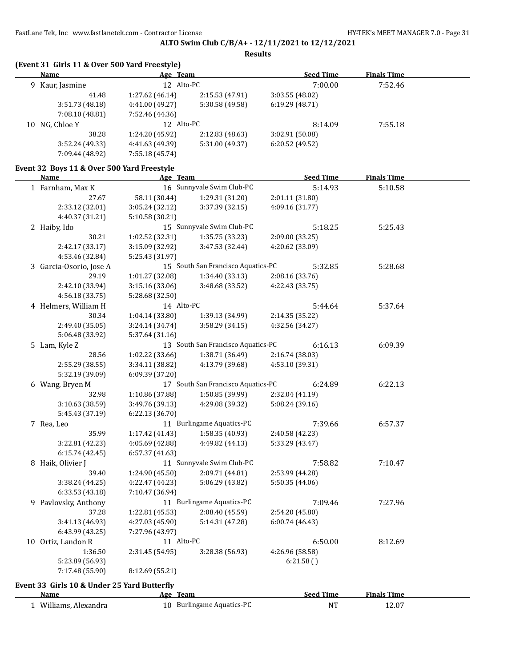**Results**

|  | (Event 31 Girls 11 & Over 500 Yard Freestyle)<br>Name | Age Team        |                                    | <b>Seed Time</b> | <b>Finals Time</b> |  |
|--|-------------------------------------------------------|-----------------|------------------------------------|------------------|--------------------|--|
|  |                                                       | 12 Alto-PC      |                                    |                  |                    |  |
|  | 9 Kaur, Jasmine                                       |                 |                                    | 7:00.00          | 7:52.46            |  |
|  | 41.48                                                 | 1:27.62 (46.14) | 2:15.53 (47.91)                    | 3:03.55 (48.02)  |                    |  |
|  | 3:51.73(48.18)                                        | 4:41.00 (49.27) | 5:30.58 (49.58)                    | 6:19.29 (48.71)  |                    |  |
|  | 7:08.10 (48.81)                                       | 7:52.46 (44.36) |                                    |                  |                    |  |
|  | 10 NG, Chloe Y                                        | 12 Alto-PC      |                                    | 8:14.09          | 7:55.18            |  |
|  | 38.28                                                 | 1:24.20 (45.92) | 2:12.83 (48.63)                    | 3:02.91 (50.08)  |                    |  |
|  | 3:52.24 (49.33)                                       | 4:41.63 (49.39) | 5:31.00 (49.37)                    | 6:20.52 (49.52)  |                    |  |
|  | 7:09.44 (48.92)                                       | 7:55.18 (45.74) |                                    |                  |                    |  |
|  | Event 32 Boys 11 & Over 500 Yard Freestyle            |                 |                                    |                  |                    |  |
|  | Name                                                  | Age Team        |                                    | <b>Seed Time</b> | <b>Finals Time</b> |  |
|  | 1 Farnham, Max K                                      |                 | 16 Sunnyvale Swim Club-PC          | 5:14.93          | 5:10.58            |  |
|  | 27.67                                                 | 58.11 (30.44)   | 1:29.31 (31.20)                    | 2:01.11 (31.80)  |                    |  |
|  | 2:33.12 (32.01)                                       | 3:05.24 (32.12) | 3:37.39 (32.15)                    | 4:09.16 (31.77)  |                    |  |
|  | 4:40.37 (31.21)                                       | 5:10.58 (30.21) |                                    |                  |                    |  |
|  | 2 Haiby, Ido                                          |                 | 15 Sunnyvale Swim Club-PC          | 5:18.25          | 5:25.43            |  |
|  | 30.21                                                 | 1:02.52 (32.31) | 1:35.75 (33.23)                    | 2:09.00 (33.25)  |                    |  |
|  | 2:42.17 (33.17)                                       | 3:15.09 (32.92) | 3:47.53 (32.44)                    | 4:20.62 (33.09)  |                    |  |
|  | 4:53.46 (32.84)                                       | 5:25.43 (31.97) |                                    |                  |                    |  |
|  | 3 Garcia-Osorio, Jose A                               |                 | 15 South San Francisco Aquatics-PC | 5:32.85          | 5:28.68            |  |
|  | 29.19                                                 | 1:01.27 (32.08) | 1:34.40(33.13)                     | 2:08.16 (33.76)  |                    |  |
|  | 2:42.10 (33.94)                                       | 3:15.16 (33.06) | 3:48.68 (33.52)                    | 4:22.43 (33.75)  |                    |  |
|  | 4:56.18 (33.75)                                       | 5:28.68 (32.50) |                                    |                  |                    |  |
|  | 4 Helmers, William H                                  | 14 Alto-PC      |                                    | 5:44.64          | 5:37.64            |  |
|  | 30.34                                                 | 1:04.14 (33.80) | 1:39.13 (34.99)                    | 2:14.35 (35.22)  |                    |  |
|  | 2:49.40 (35.05)                                       | 3:24.14 (34.74) | 3:58.29 (34.15)                    | 4:32.56 (34.27)  |                    |  |
|  | 5:06.48 (33.92)                                       | 5:37.64 (31.16) |                                    |                  |                    |  |
|  | 5 Lam, Kyle Z                                         |                 | 13 South San Francisco Aquatics-PC | 6:16.13          | 6:09.39            |  |
|  | 28.56                                                 | 1:02.22 (33.66) | 1:38.71 (36.49)                    | 2:16.74 (38.03)  |                    |  |
|  | 2:55.29 (38.55)                                       | 3:34.11 (38.82) | 4:13.79 (39.68)                    | 4:53.10 (39.31)  |                    |  |
|  | 5:32.19 (39.09)                                       | 6:09.39 (37.20) |                                    |                  |                    |  |
|  | 6 Wang, Bryen M                                       |                 | 17 South San Francisco Aquatics-PC | 6:24.89          | 6:22.13            |  |
|  | 32.98                                                 | 1:10.86 (37.88) | 1:50.85 (39.99)                    | 2:32.04 (41.19)  |                    |  |
|  | 3:10.63 (38.59)                                       | 3:49.76 (39.13) | 4:29.08 (39.32)                    | 5:08.24 (39.16)  |                    |  |
|  | 5:45.43 (37.19)                                       | 6:22.13 (36.70) |                                    |                  |                    |  |
|  | 7 Rea, Leo                                            |                 | 11 Burlingame Aquatics-PC          | 7:39.66          | 6:57.37            |  |
|  | 35.99                                                 | 1:17.42 (41.43) | 1:58.35 (40.93)                    | 2:40.58 (42.23)  |                    |  |
|  | 3:22.81 (42.23)                                       | 4:05.69 (42.88) | 4:49.82 (44.13)                    | 5:33.29 (43.47)  |                    |  |
|  | 6:15.74(42.45)                                        | 6:57.37 (41.63) |                                    |                  |                    |  |
|  | 8 Haik, Olivier J                                     |                 | 11 Sunnyvale Swim Club-PC          | 7:58.82          | 7:10.47            |  |
|  | 39.40                                                 | 1:24.90 (45.50) | 2:09.71 (44.81)                    | 2:53.99 (44.28)  |                    |  |
|  | 3:38.24 (44.25)                                       | 4:22.47 (44.23) | 5:06.29 (43.82)                    | 5:50.35 (44.06)  |                    |  |
|  | 6:33.53 (43.18)                                       | 7:10.47 (36.94) |                                    |                  |                    |  |
|  | 9 Pavlovsky, Anthony                                  |                 | 11 Burlingame Aquatics-PC          | 7:09.46          | 7:27.96            |  |
|  | 37.28                                                 | 1:22.81 (45.53) | 2:08.40 (45.59)                    | 2:54.20 (45.80)  |                    |  |
|  | 3:41.13 (46.93)                                       | 4:27.03 (45.90) | 5:14.31 (47.28)                    | 6:00.74(46.43)   |                    |  |
|  | 6:43.99 (43.25)                                       | 7:27.96 (43.97) |                                    |                  |                    |  |
|  | 10 Ortiz, Landon R                                    | 11 Alto-PC      |                                    | 6:50.00          | 8:12.69            |  |
|  | 1:36.50                                               | 2:31.45 (54.95) | 3:28.38 (56.93)                    | 4:26.96 (58.58)  |                    |  |
|  | 5:23.89 (56.93)                                       |                 |                                    | 6:21.58()        |                    |  |
|  | 7:17.48 (55.90)                                       | 8:12.69 (55.21) |                                    |                  |                    |  |
|  |                                                       |                 |                                    |                  |                    |  |
|  | Event 33 Girls 10 & Under 25 Yard Butterfly           |                 |                                    |                  |                    |  |
|  | Name                                                  | Age Team        |                                    | <b>Seed Time</b> | <b>Finals Time</b> |  |

1 Williams, Alexandra 10 Burlingame Aquatics-PC NT 12.07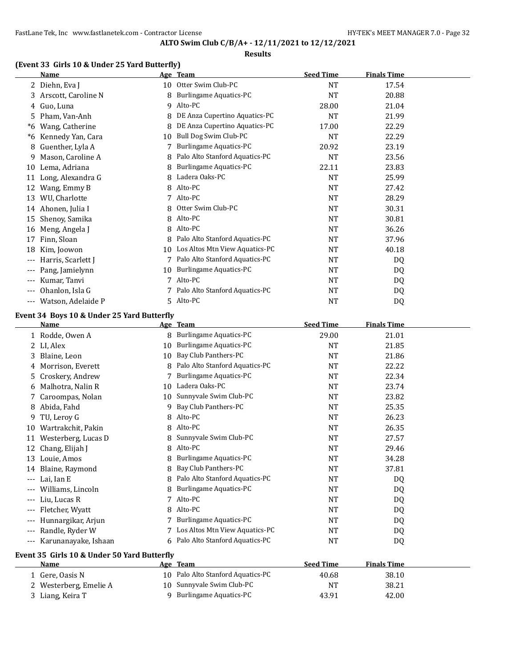#### **Results**

### **(Event 33 Girls 10 & Under 25 Yard Butterfly)**

|     | Name                |    | Age Team                       | <b>Seed Time</b> | <b>Finals Time</b> |  |
|-----|---------------------|----|--------------------------------|------------------|--------------------|--|
|     | 2 Diehn, Eva J      | 10 | Otter Swim Club-PC             | <b>NT</b>        | 17.54              |  |
| 3   | Arscott, Caroline N | 8  | <b>Burlingame Aquatics-PC</b>  | <b>NT</b>        | 20.88              |  |
| 4   | Guo, Luna           | 9  | Alto-PC                        | 28.00            | 21.04              |  |
| 5.  | Pham, Van-Anh       | 8  | DE Anza Cupertino Aquatics-PC  | <b>NT</b>        | 21.99              |  |
| *6  | Wang, Catherine     | 8  | DE Anza Cupertino Aquatics-PC  | 17.00            | 22.29              |  |
| *6  | Kennedy Yan, Cara   | 10 | Bull Dog Swim Club-PC          | <b>NT</b>        | 22.29              |  |
| 8   | Guenther, Lyla A    |    | Burlingame Aquatics-PC         | 20.92            | 23.19              |  |
| 9   | Mason, Caroline A   | 8  | Palo Alto Stanford Aquatics-PC | <b>NT</b>        | 23.56              |  |
| 10  | Lema, Adriana       | 8  | <b>Burlingame Aquatics-PC</b>  | 22.11            | 23.83              |  |
| 11  | Long, Alexandra G   | 8  | Ladera Oaks-PC                 | <b>NT</b>        | 25.99              |  |
| 12  | Wang, Emmy B        | 8  | Alto-PC                        | <b>NT</b>        | 27.42              |  |
| 13  | WU, Charlotte       | 7  | Alto-PC                        | <b>NT</b>        | 28.29              |  |
| 14  | Ahonen, Julia I     | 8  | Otter Swim Club-PC             | <b>NT</b>        | 30.31              |  |
| 15  | Shenoy, Samika      | 8  | Alto-PC                        | <b>NT</b>        | 30.81              |  |
| 16  | Meng, Angela J      | 8  | Alto-PC                        | <b>NT</b>        | 36.26              |  |
| 17  | Finn, Sloan         | 8  | Palo Alto Stanford Aquatics-PC | NT               | 37.96              |  |
| 18  | Kim, Joowon         | 10 | Los Altos Mtn View Aquatics-PC | NT               | 40.18              |  |
| --- | Harris, Scarlett J  |    | Palo Alto Stanford Aquatics-PC | <b>NT</b>        | DQ                 |  |
| --- | Pang, Jamielynn     | 10 | <b>Burlingame Aquatics-PC</b>  | <b>NT</b>        | DQ                 |  |
|     | Kumar, Tanvi        |    | Alto-PC                        | <b>NT</b>        | DQ                 |  |
|     | Ohanlon, Isla G     |    | Palo Alto Stanford Aquatics-PC | <b>NT</b>        | DQ                 |  |
| --- | Watson, Adelaide P  | 5. | Alto-PC                        | <b>NT</b>        | DQ                 |  |

### **Event 34 Boys 10 & Under 25 Yard Butterfly**

|          | Name                                        | <u>Age</u> | <b>Team</b>                      | <b>Seed Time</b> | <b>Finals Time</b> |  |  |
|----------|---------------------------------------------|------------|----------------------------------|------------------|--------------------|--|--|
|          | 1 Rodde, Owen A                             | 8          | Burlingame Aquatics-PC           | 29.00            | 21.01              |  |  |
|          | LI, Alex                                    | 10         | Burlingame Aquatics-PC           | <b>NT</b>        | 21.85              |  |  |
| 3        | Blaine, Leon                                | 10         | Bay Club Panthers-PC             | <b>NT</b>        | 21.86              |  |  |
| 4        | Morrison, Everett                           | 8          | Palo Alto Stanford Aquatics-PC   | <b>NT</b>        | 22.22              |  |  |
| 5        | Croskery, Andrew                            |            | <b>Burlingame Aquatics-PC</b>    | <b>NT</b>        | 22.34              |  |  |
| 6        | Malhotra, Nalin R                           | 10         | Ladera Oaks-PC                   | <b>NT</b>        | 23.74              |  |  |
|          | Caroompas, Nolan                            | 10         | Sunnyvale Swim Club-PC           | <b>NT</b>        | 23.82              |  |  |
| 8        | Abida, Fahd                                 | 9          | Bay Club Panthers-PC             | <b>NT</b>        | 25.35              |  |  |
| 9        | TU, Leroy G                                 | 8          | Alto-PC                          | <b>NT</b>        | 26.23              |  |  |
| 10       | Wartrakchit, Pakin                          | 8          | Alto-PC                          | <b>NT</b>        | 26.35              |  |  |
| 11       | Westerberg, Lucas D                         | 8          | Sunnyvale Swim Club-PC           | <b>NT</b>        | 27.57              |  |  |
| 12       | Chang, Elijah J                             | 8          | Alto-PC                          | <b>NT</b>        | 29.46              |  |  |
| 13       | Louie, Amos                                 | 8          | <b>Burlingame Aquatics-PC</b>    | <b>NT</b>        | 34.28              |  |  |
| 14       | Blaine, Raymond                             | 8          | Bay Club Panthers-PC             | <b>NT</b>        | 37.81              |  |  |
| $---$    | Lai, Ian E                                  | 8          | Palo Alto Stanford Aquatics-PC   | <b>NT</b>        | DQ                 |  |  |
|          | Williams, Lincoln                           | 8          | Burlingame Aquatics-PC           | <b>NT</b>        | DQ                 |  |  |
| $---$    | Liu, Lucas R                                |            | Alto-PC                          | <b>NT</b>        | DQ                 |  |  |
| $---$    | Fletcher, Wyatt                             | 8          | Alto-PC                          | <b>NT</b>        | DQ                 |  |  |
| ---      | Hunnargikar, Arjun                          |            | Burlingame Aquatics-PC           | <b>NT</b>        | DQ                 |  |  |
| $---$    | Randle, Ryder W                             | 7          | Los Altos Mtn View Aquatics-PC   | <b>NT</b>        | DQ                 |  |  |
| $\cdots$ | Karunanayake, Ishaan                        |            | 6 Palo Alto Stanford Aquatics-PC | NT               | DQ                 |  |  |
|          | Event 35 Girls 10 & Under 50 Yard Butterfly |            |                                  |                  |                    |  |  |
|          | Name                                        | Age        | <b>Team</b>                      | <b>Seed Time</b> | <b>Finals Time</b> |  |  |
|          | 1 Gere, Oasis N                             | 10         | Palo Alto Stanford Aquatics-PC   | 40.68            | 38.10              |  |  |
| 2        | Westerberg, Emelie A                        | 10         | Sunnyvale Swim Club-PC           | <b>NT</b>        | 38.21              |  |  |
|          | 3 Liang, Keira T                            | 9          | Burlingame Aquatics-PC           | 43.91            | 42.00              |  |  |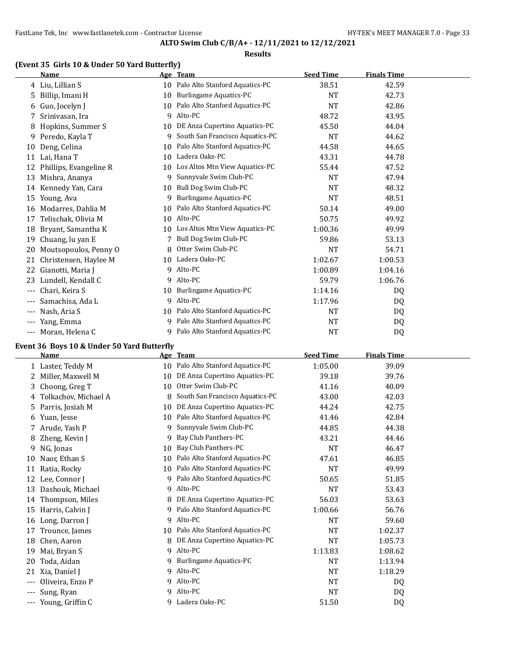#### **Results**

### **(Event 35 Girls 10 & Under 50 Yard Butterfly)**

|       | <b>Name</b>            |    | Age Team                        | <b>Seed Time</b> | <b>Finals Time</b> |  |
|-------|------------------------|----|---------------------------------|------------------|--------------------|--|
| 4     | Liu, Lillian S         | 10 | Palo Alto Stanford Aquatics-PC  | 38.51            | 42.59              |  |
| 5     | Billip, Imani H        | 10 | <b>Burlingame Aquatics-PC</b>   | <b>NT</b>        | 42.73              |  |
| 6     | Guo, Jocelyn J         | 10 | Palo Alto Stanford Aquatics-PC  | <b>NT</b>        | 42.86              |  |
| 7     | Srinivasan, Ira        | 9  | Alto-PC                         | 48.72            | 43.95              |  |
| 8     | Hopkins, Summer S      | 10 | DE Anza Cupertino Aquatics-PC   | 45.50            | 44.04              |  |
| 9     | Peredo, Kayla T        | 9  | South San Francisco Aquatics-PC | <b>NT</b>        | 44.62              |  |
| 10    | Deng, Celina           | 10 | Palo Alto Stanford Aquatics-PC  | 44.58            | 44.65              |  |
| 11    | Lai, Hana T            | 10 | Ladera Oaks-PC                  | 43.31            | 44.78              |  |
| 12    | Phillips, Evangeline R | 10 | Los Altos Mtn View Aquatics-PC  | 55.44            | 47.52              |  |
| 13    | Mishra, Ananya         | 9  | Sunnyvale Swim Club-PC          | <b>NT</b>        | 47.94              |  |
| 14    | Kennedy Yan, Cara      | 10 | Bull Dog Swim Club-PC           | <b>NT</b>        | 48.32              |  |
| 15    | Young, Ava             | 9  | <b>Burlingame Aquatics-PC</b>   | <b>NT</b>        | 48.51              |  |
| 16    | Modarres, Dahlia M     | 10 | Palo Alto Stanford Aquatics-PC  | 50.14            | 49.00              |  |
| 17    | Telischak, Olivia M    | 10 | Alto-PC                         | 50.75            | 49.92              |  |
| 18    | Bryant, Samantha K     | 10 | Los Altos Mtn View Aquatics-PC  | 1:00.36          | 49.99              |  |
| 19    | Chuang, lu yan E       | 7  | Bull Dog Swim Club-PC           | 59.86            | 53.13              |  |
| 20    | Moutsopoulos, Penny O  | 8  | Otter Swim Club-PC              | <b>NT</b>        | 54.71              |  |
| 21    | Christensen, Haylee M  | 10 | Ladera Oaks-PC                  | 1:02.67          | 1:00.53            |  |
| 22    | Gianotti, Maria J      | 9  | Alto-PC                         | 1:00.89          | 1:04.16            |  |
| 23    | Lundell, Kendall C     | 9  | Alto-PC                         | 59.79            | 1:06.76            |  |
| ---   | Chari, Keira S         | 10 | <b>Burlingame Aquatics-PC</b>   | 1:14.16          | DQ                 |  |
| ---   | Samachisa, Ada L       | 9  | Alto-PC                         | 1:17.96          | DQ                 |  |
| ---   | Nash, Aria S           | 10 | Palo Alto Stanford Aquatics-PC  | <b>NT</b>        | DQ                 |  |
| $---$ | Yang, Emma             | 9  | Palo Alto Stanford Aquatics-PC  | NT               | DQ                 |  |
| ---   | Moran, Helena C        | 9  | Palo Alto Stanford Aquatics-PC  | <b>NT</b>        | D <sub>0</sub>     |  |

## **Event 36 Boys 10 & Under 50 Yard Butterfly**

|     | <b>Name</b>          | Age | <b>Team</b>                     | <b>Seed Time</b> | <b>Finals Time</b> |  |
|-----|----------------------|-----|---------------------------------|------------------|--------------------|--|
|     | 1 Laster, Teddy M    | 10  | Palo Alto Stanford Aquatics-PC  | 1:05.00          | 39.09              |  |
| 2.  | Miller, Maxwell M    | 10  | DE Anza Cupertino Aquatics-PC   | 39.18            | 39.76              |  |
| 3.  | Choong, Greg T       | 10  | Otter Swim Club-PC              | 41.16            | 40.09              |  |
| 4   | Tolkachov, Michael A | 8   | South San Francisco Aquatics-PC | 43.00            | 42.03              |  |
| 5.  | Parris, Josiah M     | 10  | DE Anza Cupertino Aquatics-PC   | 44.24            | 42.75              |  |
| 6   | Yuan, Jesse          | 10  | Palo Alto Stanford Aquatics-PC  | 41.46            | 42.84              |  |
| 7.  | Arude, Yash P        | 9   | Sunnyvale Swim Club-PC          | 44.85            | 44.38              |  |
| 8   | Zheng, Kevin J       | 9   | Bay Club Panthers-PC            | 43.21            | 44.46              |  |
| 9   | NG, Jonas            | 10  | Bay Club Panthers-PC            | <b>NT</b>        | 46.47              |  |
| 10  | Naor, Ethan S        | 10  | Palo Alto Stanford Aquatics-PC  | 47.61            | 46.85              |  |
| 11  | Ratia, Rocky         | 10  | Palo Alto Stanford Aquatics-PC  | NT               | 49.99              |  |
| 12  | Lee, Connor J        | 9   | Palo Alto Stanford Aquatics-PC  | 50.65            | 51.85              |  |
| 13  | Dashouk, Michael     | 9   | Alto-PC                         | <b>NT</b>        | 53.43              |  |
| 14  | Thompson, Miles      | 8   | DE Anza Cupertino Aquatics-PC   | 56.03            | 53.63              |  |
| 15  | Harris, Calvin J     | 9   | Palo Alto Stanford Aquatics-PC  | 1:00.66          | 56.76              |  |
| 16  | Long, Darron J       | 9   | Alto-PC                         | <b>NT</b>        | 59.60              |  |
| 17  | Trounce, James       | 10  | Palo Alto Stanford Aquatics-PC  | <b>NT</b>        | 1:02.37            |  |
| 18  | Chen, Aaron          | 8   | DE Anza Cupertino Aquatics-PC   | <b>NT</b>        | 1:05.73            |  |
| 19  | Mai, Bryan S         | 9   | Alto-PC                         | 1:13.83          | 1:08.62            |  |
| 20  | Toda, Aidan          | 9   | <b>Burlingame Aquatics-PC</b>   | <b>NT</b>        | 1:13.94            |  |
| 21  | Xia, Daniel J        | 9   | Alto-PC                         | <b>NT</b>        | 1:18.29            |  |
| --- | Oliveira, Enzo P     | 9   | Alto-PC                         | <b>NT</b>        | DQ                 |  |
| --- | Sung, Ryan           | 9   | Alto-PC                         | <b>NT</b>        | DQ                 |  |
| --- | Young, Griffin C     | 9   | Ladera Oaks-PC                  | 51.50            | DQ                 |  |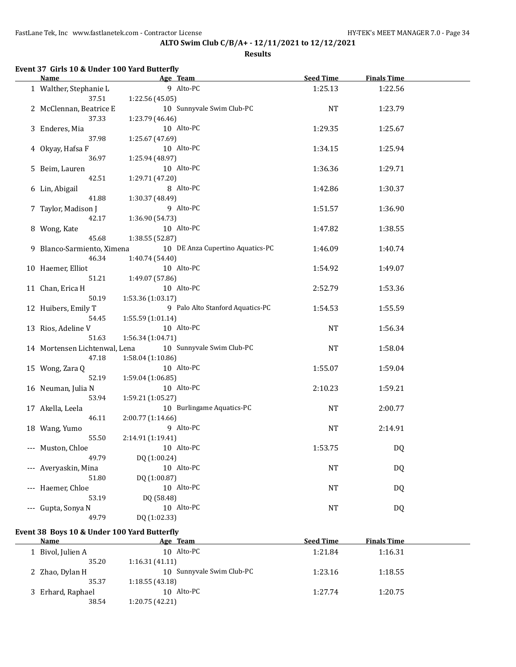**Results**

### **Event 37 Girls 10 & Under 100 Yard Butterfly**

 $\overline{a}$ 

|                     | Name                          | Age Team                         | <b>Seed Time</b> | <b>Finals Time</b> |  |
|---------------------|-------------------------------|----------------------------------|------------------|--------------------|--|
|                     | 1 Walther, Stephanie L        | 9 Alto-PC                        | 1:25.13          | 1:22.56            |  |
|                     | 37.51                         | 1:22.56 (45.05)                  |                  |                    |  |
|                     | 2 McClennan, Beatrice E       | 10 Sunnyvale Swim Club-PC        | <b>NT</b>        | 1:23.79            |  |
|                     | 37.33                         | 1:23.79 (46.46)                  |                  |                    |  |
|                     | 3 Enderes, Mia                | 10 Alto-PC                       | 1:29.35          | 1:25.67            |  |
|                     | 37.98                         | 1:25.67 (47.69)                  |                  |                    |  |
|                     | 4 Okyay, Hafsa F              | 10 Alto-PC                       | 1:34.15          | 1:25.94            |  |
|                     | 36.97                         | 1:25.94 (48.97)                  |                  |                    |  |
|                     | 5 Beim, Lauren                | 10 Alto-PC                       | 1:36.36          | 1:29.71            |  |
|                     | 42.51                         | 1:29.71 (47.20)                  |                  |                    |  |
|                     | 6 Lin, Abigail                | 8 Alto-PC                        | 1:42.86          | 1:30.37            |  |
|                     | 41.88                         | 1:30.37 (48.49)                  |                  |                    |  |
|                     | 7 Taylor, Madison J           | 9 Alto-PC                        | 1:51.57          | 1:36.90            |  |
|                     | 42.17                         | 1:36.90 (54.73)                  |                  |                    |  |
|                     | 8 Wong, Kate                  | 10 Alto-PC                       | 1:47.82          | 1:38.55            |  |
|                     | 45.68                         | 1:38.55 (52.87)                  |                  |                    |  |
|                     | 9 Blanco-Sarmiento, Ximena    | 10 DE Anza Cupertino Aquatics-PC | 1:46.09          | 1:40.74            |  |
|                     | 46.34                         | 1:40.74 (54.40)                  |                  |                    |  |
|                     | 10 Haemer, Elliot             | 10 Alto-PC                       | 1:54.92          | 1:49.07            |  |
|                     | 51.21                         | 1:49.07 (57.86)                  |                  |                    |  |
|                     | 11 Chan, Erica H              | 10 Alto-PC                       | 2:52.79          | 1:53.36            |  |
|                     | 50.19                         | 1:53.36 (1:03.17)                |                  |                    |  |
|                     | 12 Huibers, Emily T           | 9 Palo Alto Stanford Aquatics-PC | 1:54.53          | 1:55.59            |  |
|                     | 54.45                         | 1:55.59 (1:01.14)                |                  |                    |  |
|                     | 13 Rios, Adeline V            | 10 Alto-PC                       | <b>NT</b>        | 1:56.34            |  |
|                     | 51.63                         | 1:56.34 (1:04.71)                |                  |                    |  |
|                     | 14 Mortensen Lichtenwal, Lena | 10 Sunnyvale Swim Club-PC        | NT               | 1:58.04            |  |
|                     | 47.18                         | 1:58.04 (1:10.86)                |                  |                    |  |
|                     | 15 Wong, Zara Q               | 10 Alto-PC                       | 1:55.07          | 1:59.04            |  |
|                     | 52.19                         | 1:59.04 (1:06.85)                |                  |                    |  |
|                     | 16 Neuman, Julia N            | 10 Alto-PC                       | 2:10.23          | 1:59.21            |  |
|                     | 53.94                         | 1:59.21 (1:05.27)                |                  |                    |  |
|                     | 17 Akella, Leela              | 10 Burlingame Aquatics-PC        | NT               | 2:00.77            |  |
|                     | 46.11                         | 2:00.77 (1:14.66)                |                  |                    |  |
|                     | 18 Wang, Yumo                 | 9 Alto-PC                        | <b>NT</b>        | 2:14.91            |  |
|                     | 55.50                         | 2:14.91 (1:19.41)                |                  |                    |  |
|                     | --- Muston, Chloe             | 10 Alto-PC                       | 1:53.75          | DQ                 |  |
|                     | 49.79                         | DQ (1:00.24)                     |                  |                    |  |
|                     | --- Averyaskin, Mina          | 10 Alto-PC                       | NT               | DQ                 |  |
|                     | 51.80                         | DQ (1:00.87)                     |                  |                    |  |
| $---$               | Haemer, Chloe                 | 10 Alto-PC                       | <b>NT</b>        | DQ                 |  |
|                     | 53.19                         | DQ (58.48)<br>10 Alto-PC         |                  |                    |  |
| $\qquad \qquad - -$ | Gupta, Sonya N<br>49.79       |                                  | <b>NT</b>        | DQ                 |  |
|                     |                               | DQ (1:02.33)                     |                  |                    |  |

# **Event 38 Boys 10 & Under 100 Yard Butterfly**

| Name              | Age Team                  | <b>Seed Time</b> | <b>Finals Time</b> |  |
|-------------------|---------------------------|------------------|--------------------|--|
| 1 Bivol, Julien A | 10 Alto-PC                | 1:21.84          | 1:16.31            |  |
| 35.20             | 1:16.31(41.11)            |                  |                    |  |
| 2 Zhao, Dylan H   | 10 Sunnyvale Swim Club-PC | 1:23.16          | 1:18.55            |  |
| 35.37             | 1:18.55(43.18)            |                  |                    |  |
| 3 Erhard, Raphael | 10 Alto-PC                | 1:27.74          | 1:20.75            |  |
| 38.54             | 1:20.75(42.21)            |                  |                    |  |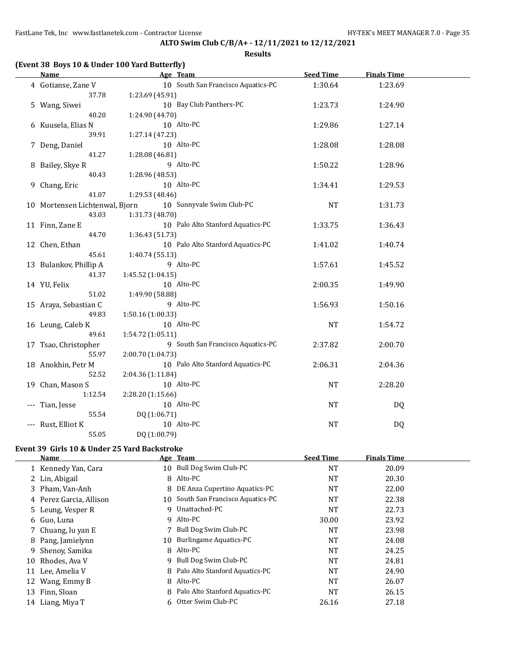**Results**

| <b>Name</b>                    | Age Team          |                                    | <b>Seed Time</b> | <b>Finals Time</b> |  |
|--------------------------------|-------------------|------------------------------------|------------------|--------------------|--|
| 4 Gotianse, Zane V             |                   | 10 South San Francisco Aquatics-PC | 1:30.64          | 1:23.69            |  |
| 37.78                          | 1:23.69 (45.91)   |                                    |                  |                    |  |
| 5 Wang, Siwei                  |                   | 10 Bay Club Panthers-PC            | 1:23.73          | 1:24.90            |  |
| 40.20                          | 1:24.90 (44.70)   |                                    |                  |                    |  |
| 6 Kuusela, Elias N             |                   | 10 Alto-PC                         | 1:29.86          | 1:27.14            |  |
| 39.91                          | 1:27.14 (47.23)   |                                    |                  |                    |  |
| 7 Deng, Daniel                 |                   | 10 Alto-PC                         | 1:28.08          | 1:28.08            |  |
| 41.27                          | 1:28.08 (46.81)   |                                    |                  |                    |  |
| 8 Bailey, Skye R               |                   | 9 Alto-PC                          | 1:50.22          | 1:28.96            |  |
| 40.43                          | 1:28.96 (48.53)   |                                    |                  |                    |  |
| 9 Chang, Eric                  |                   | 10 Alto-PC                         | 1:34.41          | 1:29.53            |  |
| 41.07                          | 1:29.53 (48.46)   |                                    |                  |                    |  |
| 10 Mortensen Lichtenwal, Bjorn |                   | 10 Sunnyvale Swim Club-PC          | <b>NT</b>        | 1:31.73            |  |
| 43.03                          | 1:31.73 (48.70)   |                                    |                  |                    |  |
| 11 Finn, Zane E                |                   | 10 Palo Alto Stanford Aquatics-PC  | 1:33.75          | 1:36.43            |  |
| 44.70                          | 1:36.43 (51.73)   |                                    |                  |                    |  |
| 12 Chen, Ethan                 |                   | 10 Palo Alto Stanford Aquatics-PC  | 1:41.02          | 1:40.74            |  |
| 45.61                          | 1:40.74 (55.13)   |                                    |                  |                    |  |
| 13 Bulankov, Phillip A         |                   | 9 Alto-PC                          | 1:57.61          | 1:45.52            |  |
| 41.37                          | 1:45.52(1:04.15)  |                                    |                  |                    |  |
| 14 YU, Felix                   |                   | 10 Alto-PC                         | 2:00.35          | 1:49.90            |  |
| 51.02                          | 1:49.90 (58.88)   |                                    |                  |                    |  |
| 15 Araya, Sebastian C          |                   | 9 Alto-PC                          | 1:56.93          | 1:50.16            |  |
| 49.83                          | 1:50.16 (1:00.33) | 10 Alto-PC                         |                  |                    |  |
| 16 Leung, Caleb K<br>49.61     | 1:54.72 (1:05.11) |                                    | <b>NT</b>        | 1:54.72            |  |
| 17 Tsao, Christopher           |                   | 9 South San Francisco Aquatics-PC  | 2:37.82          | 2:00.70            |  |
| 55.97                          | 2:00.70 (1:04.73) |                                    |                  |                    |  |
| 18 Anokhin, Petr M             |                   | 10 Palo Alto Stanford Aquatics-PC  | 2:06.31          | 2:04.36            |  |
| 52.52                          | 2:04.36 (1:11.84) |                                    |                  |                    |  |
| 19 Chan, Mason S               |                   | 10 Alto-PC                         | NT               | 2:28.20            |  |
| 1:12.54                        | 2:28.20 (1:15.66) |                                    |                  |                    |  |
| Tian, Jesse                    |                   | 10 Alto-PC                         | NT               | DQ                 |  |
| 55.54                          | DQ (1:06.71)      |                                    |                  |                    |  |
| --- Rust, Elliot K             |                   | 10 Alto-PC                         | <b>NT</b>        | DQ                 |  |
| 55.05                          | DQ (1:00.79)      |                                    |                  |                    |  |
|                                |                   |                                    |                  |                    |  |

#### **Event 39 Girls 10 & Under 25 Yard Backstroke**

|    | <b>Name</b>             |     | Age Team                           | <b>Seed Time</b> | <b>Finals Time</b> |  |
|----|-------------------------|-----|------------------------------------|------------------|--------------------|--|
|    | 1 Kennedy Yan, Cara     | 10  | Bull Dog Swim Club-PC              | <b>NT</b>        | 20.09              |  |
|    | 2 Lin, Abigail          |     | 8 Alto-PC                          | NT               | 20.30              |  |
|    | 3 Pham, Van-Anh         | 8   | DE Anza Cupertino Aquatics-PC      | NT               | 22.00              |  |
|    | 4 Perez Garcia, Allison |     | 10 South San Francisco Aquatics-PC | NT               | 22.38              |  |
|    | 5 Leung, Vesper R       | 9   | Unattached-PC                      | NT               | 22.73              |  |
|    | 6 Guo, Luna             |     | 9 Alto-PC                          | 30.00            | 23.92              |  |
|    | 7 Chuang, lu yan E      |     | Bull Dog Swim Club-PC              | NT               | 23.98              |  |
|    | 8 Pang, Jamielynn       | 10. | <b>Burlingame Aquatics-PC</b>      | <b>NT</b>        | 24.08              |  |
|    | 9 Shenoy, Samika        |     | 8 Alto-PC                          | NT               | 24.25              |  |
| 10 | Rhodes, Ava V           |     | 9 Bull Dog Swim Club-PC            | <b>NT</b>        | 24.81              |  |
| 11 | Lee, Amelia V           |     | 8 Palo Alto Stanford Aquatics-PC   | NT               | 24.90              |  |
| 12 | Wang, Emmy B            |     | 8 Alto-PC                          | <b>NT</b>        | 26.07              |  |
|    | 13 Finn, Sloan          |     | 8 Palo Alto Stanford Aquatics-PC   | NT               | 26.15              |  |
|    | 14 Liang, Miya T        | 6.  | Otter Swim Club-PC                 | 26.16            | 27.18              |  |
|    |                         |     |                                    |                  |                    |  |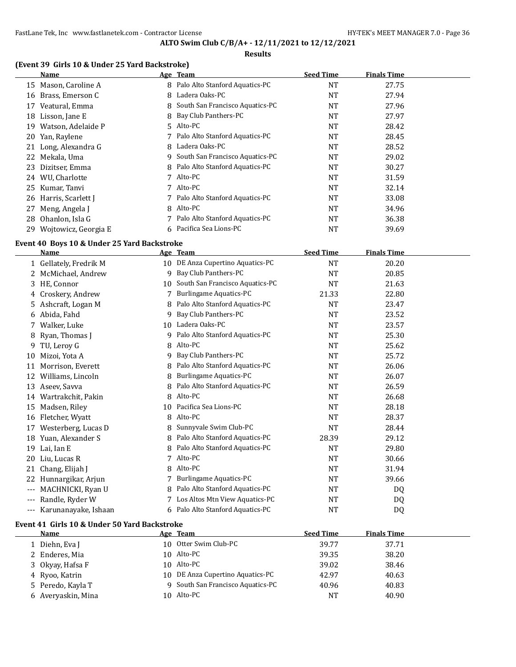### **Results**

### **(Event 39 Girls 10 & Under 25 Yard Backstroke)**

|     | Name                 |    | Age Team                        | <b>Seed Time</b> | <b>Finals Time</b> |  |
|-----|----------------------|----|---------------------------------|------------------|--------------------|--|
| 15  | Mason, Caroline A    | 8  | Palo Alto Stanford Aquatics-PC  | NT               | 27.75              |  |
| 16  | Brass, Emerson C     | 8  | Ladera Oaks-PC                  | NT               | 27.94              |  |
| 17  | Veatural, Emma       | 8  | South San Francisco Aquatics-PC | NT               | 27.96              |  |
| 18  | Lisson, Jane E       | 8  | Bay Club Panthers-PC            | NT               | 27.97              |  |
| 19  | Watson, Adelaide P   | 5. | Alto-PC                         | NT               | 28.42              |  |
| 20  | Yan, Raylene         |    | Palo Alto Stanford Aquatics-PC  | NT               | 28.45              |  |
| 21  | Long, Alexandra G    | 8  | Ladera Oaks-PC                  | NT               | 28.52              |  |
| 22  | Mekala, Uma          | 9  | South San Francisco Aquatics-PC | NT               | 29.02              |  |
| 23  | Dizitser, Emma       | 8  | Palo Alto Stanford Aquatics-PC  | NT               | 30.27              |  |
| 24  | WU, Charlotte        |    | Alto-PC                         | NT               | 31.59              |  |
| 25  | Kumar, Tanvi         |    | Alto-PC                         | <b>NT</b>        | 32.14              |  |
| 26  | Harris, Scarlett I   |    | Palo Alto Stanford Aquatics-PC  | NT               | 33.08              |  |
| 27  | Meng, Angela J       | 8  | Alto-PC                         | NT               | 34.96              |  |
| 28  | Ohanlon, Isla G      |    | Palo Alto Stanford Aquatics-PC  | NT               | 36.38              |  |
| 29. | Wojtowicz, Georgia E | 6  | Pacifica Sea Lions-PC           | NT               | 39.69              |  |

#### **Event 40 Boys 10 & Under 25 Yard Backstroke**

|                   | <b>Name</b>            |    | Age Team                         | <b>Seed Time</b> | <b>Finals Time</b> |  |
|-------------------|------------------------|----|----------------------------------|------------------|--------------------|--|
|                   | 1 Gellately, Fredrik M |    | 10 DE Anza Cupertino Aquatics-PC | <b>NT</b>        | 20.20              |  |
|                   | McMichael, Andrew      | 9  | Bay Club Panthers-PC             | <b>NT</b>        | 20.85              |  |
| 3.                | HE, Connor             | 10 | South San Francisco Aquatics-PC  | <b>NT</b>        | 21.63              |  |
| 4                 | Croskery, Andrew       |    | Burlingame Aquatics-PC           | 21.33            | 22.80              |  |
| 5.                | Ashcraft, Logan M      | 8  | Palo Alto Stanford Aquatics-PC   | <b>NT</b>        | 23.47              |  |
| 6                 | Abida, Fahd            | 9  | Bay Club Panthers-PC             | <b>NT</b>        | 23.52              |  |
|                   | Walker, Luke           | 10 | Ladera Oaks-PC                   | NT               | 23.57              |  |
| 8                 | Ryan, Thomas J         | 9  | Palo Alto Stanford Aquatics-PC   | <b>NT</b>        | 25.30              |  |
| 9                 | TU, Leroy G            | 8  | Alto-PC                          | <b>NT</b>        | 25.62              |  |
| 10                | Mizoi, Yota A          | 9  | Bay Club Panthers-PC             | <b>NT</b>        | 25.72              |  |
| 11                | Morrison, Everett      | 8  | Palo Alto Stanford Aquatics-PC   | <b>NT</b>        | 26.06              |  |
| 12                | Williams, Lincoln      | 8  | Burlingame Aquatics-PC           | <b>NT</b>        | 26.07              |  |
| 13                | Aseev, Savva           | 8  | Palo Alto Stanford Aquatics-PC   | NT               | 26.59              |  |
| 14                | Wartrakchit, Pakin     | 8  | Alto-PC                          | NT               | 26.68              |  |
| 15                | Madsen, Riley          | 10 | Pacifica Sea Lions-PC            | NT               | 28.18              |  |
| 16                | Fletcher, Wyatt        | 8  | Alto-PC                          | <b>NT</b>        | 28.37              |  |
| 17                | Westerberg, Lucas D    |    | Sunnyvale Swim Club-PC           | <b>NT</b>        | 28.44              |  |
| 18                | Yuan, Alexander S      | 8  | Palo Alto Stanford Aquatics-PC   | 28.39            | 29.12              |  |
| 19                | Lai, Ian E             | 8  | Palo Alto Stanford Aquatics-PC   | <b>NT</b>        | 29.80              |  |
| 20                | Liu, Lucas R           |    | Alto-PC                          | <b>NT</b>        | 30.66              |  |
| 21                | Chang, Elijah J        | 8  | Alto-PC                          | <b>NT</b>        | 31.94              |  |
| 22                | Hunnargikar, Arjun     |    | <b>Burlingame Aquatics-PC</b>    | <b>NT</b>        | 39.66              |  |
| $---$             | MACHNICKI, Ryan U      |    | Palo Alto Stanford Aquatics-PC   | <b>NT</b>        | DQ                 |  |
| $---$             | Randle, Ryder W        |    | Los Altos Mtn View Aquatics-PC   | <b>NT</b>        | DQ                 |  |
| $\qquad \qquad -$ | Karunanayake, Ishaan   | 6  | Palo Alto Stanford Aquatics-PC   | <b>NT</b>        | D <sub>0</sub>     |  |

#### **Event 41 Girls 10 & Under 50 Yard Backstroke**

| <b>Name</b>        | Age Team                          | <b>Seed Time</b> | <b>Finals Time</b> |
|--------------------|-----------------------------------|------------------|--------------------|
| 1 Diehn, Eva J     | 10 Otter Swim Club-PC             | 39.77            | 37.71              |
| 2 Enderes, Mia     | 10 Alto-PC                        | 39.35            | 38.20              |
| 3 Okyay, Hafsa F   | 10 Alto-PC                        | 39.02            | 38.46              |
| 4 Ryoo, Katrin     | 10 DE Anza Cupertino Aquatics-PC  | 42.97            | 40.63              |
| 5 Peredo, Kayla T  | 9 South San Francisco Aquatics-PC | 40.96            | 40.83              |
| 6 Averyaskin, Mina | 10 Alto-PC                        | NT               | 40.90              |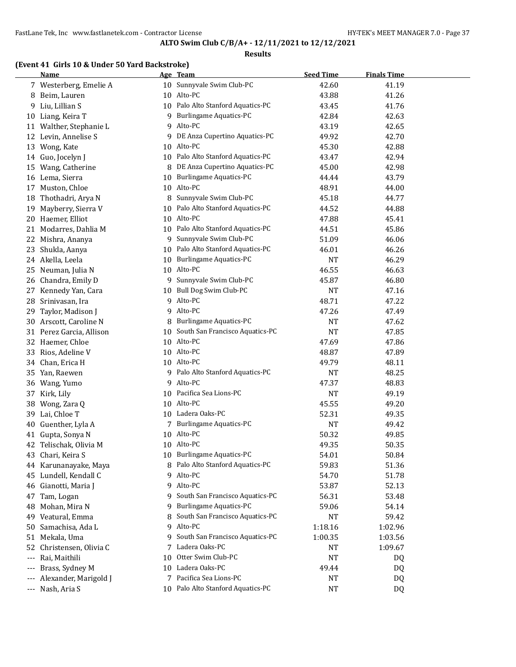### **Results**

# **(Event 41 Girls 10 & Under 50 Yard Backstroke)**

|                     | <b>Name</b>             |    | Age Team                          | <b>Seed Time</b> | <b>Finals Time</b> |  |
|---------------------|-------------------------|----|-----------------------------------|------------------|--------------------|--|
|                     | 7 Westerberg, Emelie A  |    | 10 Sunnyvale Swim Club-PC         | 42.60            | 41.19              |  |
|                     | 8 Beim, Lauren          |    | 10 Alto-PC                        | 43.88            | 41.26              |  |
| 9.                  | Liu, Lillian S          |    | 10 Palo Alto Stanford Aquatics-PC | 43.45            | 41.76              |  |
|                     | 10 Liang, Keira T       | 9  | <b>Burlingame Aquatics-PC</b>     | 42.84            | 42.63              |  |
|                     | 11 Walther, Stephanie L | 9  | Alto-PC                           | 43.19            | 42.65              |  |
| 12                  | Levin, Annelise S       | 9  | DE Anza Cupertino Aquatics-PC     | 49.92            | 42.70              |  |
| 13                  | Wong, Kate              |    | 10 Alto-PC                        | 45.30            | 42.88              |  |
| 14                  | Guo, Jocelyn J          |    | 10 Palo Alto Stanford Aquatics-PC | 43.47            | 42.94              |  |
| 15                  | Wang, Catherine         | 8  | DE Anza Cupertino Aquatics-PC     | 45.00            | 42.98              |  |
|                     | 16 Lema, Sierra         | 10 | <b>Burlingame Aquatics-PC</b>     | 44.44            | 43.79              |  |
| 17                  | Muston, Chloe           |    | 10 Alto-PC                        | 48.91            | 44.00              |  |
| 18                  | Thothadri, Arya N       |    | 8 Sunnyvale Swim Club-PC          | 45.18            | 44.77              |  |
| 19                  | Mayberry, Sierra V      |    | 10 Palo Alto Stanford Aquatics-PC | 44.52            | 44.88              |  |
| 20                  | Haemer, Elliot          |    | 10 Alto-PC                        | 47.88            | 45.41              |  |
| 21                  | Modarres, Dahlia M      | 10 | Palo Alto Stanford Aquatics-PC    | 44.51            | 45.86              |  |
| 22                  | Mishra, Ananya          | 9  | Sunnyvale Swim Club-PC            | 51.09            | 46.06              |  |
| 23                  | Shukla, Aanya           |    | 10 Palo Alto Stanford Aquatics-PC | 46.01            | 46.26              |  |
|                     | 24 Akella, Leela        | 10 | Burlingame Aquatics-PC            | <b>NT</b>        | 46.29              |  |
| 25                  | Neuman, Julia N         |    | 10 Alto-PC                        | 46.55            | 46.63              |  |
| 26                  | Chandra, Emily D        |    | 9 Sunnyvale Swim Club-PC          | 45.87            | 46.80              |  |
|                     | 27 Kennedy Yan, Cara    |    | 10 Bull Dog Swim Club-PC          | <b>NT</b>        | 47.16              |  |
|                     | 28 Srinivasan, Ira      |    | 9 Alto-PC                         | 48.71            | 47.22              |  |
| 29                  | Taylor, Madison J       | 9  | Alto-PC                           | 47.26            | 47.49              |  |
| 30                  | Arscott, Caroline N     | 8  | <b>Burlingame Aquatics-PC</b>     | NT               | 47.62              |  |
| 31                  | Perez Garcia, Allison   | 10 | South San Francisco Aquatics-PC   | <b>NT</b>        | 47.85              |  |
| 32                  | Haemer, Chloe           |    | 10 Alto-PC                        | 47.69            | 47.86              |  |
| 33                  | Rios, Adeline V         |    | 10 Alto-PC                        | 48.87            | 47.89              |  |
|                     | 34 Chan, Erica H        |    | 10 Alto-PC                        | 49.79            | 48.11              |  |
|                     | 35 Yan, Raewen          |    | 9 Palo Alto Stanford Aquatics-PC  | <b>NT</b>        | 48.25              |  |
|                     | 36 Wang, Yumo           |    | 9 Alto-PC                         | 47.37            | 48.83              |  |
|                     | 37 Kirk, Lily           |    | 10 Pacifica Sea Lions-PC          | <b>NT</b>        | 49.19              |  |
| 38                  | Wong, Zara Q            |    | 10 Alto-PC                        | 45.55            | 49.20              |  |
| 39                  | Lai, Chloe T            |    | 10 Ladera Oaks-PC                 | 52.31            | 49.35              |  |
| 40                  | Guenther, Lyla A        | 7  | <b>Burlingame Aquatics-PC</b>     | <b>NT</b>        | 49.42              |  |
|                     | 41 Gupta, Sonya N       |    | 10 Alto-PC                        | 50.32            | 49.85              |  |
|                     | 42 Telischak, Olivia M  |    | 10 Alto-PC                        | 49.35            | 50.35              |  |
| 43                  | Chari, Keira S          |    | 10 Burlingame Aquatics-PC         | 54.01            | 50.84              |  |
| 44                  | Karunanayake, Maya      |    | 8 Palo Alto Stanford Aquatics-PC  | 59.83            | 51.36              |  |
| 45                  | Lundell, Kendall C      |    | 9 Alto-PC                         | 54.70            | 51.78              |  |
| 46                  | Gianotti, Maria J       |    | 9 Alto-PC                         | 53.87            | 52.13              |  |
| 47                  | Tam, Logan              | 9  | South San Francisco Aquatics-PC   | 56.31            | 53.48              |  |
| 48                  | Mohan, Mira N           | 9  | <b>Burlingame Aquatics-PC</b>     | 59.06            | 54.14              |  |
| 49                  | Veatural, Emma          | 8  | South San Francisco Aquatics-PC   | <b>NT</b>        | 59.42              |  |
| 50                  | Samachisa, Ada L        | 9  | Alto-PC                           | 1:18.16          | 1:02.96            |  |
|                     | 51 Mekala, Uma          | 9  | South San Francisco Aquatics-PC   | 1:00.35          | 1:03.56            |  |
| 52                  | Christensen, Olivia C   | 7  | Ladera Oaks-PC                    | NT               | 1:09.67            |  |
| $\qquad \qquad - -$ | Rai, Maithili           | 10 | Otter Swim Club-PC                | <b>NT</b>        | DQ                 |  |
| $---$               | Brass, Sydney M         | 10 | Ladera Oaks-PC                    | 49.44            | DQ                 |  |
| $---$               | Alexander, Marigold J   |    | 7 Pacifica Sea Lions-PC           | NT               | DQ                 |  |
|                     | --- Nash, Aria S        |    | 10 Palo Alto Stanford Aquatics-PC | <b>NT</b>        | DQ                 |  |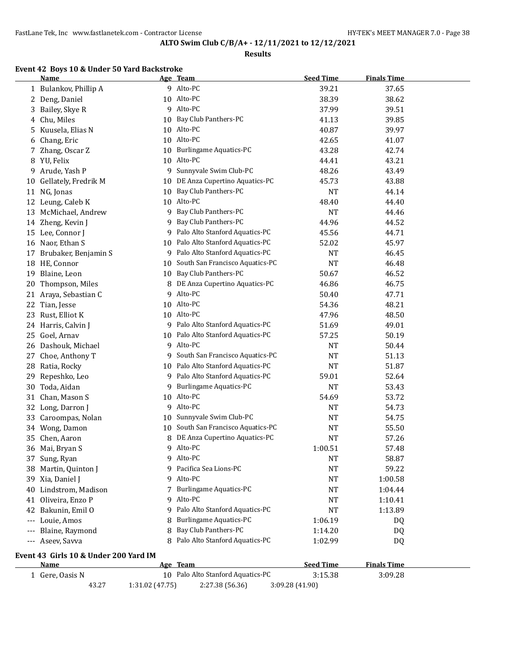### **Results**

# **Event 42 Boys 10 & Under 50 Yard Backstroke**

|     | <b>Name</b>                           |                 | Age Team                          | <b>Seed Time</b> | <b>Finals Time</b> |  |
|-----|---------------------------------------|-----------------|-----------------------------------|------------------|--------------------|--|
|     | 1 Bulankov, Phillip A                 |                 | 9 Alto-PC                         | 39.21            | 37.65              |  |
| 2   | Deng, Daniel                          | 10              | Alto-PC                           | 38.39            | 38.62              |  |
|     | 3 Bailey, Skye R                      | 9               | Alto-PC                           | 37.99            | 39.51              |  |
|     | 4 Chu, Miles                          | 10              | Bay Club Panthers-PC              | 41.13            | 39.85              |  |
| 5.  | Kuusela, Elias N                      | 10              | Alto-PC                           | 40.87            | 39.97              |  |
| 6   | Chang, Eric                           |                 | 10 Alto-PC                        | 42.65            | 41.07              |  |
| 7   | Zhang, Oscar Z                        |                 | 10 Burlingame Aquatics-PC         | 43.28            | 42.74              |  |
| 8   | YU, Felix                             | 10              | Alto-PC                           | 44.41            | 43.21              |  |
| 9   | Arude, Yash P                         | 9               | Sunnyvale Swim Club-PC            | 48.26            | 43.49              |  |
| 10  | Gellately, Fredrik M                  | 10              | DE Anza Cupertino Aquatics-PC     | 45.73            | 43.88              |  |
| 11  | NG, Jonas                             | 10              | Bay Club Panthers-PC              | <b>NT</b>        | 44.14              |  |
| 12  | Leung, Caleb K                        | 10              | Alto-PC                           | 48.40            | 44.40              |  |
|     | 13 McMichael, Andrew                  | 9               | Bay Club Panthers-PC              | <b>NT</b>        | 44.46              |  |
| 14  | Zheng, Kevin J                        | 9               | Bay Club Panthers-PC              | 44.96            | 44.52              |  |
|     | 15 Lee, Connor J                      | 9               | Palo Alto Stanford Aquatics-PC    | 45.56            | 44.71              |  |
|     | 16 Naor, Ethan S                      | 10              | Palo Alto Stanford Aquatics-PC    | 52.02            | 45.97              |  |
| 17  | Brubaker, Benjamin S                  | 9               | Palo Alto Stanford Aquatics-PC    | NT               | 46.45              |  |
|     | 18 HE, Connor                         | 10              | South San Francisco Aquatics-PC   | <b>NT</b>        | 46.48              |  |
|     | 19 Blaine, Leon                       | 10              | Bay Club Panthers-PC              | 50.67            | 46.52              |  |
| 20  | Thompson, Miles                       | 8               | DE Anza Cupertino Aquatics-PC     | 46.86            | 46.75              |  |
|     |                                       | 9               | Alto-PC                           |                  |                    |  |
| 21  | Araya, Sebastian C                    |                 | 10 Alto-PC                        | 50.40            | 47.71              |  |
| 22  | Tian, Jesse                           |                 | 10 Alto-PC                        | 54.36            | 48.21              |  |
| 23  | Rust, Elliot K                        |                 |                                   | 47.96            | 48.50              |  |
|     | 24 Harris, Calvin J                   |                 | 9 Palo Alto Stanford Aquatics-PC  | 51.69            | 49.01              |  |
| 25  | Goel, Arnav                           | 10              | Palo Alto Stanford Aquatics-PC    | 57.25            | 50.19              |  |
| 26  | Dashouk, Michael                      | 9               | Alto-PC                           | <b>NT</b>        | 50.44              |  |
| 27  | Choe, Anthony T                       | 9               | South San Francisco Aquatics-PC   | <b>NT</b>        | 51.13              |  |
| 28  | Ratia, Rocky                          | 10              | Palo Alto Stanford Aquatics-PC    | NT               | 51.87              |  |
| 29  | Repeshko, Leo                         | 9               | Palo Alto Stanford Aquatics-PC    | 59.01            | 52.64              |  |
| 30  | Toda, Aidan                           | 9               | <b>Burlingame Aquatics-PC</b>     | <b>NT</b>        | 53.43              |  |
| 31  | Chan, Mason S                         | 10              | Alto-PC                           | 54.69            | 53.72              |  |
|     | 32 Long, Darron J                     | 9               | Alto-PC                           | <b>NT</b>        | 54.73              |  |
|     | 33 Caroompas, Nolan                   | 10              | Sunnyvale Swim Club-PC            | <b>NT</b>        | 54.75              |  |
|     | 34 Wong, Damon                        | 10              | South San Francisco Aquatics-PC   | NT               | 55.50              |  |
|     | 35 Chen, Aaron                        | 8               | DE Anza Cupertino Aquatics-PC     | <b>NT</b>        | 57.26              |  |
|     | 36 Mai, Bryan S                       | 9               | Alto-PC                           | 1:00.51          | 57.48              |  |
|     | 37 Sung, Ryan                         |                 | 9 Alto-PC                         | <b>NT</b>        | 58.87              |  |
|     | 38 Martin, Quinton J                  | 9               | Pacifica Sea Lions-PC             | <b>NT</b>        | 59.22              |  |
|     | 39 Xia, Daniel J                      | 9               | Alto-PC                           | <b>NT</b>        | 1:00.58            |  |
|     | 40 Lindstrom, Madison                 | 7               | <b>Burlingame Aquatics-PC</b>     | <b>NT</b>        | 1:04.44            |  |
| 41  | Oliveira, Enzo P                      | 9               | Alto-PC                           | <b>NT</b>        | 1:10.41            |  |
| 42  | Bakunin, Emil O                       | 9               | Palo Alto Stanford Aquatics-PC    | <b>NT</b>        | 1:13.89            |  |
| --- | Louie, Amos                           |                 | <b>Burlingame Aquatics-PC</b>     | 1:06.19          | DQ                 |  |
| --- | Blaine, Raymond                       | 8               | Bay Club Panthers-PC              | 1:14.20          | DQ                 |  |
| --- | Aseev, Savva                          | 8               | Palo Alto Stanford Aquatics-PC    | 1:02.99          | DQ                 |  |
|     | Event 43 Girls 10 & Under 200 Yard IM |                 |                                   |                  |                    |  |
|     | <b>Name</b>                           |                 | Age Team                          | <b>Seed Time</b> | <b>Finals Time</b> |  |
|     | 1 Gere, Oasis N                       |                 | 10 Palo Alto Stanford Aquatics-PC | 3:15.38          | 3:09.28            |  |
|     | 43.27                                 | 1:31.02 (47.75) | 2:27.38 (56.36)                   | 3:09.28 (41.90)  |                    |  |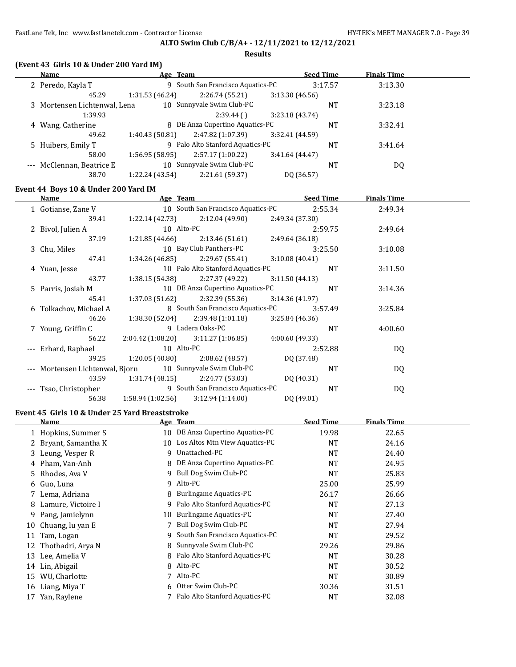#### **Results**

| Name                         | Age Team        |                                   |                 | <b>Seed Time</b> | <b>Finals Time</b> |  |
|------------------------------|-----------------|-----------------------------------|-----------------|------------------|--------------------|--|
| 2 Peredo, Kayla T            |                 | 9 South San Francisco Aquatics-PC |                 | 3:17.57          | 3:13.30            |  |
| 45.29                        | 1:31.53(46.24)  | 2:26.74(55.21)                    | 3:13.30(46.56)  |                  |                    |  |
| 3 Mortensen Lichtenwal, Lena |                 | 10 Sunnyvale Swim Club-PC         |                 | NT               | 3:23.18            |  |
| 1:39.93                      |                 | 2:39.44(                          | 3:23.18 (43.74) |                  |                    |  |
| 4 Wang, Catherine            |                 | 8 DE Anza Cupertino Aquatics-PC   |                 | <b>NT</b>        | 3:32.41            |  |
| 49.62                        | 1:40.43(50.81)  | 2:47.82 (1:07.39)                 | 3:32.41 (44.59) |                  |                    |  |
| 5 Huibers, Emily T           |                 | 9 Palo Alto Stanford Aquatics-PC  |                 | <b>NT</b>        | 3:41.64            |  |
| 58.00                        | 1:56.95(58.95)  | 2:57.17(1:00.22)                  | 3:41.64(44.47)  |                  |                    |  |
| --- McClennan, Beatrice E    |                 | 10 Sunnyvale Swim Club-PC         |                 | NT               | DQ                 |  |
| 38.70                        | 1:22.24 (43.54) | 2:21.61 (59.37)                   | DO (36.57)      |                  |                    |  |

### **Event 44 Boys 10 & Under 200 Yard IM**

| <b>Name</b>                                               | Age Team          |                                       |                 | <b>Seed Time</b> | <b>Finals Time</b> |  |
|-----------------------------------------------------------|-------------------|---------------------------------------|-----------------|------------------|--------------------|--|
| 1 Gotianse, Zane V                                        |                   | 10 South San Francisco Aquatics-PC    |                 | 2:55.34          | 2:49.34            |  |
| 39.41                                                     |                   | $1:22.14(42.73)$ $2:12.04(49.90)$     | 2:49.34 (37.30) |                  |                    |  |
| 2 Bivol, Julien A                                         | 10 Alto-PC        |                                       |                 | 2:59.75          | 2:49.64            |  |
| 37.19                                                     | 1:21.85 (44.66)   | 2:13.46 (51.61)                       | 2:49.64(36.18)  |                  |                    |  |
| 3 Chu, Miles                                              |                   | 10 Bay Club Panthers-PC               |                 | 3:25.50          | 3:10.08            |  |
| 47.41                                                     |                   | $1:34.26(46.85)$ $2:29.67(55.41)$     | 3:10.08(40.41)  |                  |                    |  |
| 4 Yuan, Jesse                                             |                   | 10 Palo Alto Stanford Aquatics-PC     |                 | <b>NT</b>        | 3:11.50            |  |
| 43.77                                                     | 1:38.15 (54.38)   | 2:27.37 (49.22)                       | 3:11.50(44.13)  |                  |                    |  |
| 5 Parris, Josiah M                                        |                   | 10 DE Anza Cupertino Aquatics-PC      |                 | <b>NT</b>        | 3:14.36            |  |
| 45.41                                                     |                   | $1:37.03(51.62)$ $2:32.39(55.36)$     | 3:14.36(41.97)  |                  |                    |  |
| 6 Tolkachov, Michael A                                    |                   | 8 South San Francisco Aquatics-PC     |                 | 3:57.49          | 3:25.84            |  |
| 46.26                                                     |                   | $1:38.30(52.04)$ $2:39.48(1:01.18)$   | 3:25.84(46.36)  |                  |                    |  |
| 7 Young, Griffin C                                        |                   | 9 Ladera Oaks-PC                      |                 | <b>NT</b>        | 4:00.60            |  |
| 56.22                                                     |                   | $2:04.42(1:08.20)$ $3:11.27(1:06.85)$ | 4:00.60(49.33)  |                  |                    |  |
| --- Erhard, Raphael                                       | 10 Alto-PC        |                                       |                 | 2:52.88          | DQ                 |  |
| 39.25                                                     | 1:20.05 (40.80)   | 2:08.62 (48.57)                       | DQ (37.48)      |                  |                    |  |
| --- Mortensen Lichtenwal, Bjorn 10 Sunnyvale Swim Club-PC |                   |                                       |                 | <b>NT</b>        | DQ                 |  |
| 43.59                                                     |                   | $1:31.74(48.15)$ $2:24.77(53.03)$     | DQ (40.31)      |                  |                    |  |
| Tsao, Christopher                                         |                   | 9 South San Francisco Aquatics-PC     |                 | NT               | DQ                 |  |
| 56.38                                                     | 1:58.94 (1:02.56) | 3:12.94(1:14.00)                      | DQ (49.01)      |                  |                    |  |

## **Event 45 Girls 10 & Under 25 Yard Breaststroke**

|    | Name                 |    | Age Team                          | <b>Seed Time</b> | <b>Finals Time</b> |  |
|----|----------------------|----|-----------------------------------|------------------|--------------------|--|
|    | 1 Hopkins, Summer S  | 10 | DE Anza Cupertino Aquatics-PC     | 19.98            | 22.65              |  |
|    | 2 Bryant, Samantha K |    | 10 Los Altos Mtn View Aquatics-PC | NT               | 24.16              |  |
|    | 3 Leung, Vesper R    | 9  | Unattached-PC                     | <b>NT</b>        | 24.40              |  |
|    | 4 Pham, Van-Anh      | 8  | DE Anza Cupertino Aquatics-PC     | <b>NT</b>        | 24.95              |  |
|    | 5 Rhodes, Ava V      | 9  | Bull Dog Swim Club-PC             | NT               | 25.83              |  |
|    | 6 Guo, Luna          | 9  | Alto-PC                           | 25.00            | 25.99              |  |
|    | 7 Lema, Adriana      | 8  | Burlingame Aquatics-PC            | 26.17            | 26.66              |  |
|    | 8 Lamure, Victoire I | 9  | Palo Alto Stanford Aquatics-PC    | <b>NT</b>        | 27.13              |  |
| 9  | Pang, Jamielynn      | 10 | Burlingame Aquatics-PC            | NT               | 27.40              |  |
| 10 | Chuang, lu yan E     |    | Bull Dog Swim Club-PC             | NT               | 27.94              |  |
| 11 | Tam, Logan           | 9  | South San Francisco Aquatics-PC   | NT               | 29.52              |  |
| 12 | Thothadri, Arya N    | 8  | Sunnyvale Swim Club-PC            | 29.26            | 29.86              |  |
| 13 | Lee, Amelia V        | 8  | Palo Alto Stanford Aquatics-PC    | <b>NT</b>        | 30.28              |  |
| 14 | Lin, Abigail         | 8  | Alto-PC                           | <b>NT</b>        | 30.52              |  |
| 15 | WU, Charlotte        |    | Alto-PC                           | NT               | 30.89              |  |
| 16 | Liang, Miya T        |    | 6 Otter Swim Club-PC              | 30.36            | 31.51              |  |
| 17 | Yan, Raylene         |    | Palo Alto Stanford Aquatics-PC    | NT               | 32.08              |  |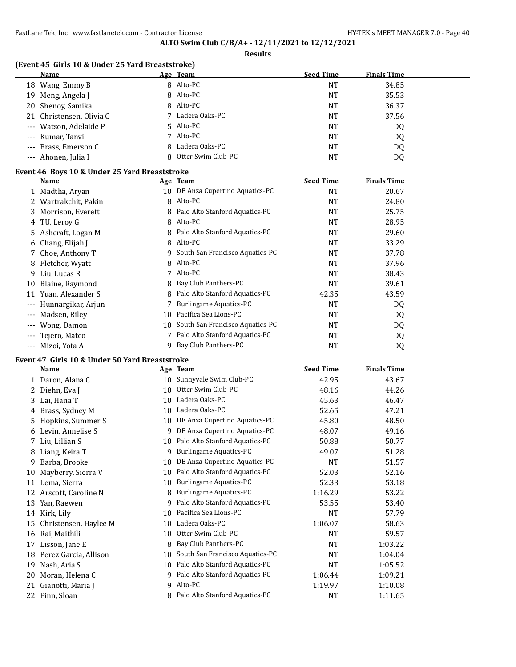**Results**

## **(Event 45 Girls 10 & Under 25 Yard Breaststroke)**

| Name                     | Age Team             | <b>Seed Time</b> | <b>Finals Time</b> |
|--------------------------|----------------------|------------------|--------------------|
| 18 Wang, Emmy B          | 8 Alto-PC            | NT               | 34.85              |
| 19 Meng, Angela J        | 8 Alto-PC            | NT               | 35.53              |
| 20 Shenoy, Samika        | 8 Alto-PC            | NT               | 36.37              |
| 21 Christensen, Olivia C | 7 Ladera Oaks-PC     | NT               | 37.56              |
| --- Watson, Adelaide P   | 5 Alto-PC            | NT               | DQ                 |
| --- Kumar, Tanvi         | 7 Alto-PC            | NT               | DQ                 |
| --- Brass, Emerson C     | 8 Ladera Oaks-PC     | NT               | DQ                 |
| --- Ahonen, Julia I      | 8 Otter Swim Club-PC | <b>NT</b>        | D0                 |

## **Event 46 Boys 10 & Under 25 Yard Breaststroke**

|                   | Name                 |    | Age Team                          | <b>Seed Time</b> | <b>Finals Time</b> |  |
|-------------------|----------------------|----|-----------------------------------|------------------|--------------------|--|
|                   | 1 Madtha, Aryan      |    | 10 DE Anza Cupertino Aquatics-PC  | NT               | 20.67              |  |
|                   | 2 Wartrakchit, Pakin | 8  | Alto-PC                           | NT               | 24.80              |  |
|                   | 3 Morrison, Everett  |    | Palo Alto Stanford Aquatics-PC    | NT               | 25.75              |  |
|                   | 4 TU, Leroy G        | 8  | Alto-PC                           | NT               | 28.95              |  |
|                   | 5 Ashcraft, Logan M  |    | 8 Palo Alto Stanford Aquatics-PC  | NT               | 29.60              |  |
|                   | 6 Chang, Elijah J    | 8  | Alto-PC                           | <b>NT</b>        | 33.29              |  |
|                   | 7 Choe, Anthony T    |    | 9 South San Francisco Aquatics-PC | NT               | 37.78              |  |
|                   | 8 Fletcher, Wyatt    |    | 8 Alto-PC                         | <b>NT</b>        | 37.96              |  |
|                   | 9 Liu, Lucas R       |    | Alto-PC                           | <b>NT</b>        | 38.43              |  |
| 10                | Blaine, Raymond      | 8  | Bay Club Panthers-PC              | <b>NT</b>        | 39.61              |  |
| 11                | Yuan, Alexander S    | 8  | Palo Alto Stanford Aquatics-PC    | 42.35            | 43.59              |  |
| $---$             | Hunnargikar, Arjun   |    | <b>Burlingame Aquatics-PC</b>     | <b>NT</b>        | DQ                 |  |
| $---$             | Madsen, Riley        | 10 | Pacifica Sea Lions-PC             | NT               | DQ                 |  |
| $---$             | Wong, Damon          | 10 | South San Francisco Aquatics-PC   | <b>NT</b>        | DQ                 |  |
| $---$             | Tejero, Mateo        |    | Palo Alto Stanford Aquatics-PC    | NT               | DQ                 |  |
| $\qquad \qquad -$ | Mizoi, Yota A        | 9  | Bay Club Panthers-PC              | NT               | DQ                 |  |

### **Event 47 Girls 10 & Under 50 Yard Breaststroke**

|    | <b>Name</b>           |    | Age Team                        | <b>Seed Time</b> | <b>Finals Time</b> |  |
|----|-----------------------|----|---------------------------------|------------------|--------------------|--|
| 1  | Daron, Alana C        | 10 | Sunnyvale Swim Club-PC          | 42.95            | 43.67              |  |
|    | Diehn, Eva J          | 10 | Otter Swim Club-PC              | 48.16            | 44.26              |  |
| 3  | Lai, Hana T           | 10 | Ladera Oaks-PC                  | 45.63            | 46.47              |  |
| 4  | Brass, Sydney M       | 10 | Ladera Oaks-PC                  | 52.65            | 47.21              |  |
| 5  | Hopkins, Summer S     | 10 | DE Anza Cupertino Aquatics-PC   | 45.80            | 48.50              |  |
| 6  | Levin, Annelise S     | 9  | DE Anza Cupertino Aquatics-PC   | 48.07            | 49.16              |  |
|    | Liu, Lillian S        | 10 | Palo Alto Stanford Aquatics-PC  | 50.88            | 50.77              |  |
| 8  | Liang, Keira T        | 9  | <b>Burlingame Aquatics-PC</b>   | 49.07            | 51.28              |  |
| 9  | Barba, Brooke         | 10 | DE Anza Cupertino Aquatics-PC   | <b>NT</b>        | 51.57              |  |
| 10 | Mayberry, Sierra V    | 10 | Palo Alto Stanford Aquatics-PC  | 52.03            | 52.16              |  |
| 11 | Lema, Sierra          | 10 | Burlingame Aquatics-PC          | 52.33            | 53.18              |  |
| 12 | Arscott, Caroline N   | 8  | <b>Burlingame Aquatics-PC</b>   | 1:16.29          | 53.22              |  |
| 13 | Yan, Raewen           | 9  | Palo Alto Stanford Aquatics-PC  | 53.55            | 53.40              |  |
|    | 14 Kirk, Lily         | 10 | Pacifica Sea Lions-PC           | NT               | 57.79              |  |
| 15 | Christensen, Haylee M | 10 | Ladera Oaks-PC                  | 1:06.07          | 58.63              |  |
| 16 | Rai, Maithili         | 10 | Otter Swim Club-PC              | NT               | 59.57              |  |
| 17 | Lisson, Jane E        | 8  | Bay Club Panthers-PC            | NT               | 1:03.22            |  |
| 18 | Perez Garcia, Allison | 10 | South San Francisco Aquatics-PC | <b>NT</b>        | 1:04.04            |  |
| 19 | Nash, Aria S          | 10 | Palo Alto Stanford Aquatics-PC  | NT               | 1:05.52            |  |
| 20 | Moran, Helena C       | 9  | Palo Alto Stanford Aquatics-PC  | 1:06.44          | 1:09.21            |  |
| 21 | Gianotti, Maria J     | 9  | Alto-PC                         | 1:19.97          | 1:10.08            |  |
| 22 | Finn, Sloan           | 8  | Palo Alto Stanford Aquatics-PC  | <b>NT</b>        | 1:11.65            |  |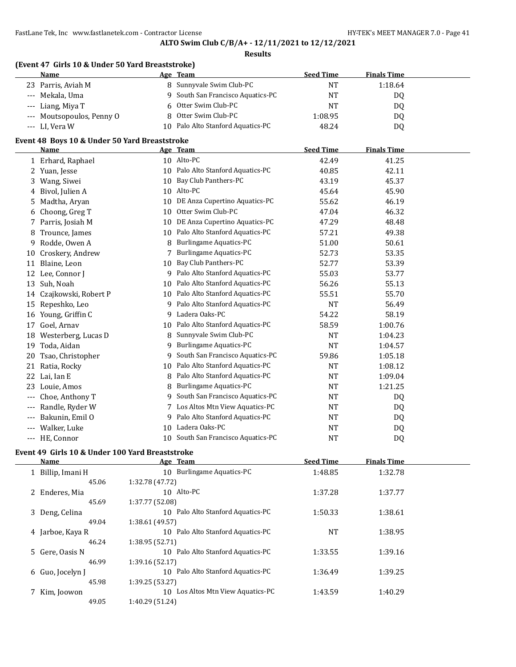#### **Results**

## **(Event 47 Girls 10 & Under 50 Yard Breaststroke)**

| Name                      | Age Team                          | <b>Seed Time</b> | <b>Finals Time</b> |  |
|---------------------------|-----------------------------------|------------------|--------------------|--|
| 23 Parris, Aviah M        | 8 Sunnyvale Swim Club-PC          | NT               | 1:18.64            |  |
| --- Mekala, Uma           | 9 South San Francisco Aquatics-PC | NT               | DQ                 |  |
| --- Liang, Miya T         | 6 Otter Swim Club-PC              | NT               | DO                 |  |
| --- Moutsopoulos, Penny O | 8 Otter Swim Club-PC              | 1:08.95          | DQ                 |  |
| --- LI, Vera W            | 10 Palo Alto Stanford Aquatics-PC | 48.24            | D <sub>0</sub>     |  |

## **Event 48 Boys 10 & Under 50 Yard Breaststroke**

|         | <b>Name</b>          |                 | Age Team                        | <b>Seed Time</b> | <b>Finals Time</b> |  |
|---------|----------------------|-----------------|---------------------------------|------------------|--------------------|--|
|         | 1 Erhard, Raphael    |                 | 10 Alto-PC                      | 42.49            | 41.25              |  |
| 2.      | Yuan, Jesse          | 10 <sup>1</sup> | Palo Alto Stanford Aquatics-PC  | 40.85            | 42.11              |  |
| 3       | Wang, Siwei          | 10              | Bay Club Panthers-PC            | 43.19            | 45.37              |  |
| 4       | Bivol, Julien A      | 10              | Alto-PC                         | 45.64            | 45.90              |  |
| 5.      | Madtha, Aryan        | 10              | DE Anza Cupertino Aquatics-PC   | 55.62            | 46.19              |  |
| 6       | Choong, Greg T       | 10              | Otter Swim Club-PC              | 47.04            | 46.32              |  |
| 7       | Parris, Josiah M     | 10              | DE Anza Cupertino Aquatics-PC   | 47.29            | 48.48              |  |
| 8       | Trounce, James       | 10              | Palo Alto Stanford Aquatics-PC  | 57.21            | 49.38              |  |
| 9       | Rodde, Owen A        | 8               | <b>Burlingame Aquatics-PC</b>   | 51.00            | 50.61              |  |
| 10      | Croskery, Andrew     |                 | <b>Burlingame Aquatics-PC</b>   | 52.73            | 53.35              |  |
| 11      | Blaine, Leon         | 10              | Bay Club Panthers-PC            | 52.77            | 53.39              |  |
| 12      | Lee, Connor J        | 9               | Palo Alto Stanford Aquatics-PC  | 55.03            | 53.77              |  |
| 13      | Suh, Noah            | 10              | Palo Alto Stanford Aquatics-PC  | 56.26            | 55.13              |  |
| 14      | Czajkowski, Robert P | 10              | Palo Alto Stanford Aquatics-PC  | 55.51            | 55.70              |  |
| 15      | Repeshko, Leo        | 9               | Palo Alto Stanford Aquatics-PC  | <b>NT</b>        | 56.49              |  |
| 16      | Young, Griffin C     | 9               | Ladera Oaks-PC                  | 54.22            | 58.19              |  |
| 17      | Goel, Arnav          | 10              | Palo Alto Stanford Aquatics-PC  | 58.59            | 1:00.76            |  |
| 18      | Westerberg, Lucas D  | 8               | Sunnyvale Swim Club-PC          | NT               | 1:04.23            |  |
| 19      | Toda, Aidan          | 9               | Burlingame Aquatics-PC          | <b>NT</b>        | 1:04.57            |  |
| 20      | Tsao, Christopher    | 9               | South San Francisco Aquatics-PC | 59.86            | 1:05.18            |  |
| 21      | Ratia, Rocky         | 10              | Palo Alto Stanford Aquatics-PC  | <b>NT</b>        | 1:08.12            |  |
| 22      | Lai, Ian E           | 8               | Palo Alto Stanford Aquatics-PC  | <b>NT</b>        | 1:09.04            |  |
| 23      | Louie, Amos          | 8               | Burlingame Aquatics-PC          | NT               | 1:21.25            |  |
| $- - -$ | Choe, Anthony T      | 9               | South San Francisco Aquatics-PC | NT               | D <sub>0</sub>     |  |
| $- - -$ | Randle, Ryder W      |                 | Los Altos Mtn View Aquatics-PC  | NT               | DQ.                |  |
| $---$   | Bakunin, Emil O      | 9               | Palo Alto Stanford Aquatics-PC  | NT               | DQ                 |  |
|         | Walker, Luke         | 10              | Ladera Oaks-PC                  | NT               | DQ.                |  |
| $---$   | HE, Connor           | 10              | South San Francisco Aquatics-PC | <b>NT</b>        | DQ                 |  |

### **Event 49 Girls 10 & Under 100 Yard Breaststroke**

| <b>Name</b>       | Age Team                             | <b>Seed Time</b> | <b>Finals Time</b> |  |
|-------------------|--------------------------------------|------------------|--------------------|--|
| 1 Billip, Imani H | <b>Burlingame Aquatics-PC</b><br>10  | 1:48.85          | 1:32.78            |  |
| 45.06             | 1:32.78 (47.72)                      |                  |                    |  |
| 2 Enderes, Mia    | 10 Alto-PC                           | 1:37.28          | 1:37.77            |  |
| 45.69             | 1:37.77 (52.08)                      |                  |                    |  |
| 3 Deng, Celina    | Palo Alto Stanford Aquatics-PC<br>10 | 1:50.33          | 1:38.61            |  |
| 49.04             | 1:38.61 (49.57)                      |                  |                    |  |
| 4 Jarboe, Kaya R  | Palo Alto Stanford Aquatics-PC<br>10 | <b>NT</b>        | 1:38.95            |  |
| 46.24             | 1:38.95 (52.71)                      |                  |                    |  |
| 5 Gere, Oasis N   | Palo Alto Stanford Aquatics-PC<br>10 | 1:33.55          | 1:39.16            |  |
| 46.99             | 1:39.16 (52.17)                      |                  |                    |  |
| 6 Guo, Jocelyn J  | Palo Alto Stanford Aquatics-PC<br>10 | 1:36.49          | 1:39.25            |  |
| 45.98             | 1:39.25(53.27)                       |                  |                    |  |
| 7 Kim, Joowon     | Los Altos Mtn View Aquatics-PC<br>10 | 1:43.59          | 1:40.29            |  |
| 49.05             | 1:40.29 (51.24)                      |                  |                    |  |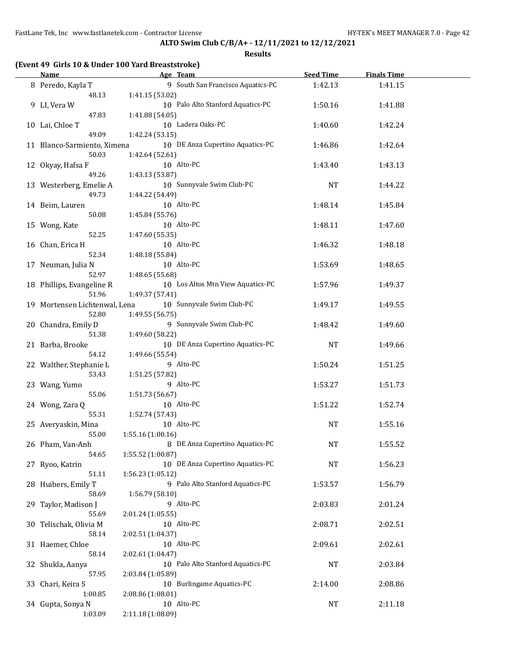FastLane Tek, Inc www.fastlanetek.com - Contractor License **HY-TEK's MEET MANAGER 7.0** - Page 42

**ALTO Swim Club C/B/A+ - 12/11/2021 to 12/12/2021**

**Results**

| (Event 49 Girls 10 & Under 100 Yard Breaststroke) |                                   |                  |                    |  |  |  |  |  |  |  |
|---------------------------------------------------|-----------------------------------|------------------|--------------------|--|--|--|--|--|--|--|
| Name                                              | Age Team                          | <b>Seed Time</b> | <b>Finals Time</b> |  |  |  |  |  |  |  |
| 8 Peredo, Kayla T                                 | 9 South San Francisco Aquatics-PC | 1:42.13          | 1:41.15            |  |  |  |  |  |  |  |
| 48.13                                             | 1:41.15(53.02)                    |                  |                    |  |  |  |  |  |  |  |
| 9 LI, Vera W                                      | 10 Palo Alto Stanford Aquatics-PC | 1:50.16          | 1:41.88            |  |  |  |  |  |  |  |
|                                                   |                                   |                  |                    |  |  |  |  |  |  |  |

| 48.13                         | 1:41.15 (53.02)                   |           |         |  |
|-------------------------------|-----------------------------------|-----------|---------|--|
| 9 LI, Vera W                  | 10 Palo Alto Stanford Aquatics-PC | 1:50.16   | 1:41.88 |  |
| 47.83                         | 1:41.88 (54.05)                   |           |         |  |
| 10 Lai, Chloe T               | 10 Ladera Oaks-PC                 | 1:40.60   | 1:42.24 |  |
| 49.09                         | 1:42.24 (53.15)                   |           |         |  |
| 11 Blanco-Sarmiento, Ximena   | 10 DE Anza Cupertino Aquatics-PC  | 1:46.86   | 1:42.64 |  |
| 50.03                         | 1:42.64 (52.61)                   |           |         |  |
| 12 Okyay, Hafsa F             | 10 Alto-PC                        | 1:43.40   | 1:43.13 |  |
| 49.26                         | 1:43.13 (53.87)                   |           |         |  |
|                               | 10 Sunnyvale Swim Club-PC         |           |         |  |
| 13 Westerberg, Emelie A       |                                   | NT        | 1:44.22 |  |
| 49.73                         | 1:44.22 (54.49)                   |           |         |  |
| 14 Beim, Lauren               | 10 Alto-PC                        | 1:48.14   | 1:45.84 |  |
| 50.08                         | 1:45.84 (55.76)                   |           |         |  |
| 15 Wong, Kate                 | 10 Alto-PC                        | 1:48.11   | 1:47.60 |  |
| 52.25                         | 1:47.60 (55.35)                   |           |         |  |
| 16 Chan, Erica H              | 10 Alto-PC                        | 1:46.32   | 1:48.18 |  |
| 52.34                         | 1:48.18 (55.84)                   |           |         |  |
| 17 Neuman, Julia N            | 10 Alto-PC                        | 1:53.69   | 1:48.65 |  |
| 52.97                         | 1:48.65 (55.68)                   |           |         |  |
| 18 Phillips, Evangeline R     | 10 Los Altos Mtn View Aquatics-PC | 1:57.96   | 1:49.37 |  |
| 51.96                         | 1:49.37 (57.41)                   |           |         |  |
| 19 Mortensen Lichtenwal, Lena | 10 Sunnyvale Swim Club-PC         | 1:49.17   | 1:49.55 |  |
| 52.80                         | 1:49.55 (56.75)                   |           |         |  |
| 20 Chandra, Emily D           | 9 Sunnyvale Swim Club-PC          | 1:48.42   | 1:49.60 |  |
| 51.38                         | 1:49.60 (58.22)                   |           |         |  |
|                               | 10 DE Anza Cupertino Aquatics-PC  | NT        |         |  |
| 21 Barba, Brooke<br>54.12     |                                   |           | 1:49.66 |  |
|                               | 1:49.66 (55.54)                   |           |         |  |
| 22 Walther, Stephanie L       | 9 Alto-PC                         | 1:50.24   | 1:51.25 |  |
| 53.43                         | 1:51.25 (57.82)                   |           |         |  |
| 23 Wang, Yumo                 | 9 Alto-PC                         | 1:53.27   | 1:51.73 |  |
| 55.06                         | 1:51.73 (56.67)                   |           |         |  |
| 24 Wong, Zara Q               | 10 Alto-PC                        | 1:51.22   | 1:52.74 |  |
| 55.31                         | 1:52.74 (57.43)                   |           |         |  |
| 25 Averyaskin, Mina           | 10 Alto-PC                        | NT        | 1:55.16 |  |
| 55.00                         | 1:55.16 (1:00.16)                 |           |         |  |
| 26 Pham, Van-Anh              | 8 DE Anza Cupertino Aquatics-PC   | NT        | 1:55.52 |  |
| 54.65                         | 1:55.52 (1:00.87)                 |           |         |  |
| 27 Ryoo, Katrin               | 10 DE Anza Cupertino Aquatics-PC  | <b>NT</b> | 1:56.23 |  |
| 51.11                         | 1:56.23 (1:05.12)                 |           |         |  |
| 28 Huibers, Emily T           | 9 Palo Alto Stanford Aquatics-PC  | 1:53.57   | 1:56.79 |  |
| 58.69                         | 1:56.79 (58.10)                   |           |         |  |
| 29 Taylor, Madison J          | 9 Alto-PC                         | 2:03.83   | 2:01.24 |  |
| 55.69                         | 2:01.24 (1:05.55)                 |           |         |  |
| 30 Telischak, Olivia M        | 10 Alto-PC                        | 2:08.71   | 2:02.51 |  |
| 58.14                         |                                   |           |         |  |
|                               | 2:02.51 (1:04.37)                 |           |         |  |
| 31 Haemer, Chloe              | 10 Alto-PC                        | 2:09.61   | 2:02.61 |  |
| 58.14                         | 2:02.61 (1:04.47)                 |           |         |  |
| 32 Shukla, Aanya              | 10 Palo Alto Stanford Aquatics-PC | NT        | 2:03.84 |  |
| 57.95                         | 2:03.84 (1:05.89)                 |           |         |  |
| 33 Chari, Keira S             | 10 Burlingame Aquatics-PC         | 2:14.00   | 2:08.86 |  |
| 1:00.85                       | 2:08.86 (1:08.01)                 |           |         |  |
| 34 Gupta, Sonya N             | 10 Alto-PC                        | NT        | 2:11.18 |  |
| 1:03.09                       | 2:11.18 (1:08.09)                 |           |         |  |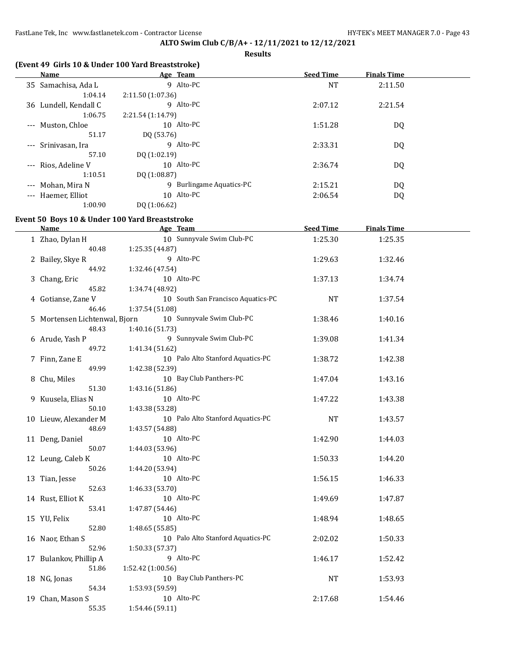# **ALTO Swim Club C/B/A+ - 12/11/2021 to 12/12/2021**

**Results**

| (Event 49 Girls 10 & Under 100 Yard Breaststroke) |                   |                                    |                  |                    |  |
|---------------------------------------------------|-------------------|------------------------------------|------------------|--------------------|--|
| <b>Name</b>                                       |                   | Age Team                           | <b>Seed Time</b> | <b>Finals Time</b> |  |
| 35 Samachisa, Ada L                               |                   | 9 Alto-PC                          | NT               | 2:11.50            |  |
| 1:04.14                                           | 2:11.50 (1:07.36) |                                    |                  |                    |  |
| 36 Lundell, Kendall C                             |                   | 9 Alto-PC                          | 2:07.12          | 2:21.54            |  |
| 1:06.75                                           | 2:21.54 (1:14.79) |                                    |                  |                    |  |
| Muston, Chloe                                     |                   | 10 Alto-PC                         | 1:51.28          | DQ                 |  |
| 51.17                                             | DQ (53.76)        |                                    |                  |                    |  |
| Srinivasan, Ira                                   |                   | 9 Alto-PC                          | 2:33.31          | DQ                 |  |
| 57.10                                             | DQ (1:02.19)      |                                    |                  |                    |  |
| Rios, Adeline V                                   |                   | 10 Alto-PC                         | 2:36.74          |                    |  |
| 1:10.51                                           |                   |                                    |                  | DQ                 |  |
|                                                   | DQ (1:08.87)      |                                    |                  |                    |  |
| Mohan, Mira N                                     |                   | 9 Burlingame Aquatics-PC           | 2:15.21          | DQ                 |  |
| --- Haemer, Elliot                                |                   | 10 Alto-PC                         | 2:06.54          | DQ                 |  |
| 1:00.90                                           | DQ (1:06.62)      |                                    |                  |                    |  |
| Event 50 Boys 10 & Under 100 Yard Breaststroke    |                   |                                    |                  |                    |  |
| Name                                              |                   | Age Team                           | <b>Seed Time</b> | <b>Finals Time</b> |  |
| 1 Zhao, Dylan H                                   |                   | 10 Sunnyvale Swim Club-PC          | 1:25.30          | 1:25.35            |  |
| 40.48                                             | 1:25.35 (44.87)   |                                    |                  |                    |  |
| 2 Bailey, Skye R                                  |                   | 9 Alto-PC                          | 1:29.63          | 1:32.46            |  |
| 44.92                                             | 1:32.46 (47.54)   |                                    |                  |                    |  |
|                                                   |                   | 10 Alto-PC                         | 1:37.13          |                    |  |
| 3 Chang, Eric<br>45.82                            |                   |                                    |                  | 1:34.74            |  |
|                                                   | 1:34.74 (48.92)   |                                    |                  |                    |  |
| 4 Gotianse, Zane V                                |                   | 10 South San Francisco Aquatics-PC | NT               | 1:37.54            |  |
| 46.46                                             | 1:37.54 (51.08)   |                                    |                  |                    |  |
| 5 Mortensen Lichtenwal, Bjorn                     |                   | 10 Sunnyvale Swim Club-PC          | 1:38.46          | 1:40.16            |  |
| 48.43                                             | 1:40.16 (51.73)   |                                    |                  |                    |  |
| 6 Arude, Yash P                                   |                   | 9 Sunnyvale Swim Club-PC           | 1:39.08          | 1:41.34            |  |
| 49.72                                             | 1:41.34 (51.62)   |                                    |                  |                    |  |
| 7 Finn, Zane E                                    |                   | 10 Palo Alto Stanford Aquatics-PC  | 1:38.72          | 1:42.38            |  |
| 49.99                                             | 1:42.38 (52.39)   |                                    |                  |                    |  |
| 8 Chu, Miles                                      |                   | 10 Bay Club Panthers-PC            | 1:47.04          | 1:43.16            |  |
| 51.30                                             | 1:43.16 (51.86)   |                                    |                  |                    |  |
| 9 Kuusela, Elias N                                |                   | 10 Alto-PC                         | 1:47.22          | 1:43.38            |  |
| 50.10                                             | 1:43.38 (53.28)   |                                    |                  |                    |  |
| 10 Lieuw, Alexander M                             |                   | 10 Palo Alto Stanford Aquatics-PC  | NT               | 1:43.57            |  |
| 48.69                                             | 1:43.57 (54.88)   |                                    |                  |                    |  |
| 11 Deng, Daniel                                   |                   | 10 Alto-PC                         | 1:42.90          | 1:44.03            |  |
| 50.07                                             | 1:44.03 (53.96)   |                                    |                  |                    |  |
| 12 Leung, Caleb K                                 |                   | 10 Alto-PC                         | 1:50.33          | 1:44.20            |  |
| 50.26                                             | 1:44.20 (53.94)   |                                    |                  |                    |  |
| 13 Tian, Jesse                                    |                   | 10 Alto-PC                         | 1:56.15          | 1:46.33            |  |
| 52.63                                             | 1:46.33 (53.70)   |                                    |                  |                    |  |
| 14 Rust, Elliot K                                 |                   | 10 Alto-PC                         | 1:49.69          | 1:47.87            |  |
| 53.41                                             | 1:47.87 (54.46)   |                                    |                  |                    |  |
|                                                   |                   | 10 Alto-PC                         |                  |                    |  |
| 15 YU, Felix                                      |                   |                                    | 1:48.94          | 1:48.65            |  |
| 52.80                                             | 1:48.65 (55.85)   |                                    |                  |                    |  |
| 16 Naor, Ethan S                                  |                   | 10 Palo Alto Stanford Aquatics-PC  | 2:02.02          | 1:50.33            |  |
| 52.96                                             | 1:50.33 (57.37)   |                                    |                  |                    |  |
| 17 Bulankov, Phillip A                            |                   | 9 Alto-PC                          | 1:46.17          | 1:52.42            |  |
| 51.86                                             | 1:52.42 (1:00.56) |                                    |                  |                    |  |
| 18 NG, Jonas                                      |                   | 10 Bay Club Panthers-PC            | NT               | 1:53.93            |  |
| 54.34                                             | 1:53.93 (59.59)   |                                    |                  |                    |  |

19 Chan, Mason S 10 Alto-PC 2:17.68 1:54.46

55.35 1:54.46 (59.11)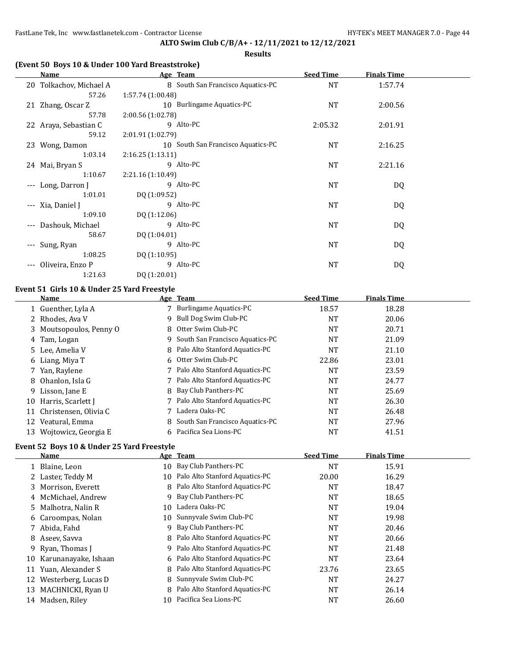**Results**

## **(Event 50 Boys 10 & Under 100 Yard Breaststroke)**

| Name                         |         |                   | Age Team                           | <b>Seed Time</b> | <b>Finals Time</b> |  |
|------------------------------|---------|-------------------|------------------------------------|------------------|--------------------|--|
| 20 Tolkachov, Michael A      |         |                   | 8 South San Francisco Aquatics-PC  | NT               | 1:57.74            |  |
|                              | 57.26   | 1:57.74(1:00.48)  |                                    |                  |                    |  |
| 21 Zhang, Oscar Z            |         |                   | 10 Burlingame Aquatics-PC          | <b>NT</b>        | 2:00.56            |  |
|                              | 57.78   | 2:00.56 (1:02.78) |                                    |                  |                    |  |
| 22 Araya, Sebastian C        |         |                   | 9 Alto-PC                          | 2:05.32          | 2:01.91            |  |
|                              | 59.12   | 2:01.91 (1:02.79) |                                    |                  |                    |  |
| 23 Wong, Damon               |         |                   | 10 South San Francisco Aquatics-PC | <b>NT</b>        | 2:16.25            |  |
|                              | 1:03.14 | 2:16.25(1:13.11)  |                                    |                  |                    |  |
| 24 Mai, Bryan S              |         |                   | 9 Alto-PC                          | NT               | 2:21.16            |  |
|                              | 1:10.67 | 2:21.16 (1:10.49) |                                    |                  |                    |  |
| --- Long, Darron J           |         |                   | 9 Alto-PC                          | NT               | DQ                 |  |
|                              | 1:01.01 | DQ (1:09.52)      |                                    |                  |                    |  |
| --- Xia, Daniel J            |         |                   | 9 Alto-PC                          | <b>NT</b>        | DQ                 |  |
|                              | 1:09.10 | DQ(1:12.06)       |                                    |                  |                    |  |
| Dashouk, Michael<br>$---$    |         |                   | 9 Alto-PC                          | <b>NT</b>        | DQ                 |  |
|                              | 58.67   | DQ (1:04.01)      |                                    |                  |                    |  |
| Sung, Ryan<br>$---$          |         |                   | 9 Alto-PC                          | <b>NT</b>        | DQ                 |  |
|                              | 1:08.25 | DQ(1:10.95)       |                                    |                  |                    |  |
| Oliveira, Enzo P<br>$\cdots$ |         |                   | 9 Alto-PC                          | <b>NT</b>        | DQ                 |  |
|                              | 1:21.63 | DQ (1:20.01)      |                                    |                  |                    |  |

### **Event 51 Girls 10 & Under 25 Yard Freestyle**

|    | <b>Name</b>             |   | Age Team                          | <b>Seed Time</b> | <b>Finals Time</b> |  |
|----|-------------------------|---|-----------------------------------|------------------|--------------------|--|
|    | 1 Guenther, Lyla A      |   | <b>Burlingame Aquatics-PC</b>     | 18.57            | 18.28              |  |
|    | 2 Rhodes, Ava V         | 9 | Bull Dog Swim Club-PC             | NT               | 20.06              |  |
|    | 3 Moutsopoulos, Penny O |   | 8 Otter Swim Club-PC              | <b>NT</b>        | 20.71              |  |
|    | 4 Tam, Logan            | 9 | South San Francisco Aquatics-PC   | NT               | 21.09              |  |
|    | 5 Lee, Amelia V         |   | 8 Palo Alto Stanford Aquatics-PC  | NT               | 21.10              |  |
|    | 6 Liang, Miya T         |   | 6 Otter Swim Club-PC              | 22.86            | 23.01              |  |
|    | 7 Yan, Raylene          |   | 7 Palo Alto Stanford Aquatics-PC  | NT               | 23.59              |  |
| 8  | Ohanlon, Isla G         |   | 7 Palo Alto Stanford Aquatics-PC  | NT               | 24.77              |  |
| 9. | Lisson, Jane E          |   | 8 Bay Club Panthers-PC            | NT               | 25.69              |  |
| 10 | Harris, Scarlett I      |   | 7 Palo Alto Stanford Aquatics-PC  | NT               | 26.30              |  |
| 11 | Christensen, Olivia C   |   | 7 Ladera Oaks-PC                  | <b>NT</b>        | 26.48              |  |
| 12 | Veatural, Emma          |   | 8 South San Francisco Aquatics-PC | NT               | 27.96              |  |
|    | 13 Wojtowicz, Georgia E |   | 6 Pacifica Sea Lions-PC           | NT               | 41.51              |  |

# **Event 52 Boys 10 & Under 25 Yard Freestyle**

|    | <b>Name</b>             |    | Age Team                         | <b>Seed Time</b> | <b>Finals Time</b> |  |
|----|-------------------------|----|----------------------------------|------------------|--------------------|--|
|    | 1 Blaine, Leon          | 10 | Bay Club Panthers-PC             | <b>NT</b>        | 15.91              |  |
|    | 2 Laster, Teddy M       | 10 | Palo Alto Stanford Aquatics-PC   | 20.00            | 16.29              |  |
|    | 3 Morrison, Everett     | 8  | Palo Alto Stanford Aquatics-PC   | <b>NT</b>        | 18.47              |  |
|    | 4 McMichael, Andrew     | 9  | Bay Club Panthers-PC             | <b>NT</b>        | 18.65              |  |
|    | 5 Malhotra, Nalin R     | 10 | Ladera Oaks-PC                   | <b>NT</b>        | 19.04              |  |
|    | 6 Caroompas, Nolan      |    | 10 Sunnyvale Swim Club-PC        | <b>NT</b>        | 19.98              |  |
|    | 7 Abida, Fahd           | 9  | Bay Club Panthers-PC             | <b>NT</b>        | 20.46              |  |
|    | 8 Aseev, Savva          |    | 8 Palo Alto Stanford Aquatics-PC | <b>NT</b>        | 20.66              |  |
|    | 9 Ryan, Thomas J        | 9  | Palo Alto Stanford Aquatics-PC   | <b>NT</b>        | 21.48              |  |
|    | 10 Karunanayake, Ishaan |    | 6 Palo Alto Stanford Aquatics-PC | <b>NT</b>        | 23.64              |  |
| 11 | Yuan, Alexander S       |    | 8 Palo Alto Stanford Aquatics-PC | 23.76            | 23.65              |  |
| 12 | Westerberg, Lucas D     |    | 8 Sunnyvale Swim Club-PC         | <b>NT</b>        | 24.27              |  |
| 13 | MACHNICKI, Ryan U       | 8  | Palo Alto Stanford Aquatics-PC   | <b>NT</b>        | 26.14              |  |
| 14 | Madsen, Riley           | 10 | Pacifica Sea Lions-PC            | <b>NT</b>        | 26.60              |  |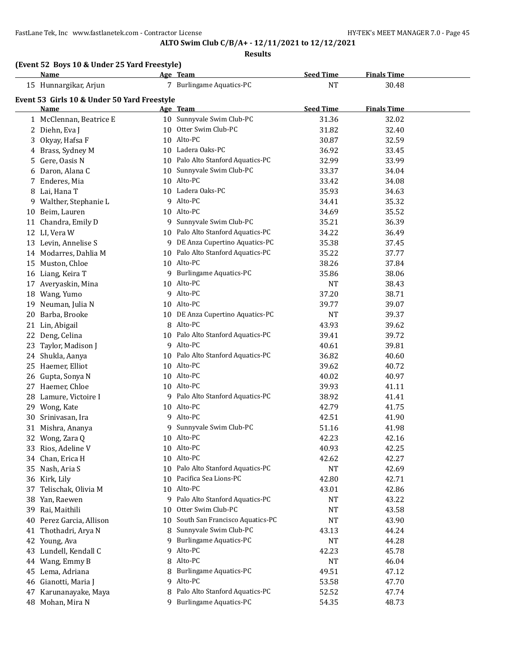### **Results**

| (Event 52 Boys 10 & Under 25 Yard Freestyle) |          |                  |                    |
|----------------------------------------------|----------|------------------|--------------------|
| <b>Name</b>                                  | Age Team | <b>Seed Time</b> | <b>Finals Time</b> |

|    | <u>Name</u>                                         |    | <u>Age leam</u>                   | <u>Seed Time</u> | <u>Finals Time</u> |  |
|----|-----------------------------------------------------|----|-----------------------------------|------------------|--------------------|--|
|    | 15 Hunnargikar, Arjun                               |    | 7 Burlingame Aquatics-PC          | <b>NT</b>        | 30.48              |  |
|    | Event 53 Girls 10 & Under 50 Yard Freestyle<br>Name |    | Age Team                          | <b>Seed Time</b> | <b>Finals Time</b> |  |
|    | 1 McClennan, Beatrice E                             |    | 10 Sunnyvale Swim Club-PC         | 31.36            | 32.02              |  |
|    | 2 Diehn, Eva J                                      |    | 10 Otter Swim Club-PC             | 31.82            | 32.40              |  |
| 3  | Okyay, Hafsa F                                      |    | 10 Alto-PC                        | 30.87            | 32.59              |  |
| 4  | Brass, Sydney M                                     |    | 10 Ladera Oaks-PC                 | 36.92            | 33.45              |  |
| 5. | Gere, Oasis N                                       |    | 10 Palo Alto Stanford Aquatics-PC | 32.99            | 33.99              |  |
| 6  | Daron, Alana C                                      |    | 10 Sunnyvale Swim Club-PC         | 33.37            | 34.04              |  |
|    | 7 Enderes, Mia                                      |    | 10 Alto-PC                        | 33.42            | 34.08              |  |
|    | 8 Lai, Hana T                                       |    | 10 Ladera Oaks-PC                 | 35.93            | 34.63              |  |
| 9. | Walther, Stephanie L                                |    | 9 Alto-PC                         | 34.41            | 35.32              |  |
|    | 10 Beim, Lauren                                     |    | 10 Alto-PC                        | 34.69            | 35.52              |  |
|    | 11 Chandra, Emily D                                 |    | 9 Sunnyvale Swim Club-PC          | 35.21            | 36.39              |  |
|    | 12 LI, Vera W                                       |    | 10 Palo Alto Stanford Aquatics-PC | 34.22            | 36.49              |  |
|    | 13 Levin, Annelise S                                |    | 9 DE Anza Cupertino Aquatics-PC   | 35.38            | 37.45              |  |
|    | 14 Modarres, Dahlia M                               |    | 10 Palo Alto Stanford Aquatics-PC | 35.22            | 37.77              |  |
|    | 15 Muston, Chloe                                    |    | 10 Alto-PC                        | 38.26            | 37.84              |  |
|    | 16 Liang, Keira T                                   |    | 9 Burlingame Aquatics-PC          | 35.86            | 38.06              |  |
|    | 17 Averyaskin, Mina                                 |    | 10 Alto-PC                        | <b>NT</b>        | 38.43              |  |
|    | 18 Wang, Yumo                                       |    | 9 Alto-PC                         | 37.20            | 38.71              |  |
|    | 19 Neuman, Julia N                                  |    | 10 Alto-PC                        | 39.77            | 39.07              |  |
| 20 | Barba, Brooke                                       |    | 10 DE Anza Cupertino Aquatics-PC  | <b>NT</b>        | 39.37              |  |
|    | 21 Lin, Abigail                                     |    | 8 Alto-PC                         | 43.93            | 39.62              |  |
|    | 22 Deng, Celina                                     |    | 10 Palo Alto Stanford Aquatics-PC | 39.41            | 39.72              |  |
|    | 23 Taylor, Madison J                                |    | 9 Alto-PC                         | 40.61            | 39.81              |  |
|    | 24 Shukla, Aanya                                    |    | 10 Palo Alto Stanford Aquatics-PC | 36.82            | 40.60              |  |
|    | 25 Haemer, Elliot                                   |    | 10 Alto-PC                        | 39.62            | 40.72              |  |
|    | 26 Gupta, Sonya N                                   |    | 10 Alto-PC                        | 40.02            | 40.97              |  |
|    | 27 Haemer, Chloe                                    |    | 10 Alto-PC                        | 39.93            | 41.11              |  |
|    | 28 Lamure, Victoire I                               |    | 9 Palo Alto Stanford Aquatics-PC  | 38.92            | 41.41              |  |
|    | 29 Wong, Kate                                       |    | 10 Alto-PC                        | 42.79            | 41.75              |  |
|    | 30 Srinivasan, Ira                                  |    | 9 Alto-PC                         | 42.51            | 41.90              |  |
|    | 31 Mishra, Ananya                                   |    | 9 Sunnyvale Swim Club-PC          | 51.16            | 41.98              |  |
|    | 32 Wong, Zara Q                                     |    | 10 Alto-PC                        | 42.23            | 42.16              |  |
|    | 33 Rios, Adeline V                                  |    | 10 Alto-PC                        | 40.93            | 42.25              |  |
|    | 34 Chan, Erica H                                    |    | 10 Alto-PC                        | 42.62            | 42.27              |  |
|    | 35 Nash, Aria S                                     |    | 10 Palo Alto Stanford Aquatics-PC | <b>NT</b>        | 42.69              |  |
|    | 36 Kirk, Lily                                       |    | 10 Pacifica Sea Lions-PC          | 42.80            | 42.71              |  |
| 37 | Telischak, Olivia M                                 |    | 10 Alto-PC                        | 43.01            | 42.86              |  |
|    | 38 Yan, Raewen                                      |    | 9 Palo Alto Stanford Aquatics-PC  | NT               | 43.22              |  |
| 39 | Rai, Maithili                                       | 10 | Otter Swim Club-PC                | NT               | 43.58              |  |
| 40 | Perez Garcia, Allison                               | 10 | South San Francisco Aquatics-PC   | NT               | 43.90              |  |
|    | 41 Thothadri, Arya N                                | 8. | Sunnyvale Swim Club-PC            | 43.13            | 44.24              |  |
|    | 42 Young, Ava                                       |    | 9 Burlingame Aquatics-PC          | <b>NT</b>        | 44.28              |  |
|    | 43 Lundell, Kendall C                               |    | 9 Alto-PC                         | 42.23            | 45.78              |  |
|    | 44 Wang, Emmy B                                     |    | 8 Alto-PC                         | NT               | 46.04              |  |
|    | 45 Lema, Adriana                                    | 8. | <b>Burlingame Aquatics-PC</b>     | 49.51            | 47.12              |  |
| 46 | Gianotti, Maria J                                   | 9  | Alto-PC                           | 53.58            | 47.70              |  |
|    | 47 Karunanayake, Maya                               | 8  | Palo Alto Stanford Aquatics-PC    | 52.52            | 47.74              |  |
|    | 48 Mohan, Mira N                                    |    | 9 Burlingame Aquatics-PC          |                  | 48.73              |  |
|    |                                                     |    |                                   | 54.35            |                    |  |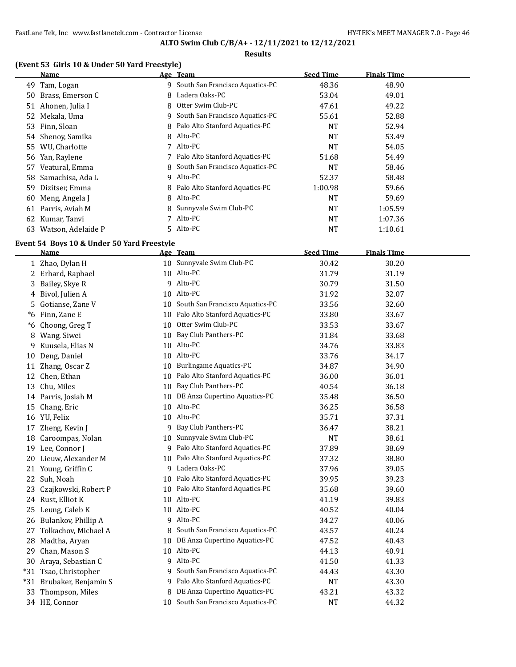### **Results**

## **(Event 53 Girls 10 & Under 50 Yard Freestyle)**

|     | Name                |    | Age Team                          | <b>Seed Time</b> | <b>Finals Time</b> |  |
|-----|---------------------|----|-----------------------------------|------------------|--------------------|--|
| 49  | Tam, Logan          |    | 9 South San Francisco Aquatics-PC | 48.36            | 48.90              |  |
| 50  | Brass, Emerson C    | 8. | Ladera Oaks-PC                    | 53.04            | 49.01              |  |
| 51  | Ahonen, Julia I     |    | 8 Otter Swim Club-PC              | 47.61            | 49.22              |  |
|     | 52 Mekala, Uma      | 9. | South San Francisco Aquatics-PC   | 55.61            | 52.88              |  |
|     | 53 Finn, Sloan      |    | 8 Palo Alto Stanford Aquatics-PC  | <b>NT</b>        | 52.94              |  |
|     | 54 Shenoy, Samika   |    | 8 Alto-PC                         | <b>NT</b>        | 53.49              |  |
| 55. | WU, Charlotte       | 7  | Alto-PC                           | <b>NT</b>        | 54.05              |  |
|     | 56 Yan, Raylene     |    | 7 Palo Alto Stanford Aquatics-PC  | 51.68            | 54.49              |  |
| 57  | Veatural, Emma      |    | 8 South San Francisco Aquatics-PC | <b>NT</b>        | 58.46              |  |
|     | 58 Samachisa, Ada L |    | 9 Alto-PC                         | 52.37            | 58.48              |  |
| 59  | Dizitser, Emma      |    | 8 Palo Alto Stanford Aquatics-PC  | 1:00.98          | 59.66              |  |
| 60  | Meng, Angela J      | 8  | Alto-PC                           | <b>NT</b>        | 59.69              |  |
| 61  | Parris, Aviah M     |    | 8 Sunnyvale Swim Club-PC          | <b>NT</b>        | 1:05.59            |  |
| 62  | Kumar, Tanvi        |    | Alto-PC                           | <b>NT</b>        | 1:07.36            |  |
| 63  | Watson, Adelaide P  |    | 5 Alto-PC                         | NT               | 1:10.61            |  |

#### **Event 54 Boys 10 & Under 50 Yard Freestyle**

|      | Name                     |    | Age Team                           | <b>Seed Time</b> | <b>Finals Time</b> |
|------|--------------------------|----|------------------------------------|------------------|--------------------|
|      | 1 Zhao, Dylan H          |    | 10 Sunnyvale Swim Club-PC          | 30.42            | 30.20              |
|      | 2 Erhard, Raphael        |    | 10 Alto-PC                         | 31.79            | 31.19              |
| 3    | Bailey, Skye R           | 9  | Alto-PC                            | 30.79            | 31.50              |
| 4    | Bivol, Julien A          | 10 | Alto-PC                            | 31.92            | 32.07              |
| 5    | Gotianse, Zane V         | 10 | South San Francisco Aquatics-PC    | 33.56            | 32.60              |
| $*6$ | Finn, Zane E             |    | 10 Palo Alto Stanford Aquatics-PC  | 33.80            | 33.67              |
| *6   | Choong, Greg T           | 10 | Otter Swim Club-PC                 | 33.53            | 33.67              |
| 8    | Wang, Siwei              | 10 | Bay Club Panthers-PC               | 31.84            | 33.68              |
| 9    | Kuusela, Elias N         | 10 | Alto-PC                            | 34.76            | 33.83              |
| 10   | Deng, Daniel             |    | 10 Alto-PC                         | 33.76            | 34.17              |
| 11   | Zhang, Oscar Z           | 10 | <b>Burlingame Aquatics-PC</b>      | 34.87            | 34.90              |
| 12   | Chen, Ethan              | 10 | Palo Alto Stanford Aquatics-PC     | 36.00            | 36.01              |
| 13   | Chu, Miles               | 10 | Bay Club Panthers-PC               | 40.54            | 36.18              |
|      | 14 Parris, Josiah M      |    | 10 DE Anza Cupertino Aquatics-PC   | 35.48            | 36.50              |
| 15   | Chang, Eric              | 10 | Alto-PC                            | 36.25            | 36.58              |
|      | 16 YU, Felix             | 10 | Alto-PC                            | 35.71            | 37.31              |
| 17   | Zheng, Kevin J           | 9  | Bay Club Panthers-PC               | 36.47            | 38.21              |
| 18   | Caroompas, Nolan         | 10 | Sunnyvale Swim Club-PC             | <b>NT</b>        | 38.61              |
| 19   | Lee, Connor J            | 9  | Palo Alto Stanford Aquatics-PC     | 37.89            | 38.69              |
|      | 20 Lieuw, Alexander M    | 10 | Palo Alto Stanford Aquatics-PC     | 37.32            | 38.80              |
|      | 21 Young, Griffin C      | 9. | Ladera Oaks-PC                     | 37.96            | 39.05              |
| 22   | Suh, Noah                | 10 | Palo Alto Stanford Aquatics-PC     | 39.95            | 39.23              |
| 23   | Czajkowski, Robert P     | 10 | Palo Alto Stanford Aquatics-PC     | 35.68            | 39.60              |
|      | 24 Rust, Elliot K        | 10 | Alto-PC                            | 41.19            | 39.83              |
| 25   | Leung, Caleb K           |    | 10 Alto-PC                         | 40.52            | 40.04              |
|      | 26 Bulankov, Phillip A   | 9  | Alto-PC                            | 34.27            | 40.06              |
| 27   | Tolkachov, Michael A     | 8  | South San Francisco Aquatics-PC    | 43.57            | 40.24              |
|      | 28 Madtha, Aryan         |    | 10 DE Anza Cupertino Aquatics-PC   | 47.52            | 40.43              |
| 29   | Chan, Mason S            |    | 10 Alto-PC                         | 44.13            | 40.91              |
|      | 30 Araya, Sebastian C    | 9  | Alto-PC                            | 41.50            | 41.33              |
|      | *31 Tsao, Christopher    | 9  | South San Francisco Aquatics-PC    | 44.43            | 43.30              |
|      | *31 Brubaker, Benjamin S | 9  | Palo Alto Stanford Aquatics-PC     | <b>NT</b>        | 43.30              |
| 33   | Thompson, Miles          | 8  | DE Anza Cupertino Aquatics-PC      | 43.21            | 43.32              |
|      | 34 HE, Connor            |    | 10 South San Francisco Aquatics-PC | <b>NT</b>        | 44.32              |
|      |                          |    |                                    |                  |                    |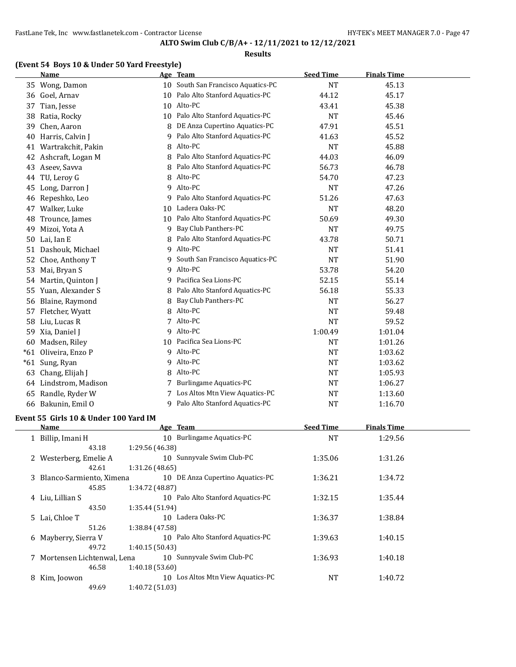### **Results**

# **(Event 54 Boys 10 & Under 50 Yard Freestyle)**

|       | <b>Name</b>                           |                 | Age Team                         | <b>Seed Time</b> | <b>Finals Time</b> |  |
|-------|---------------------------------------|-----------------|----------------------------------|------------------|--------------------|--|
|       | 35 Wong, Damon                        | 10              | South San Francisco Aquatics-PC  | <b>NT</b>        | 45.13              |  |
|       | 36 Goel, Arnav                        | 10              | Palo Alto Stanford Aquatics-PC   | 44.12            | 45.17              |  |
| 37    | Tian, Jesse                           | 10              | Alto-PC                          | 43.41            | 45.38              |  |
| 38    | Ratia, Rocky                          | 10              | Palo Alto Stanford Aquatics-PC   | <b>NT</b>        | 45.46              |  |
| 39    | Chen, Aaron                           | 8               | DE Anza Cupertino Aquatics-PC    | 47.91            | 45.51              |  |
| 40    | Harris, Calvin J                      | 9               | Palo Alto Stanford Aquatics-PC   | 41.63            | 45.52              |  |
| 41    | Wartrakchit, Pakin                    | 8               | Alto-PC                          | <b>NT</b>        | 45.88              |  |
| 42    | Ashcraft, Logan M                     | 8               | Palo Alto Stanford Aquatics-PC   | 44.03            | 46.09              |  |
| 43    | Aseev, Savva                          | 8               | Palo Alto Stanford Aquatics-PC   | 56.73            | 46.78              |  |
| 44    | TU, Leroy G                           | 8               | Alto-PC                          | 54.70            | 47.23              |  |
| 45    | Long, Darron J                        | 9               | Alto-PC                          | <b>NT</b>        | 47.26              |  |
| 46    | Repeshko, Leo                         | 9               | Palo Alto Stanford Aquatics-PC   | 51.26            | 47.63              |  |
| 47    | Walker, Luke                          | 10              | Ladera Oaks-PC                   | <b>NT</b>        | 48.20              |  |
| 48    | Trounce, James                        | 10              | Palo Alto Stanford Aquatics-PC   | 50.69            | 49.30              |  |
| 49    | Mizoi, Yota A                         | 9               | Bay Club Panthers-PC             | <b>NT</b>        | 49.75              |  |
| 50    | Lai, Ian E                            | 8               | Palo Alto Stanford Aquatics-PC   | 43.78            | 50.71              |  |
| 51    | Dashouk, Michael                      |                 | 9 Alto-PC                        | <b>NT</b>        | 51.41              |  |
| 52    | Choe, Anthony T                       | 9               | South San Francisco Aquatics-PC  | <b>NT</b>        | 51.90              |  |
| 53    | Mai, Bryan S                          | 9               | Alto-PC                          | 53.78            | 54.20              |  |
| 54    | Martin, Quinton J                     | 9.              | Pacifica Sea Lions-PC            | 52.15            | 55.14              |  |
| 55    | Yuan, Alexander S                     | 8               | Palo Alto Stanford Aquatics-PC   | 56.18            | 55.33              |  |
| 56    | Blaine, Raymond                       | 8               | Bay Club Panthers-PC             | <b>NT</b>        | 56.27              |  |
| 57    | Fletcher, Wyatt                       | 8               | Alto-PC                          | <b>NT</b>        | 59.48              |  |
| 58    | Liu, Lucas R                          |                 | 7 Alto-PC                        | <b>NT</b>        | 59.52              |  |
| 59    | Xia, Daniel J                         | 9               | Alto-PC                          | 1:00.49          | 1:01.04            |  |
| 60    | Madsen, Riley                         |                 | 10 Pacifica Sea Lions-PC         | <b>NT</b>        | 1:01.26            |  |
| $*61$ | Oliveira, Enzo P                      |                 | 9 Alto-PC                        | <b>NT</b>        | 1:03.62            |  |
|       | *61 Sung, Ryan                        | 9               | Alto-PC                          | <b>NT</b>        | 1:03.62            |  |
| 63    | Chang, Elijah J                       | 8               | Alto-PC                          | <b>NT</b>        | 1:05.93            |  |
|       | 64 Lindstrom, Madison                 | 7               | Burlingame Aquatics-PC           | <b>NT</b>        | 1:06.27            |  |
| 65    | Randle, Ryder W                       |                 | 7 Los Altos Mtn View Aquatics-PC | <b>NT</b>        | 1:13.60            |  |
|       | 66 Bakunin, Emil O                    |                 | 9 Palo Alto Stanford Aquatics-PC | <b>NT</b>        | 1:16.70            |  |
|       | Event 55 Girls 10 & Under 100 Yard IM |                 |                                  |                  |                    |  |
|       | Name                                  |                 | Age Team                         | <b>Seed Time</b> | <b>Finals Time</b> |  |
|       | 1 Billip, Imani H                     |                 | 10 Burlingame Aquatics-PC        | <b>NT</b>        | 1:29.56            |  |
|       | 43.18                                 | 1:29.56 (46.38) |                                  |                  |                    |  |
|       |                                       |                 |                                  | $\sim$ $\sim$    |                    |  |

|   | 1 Billip, Imani H            |                 | 10 Burlingame Aquatics-PC         | <b>NT</b> | 1:29.56 |
|---|------------------------------|-----------------|-----------------------------------|-----------|---------|
|   | 43.18                        | 1:29.56 (46.38) |                                   |           |         |
|   | 2 Westerberg, Emelie A       |                 | 10 Sunnyvale Swim Club-PC         | 1:35.06   | 1:31.26 |
|   | 42.61                        | 1:31.26(48.65)  |                                   |           |         |
|   | 3 Blanco-Sarmiento, Ximena   |                 | 10 DE Anza Cupertino Aquatics-PC  | 1:36.21   | 1:34.72 |
|   | 45.85                        | 1:34.72 (48.87) |                                   |           |         |
|   | 4 Liu, Lillian S             |                 | 10 Palo Alto Stanford Aquatics-PC | 1:32.15   | 1:35.44 |
|   | 43.50                        | 1:35.44 (51.94) |                                   |           |         |
|   | 5 Lai, Chloe T               |                 | 10 Ladera Oaks-PC                 | 1:36.37   | 1:38.84 |
|   | 51.26                        | 1:38.84 (47.58) |                                   |           |         |
|   | 6 Mayberry, Sierra V         |                 | 10 Palo Alto Stanford Aquatics-PC | 1:39.63   | 1:40.15 |
|   | 49.72                        | 1:40.15(50.43)  |                                   |           |         |
|   | 7 Mortensen Lichtenwal, Lena |                 | 10 Sunnyvale Swim Club-PC         | 1:36.93   | 1:40.18 |
|   | 46.58                        | 1:40.18(53.60)  |                                   |           |         |
| 8 | Kim, Joowon                  | 10              | Los Altos Mtn View Aquatics-PC    | <b>NT</b> | 1:40.72 |
|   | 49.69                        | 1:40.72 (51.03) |                                   |           |         |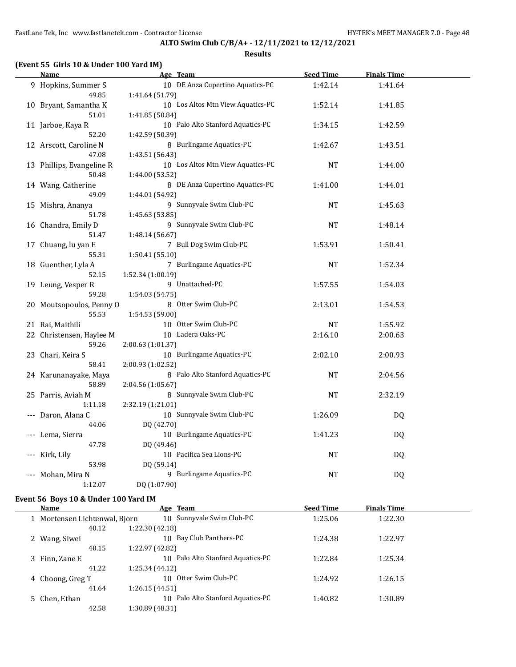## FastLane Tek, Inc www.fastlanetek.com - Contractor License **HY-TEK's MEET MANAGER 7.0** - Page 48

# **ALTO Swim Club C/B/A+ - 12/11/2021 to 12/12/2021**

**Results**

| <u>Name</u>               | Age Team          |                                   | <b>Seed Time</b> | <b>Finals Time</b> |  |
|---------------------------|-------------------|-----------------------------------|------------------|--------------------|--|
| 9 Hopkins, Summer S       |                   | 10 DE Anza Cupertino Aquatics-PC  | 1:42.14          | 1:41.64            |  |
| 49.85                     | 1:41.64 (51.79)   |                                   |                  |                    |  |
| 10 Bryant, Samantha K     |                   | 10 Los Altos Mtn View Aquatics-PC | 1:52.14          | 1:41.85            |  |
| 51.01                     | 1:41.85 (50.84)   |                                   |                  |                    |  |
| 11 Jarboe, Kaya R         |                   | 10 Palo Alto Stanford Aquatics-PC | 1:34.15          | 1:42.59            |  |
| 52.20                     | 1:42.59 (50.39)   |                                   |                  |                    |  |
| 12 Arscott, Caroline N    |                   | 8 Burlingame Aquatics-PC          | 1:42.67          | 1:43.51            |  |
| 47.08                     | 1:43.51 (56.43)   |                                   |                  |                    |  |
| 13 Phillips, Evangeline R |                   | 10 Los Altos Mtn View Aquatics-PC | <b>NT</b>        | 1:44.00            |  |
| 50.48                     | 1:44.00 (53.52)   |                                   |                  |                    |  |
| 14 Wang, Catherine        |                   | 8 DE Anza Cupertino Aquatics-PC   | 1:41.00          | 1:44.01            |  |
| 49.09                     | 1:44.01 (54.92)   |                                   |                  |                    |  |
| 15 Mishra, Ananya         |                   | 9 Sunnyvale Swim Club-PC          | <b>NT</b>        | 1:45.63            |  |
| 51.78                     | 1:45.63 (53.85)   |                                   |                  |                    |  |
| 16 Chandra, Emily D       |                   | 9 Sunnyvale Swim Club-PC          | <b>NT</b>        | 1:48.14            |  |
| 51.47                     | 1:48.14 (56.67)   |                                   |                  |                    |  |
| 17 Chuang, lu yan E       |                   | 7 Bull Dog Swim Club-PC           | 1:53.91          | 1:50.41            |  |
| 55.31                     | 1:50.41(55.10)    |                                   |                  |                    |  |
| 18 Guenther, Lyla A       |                   | 7 Burlingame Aquatics-PC          | NT               | 1:52.34            |  |
| 52.15                     | 1:52.34 (1:00.19) |                                   |                  |                    |  |
| 19 Leung, Vesper R        |                   | 9 Unattached-PC                   | 1:57.55          | 1:54.03            |  |
| 59.28                     | 1:54.03 (54.75)   |                                   |                  |                    |  |
| 20 Moutsopoulos, Penny O  |                   | 8 Otter Swim Club-PC              | 2:13.01          | 1:54.53            |  |
| 55.53                     | 1:54.53 (59.00)   |                                   |                  |                    |  |
| 21 Rai, Maithili          |                   | 10 Otter Swim Club-PC             | NT               | 1:55.92            |  |
| 22 Christensen, Haylee M  |                   | 10 Ladera Oaks-PC                 | 2:16.10          | 2:00.63            |  |
| 59.26                     | 2:00.63 (1:01.37) |                                   |                  |                    |  |
| 23 Chari, Keira S         |                   | 10 Burlingame Aquatics-PC         | 2:02.10          | 2:00.93            |  |
| 58.41                     | 2:00.93 (1:02.52) |                                   |                  |                    |  |
| 24 Karunanayake, Maya     |                   | 8 Palo Alto Stanford Aquatics-PC  | <b>NT</b>        | 2:04.56            |  |
| 58.89                     | 2:04.56 (1:05.67) |                                   |                  |                    |  |
| 25 Parris, Aviah M        |                   | 8 Sunnyvale Swim Club-PC          | <b>NT</b>        | 2:32.19            |  |
| 1:11.18                   | 2:32.19 (1:21.01) |                                   |                  |                    |  |
| Daron, Alana C            |                   | 10 Sunnyvale Swim Club-PC         | 1:26.09          | DQ                 |  |
| 44.06                     | DQ (42.70)        |                                   |                  |                    |  |
| Lema, Sierra              |                   | 10 Burlingame Aquatics-PC         | 1:41.23          | <b>DQ</b>          |  |
| 47.78                     | DQ (49.46)        |                                   |                  |                    |  |
| Kirk, Lily                |                   | 10 Pacifica Sea Lions-PC          | <b>NT</b>        | DQ                 |  |
| 53.98                     | DQ (59.14)        |                                   |                  |                    |  |
| Mohan, Mira N             |                   | 9 Burlingame Aquatics-PC          | NT               | DQ                 |  |
| 1:12.07                   | DQ (1:07.90)      |                                   |                  |                    |  |

## **Event 56 Boys 10 & Under 100 Yard IM**

| Name                          | Age Team                             | <b>Seed Time</b> | <b>Finals Time</b> |  |
|-------------------------------|--------------------------------------|------------------|--------------------|--|
| 1 Mortensen Lichtenwal, Bjorn | 10 Sunnyvale Swim Club-PC            | 1:25.06          | 1:22.30            |  |
| 40.12                         | 1:22.30 (42.18)                      |                  |                    |  |
| 2 Wang, Siwei                 | Bay Club Panthers-PC<br>10           | 1:24.38          | 1:22.97            |  |
| 40.15                         | 1:22.97 (42.82)                      |                  |                    |  |
| 3 Finn, Zane E                | Palo Alto Stanford Aquatics-PC<br>10 | 1:22.84          | 1:25.34            |  |
| 41.22                         | 1:25.34 (44.12)                      |                  |                    |  |
| 4 Choong, Greg T              | Otter Swim Club-PC<br>10             | 1:24.92          | 1:26.15            |  |
| 41.64                         | 1:26.15(44.51)                       |                  |                    |  |
| 5 Chen, Ethan                 | Palo Alto Stanford Aquatics-PC<br>10 | 1:40.82          | 1:30.89            |  |
| 42.58                         | 1:30.89 (48.31)                      |                  |                    |  |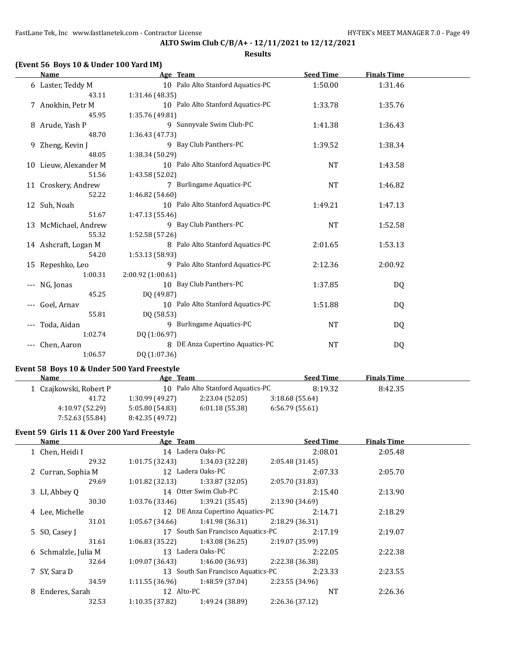### **Results**

## **(Event 56 Boys 10 & Under 100 Yard IM)**

|                     | Name                  | Age Team                          | <b>Seed Time</b> | <b>Finals Time</b> |  |
|---------------------|-----------------------|-----------------------------------|------------------|--------------------|--|
|                     | 6 Laster, Teddy M     | 10 Palo Alto Stanford Aquatics-PC | 1:50.00          | 1:31.46            |  |
|                     | 43.11                 | 1:31.46(48.35)                    |                  |                    |  |
|                     | 7 Anokhin, Petr M     | 10 Palo Alto Stanford Aquatics-PC | 1:33.78          | 1:35.76            |  |
|                     | 45.95                 | 1:35.76 (49.81)                   |                  |                    |  |
|                     | 8 Arude, Yash P       | 9 Sunnyvale Swim Club-PC          | 1:41.38          | 1:36.43            |  |
|                     | 48.70                 | 1:36.43 (47.73)                   |                  |                    |  |
|                     | 9 Zheng, Kevin J      | 9 Bay Club Panthers-PC            | 1:39.52          | 1:38.34            |  |
|                     | 48.05                 | 1:38.34 (50.29)                   |                  |                    |  |
|                     | 10 Lieuw, Alexander M | 10 Palo Alto Stanford Aquatics-PC | <b>NT</b>        | 1:43.58            |  |
|                     | 51.56                 | 1:43.58 (52.02)                   |                  |                    |  |
|                     | 11 Croskery, Andrew   | 7 Burlingame Aquatics-PC          | <b>NT</b>        | 1:46.82            |  |
|                     | 52.22                 | 1:46.82(54.60)                    |                  |                    |  |
|                     | 12 Suh, Noah          | 10 Palo Alto Stanford Aquatics-PC | 1:49.21          | 1:47.13            |  |
|                     | 51.67                 | 1:47.13 (55.46)                   |                  |                    |  |
|                     | 13 McMichael, Andrew  | 9 Bay Club Panthers-PC            | <b>NT</b>        | 1:52.58            |  |
|                     | 55.32                 | 1:52.58(57.26)                    |                  |                    |  |
|                     | 14 Ashcraft, Logan M  | 8 Palo Alto Stanford Aquatics-PC  | 2:01.65          | 1:53.13            |  |
|                     | 54.20                 | 1:53.13 (58.93)                   |                  |                    |  |
|                     | 15 Repeshko, Leo      | 9 Palo Alto Stanford Aquatics-PC  | 2:12.36          | 2:00.92            |  |
|                     | 1:00.31               | 2:00.92 (1:00.61)                 |                  |                    |  |
| $\qquad \qquad - -$ | NG, Jonas             | 10 Bay Club Panthers-PC           | 1:37.85          | DQ                 |  |
|                     | 45.25                 | DQ (49.87)                        |                  |                    |  |
|                     | Goel, Arnav           | 10 Palo Alto Stanford Aquatics-PC | 1:51.88          | DQ                 |  |
|                     | 55.81                 | DQ (58.53)                        |                  |                    |  |
|                     | Toda, Aidan           | 9 Burlingame Aquatics-PC          | <b>NT</b>        | DQ                 |  |
|                     | 1:02.74               | DQ (1:06.97)                      |                  |                    |  |
|                     | Chen, Aaron           | 8 DE Anza Cupertino Aquatics-PC   | <b>NT</b>        | DQ                 |  |
|                     | 1:06.57               | DQ (1:07.36)                      |                  |                    |  |

### **Event 58 Boys 10 & Under 500 Yard Freestyle**

| <b>Name</b>            | Age Team        |                                   | <b>Seed Time</b> | <b>Finals Time</b> |  |
|------------------------|-----------------|-----------------------------------|------------------|--------------------|--|
| 1 Czajkowski, Robert P |                 | 10 Palo Alto Stanford Aquatics-PC | 8:19.32          | 8:42.35            |  |
| 41.72                  | 1:30.99 (49.27) | 2:23.04(52.05)                    | 3:18.68(55.64)   |                    |  |
| 4:10.97 (52.29)        | 5:05.80(54.83)  | 6:01.18(55.38)                    | 6:56.79(55.61)   |                    |  |
| 7:52.63 (55.84)        | 8:42.35 (49.72) |                                   |                  |                    |  |

### **Event 59 Girls 11 & Over 200 Yard Freestyle**

| Name                 | Age Team        |                                    | <b>Seed Time</b> | <b>Finals Time</b> |  |
|----------------------|-----------------|------------------------------------|------------------|--------------------|--|
| 1 Chen, Heidi I      |                 | 14 Ladera Oaks-PC                  | 2:08.01          | 2:05.48            |  |
| 29.32                | 1:01.75(32.43)  | 1:34.03 (32.28)                    | 2:05.48(31.45)   |                    |  |
| 2 Curran, Sophia M   |                 | 12 Ladera Oaks-PC                  | 2:07.33          | 2:05.70            |  |
| 29.69                | 1:01.82(32.13)  | 1:33.87 (32.05)                    | 2:05.70(31.83)   |                    |  |
| 3 LI, Abbey Q        |                 | 14 Otter Swim Club-PC              | 2:15.40          | 2:13.90            |  |
| 30.30                | 1:03.76 (33.46) | 1:39.21 (35.45)                    | 2:13.90 (34.69)  |                    |  |
| 4 Lee, Michelle      |                 | 12 DE Anza Cupertino Aquatics-PC   | 2:14.71          | 2:18.29            |  |
| 31.01                | 1:05.67(34.66)  | 1:41.98 (36.31)                    | 2:18.29(36.31)   |                    |  |
| 5 SO, Casey J        |                 | 17 South San Francisco Aquatics-PC | 2:17.19          | 2:19.07            |  |
| 31.61                | 1:06.83(35.22)  | 1:43.08 (36.25)                    | 2:19.07 (35.99)  |                    |  |
| 6 Schmalzle, Julia M |                 | 13 Ladera Oaks-PC                  | 2:22.05          | 2:22.38            |  |
| 32.64                | 1:09.07 (36.43) | 1:46.00 (36.93)                    | 2:22.38 (36.38)  |                    |  |
| 7 SY, Sara D         |                 | 13 South San Francisco Aquatics-PC | 2:23.33          | 2:23.55            |  |
| 34.59                | 1:11.55 (36.96) | 1:48.59 (37.04)                    | 2:23.55 (34.96)  |                    |  |
| 8 Enderes, Sarah     | 12 Alto-PC      |                                    | <b>NT</b>        | 2:26.36            |  |
| 32.53                | 1:10.35(37.82)  | 1:49.24 (38.89)                    | 2:26.36 (37.12)  |                    |  |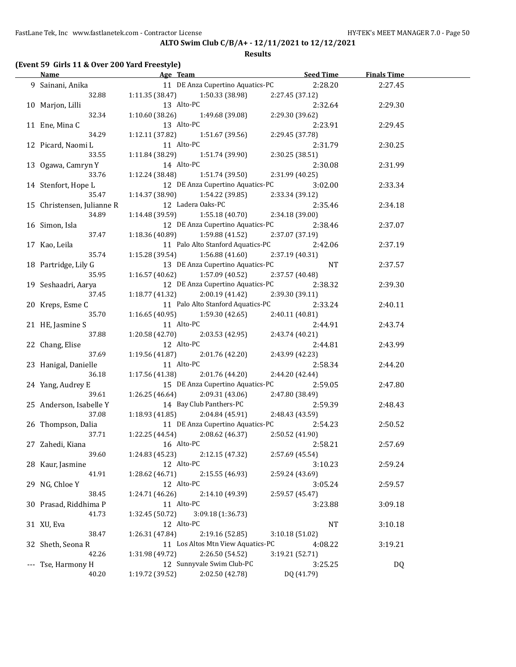FastLane Tek, Inc www.fastlanetek.com - Contractor License **HY-TEK's MEET MANAGER 7.0** - Page 50

## **ALTO Swim Club C/B/A+ - 12/11/2021 to 12/12/2021**

### **Results**

# **(Event 59 Girls 11 & Over 200 Yard Freestyle)**

| <b>Name</b>                | <b>Example 2018 Age Team Age Team Seed Time Seed Time Age Team Age Team Seed Time Age Age Age Age Age Age Age Age</b> |                 | <b>Finals Time</b> |  |
|----------------------------|-----------------------------------------------------------------------------------------------------------------------|-----------------|--------------------|--|
| 9 Sainani, Anika           | 11 DE Anza Cupertino Aquatics-PC 2:28.20                                                                              |                 | 2:27.45            |  |
| 32.88                      | $1:11.35(38.47)$ $1:50.33(38.98)$                                                                                     | 2:27.45 (37.12) |                    |  |
| 10 Marjon, Lilli           | 13 Alto-PC                                                                                                            | 2:32.64         | 2:29.30            |  |
| 32.34                      | $1:10.60(38.26)$ $1:49.68(39.08)$                                                                                     | 2:29.30 (39.62) |                    |  |
| 11 Ene, Mina C             | 13 Alto-PC                                                                                                            | 2:23.91         | 2:29.45            |  |
| 34.29                      | 1:12.11 (37.82)<br>1:51.67 (39.56)                                                                                    | 2:29.45 (37.78) |                    |  |
| 12 Picard, Naomi L         | 11 Alto-PC                                                                                                            | 2:31.79         | 2:30.25            |  |
| 33.55                      | 1:11.84 (38.29)<br>1:51.74 (39.90)                                                                                    | 2:30.25 (38.51) |                    |  |
| 13 Ogawa, Camryn Y         | 14 Alto-PC                                                                                                            | 2:30.08         | 2:31.99            |  |
| 33.76                      | 1:51.74 (39.50)<br>1:12.24 (38.48)                                                                                    | 2:31.99 (40.25) |                    |  |
| 14 Stenfort, Hope L        | 12 DE Anza Cupertino Aquatics-PC                                                                                      | 3:02.00         | 2:33.34            |  |
| 35.47                      | 1:14.37 (38.90)<br>1:54.22 (39.85)                                                                                    | 2:33.34 (39.12) |                    |  |
| 15 Christensen, Julianne R | 12 Ladera Oaks-PC                                                                                                     | 2:35.46         | 2:34.18            |  |
| 34.89                      | 1:55.18 (40.70)<br>1:14.48 (39.59)                                                                                    | 2:34.18 (39.00) |                    |  |
| 16 Simon, Isla             | 12 DE Anza Cupertino Aquatics-PC                                                                                      | 2:38.46         | 2:37.07            |  |
| 37.47                      | $1:18.36(40.89)$ $1:59.88(41.52)$                                                                                     | 2:37.07 (37.19) |                    |  |
| 17 Kao, Leila              | 11 Palo Alto Stanford Aquatics-PC 2:42.06                                                                             |                 | 2:37.19            |  |
| 35.74                      | $1:15.28(39.54)$ $1:56.88(41.60)$                                                                                     | 2:37.19 (40.31) |                    |  |
| 18 Partridge, Lily G       | 13 DE Anza Cupertino Aquatics-PC                                                                                      | NT              | 2:37.57            |  |
| 35.95                      | $1:16.57(40.62)$ $1:57.09(40.52)$                                                                                     | 2:37.57 (40.48) |                    |  |
| 19 Seshaadri, Aarya        | 12 DE Anza Cupertino Aquatics-PC                                                                                      | 2:38.32         | 2:39.30            |  |
| 37.45                      | $1:18.77(41.32)$ $2:00.19(41.42)$                                                                                     | 2:39.30 (39.11) |                    |  |
| 20 Kreps, Esme C           | 11 Palo Alto Stanford Aquatics-PC                                                                                     | 2:33.24         | 2:40.11            |  |
| 35.70                      | $1:16.65(40.95)$ $1:59.30(42.65)$                                                                                     | 2:40.11 (40.81) |                    |  |
| 21 HE, Jasmine S           | 11 Alto-PC                                                                                                            | 2:44.91         | 2:43.74            |  |
| 37.88                      | $1:20.58(42.70)$ $2:03.53(42.95)$                                                                                     | 2:43.74 (40.21) |                    |  |
| 22 Chang, Elise            | 12 Alto-PC                                                                                                            | 2:44.81         | 2:43.99            |  |
| 37.69                      | $1:19.56(41.87)$ $2:01.76(42.20)$                                                                                     | 2:43.99 (42.23) |                    |  |
| 23 Hanigal, Danielle       | 11 Alto-PC                                                                                                            | 2:58.34         | 2:44.20            |  |
| 36.18                      | $1:17.56(41.38)$ $2:01.76(44.20)$                                                                                     | 2:44.20 (42.44) |                    |  |
| 24 Yang, Audrey E          | 15 DE Anza Cupertino Aquatics-PC                                                                                      | 2:59.05         | 2:47.80            |  |
| 39.61                      | $1:26.25(46.64)$ $2:09.31(43.06)$                                                                                     | 2:47.80 (38.49) |                    |  |
| 25 Anderson, Isabelle Y    | 14 Bay Club Panthers-PC                                                                                               | 2:59.39         | 2:48.43            |  |
| 37.08                      | $1:18.93(41.85)$ $2:04.84(45.91)$                                                                                     | 2:48.43 (43.59) |                    |  |
| 26 Thompson, Dalia         | 11 DE Anza Cupertino Aquatics-PC                                                                                      | 2:54.23         | 2:50.52            |  |
| 37.71                      | $1:22.25(44.54)$ $2:08.62(46.37)$                                                                                     | 2:50.52 (41.90) |                    |  |
| 27 Zahedi, Kiana           | 16 Alto-PC                                                                                                            | 2:58.21         | 2:57.69            |  |
| 39.60                      | 1:24.83 (45.23)<br>2:12.15 (47.32)                                                                                    | 2:57.69 (45.54) |                    |  |
| 28 Kaur, Jasmine           | 12 Alto-PC                                                                                                            | 3:10.23         | 2:59.24            |  |
| 41.91                      | 2:15.55 (46.93)<br>1:28.62 (46.71)                                                                                    | 2:59.24 (43.69) |                    |  |
|                            | 12 Alto-PC                                                                                                            |                 |                    |  |
| 29 NG, Chloe Y             |                                                                                                                       | 3:05.24         | 2:59.57            |  |
| 38.45                      | 1:24.71(46.26)<br>2:14.10 (49.39)<br>11 Alto-PC                                                                       | 2:59.57 (45.47) |                    |  |
| 30 Prasad, Riddhima P      |                                                                                                                       | 3:23.88         | 3:09.18            |  |
| 41.73                      | 3:09.18 (1:36.73)<br>1:32.45 (50.72)<br>12 Alto-PC                                                                    |                 |                    |  |
| 31 XU, Eva                 |                                                                                                                       | <b>NT</b>       | 3:10.18            |  |
| 38.47                      | 2:19.16 (52.85)<br>1:26.31 (47.84)                                                                                    | 3:10.18 (51.02) |                    |  |
| 32 Sheth, Seona R          | 11 Los Altos Mtn View Aquatics-PC                                                                                     | 4:08.22         | 3:19.21            |  |
| 42.26                      | 2:26.50 (54.52)<br>1:31.98 (49.72)                                                                                    | 3:19.21 (52.71) |                    |  |
| --- Tse, Harmony H         | 12 Sunnyvale Swim Club-PC                                                                                             | 3:25.25         | <b>DQ</b>          |  |
| 40.20                      | 1:19.72 (39.52)<br>2:02.50 (42.78)                                                                                    | DQ (41.79)      |                    |  |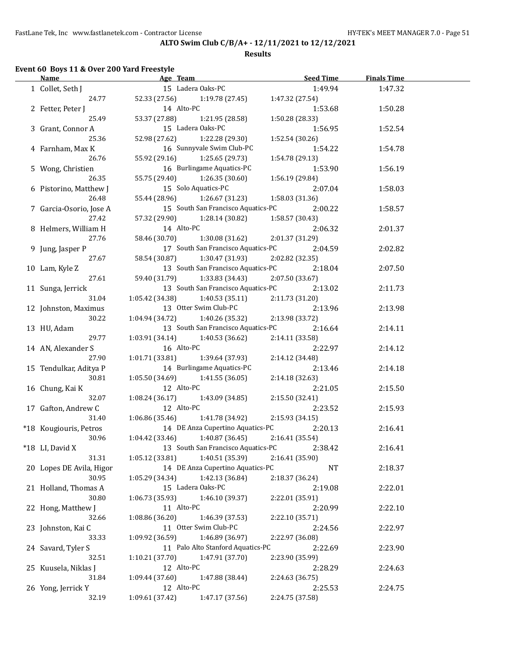**Results**

# **Event 60 Boys 11 & Over 200 Yard Freestyle**

 $\overline{a}$ 

| <b>Name</b>                 | Age Team and the state of the state of the state of the state of the state of the state of the state of the state of the state of the state of the state of the state of the state of the state of the state of the state of t | <b>Seed Time</b> | <b>Finals Time</b> |  |
|-----------------------------|--------------------------------------------------------------------------------------------------------------------------------------------------------------------------------------------------------------------------------|------------------|--------------------|--|
| 1 Collet, Seth J            | 15 Ladera Oaks-PC                                                                                                                                                                                                              | 1:49.94          | 1:47.32            |  |
| 24.77                       | 52.33 (27.56) 1:19.78 (27.45)                                                                                                                                                                                                  | 1:47.32 (27.54)  |                    |  |
| 2 Fetter, Peter J           | 14 Alto-PC                                                                                                                                                                                                                     | 1:53.68          | 1:50.28            |  |
| 25.49                       | 53.37 (27.88)<br>1:21.95 (28.58)                                                                                                                                                                                               | 1:50.28 (28.33)  |                    |  |
| 3 Grant, Connor A           | 15 Ladera Oaks-PC                                                                                                                                                                                                              | 1:56.95          | 1:52.54            |  |
| 25.36                       | 52.98 (27.62)<br>1:22.28 (29.30)                                                                                                                                                                                               | 1:52.54(30.26)   |                    |  |
| 4 Farnham, Max K            | 16 Sunnyvale Swim Club-PC                                                                                                                                                                                                      | 1:54.22          | 1:54.78            |  |
| 26.76                       | 55.92 (29.16)<br>1:25.65 (29.73)                                                                                                                                                                                               | 1:54.78 (29.13)  |                    |  |
| 5 Wong, Christien           | 16 Burlingame Aquatics-PC                                                                                                                                                                                                      | 1:53.90          | 1:56.19            |  |
| 26.35                       | 55.75 (29.40) 1:26.35 (30.60)                                                                                                                                                                                                  | 1:56.19 (29.84)  |                    |  |
| 6 Pistorino, Matthew J      | 15 Solo Aquatics-PC                                                                                                                                                                                                            | 2:07.04          | 1:58.03            |  |
| 26.48                       | 55.44 (28.96)<br>1:26.67 (31.23)                                                                                                                                                                                               | 1:58.03(31.36)   |                    |  |
|                             | 15 South San Francisco Aquatics-PC                                                                                                                                                                                             |                  |                    |  |
| 7 Garcia-Osorio, Jose A     |                                                                                                                                                                                                                                | 2:00.22          | 1:58.57            |  |
| 27.42                       | 57.32 (29.90)<br>1:28.14 (30.82)                                                                                                                                                                                               | 1:58.57 (30.43)  |                    |  |
| 8 Helmers, William H        | 14 Alto-PC                                                                                                                                                                                                                     | 2:06.32          | 2:01.37            |  |
| 27.76                       | 58.46 (30.70)<br>1:30.08(31.62)                                                                                                                                                                                                | 2:01.37 (31.29)  |                    |  |
| 9 Jung, Jasper P            | 17 South San Francisco Aquatics-PC                                                                                                                                                                                             | 2:04.59          | 2:02.82            |  |
| 27.67                       | 58.54 (30.87)<br>1:30.47 (31.93)                                                                                                                                                                                               | 2:02.82 (32.35)  |                    |  |
| 10 Lam, Kyle Z              | 13 South San Francisco Aquatics-PC                                                                                                                                                                                             | 2:18.04          | 2:07.50            |  |
| 27.61                       | 59.40 (31.79) 1:33.83 (34.43)                                                                                                                                                                                                  | 2:07.50 (33.67)  |                    |  |
| 11 Sunga, Jerrick           | 13 South San Francisco Aquatics-PC                                                                                                                                                                                             | 2:13.02          | 2:11.73            |  |
| 31.04                       | $1:05.42(34.38)$ $1:40.53(35.11)$                                                                                                                                                                                              | 2:11.73 (31.20)  |                    |  |
| 12 Johnston, Maximus        | 13 Otter Swim Club-PC                                                                                                                                                                                                          | 2:13.96          | 2:13.98            |  |
| 30.22                       | $1:04.94(34.72)$ $1:40.26(35.32)$                                                                                                                                                                                              | 2:13.98 (33.72)  |                    |  |
| 13 HU, Adam                 | 13 South San Francisco Aquatics-PC                                                                                                                                                                                             | 2:16.64          | 2:14.11            |  |
| 29.77                       | 1:40.53 (36.62)<br>1:03.91(34.14)                                                                                                                                                                                              | 2:14.11 (33.58)  |                    |  |
| 14 AN, Alexander S          | 16 Alto-PC                                                                                                                                                                                                                     | 2:22.97          | 2:14.12            |  |
| 27.90                       | 1:01.71(33.81)<br>1:39.64 (37.93)                                                                                                                                                                                              | 2:14.12 (34.48)  |                    |  |
| 15 Tendulkar, Aditya P      | 14 Burlingame Aquatics-PC                                                                                                                                                                                                      | 2:13.46          | 2:14.18            |  |
| 30.81                       | 1:05.50 (34.69)<br>1:41.55 (36.05)                                                                                                                                                                                             | 2:14.18 (32.63)  |                    |  |
| 16 Chung, Kai K             | 12 Alto-PC                                                                                                                                                                                                                     | 2:21.05          | 2:15.50            |  |
| 32.07                       | 1:08.24(36.17)<br>1:43.09 (34.85)                                                                                                                                                                                              | 2:15.50 (32.41)  |                    |  |
| 17 Gafton, Andrew C         | 12 Alto-PC                                                                                                                                                                                                                     | 2:23.52          | 2:15.93            |  |
| 31.40                       | $1:06.86(35.46)$ $1:41.78(34.92)$                                                                                                                                                                                              | 2:15.93(34.15)   |                    |  |
| *18 Kougiouris, Petros      | 14 DE Anza Cupertino Aquatics-PC                                                                                                                                                                                               | 2:20.13          | 2:16.41            |  |
| 30.96                       | $1:04.42$ (33.46) $1:40.87$ (36.45)                                                                                                                                                                                            | 2:16.41 (35.54)  |                    |  |
| *18 LI, David X             | 13 South San Francisco Aquatics-PC                                                                                                                                                                                             | 2:38.42          | 2:16.41            |  |
| 31.31                       | 1:40.51 (35.39)<br>1:05.12 (33.81)                                                                                                                                                                                             | 2:16.41 (35.90)  |                    |  |
| 20 Lopes DE Avila, Higor    | 14 DE Anza Cupertino Aquatics-PC                                                                                                                                                                                               | NT               | 2:18.37            |  |
| 30.95                       | 1:42.13 (36.84)<br>1:05.29 (34.34)                                                                                                                                                                                             | 2:18.37 (36.24)  |                    |  |
| 21 Holland, Thomas A        | 15 Ladera Oaks-PC                                                                                                                                                                                                              | 2:19.08          | 2:22.01            |  |
| 30.80                       | 1:46.10 (39.37)<br>1:06.73 (35.93)                                                                                                                                                                                             | 2:22.01 (35.91)  |                    |  |
|                             | 11 Alto-PC                                                                                                                                                                                                                     | 2:20.99          | 2:22.10            |  |
| 22 Hong, Matthew J<br>32.66 |                                                                                                                                                                                                                                | 2:22.10 (35.71)  |                    |  |
|                             | 1:08.86 (36.20)<br>1:46.39 (37.53)                                                                                                                                                                                             |                  |                    |  |
| 23 Johnston, Kai C          | 11 Otter Swim Club-PC                                                                                                                                                                                                          | 2:24.56          | 2:22.97            |  |
| 33.33                       | 1:09.92 (36.59)<br>1:46.89 (36.97)                                                                                                                                                                                             | 2:22.97 (36.08)  |                    |  |
| 24 Savard, Tyler S          | 11 Palo Alto Stanford Aquatics-PC                                                                                                                                                                                              | 2:22.69          | 2:23.90            |  |
| 32.51                       | 1:47.91 (37.70)<br>1:10.21 (37.70)                                                                                                                                                                                             | 2:23.90 (35.99)  |                    |  |
| 25 Kuusela, Niklas J        | 12 Alto-PC                                                                                                                                                                                                                     | 2:28.29          | 2:24.63            |  |
| 31.84                       | 1:47.88 (38.44)<br>1:09.44 (37.60)                                                                                                                                                                                             | 2:24.63 (36.75)  |                    |  |
| 26 Yong, Jerrick Y          | 12 Alto-PC                                                                                                                                                                                                                     | 2:25.53          | 2:24.75            |  |
| 32.19                       | 1:09.61 (37.42)<br>1:47.17 (37.56)                                                                                                                                                                                             | 2:24.75 (37.58)  |                    |  |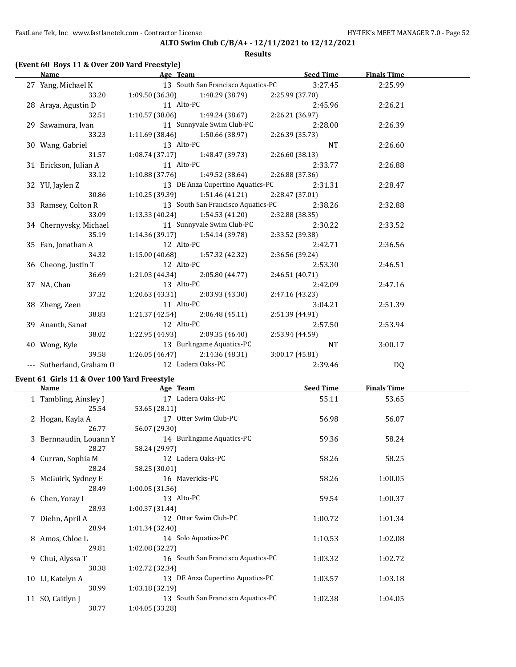FastLane Tek, Inc www.fastlanetek.com - Contractor License Manual According the HY-TEK's MEET MANAGER 7.0 - Page 52

## **ALTO Swim Club C/B/A+ - 12/11/2021 to 12/12/2021**

### **Results**

## **(Event 60 Boys 11 & Over 200 Yard Freestyle)**

| Name                                                          |                   | <b>Example 20 Age Team Age of Team Seed Time</b>            |                 |         | <b>Finals Time</b> |  |
|---------------------------------------------------------------|-------------------|-------------------------------------------------------------|-----------------|---------|--------------------|--|
| 27 Yang, Michael K 13 South San Francisco Aquatics-PC 3:27.45 |                   |                                                             |                 |         | 2:25.99            |  |
| 33.20                                                         |                   | $1:09.50(36.30)$ $1:48.29(38.79)$ $2:25.99(37.70)$          |                 |         |                    |  |
| 28 Araya, Agustin D                                           |                   | 11 Alto-PC<br>1:10.57 (38.06) 1:49.24 (38.67) 2:26.21 (36.9 |                 | 2:45.96 | 2:26.21            |  |
| 32.51                                                         |                   |                                                             | 2:26.21 (36.97) |         |                    |  |
| 29 Sawamura, Ivan                                             |                   | 11 Sunnyvale Swim Club-PC                                   |                 | 2:28.00 | 2:26.39            |  |
| 33.23                                                         |                   | $1:11.69$ (38.46) $1:50.66$ (38.97)                         | 2:26.39 (35.73) |         |                    |  |
| 30 Wang, Gabriel                                              | 13 Alto-PC        |                                                             | NT NT           |         | 2:26.60            |  |
| 31.57                                                         |                   | $1:08.74(37.17)$ $1:48.47(39.73)$                           | 2:26.60 (38.13) |         |                    |  |
| 31 Erickson, Julian A                                         | 11 Alto-PC        |                                                             |                 | 2:33.77 | 2:26.88            |  |
| 33.12                                                         |                   | $1:10.88(37.76)$ $1:49.52(38.64)$                           | 2:26.88 (37.36) |         |                    |  |
| 32 YU, Jaylen Z                                               |                   | 13 DE Anza Cupertino Aquatics-PC 2:31.31                    |                 |         | 2:28.47            |  |
| 30.86                                                         |                   | $1:10.25(39.39)$ $1:51.46(41.21)$                           | 2:28.47 (37.01) |         |                    |  |
| 33 Ramsey, Colton R                                           |                   | 13 South San Francisco Aquatics-PC 2:38.26                  |                 |         | 2:32.88            |  |
| 33.09                                                         |                   | $1:13.33(40.24)$ $1:54.53(41.20)$                           | 2:32.88 (38.35) |         |                    |  |
| 34 Chernyvsky, Michael                                        |                   | 11 Sunnyvale Swim Club-PC 2:30.22                           |                 |         | 2:33.52            |  |
| 35.19                                                         |                   | $1:14.36(39.17)$ $1:54.14(39.78)$                           | 2:33.52 (39.38) |         |                    |  |
| 35 Fan, Jonathan A                                            | 12 Alto-PC        |                                                             |                 | 2:42.71 | 2:36.56            |  |
| 34.32                                                         |                   | $1:15.00(40.68)$ $1:57.32(42.32)$                           | 2:36.56 (39.24) |         |                    |  |
| 36 Cheong, Justin T                                           | 12 Alto-PC        |                                                             | 2:53.30         |         | 2:46.51            |  |
| 36.69                                                         |                   | $1:21.03(44.34)$ $2:05.80(44.77)$                           | 2:46.51 (40.71) |         |                    |  |
| 37 NA, Chan                                                   | 13 Alto-PC        |                                                             |                 | 2:42.09 | 2:47.16            |  |
| 37.32                                                         |                   | $1:20.63(43.31)$ $2:03.93(43.30)$                           | 2:47.16 (43.23) |         |                    |  |
| 38 Zheng, Zeen                                                | 11 Alto-PC        |                                                             |                 | 3:04.21 | 2:51.39            |  |
| 38.83                                                         |                   | $1:21.37(42.54)$ $2:06.48(45.11)$                           | 2:51.39 (44.91) |         |                    |  |
| 39 Ananth, Sanat                                              | 12 Alto-PC        |                                                             |                 | 2:57.50 | 2:53.94            |  |
| 38.02                                                         |                   | $1:22.95(44.93)$ $2:09.35(46.40)$                           | 2:53.94 (44.59) |         |                    |  |
| 40 Wong, Kyle                                                 |                   | 13 Burlingame Aquatics-PC                                   | NT NT           |         | 3:00.17            |  |
| 39.58                                                         |                   | $1:26.05(46.47)$ $2:14.36(48.31)$                           | 3:00.17(45.81)  |         |                    |  |
| --- Sutherland, Graham O                                      | 12 Ladera Oaks-PC |                                                             |                 | 2:39.46 | <b>DQ</b>          |  |

### **Event 61 Girls 11 & Over 100 Yard Freestyle**

| Name                   | Age Team                           | <b>Seed Time</b> | <b>Finals Time</b> |  |
|------------------------|------------------------------------|------------------|--------------------|--|
| 1 Tambling, Ainsley J  | 17 Ladera Oaks-PC                  | 55.11            | 53.65              |  |
| 25.54                  | 53.65 (28.11)                      |                  |                    |  |
| 2 Hogan, Kayla A       | 17 Otter Swim Club-PC              | 56.98            | 56.07              |  |
| 26.77                  | 56.07 (29.30)                      |                  |                    |  |
| 3 Bernnaudin, Louann Y | 14 Burlingame Aquatics-PC          | 59.36            | 58.24              |  |
| 28.27                  | 58.24 (29.97)                      |                  |                    |  |
| 4 Curran, Sophia M     | 12 Ladera Oaks-PC                  | 58.26            | 58.25              |  |
| 28.24                  | 58.25 (30.01)                      |                  |                    |  |
| 5 McGuirk, Sydney E    | 16 Mavericks-PC                    | 58.26            | 1:00.05            |  |
| 28.49                  | 1:00.05(31.56)                     |                  |                    |  |
| 6 Chen, Yoray I        | 13 Alto-PC                         | 59.54            | 1:00.37            |  |
| 28.93                  | 1:00.37(31.44)                     |                  |                    |  |
| 7 Diehn, April A       | 12 Otter Swim Club-PC              | 1:00.72          | 1:01.34            |  |
| 28.94                  | 1:01.34(32.40)                     |                  |                    |  |
| 8 Amos, Chloe L        | 14 Solo Aquatics-PC                | 1:10.53          | 1:02.08            |  |
| 29.81                  | 1:02.08 (32.27)                    |                  |                    |  |
| 9 Chui, Alyssa T       | 16 South San Francisco Aquatics-PC | 1:03.32          | 1:02.72            |  |
| 30.38                  | 1:02.72 (32.34)                    |                  |                    |  |
| 10 LI, Katelyn A       | 13 DE Anza Cupertino Aquatics-PC   | 1:03.57          | 1:03.18            |  |
| 30.99                  | 1:03.18(32.19)                     |                  |                    |  |
| 11 SO, Caitlyn J       | 13 South San Francisco Aquatics-PC | 1:02.38          | 1:04.05            |  |
| 30.77                  | 1:04.05(33.28)                     |                  |                    |  |
|                        |                                    |                  |                    |  |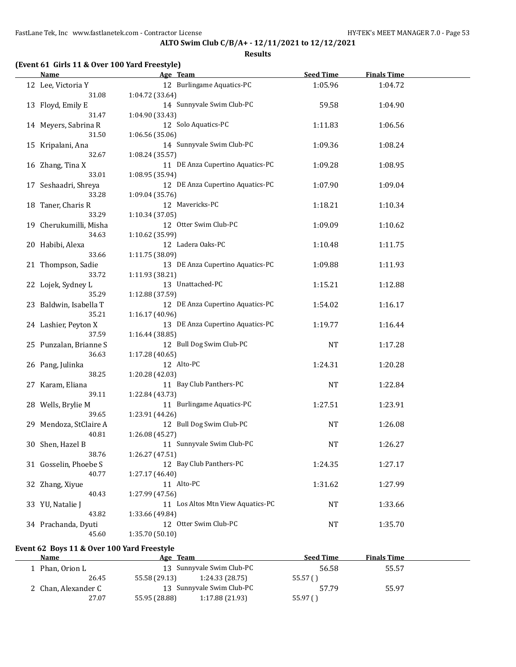#### **Results**

| (Event 61 Girls 11 & Over 100 Yard Freestyle) |                                   |                  |                    |  |
|-----------------------------------------------|-----------------------------------|------------------|--------------------|--|
| Name                                          | Age Team                          | <b>Seed Time</b> | <b>Finals Time</b> |  |
| 12 Lee, Victoria Y                            | 12 Burlingame Aquatics-PC         | 1:05.96          | 1:04.72            |  |
| 31.08                                         | 1:04.72 (33.64)                   |                  |                    |  |
| 13 Floyd, Emily E                             | 14 Sunnyvale Swim Club-PC         | 59.58            | 1:04.90            |  |
| 31.47                                         | 1:04.90 (33.43)                   |                  |                    |  |
| 14 Meyers, Sabrina R                          | 12 Solo Aquatics-PC               | 1:11.83          | 1:06.56            |  |
| 31.50                                         | 1:06.56 (35.06)                   |                  |                    |  |
| 15 Kripalani, Ana                             | 14 Sunnyvale Swim Club-PC         | 1:09.36          | 1:08.24            |  |
| 32.67                                         | 1:08.24 (35.57)                   |                  |                    |  |
|                                               | 11 DE Anza Cupertino Aquatics-PC  | 1:09.28          |                    |  |
| 16 Zhang, Tina X                              |                                   |                  | 1:08.95            |  |
| 33.01                                         | 1:08.95 (35.94)                   |                  |                    |  |
| 17 Seshaadri, Shreya                          | 12 DE Anza Cupertino Aquatics-PC  | 1:07.90          | 1:09.04            |  |
| 33.28                                         | 1:09.04 (35.76)                   |                  |                    |  |
| 18 Taner, Charis R                            | 12 Mavericks-PC                   | 1:18.21          | 1:10.34            |  |
| 33.29                                         | 1:10.34 (37.05)                   |                  |                    |  |
| 19 Cherukumilli, Misha                        | 12 Otter Swim Club-PC             | 1:09.09          | 1:10.62            |  |
| 34.63                                         | 1:10.62 (35.99)                   |                  |                    |  |
| 20 Habibi, Alexa                              | 12 Ladera Oaks-PC                 | 1:10.48          | 1:11.75            |  |
| 33.66                                         | 1:11.75 (38.09)                   |                  |                    |  |
| 21 Thompson, Sadie                            | 13 DE Anza Cupertino Aquatics-PC  | 1:09.88          | 1:11.93            |  |
| 33.72                                         | 1:11.93 (38.21)                   |                  |                    |  |
| 22 Lojek, Sydney L                            | 13 Unattached-PC                  | 1:15.21          | 1:12.88            |  |
| 35.29                                         | 1:12.88 (37.59)                   |                  |                    |  |
| 23 Baldwin, Isabella T                        | 12 DE Anza Cupertino Aquatics-PC  | 1:54.02          | 1:16.17            |  |
| 35.21                                         | 1:16.17 (40.96)                   |                  |                    |  |
| 24 Lashier, Peyton X                          | 13 DE Anza Cupertino Aquatics-PC  | 1:19.77          | 1:16.44            |  |
| 37.59                                         |                                   |                  |                    |  |
|                                               | 1:16.44 (38.85)                   |                  |                    |  |
| 25 Punzalan, Brianne S                        | 12 Bull Dog Swim Club-PC          | <b>NT</b>        | 1:17.28            |  |
| 36.63                                         | 1:17.28 (40.65)                   |                  |                    |  |
| 26 Pang, Julinka                              | 12 Alto-PC                        | 1:24.31          | 1:20.28            |  |
| 38.25                                         | 1:20.28 (42.03)                   |                  |                    |  |
| 27 Karam, Eliana                              | 11 Bay Club Panthers-PC           | <b>NT</b>        | 1:22.84            |  |
| 39.11                                         | 1:22.84 (43.73)                   |                  |                    |  |
| 28 Wells, Brylie M                            | 11 Burlingame Aquatics-PC         | 1:27.51          | 1:23.91            |  |
| 39.65                                         | 1:23.91 (44.26)                   |                  |                    |  |
| 29 Mendoza, StClaire A                        | 12 Bull Dog Swim Club-PC          | NT               | 1:26.08            |  |
| 40.81                                         | 1:26.08 (45.27)                   |                  |                    |  |
| 30 Shen, Hazel B                              | 11 Sunnyvale Swim Club-PC         | NT               | 1:26.27            |  |
| 38.76                                         | 1:26.27(47.51)                    |                  |                    |  |
| 31 Gosselin, Phoebe S                         | 12 Bay Club Panthers-PC           | 1:24.35          | 1:27.17            |  |
| 40.77                                         | 1:27.17 (46.40)                   |                  |                    |  |
| 32 Zhang, Xiyue                               | 11 Alto-PC                        | 1:31.62          | 1:27.99            |  |
| 40.43                                         | 1:27.99 (47.56)                   |                  |                    |  |
|                                               | 11 Los Altos Mtn View Aquatics-PC |                  |                    |  |
| 33 YU, Natalie J                              |                                   | NT               | 1:33.66            |  |
| 43.82                                         | 1:33.66 (49.84)                   |                  |                    |  |
| 34 Prachanda, Dyuti                           | 12 Otter Swim Club-PC             | NT               | 1:35.70            |  |
| 45.60                                         | 1:35.70(50.10)                    |                  |                    |  |

## **Event 62 Boys 11 & Over 100 Yard Freestyle**

| <b>Name</b>         | Age Team                  |                           | <b>Seed Time</b> | <b>Finals Time</b> |  |
|---------------------|---------------------------|---------------------------|------------------|--------------------|--|
| Phan, Orion L       |                           | 13 Sunnyvale Swim Club-PC | 56.58            | 55.57              |  |
| 26.45               | 55.58 (29.13)             | 1:24.33(28.75)            | 55.57()          |                    |  |
| 2 Chan, Alexander C | 13 Sunnyvale Swim Club-PC |                           | 57.79            | 55.97              |  |
| 27.07               | 55.95 (28.88)             | 1:17.88(21.93)            | 55.97()          |                    |  |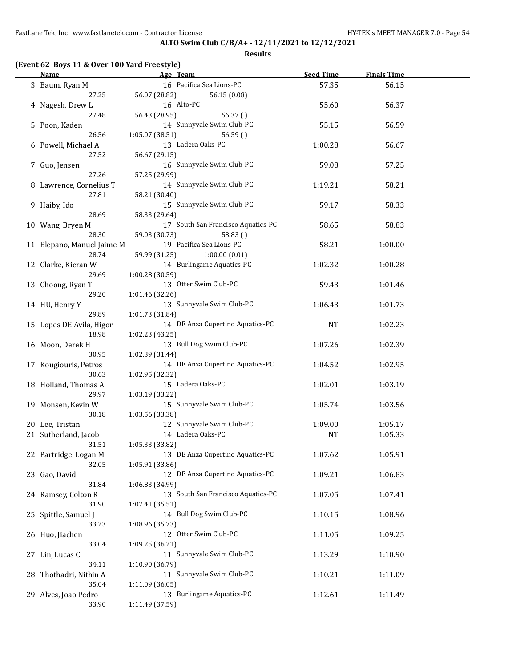**Results**

| <b>Name</b>                |                 | Age Team                           | <b>Seed Time</b> | <b>Finals Time</b> |  |
|----------------------------|-----------------|------------------------------------|------------------|--------------------|--|
| 3 Baum, Ryan M             |                 | 16 Pacifica Sea Lions-PC           | 57.35            | 56.15              |  |
| 27.25                      | 56.07 (28.82)   | 56.15 (0.08)                       |                  |                    |  |
| 4 Nagesh, Drew L           |                 | 16 Alto-PC                         | 55.60            | 56.37              |  |
| 27.48                      | 56.43 (28.95)   | 56.37()                            |                  |                    |  |
| 5 Poon, Kaden              |                 | 14 Sunnyvale Swim Club-PC          | 55.15            | 56.59              |  |
| 26.56                      | 1:05.07(38.51)  | 56.59()                            |                  |                    |  |
| 6 Powell, Michael A        |                 | 13 Ladera Oaks-PC                  | 1:00.28          | 56.67              |  |
| 27.52                      | 56.67 (29.15)   |                                    |                  |                    |  |
|                            |                 | 16 Sunnyvale Swim Club-PC          | 59.08            | 57.25              |  |
| 7 Guo, Jensen<br>27.26     | 57.25 (29.99)   |                                    |                  |                    |  |
|                            |                 | 14 Sunnyvale Swim Club-PC          |                  |                    |  |
| 8 Lawrence, Cornelius T    |                 |                                    | 1:19.21          | 58.21              |  |
| 27.81                      | 58.21 (30.40)   |                                    |                  |                    |  |
| 9 Haiby, Ido               |                 | 15 Sunnyvale Swim Club-PC          | 59.17            | 58.33              |  |
| 28.69                      | 58.33 (29.64)   |                                    |                  |                    |  |
| 10 Wang, Bryen M           |                 | 17 South San Francisco Aquatics-PC | 58.65            | 58.83              |  |
| 28.30                      | 59.03 (30.73)   | 58.83()                            |                  |                    |  |
| 11 Elepano, Manuel Jaime M |                 | 19 Pacifica Sea Lions-PC           | 58.21            | 1:00.00            |  |
| 28.74                      | 59.99 (31.25)   | 1:00.00(0.01)                      |                  |                    |  |
| 12 Clarke, Kieran W        |                 | 14 Burlingame Aquatics-PC          | 1:02.32          | 1:00.28            |  |
| 29.69                      | 1:00.28 (30.59) |                                    |                  |                    |  |
| 13 Choong, Ryan T          |                 | 13 Otter Swim Club-PC              | 59.43            | 1:01.46            |  |
| 29.20                      | 1:01.46 (32.26) |                                    |                  |                    |  |
| 14 HU, Henry Y             |                 | 13 Sunnyvale Swim Club-PC          | 1:06.43          | 1:01.73            |  |
| 29.89                      | 1:01.73 (31.84) |                                    |                  |                    |  |
| 15 Lopes DE Avila, Higor   |                 | 14 DE Anza Cupertino Aquatics-PC   | <b>NT</b>        | 1:02.23            |  |
| 18.98                      | 1:02.23 (43.25) |                                    |                  |                    |  |
| 16 Moon, Derek H           |                 | 13 Bull Dog Swim Club-PC           | 1:07.26          | 1:02.39            |  |
| 30.95                      | 1:02.39 (31.44) |                                    |                  |                    |  |
| 17 Kougiouris, Petros      |                 | 14 DE Anza Cupertino Aquatics-PC   | 1:04.52          | 1:02.95            |  |
| 30.63                      | 1:02.95 (32.32) |                                    |                  |                    |  |
| 18 Holland, Thomas A       |                 | 15 Ladera Oaks-PC                  | 1:02.01          | 1:03.19            |  |
| 29.97                      | 1:03.19 (33.22) |                                    |                  |                    |  |
| 19 Monsen, Kevin W         |                 | 15 Sunnyvale Swim Club-PC          | 1:05.74          | 1:03.56            |  |
| 30.18                      | 1:03.56 (33.38) |                                    |                  |                    |  |
| 20 Lee, Tristan            |                 | 12 Sunnyvale Swim Club-PC          | 1:09.00          | 1:05.17            |  |
| 21 Sutherland, Jacob       |                 | 14 Ladera Oaks-PC                  | <b>NT</b>        | 1:05.33            |  |
| 31.51                      | 1:05.33 (33.82) |                                    |                  |                    |  |
|                            |                 | 13 DE Anza Cupertino Aquatics-PC   |                  | 1:05.91            |  |
| 22 Partridge, Logan M      |                 |                                    | 1:07.62          |                    |  |
| 32.05                      | 1:05.91 (33.86) | 12 DE Anza Cupertino Aquatics-PC   |                  |                    |  |
| 23 Gao, David              |                 |                                    | 1:09.21          | 1:06.83            |  |
| 31.84                      | 1:06.83 (34.99) |                                    |                  |                    |  |
| 24 Ramsey, Colton R        |                 | 13 South San Francisco Aquatics-PC | 1:07.05          | 1:07.41            |  |
| 31.90                      | 1:07.41 (35.51) |                                    |                  |                    |  |
| 25 Spittle, Samuel J       |                 | 14 Bull Dog Swim Club-PC           | 1:10.15          | 1:08.96            |  |
| 33.23                      | 1:08.96 (35.73) |                                    |                  |                    |  |
| 26 Huo, Jiachen            |                 | 12 Otter Swim Club-PC              | 1:11.05          | 1:09.25            |  |
| 33.04                      | 1:09.25 (36.21) |                                    |                  |                    |  |
| 27 Lin, Lucas C            |                 | 11 Sunnyvale Swim Club-PC          | 1:13.29          | 1:10.90            |  |
| 34.11                      | 1:10.90 (36.79) |                                    |                  |                    |  |
| 28 Thothadri, Nithin A     |                 | 11 Sunnyvale Swim Club-PC          | 1:10.21          | 1:11.09            |  |
| 35.04                      | 1:11.09 (36.05) |                                    |                  |                    |  |
| 29 Alves, Joao Pedro       |                 | 13 Burlingame Aquatics-PC          | 1:12.61          | 1:11.49            |  |
| 33.90                      | 1:11.49 (37.59) |                                    |                  |                    |  |
|                            |                 |                                    |                  |                    |  |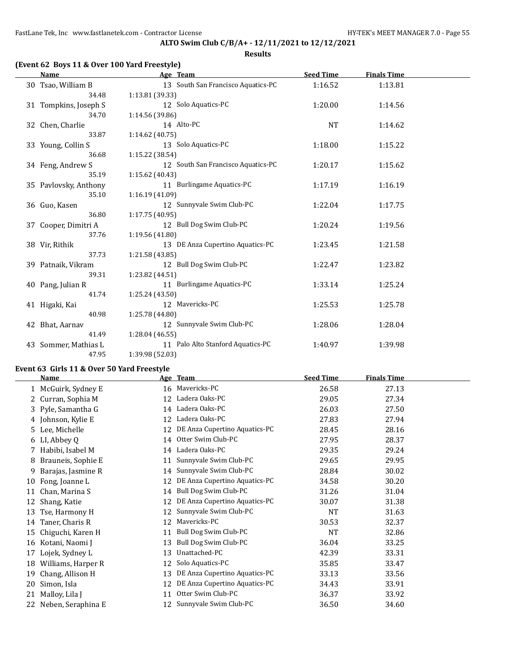|                                              | <b>Results</b>                     |                  |                    |  |
|----------------------------------------------|------------------------------------|------------------|--------------------|--|
| (Event 62 Boys 11 & Over 100 Yard Freestyle) |                                    |                  |                    |  |
| Name                                         | Age Team                           | <b>Seed Time</b> | <b>Finals Time</b> |  |
| 30 Tsao, William B                           | 13 South San Francisco Aquatics-PC | 1:16.52          | 1:13.81            |  |
| 34.48                                        | 1:13.81 (39.33)                    |                  |                    |  |
| 31 Tompkins, Joseph S                        | 12 Solo Aquatics-PC                | 1:20.00          | 1:14.56            |  |
| 34.70                                        | 1:14.56 (39.86)                    |                  |                    |  |
| 32 Chen, Charlie                             | 14 Alto-PC                         | <b>NT</b>        | 1:14.62            |  |
| 33.87                                        | 1:14.62 (40.75)                    |                  |                    |  |
| 33 Young, Collin S                           | 13 Solo Aquatics-PC                | 1:18.00          | 1:15.22            |  |
| 36.68                                        | 1:15.22 (38.54)                    |                  |                    |  |
| 34 Feng, Andrew S                            | 12 South San Francisco Aquatics-PC | 1:20.17          | 1:15.62            |  |
| 35.19                                        | 1:15.62(40.43)                     |                  |                    |  |
| 35 Pavlovsky, Anthony                        | 11 Burlingame Aquatics-PC          | 1:17.19          | 1:16.19            |  |
| 35.10                                        | 1:16.19(41.09)                     |                  |                    |  |
| 36 Guo, Kasen                                | 12 Sunnyvale Swim Club-PC          | 1:22.04          | 1:17.75            |  |
| 36.80                                        | 1:17.75 (40.95)                    |                  |                    |  |
| 37 Cooper, Dimitri A                         | 12 Bull Dog Swim Club-PC           | 1:20.24          | 1:19.56            |  |
| 37.76                                        | 1:19.56 (41.80)                    |                  |                    |  |
| 38 Vir, Rithik                               | 13 DE Anza Cupertino Aquatics-PC   | 1:23.45          | 1:21.58            |  |
| 37.73                                        | 1:21.58(43.85)                     |                  |                    |  |
| 39 Patnaik, Vikram                           | 12 Bull Dog Swim Club-PC           | 1:22.47          | 1:23.82            |  |
| 39.31                                        | 1:23.82 (44.51)                    |                  |                    |  |
| 40 Pang, Julian R                            | 11 Burlingame Aquatics-PC          | 1:33.14          | 1:25.24            |  |
| 41.74                                        | 1:25.24 (43.50)                    |                  |                    |  |
| 41 Higaki, Kai                               | 12 Mavericks-PC                    | 1:25.53          | 1:25.78            |  |
| 40.98                                        | 1:25.78 (44.80)                    |                  |                    |  |
| 42 Bhat, Aarnav                              | 12 Sunnyvale Swim Club-PC          | 1:28.06          | 1:28.04            |  |
| 41.49                                        | 1:28.04 (46.55)                    |                  |                    |  |
| 43 Sommer, Mathias L                         | 11 Palo Alto Stanford Aquatics-PC  | 1:40.97          | 1:39.98            |  |

## **Event 63 Girls 11 & Over 50 Yard Freestyle**

47.95 1:39.98 (52.03)

|    | <b>Name</b>         |    | Age Team                      | <b>Seed Time</b> | <b>Finals Time</b> |
|----|---------------------|----|-------------------------------|------------------|--------------------|
|    | 1 McGuirk, Sydney E | 16 | Mavericks-PC                  | 26.58            | 27.13              |
|    | 2 Curran, Sophia M  | 12 | Ladera Oaks-PC                | 29.05            | 27.34              |
|    | 3 Pyle, Samantha G  | 14 | Ladera Oaks-PC                | 26.03            | 27.50              |
|    | 4 Johnson, Kylie E  | 12 | Ladera Oaks-PC                | 27.83            | 27.94              |
|    | 5 Lee, Michelle     | 12 | DE Anza Cupertino Aquatics-PC | 28.45            | 28.16              |
|    | 6 LI, Abbey Q       | 14 | Otter Swim Club-PC            | 27.95            | 28.37              |
|    | Habibi, Isabel M    | 14 | Ladera Oaks-PC                | 29.35            | 29.24              |
| 8  | Brauneis, Sophie E  | 11 | Sunnyvale Swim Club-PC        | 29.65            | 29.95              |
| 9  | Barajas, Jasmine R  | 14 | Sunnyvale Swim Club-PC        | 28.84            | 30.02              |
| 10 | Fong, Joanne L      | 12 | DE Anza Cupertino Aquatics-PC | 34.58            | 30.20              |
| 11 | Chan, Marina S      | 14 | Bull Dog Swim Club-PC         | 31.26            | 31.04              |
| 12 | Shang, Katie        | 12 | DE Anza Cupertino Aquatics-PC | 30.07            | 31.38              |
| 13 | Tse, Harmony H      | 12 | Sunnyvale Swim Club-PC        | NT               | 31.63              |
| 14 | Taner, Charis R     | 12 | Mavericks-PC                  | 30.53            | 32.37              |
| 15 | Chiguchi, Karen H   | 11 | Bull Dog Swim Club-PC         | <b>NT</b>        | 32.86              |
| 16 | Kotani, Naomi J     | 13 | Bull Dog Swim Club-PC         | 36.04            | 33.25              |
| 17 | Lojek, Sydney L     | 13 | Unattached-PC                 | 42.39            | 33.31              |
| 18 | Williams, Harper R  | 12 | Solo Aquatics-PC              | 35.85            | 33.47              |
| 19 | Chang, Allison H    | 13 | DE Anza Cupertino Aquatics-PC | 33.13            | 33.56              |
| 20 | Simon, Isla         | 12 | DE Anza Cupertino Aquatics-PC | 34.43            | 33.91              |
| 21 | Malloy, Lila J      | 11 | Otter Swim Club-PC            | 36.37            | 33.92              |
| 22 | Neben, Seraphina E  | 12 | Sunnyvale Swim Club-PC        | 36.50            | 34.60              |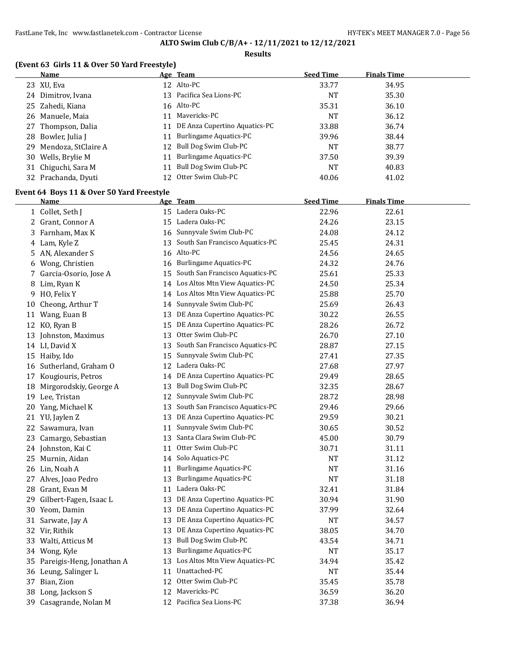#### **Results**

## **(Event 63 Girls 11 & Over 50 Yard Freestyle)**

|    | (Event os Girls II & Over 50 faid Freestyle) |    |                                   |                  |                    |  |
|----|----------------------------------------------|----|-----------------------------------|------------------|--------------------|--|
|    | Name                                         |    | Age Team                          | <b>Seed Time</b> | <b>Finals Time</b> |  |
|    | 23 XU, Eva                                   |    | 12 Alto-PC                        | 33.77            | 34.95              |  |
|    | 24 Dimitrov, Ivana                           |    | 13 Pacifica Sea Lions-PC          | NT               | 35.30              |  |
|    | 25 Zahedi, Kiana                             |    | 16 Alto-PC                        | 35.31            | 36.10              |  |
| 26 | Manuele, Maia                                |    | 11 Mavericks-PC                   | <b>NT</b>        | 36.12              |  |
| 27 | Thompson, Dalia                              | 11 | DE Anza Cupertino Aquatics-PC     | 33.88            | 36.74              |  |
| 28 | Bowler, Julia J                              | 11 | <b>Burlingame Aquatics-PC</b>     | 39.96            | 38.44              |  |
| 29 | Mendoza, StClaire A                          | 12 | Bull Dog Swim Club-PC             | <b>NT</b>        | 38.77              |  |
| 30 | Wells, Brylie M                              | 11 | Burlingame Aquatics-PC            | 37.50            | 39.39              |  |
| 31 | Chiguchi, Sara M                             | 11 | Bull Dog Swim Club-PC             | <b>NT</b>        | 40.83              |  |
|    | 32 Prachanda, Dyuti                          | 12 | Otter Swim Club-PC                | 40.06            | 41.02              |  |
|    | Event 64 Boys 11 & Over 50 Yard Freestyle    |    |                                   |                  |                    |  |
|    | <b>Name</b>                                  |    | Age Team                          | <b>Seed Time</b> | <b>Finals Time</b> |  |
|    | 1 Collet, Seth J                             |    | 15 Ladera Oaks-PC                 | 22.96            | 22.61              |  |
| 2  | Grant, Connor A                              |    | 15 Ladera Oaks-PC                 | 24.26            | 23.15              |  |
| 3  | Farnham, Max K                               |    | 16 Sunnyvale Swim Club-PC         | 24.08            | 24.12              |  |
| 4  | Lam, Kyle Z                                  | 13 | South San Francisco Aquatics-PC   | 25.45            | 24.31              |  |
| 5  | AN, Alexander S                              |    | 16 Alto-PC                        | 24.56            | 24.65              |  |
| 6  | Wong, Christien                              |    | 16 Burlingame Aquatics-PC         | 24.32            | 24.76              |  |
| 7  | Garcia-Osorio, Jose A                        | 15 | South San Francisco Aquatics-PC   | 25.61            | 25.33              |  |
| 8  | Lim, Ryan K                                  |    | 14 Los Altos Mtn View Aquatics-PC | 24.50            | 25.34              |  |
| 9  | HO, Felix Y                                  |    | 14 Los Altos Mtn View Aquatics-PC | 25.88            | 25.70              |  |
| 10 | Cheong, Arthur T                             | 14 | Sunnyvale Swim Club-PC            | 25.69            | 26.43              |  |
| 11 | Wang, Euan B                                 | 13 | DE Anza Cupertino Aquatics-PC     | 30.22            | 26.55              |  |
| 12 | KO, Ryan B                                   | 15 | DE Anza Cupertino Aquatics-PC     | 28.26            | 26.72              |  |
| 13 | Johnston, Maximus                            | 13 | Otter Swim Club-PC                | 26.70            | 27.10              |  |
|    | 14 LI, David X                               | 13 | South San Francisco Aquatics-PC   | 28.87            | 27.15              |  |
|    | 15 Haiby, Ido                                | 15 | Sunnyvale Swim Club-PC            | 27.41            | 27.35              |  |
| 16 | Sutherland, Graham O                         |    | 12 Ladera Oaks-PC                 | 27.68            | 27.97              |  |
| 17 | Kougiouris, Petros                           | 14 | DE Anza Cupertino Aquatics-PC     | 29.49            | 28.65              |  |
| 18 | Mirgorodskiy, George A                       | 13 | Bull Dog Swim Club-PC             | 32.35            | 28.67              |  |
|    | 19 Lee, Tristan                              | 12 | Sunnyvale Swim Club-PC            | 28.72            | 28.98              |  |
|    | 20 Yang, Michael K                           | 13 | South San Francisco Aquatics-PC   | 29.46            | 29.66              |  |
|    | 21 YU, Jaylen Z                              | 13 | DE Anza Cupertino Aquatics-PC     | 29.59            | 30.21              |  |
|    | 22 Sawamura, Ivan                            | 11 | Sunnyvale Swim Club-PC            | 30.65            | 30.52              |  |

 Camargo, Sebastian 13 Santa Clara Swim Club-PC 45.00 30.79 Johnston, Kai C 11 Otter Swim Club-PC 30.71 31.11 25 Murnin, Aidan 14 Solo Aquatics-PC NT NT 31.12 26 Lin, Noah A 11 Burlingame Aquatics-PC NT 31.16 Alves, Joao Pedro 13 Burlingame Aquatics-PC NT 31.18 Grant, Evan M 11 Ladera Oaks-PC 32.41 31.84 29 Gilbert-Fagen, Isaac L 13 DE Anza Cupertino Aquatics-PC 30.94 31.90 Yeom, Damin 13 DE Anza Cupertino Aquatics-PC 37.99 32.64 Sarwate, Jay A 13 DE Anza Cupertino Aquatics-PC NT 34.57 Vir, Rithik 13 DE Anza Cupertino Aquatics-PC 38.05 34.70 Walti, Atticus M 13 Bull Dog Swim Club-PC 43.54 34.71 34 Wong, Kyle **13 Burlingame Aquatics-PC** NT 35.17 Pareigis-Heng, Jonathan A 13 Los Altos Mtn View Aquatics-PC 34.94 35.42 36 Leung, Salinger L 11 Unattached-PC NT NT 35.44 Bian, Zion 12 Otter Swim Club-PC 35.45 35.78 Long, Jackson S 12 Mavericks-PC 36.59 36.20 Casagrande, Nolan M 12 Pacifica Sea Lions-PC 37.38 36.94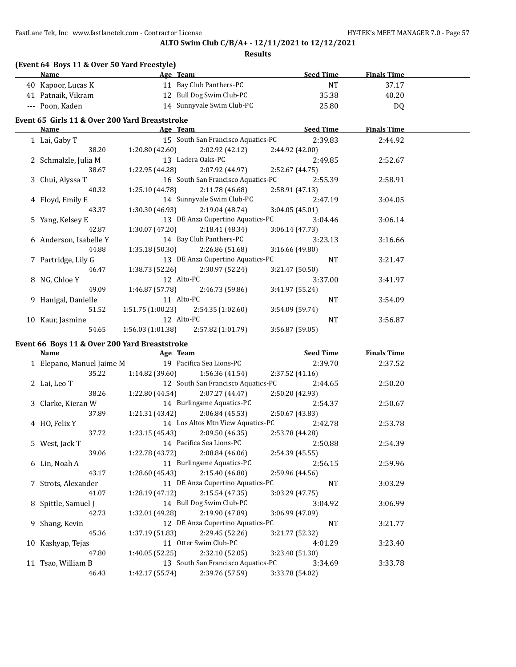FastLane Tek, Inc www.fastlanetek.com - Contractor License **HY-TEK's MEET MANAGER 7.0** - Page 57

## **ALTO Swim Club C/B/A+ - 12/11/2021 to 12/12/2021**

**Results**

| <b>Seed Time</b><br>Name<br>Age Team<br>11 Bay Club Panthers-PC<br><b>NT</b><br>40 Kapoor, Lucas K<br>12 Bull Dog Swim Club-PC<br>41 Patnaik, Vikram<br>35.38<br>14 Sunnyvale Swim Club-PC<br>--- Poon, Kaden<br>25.80<br>Event 65 Girls 11 & Over 200 Yard Breaststroke<br>and the second second second second second second second second second second second second second second second second second second second second second second second second second second second second second second seco<br><b>Name</b><br>15 South San Francisco Aquatics-PC<br>2:39.83<br>1 Lai, Gaby T<br>$2:02.92(42.12)$ $2:44.92(42.00)$<br>38.20<br>1:20.80 (42.60) | <b>Finals Time</b><br>37.17<br>40.20<br>DQ<br><b>Finals Time</b> |
|--------------------------------------------------------------------------------------------------------------------------------------------------------------------------------------------------------------------------------------------------------------------------------------------------------------------------------------------------------------------------------------------------------------------------------------------------------------------------------------------------------------------------------------------------------------------------------------------------------------------------------------------------------------|------------------------------------------------------------------|
|                                                                                                                                                                                                                                                                                                                                                                                                                                                                                                                                                                                                                                                              |                                                                  |
|                                                                                                                                                                                                                                                                                                                                                                                                                                                                                                                                                                                                                                                              |                                                                  |
|                                                                                                                                                                                                                                                                                                                                                                                                                                                                                                                                                                                                                                                              |                                                                  |
|                                                                                                                                                                                                                                                                                                                                                                                                                                                                                                                                                                                                                                                              |                                                                  |
|                                                                                                                                                                                                                                                                                                                                                                                                                                                                                                                                                                                                                                                              |                                                                  |
|                                                                                                                                                                                                                                                                                                                                                                                                                                                                                                                                                                                                                                                              |                                                                  |
|                                                                                                                                                                                                                                                                                                                                                                                                                                                                                                                                                                                                                                                              | 2:44.92                                                          |
|                                                                                                                                                                                                                                                                                                                                                                                                                                                                                                                                                                                                                                                              |                                                                  |
| 13 Ladera Oaks-PC<br>2 Schmalzle, Julia M<br>2:49.85                                                                                                                                                                                                                                                                                                                                                                                                                                                                                                                                                                                                         | 2:52.67                                                          |
| $1:22.95(44.28)$ $2:07.92(44.97)$ $2:52.67(44.75)$<br>38.67                                                                                                                                                                                                                                                                                                                                                                                                                                                                                                                                                                                                  |                                                                  |
| 16 South San Francisco Aquatics-PC<br>2:55.39<br>3 Chui, Alyssa T                                                                                                                                                                                                                                                                                                                                                                                                                                                                                                                                                                                            | 2:58.91                                                          |
| $1:25.10(44.78)$ $2:11.78(46.68)$<br>40.32<br>2:58.91(47.13)                                                                                                                                                                                                                                                                                                                                                                                                                                                                                                                                                                                                 |                                                                  |
| 14 Sunnyvale Swim Club-PC<br>4 Floyd, Emily E<br>2:47.19                                                                                                                                                                                                                                                                                                                                                                                                                                                                                                                                                                                                     | 3:04.05                                                          |
| $1:30.30(46.93)$ $2:19.04(48.74)$<br>43.37<br>3:04.05(45.01)                                                                                                                                                                                                                                                                                                                                                                                                                                                                                                                                                                                                 |                                                                  |
| 13 DE Anza Cupertino Aquatics-PC<br>3:04.46<br>5 Yang, Kelsey E                                                                                                                                                                                                                                                                                                                                                                                                                                                                                                                                                                                              | 3:06.14                                                          |
| 42.87<br>$1:30.07(47.20)$ $2:18.41(48.34)$<br>3:06.14(47.73)                                                                                                                                                                                                                                                                                                                                                                                                                                                                                                                                                                                                 |                                                                  |
| 14 Bay Club Panthers-PC<br>6 Anderson, Isabelle Y<br>3:23.13                                                                                                                                                                                                                                                                                                                                                                                                                                                                                                                                                                                                 | 3:16.66                                                          |
| $1:35.18(50.30)$ $2:26.86(51.68)$<br>44.88<br>3:16.66(49.80)                                                                                                                                                                                                                                                                                                                                                                                                                                                                                                                                                                                                 |                                                                  |
| 13 DE Anza Cupertino Aquatics-PC<br><b>NT</b><br>7 Partridge, Lily G                                                                                                                                                                                                                                                                                                                                                                                                                                                                                                                                                                                         | 3:21.47                                                          |
| $1:38.73(52.26)$ $2:30.97(52.24)$<br>46.47<br>3:21.47(50.50)                                                                                                                                                                                                                                                                                                                                                                                                                                                                                                                                                                                                 |                                                                  |
| 12 Alto-PC<br>8 NG, Chloe Y<br>3:37.00                                                                                                                                                                                                                                                                                                                                                                                                                                                                                                                                                                                                                       | 3:41.97                                                          |
| 49.09<br>$1:46.87(57.78)$ 2:46.73 (59.86)<br>3:41.97 (55.24)                                                                                                                                                                                                                                                                                                                                                                                                                                                                                                                                                                                                 |                                                                  |
| 11 Alto-PC<br><b>NT</b><br>9 Hanigal, Danielle                                                                                                                                                                                                                                                                                                                                                                                                                                                                                                                                                                                                               | 3:54.09                                                          |
| 51.52<br>$1:51.75(1:00.23)$ $2:54.35(1:02.60)$<br>3:54.09(59.74)                                                                                                                                                                                                                                                                                                                                                                                                                                                                                                                                                                                             |                                                                  |
| 12 Alto-PC<br>10 Kaur, Jasmine<br><b>NT</b>                                                                                                                                                                                                                                                                                                                                                                                                                                                                                                                                                                                                                  | 3:56.87                                                          |
| $1:56.03(1:01.38)$ $2:57.82(1:01.79)$<br>3:56.87 (59.05)<br>54.65                                                                                                                                                                                                                                                                                                                                                                                                                                                                                                                                                                                            |                                                                  |

# **Event 66 Boys 11 & Over 200 Yard Breaststroke**

| Name                      | Age Team        |                                    |                 | <b>Seed Time</b> | <b>Finals Time</b> |  |
|---------------------------|-----------------|------------------------------------|-----------------|------------------|--------------------|--|
| 1 Elepano, Manuel Jaime M |                 | 19 Pacifica Sea Lions-PC           |                 | 2:39.70          | 2:37.52            |  |
| 35.22                     | 1:14.82 (39.60) | 1:56.36 (41.54)                    | 2:37.52(41.16)  |                  |                    |  |
| 2 Lai, Leo T              |                 | 12 South San Francisco Aquatics-PC |                 | 2:44.65          | 2:50.20            |  |
| 38.26                     | 1:22.80 (44.54) | 2:07.27 (44.47)                    | 2:50.20 (42.93) |                  |                    |  |
| 3 Clarke, Kieran W        |                 | 14 Burlingame Aquatics-PC          |                 | 2:54.37          | 2:50.67            |  |
| 37.89                     | 1:21.31 (43.42) | 2:06.84 (45.53)                    | 2:50.67 (43.83) |                  |                    |  |
| 4 HO, Felix Y             |                 | 14 Los Altos Mtn View Aquatics-PC  |                 | 2:42.78          | 2:53.78            |  |
| 37.72                     |                 | $1:23.15(45.43)$ $2:09.50(46.35)$  | 2:53.78 (44.28) |                  |                    |  |
| 5 West, Jack T            |                 | 14 Pacifica Sea Lions-PC           |                 | 2:50.88          | 2:54.39            |  |
| 39.06                     |                 | $1:22.78(43.72)$ $2:08.84(46.06)$  | 2:54.39 (45.55) |                  |                    |  |
| 6 Lin, Noah A             |                 | 11 Burlingame Aquatics-PC          |                 | 2:56.15          | 2:59.96            |  |
| 43.17                     |                 | $1:28.60(45.43)$ $2:15.40(46.80)$  | 2:59.96 (44.56) |                  |                    |  |
| 7 Strots, Alexander       |                 | 11 DE Anza Cupertino Aquatics-PC   |                 | <b>NT</b>        | 3:03.29            |  |
| 41.07                     | 1:28.19 (47.12) | 2:15.54 (47.35)                    | 3:03.29 (47.75) |                  |                    |  |
| 8 Spittle, Samuel J       |                 | 14 Bull Dog Swim Club-PC           |                 | 3:04.92          | 3:06.99            |  |
| 42.73                     |                 | $1:32.01(49.28)$ $2:19.90(47.89)$  | 3:06.99 (47.09) |                  |                    |  |
| 9 Shang, Kevin            |                 | 12 DE Anza Cupertino Aquatics-PC   |                 | <b>NT</b>        | 3:21.77            |  |
| 45.36                     | 1:37.19 (51.83) | 2:29.45 (52.26)                    | 3:21.77(52.32)  |                  |                    |  |
| 10 Kashyap, Tejas         |                 | 11 Otter Swim Club-PC              |                 | 4:01.29          | 3:23.40            |  |
| 47.80                     |                 | $1:40.05(52.25)$ $2:32.10(52.05)$  | 3:23.40(51.30)  |                  |                    |  |
| 11 Tsao, William B        |                 | 13 South San Francisco Aquatics-PC |                 | 3:34.69          | 3:33.78            |  |
| 46.43                     | 1:42.17 (55.74) | 2:39.76 (57.59)                    | 3:33.78 (54.02) |                  |                    |  |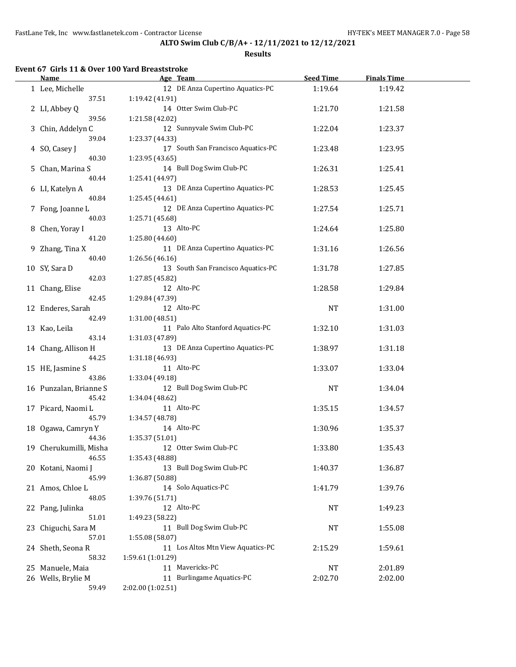### **Results**

# **Event 67 Girls 11 & Over 100 Yard Breaststroke**

 $\overline{a}$ 

| Name                     | Age Team                           | <b>Seed Time</b> | <b>Finals Time</b> |  |
|--------------------------|------------------------------------|------------------|--------------------|--|
| 1 Lee, Michelle          | 12 DE Anza Cupertino Aquatics-PC   | 1:19.64          | 1:19.42            |  |
| 37.51                    | 1:19.42 (41.91)                    |                  |                    |  |
| 2 LI, Abbey Q            | 14 Otter Swim Club-PC              | 1:21.70          | 1:21.58            |  |
| 39.56                    | 1:21.58 (42.02)                    |                  |                    |  |
| 3 Chin, Addelyn C        | 12 Sunnyvale Swim Club-PC          | 1:22.04          | 1:23.37            |  |
| 39.04                    | 1:23.37 (44.33)                    |                  |                    |  |
|                          | 17 South San Francisco Aquatics-PC |                  |                    |  |
| 4 SO, Casey J            |                                    | 1:23.48          | 1:23.95            |  |
| 40.30                    | 1:23.95 (43.65)                    |                  |                    |  |
| 5 Chan, Marina S         | 14 Bull Dog Swim Club-PC           | 1:26.31          | 1:25.41            |  |
| 40.44                    | 1:25.41 (44.97)                    |                  |                    |  |
| 6 LI, Katelyn A          | 13 DE Anza Cupertino Aquatics-PC   | 1:28.53          | 1:25.45            |  |
| 40.84                    | 1:25.45 (44.61)                    |                  |                    |  |
| 7 Fong, Joanne L         | 12 DE Anza Cupertino Aquatics-PC   | 1:27.54          | 1:25.71            |  |
| 40.03                    | 1:25.71 (45.68)                    |                  |                    |  |
| 8 Chen, Yoray I          | 13 Alto-PC                         | 1:24.64          | 1:25.80            |  |
| 41.20                    | 1:25.80 (44.60)                    |                  |                    |  |
| 9 Zhang, Tina X          | 11 DE Anza Cupertino Aquatics-PC   | 1:31.16          | 1:26.56            |  |
| 40.40                    | 1:26.56 (46.16)                    |                  |                    |  |
| 10 SY, Sara D            | 13 South San Francisco Aquatics-PC | 1:31.78          | 1:27.85            |  |
| 42.03                    | 1:27.85 (45.82)                    |                  |                    |  |
|                          | 12 Alto-PC                         | 1:28.58          | 1:29.84            |  |
| 11 Chang, Elise<br>42.45 |                                    |                  |                    |  |
|                          | 1:29.84 (47.39)                    |                  |                    |  |
| 12 Enderes, Sarah        | 12 Alto-PC                         | <b>NT</b>        | 1:31.00            |  |
| 42.49                    | 1:31.00 (48.51)                    |                  |                    |  |
| 13 Kao, Leila            | 11 Palo Alto Stanford Aquatics-PC  | 1:32.10          | 1:31.03            |  |
| 43.14                    | 1:31.03 (47.89)                    |                  |                    |  |
| 14 Chang, Allison H      | 13 DE Anza Cupertino Aquatics-PC   | 1:38.97          | 1:31.18            |  |
| 44.25                    | 1:31.18 (46.93)                    |                  |                    |  |
| 15 HE, Jasmine S         | 11 Alto-PC                         | 1:33.07          | 1:33.04            |  |
| 43.86                    | 1:33.04 (49.18)                    |                  |                    |  |
| 16 Punzalan, Brianne S   | 12 Bull Dog Swim Club-PC           | <b>NT</b>        | 1:34.04            |  |
| 45.42                    | 1:34.04 (48.62)                    |                  |                    |  |
| 17 Picard, Naomi L       | 11 Alto-PC                         | 1:35.15          | 1:34.57            |  |
| 45.79                    | 1:34.57 (48.78)                    |                  |                    |  |
| 18 Ogawa, Camryn Y       | 14 Alto-PC                         | 1:30.96          | 1:35.37            |  |
| 44.36                    | 1:35.37 (51.01)                    |                  |                    |  |
| 19 Cherukumilli, Misha   | 12 Otter Swim Club-PC              | 1:33.80          | 1:35.43            |  |
| 46.55                    | 1:35.43 (48.88)                    |                  |                    |  |
|                          | 13 Bull Dog Swim Club-PC           |                  |                    |  |
| 20 Kotani, Naomi J       |                                    | 1:40.37          | 1:36.87            |  |
| 45.99                    | 1:36.87 (50.88)                    |                  |                    |  |
| 21 Amos, Chloe L         | 14 Solo Aquatics-PC                | 1:41.79          | 1:39.76            |  |
| 48.05                    | 1:39.76 (51.71)                    |                  |                    |  |
| 22 Pang, Julinka         | 12 Alto-PC                         | NT               | 1:49.23            |  |
| 51.01                    | 1:49.23 (58.22)                    |                  |                    |  |
| 23 Chiguchi, Sara M      | 11 Bull Dog Swim Club-PC           | <b>NT</b>        | 1:55.08            |  |
| 57.01                    | 1:55.08 (58.07)                    |                  |                    |  |
| 24 Sheth, Seona R        | 11 Los Altos Mtn View Aquatics-PC  | 2:15.29          | 1:59.61            |  |
| 58.32                    | 1:59.61 (1:01.29)                  |                  |                    |  |
| 25 Manuele, Maia         | 11 Mavericks-PC                    | NT               | 2:01.89            |  |
| 26 Wells, Brylie M       | 11 Burlingame Aquatics-PC          | 2:02.70          | 2:02.00            |  |
| 59.49                    | 2:02.00 (1:02.51)                  |                  |                    |  |
|                          |                                    |                  |                    |  |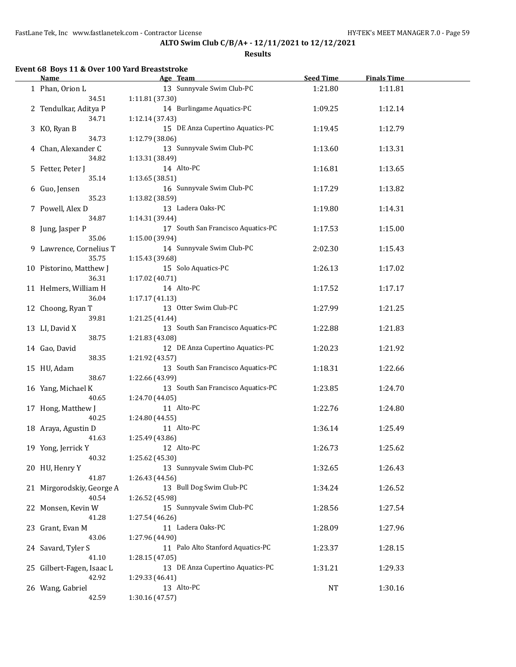### **Results**

# **Event 68 Boys 11 & Over 100 Yard Breaststroke**

 $\overline{a}$ 

| <b>Name</b>               | Age Team                                              | <b>Seed Time</b> | <b>Finals Time</b> |  |
|---------------------------|-------------------------------------------------------|------------------|--------------------|--|
| 1 Phan, Orion L           | 13 Sunnyvale Swim Club-PC                             | 1:21.80          | 1:11.81            |  |
| 34.51                     | 1:11.81 (37.30)                                       |                  |                    |  |
| 2 Tendulkar, Aditya P     | 14 Burlingame Aquatics-PC                             | 1:09.25          | 1:12.14            |  |
| 34.71                     | 1:12.14 (37.43)                                       |                  |                    |  |
| 3 KO, Ryan B              | 15 DE Anza Cupertino Aquatics-PC                      | 1:19.45          | 1:12.79            |  |
|                           |                                                       |                  |                    |  |
| 34.73                     | 1:12.79 (38.06)                                       |                  |                    |  |
| 4 Chan, Alexander C       | 13 Sunnyvale Swim Club-PC                             | 1:13.60          | 1:13.31            |  |
| 34.82                     | 1:13.31 (38.49)                                       |                  |                    |  |
| 5 Fetter, Peter J         | 14 Alto-PC                                            | 1:16.81          | 1:13.65            |  |
| 35.14                     | 1:13.65 (38.51)                                       |                  |                    |  |
| 6 Guo, Jensen             | 16 Sunnyvale Swim Club-PC                             | 1:17.29          | 1:13.82            |  |
| 35.23                     | 1:13.82 (38.59)                                       |                  |                    |  |
| 7 Powell, Alex D          | 13 Ladera Oaks-PC                                     | 1:19.80          | 1:14.31            |  |
| 34.87                     | 1:14.31 (39.44)                                       |                  |                    |  |
| 8 Jung, Jasper P          | 17 South San Francisco Aquatics-PC                    | 1:17.53          | 1:15.00            |  |
| 35.06                     | 1:15.00 (39.94)                                       |                  |                    |  |
| 9 Lawrence, Cornelius T   | 14 Sunnyvale Swim Club-PC                             | 2:02.30          | 1:15.43            |  |
| 35.75                     | 1:15.43 (39.68)                                       |                  |                    |  |
| 10 Pistorino, Matthew J   | 15 Solo Aquatics-PC                                   | 1:26.13          | 1:17.02            |  |
| 36.31                     | 1:17.02 (40.71)                                       |                  |                    |  |
| 11 Helmers, William H     | 14 Alto-PC                                            | 1:17.52          | 1:17.17            |  |
| 36.04                     | 1:17.17(41.13)                                        |                  |                    |  |
| 12 Choong, Ryan T         | 13 Otter Swim Club-PC                                 | 1:27.99          | 1:21.25            |  |
| 39.81                     | 1:21.25 (41.44)                                       |                  |                    |  |
| 13 LI, David X            | 13 South San Francisco Aquatics-PC                    | 1:22.88          | 1:21.83            |  |
| 38.75                     | 1:21.83 (43.08)                                       |                  |                    |  |
| 14 Gao, David             | 12 DE Anza Cupertino Aquatics-PC                      | 1:20.23          | 1:21.92            |  |
| 38.35                     | 1:21.92 (43.57)                                       |                  |                    |  |
| 15 HU, Adam               | 13 South San Francisco Aquatics-PC                    | 1:18.31          | 1:22.66            |  |
| 38.67                     |                                                       |                  |                    |  |
|                           | 1:22.66 (43.99)<br>13 South San Francisco Aquatics-PC |                  |                    |  |
| 16 Yang, Michael K        |                                                       | 1:23.85          | 1:24.70            |  |
| 40.65                     | 1:24.70 (44.05)                                       |                  |                    |  |
| 17 Hong, Matthew J        | 11 Alto-PC                                            | 1:22.76          | 1:24.80            |  |
| 40.25                     | 1:24.80 (44.55)                                       |                  |                    |  |
| 18 Araya, Agustin D       | 11 Alto-PC                                            | 1:36.14          | 1:25.49            |  |
| 41.63                     | 1:25.49 (43.86)                                       |                  |                    |  |
| 19 Yong, Jerrick Y        | 12 Alto-PC                                            | 1:26.73          | 1:25.62            |  |
| 40.32                     | 1:25.62 (45.30)                                       |                  |                    |  |
| 20 HU, Henry Y            | 13 Sunnyvale Swim Club-PC                             | 1:32.65          | 1:26.43            |  |
| 41.87                     | 1:26.43 (44.56)                                       |                  |                    |  |
| 21 Mirgorodskiy, George A | 13 Bull Dog Swim Club-PC                              | 1:34.24          | 1:26.52            |  |
| 40.54                     | 1:26.52 (45.98)                                       |                  |                    |  |
| 22 Monsen, Kevin W        | 15 Sunnyvale Swim Club-PC                             | 1:28.56          | 1:27.54            |  |
| 41.28                     | 1:27.54 (46.26)                                       |                  |                    |  |
| 23 Grant, Evan M          | 11 Ladera Oaks-PC                                     | 1:28.09          | 1:27.96            |  |
| 43.06                     | 1:27.96 (44.90)                                       |                  |                    |  |
| 24 Savard, Tyler S        | 11 Palo Alto Stanford Aquatics-PC                     | 1:23.37          | 1:28.15            |  |
| 41.10                     | 1:28.15 (47.05)                                       |                  |                    |  |
| 25 Gilbert-Fagen, Isaac L | 13 DE Anza Cupertino Aquatics-PC                      | 1:31.21          | 1:29.33            |  |
| 42.92                     | 1:29.33 (46.41)                                       |                  |                    |  |
| 26 Wang, Gabriel          | 13 Alto-PC                                            | NT               | 1:30.16            |  |
| 42.59                     | 1:30.16 (47.57)                                       |                  |                    |  |
|                           |                                                       |                  |                    |  |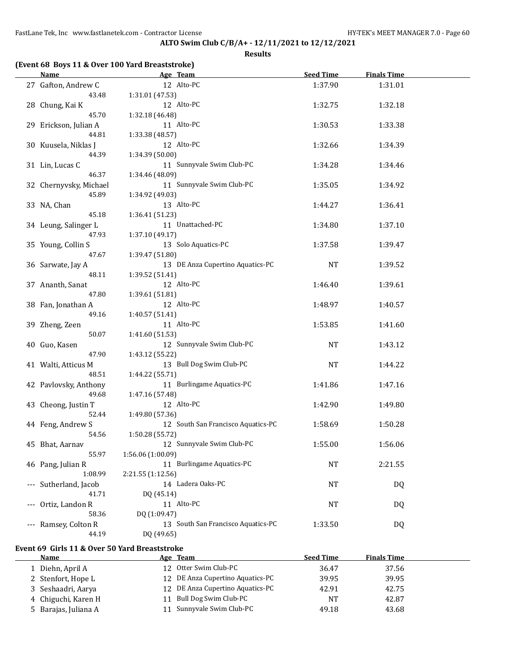**Results**

|     | <b>Name</b>                  | Age Team                                           | <b>Seed Time</b> | <b>Finals Time</b> |  |
|-----|------------------------------|----------------------------------------------------|------------------|--------------------|--|
|     | 27 Gafton, Andrew C          | 12 Alto-PC                                         | 1:37.90          | 1:31.01            |  |
|     | 43.48                        | 1:31.01 (47.53)                                    |                  |                    |  |
|     | 28 Chung, Kai K              | 12 Alto-PC                                         | 1:32.75          | 1:32.18            |  |
|     | 45.70                        | 1:32.18 (46.48)                                    |                  |                    |  |
|     | 29 Erickson, Julian A        | 11 Alto-PC                                         | 1:30.53          | 1:33.38            |  |
|     | 44.81                        | 1:33.38 (48.57)                                    |                  |                    |  |
|     | 30 Kuusela, Niklas J         | 12 Alto-PC                                         | 1:32.66          | 1:34.39            |  |
|     | 44.39                        | 1:34.39 (50.00)                                    |                  |                    |  |
|     | 31 Lin, Lucas C              | 11 Sunnyvale Swim Club-PC                          | 1:34.28          | 1:34.46            |  |
|     | 46.37                        | 1:34.46 (48.09)                                    |                  |                    |  |
|     | 32 Chernyvsky, Michael       | 11 Sunnyvale Swim Club-PC                          | 1:35.05          | 1:34.92            |  |
|     | 45.89                        | 1:34.92 (49.03)                                    |                  |                    |  |
|     | 33 NA, Chan                  | 13 Alto-PC                                         | 1:44.27          | 1:36.41            |  |
|     | 45.18                        | 1:36.41 (51.23)                                    |                  |                    |  |
|     | 34 Leung, Salinger L         | 11 Unattached-PC                                   | 1:34.80          | 1:37.10            |  |
|     | 47.93                        | 1:37.10 (49.17)                                    |                  |                    |  |
|     | 35 Young, Collin S           | 13 Solo Aquatics-PC                                | 1:37.58          | 1:39.47            |  |
|     | 47.67                        | 1:39.47 (51.80)                                    |                  |                    |  |
|     | 36 Sarwate, Jay A            | 13 DE Anza Cupertino Aquatics-PC                   | NT               | 1:39.52            |  |
|     | 48.11                        | 1:39.52 (51.41)                                    |                  |                    |  |
|     | 37 Ananth, Sanat             | 12 Alto-PC                                         | 1:46.40          | 1:39.61            |  |
|     | 47.80                        | 1:39.61 (51.81)                                    |                  |                    |  |
|     | 38 Fan, Jonathan A           | 12 Alto-PC                                         | 1:48.97          | 1:40.57            |  |
|     | 49.16                        | 1:40.57(51.41)                                     |                  |                    |  |
|     | 39 Zheng, Zeen               | 11 Alto-PC                                         | 1:53.85          | 1:41.60            |  |
|     | 50.07                        | 1:41.60 (51.53)                                    |                  |                    |  |
|     | 40 Guo, Kasen                | 12 Sunnyvale Swim Club-PC                          | NT               | 1:43.12            |  |
|     | 47.90                        | 1:43.12 (55.22)                                    |                  |                    |  |
|     | 41 Walti, Atticus M          | 13 Bull Dog Swim Club-PC                           | NT               | 1:44.22            |  |
|     | 48.51                        | 1:44.22 (55.71)                                    |                  |                    |  |
|     | 42 Pavlovsky, Anthony        | 11 Burlingame Aquatics-PC                          | 1:41.86          | 1:47.16            |  |
|     | 49.68                        | 1:47.16 (57.48)                                    |                  |                    |  |
|     | 43 Cheong, Justin T          | 12 Alto-PC                                         | 1:42.90          | 1:49.80            |  |
|     | 52.44                        | 1:49.80 (57.36)                                    |                  |                    |  |
|     | 44 Feng, Andrew S            | 12 South San Francisco Aquatics-PC                 | 1:58.69          | 1:50.28            |  |
|     | 54.56                        | 1:50.28 (55.72)                                    |                  |                    |  |
|     | 45 Bhat, Aarnav              | 12 Sunnyvale Swim Club-PC                          | 1:55.00          | 1:56.06            |  |
|     | 55.97                        | 1:56.06 (1:00.09)                                  |                  |                    |  |
|     | 46 Pang, Julian R<br>1:08.99 | 11 Burlingame Aquatics-PC                          | NT               | 2:21.55            |  |
|     |                              | 2:21.55 (1:12.56)                                  |                  |                    |  |
|     | Sutherland, Jacob            | 14 Ladera Oaks-PC                                  | NT               | DQ                 |  |
|     | 41.71                        | DQ (45.14)<br>11 Alto-PC                           |                  |                    |  |
| --- | Ortiz, Landon R              |                                                    | NT               | DQ                 |  |
|     | 58.36<br>Ramsey, Colton R    | DQ (1:09.47)<br>13 South San Francisco Aquatics-PC | 1:33.50          |                    |  |
| --- | 44.19                        | DQ (49.65)                                         |                  | <b>DQ</b>          |  |
|     |                              |                                                    |                  |                    |  |
|     |                              |                                                    |                  |                    |  |

### **Event 69 Girls 11 & Over 50 Yard Breaststroke**

| <b>Name</b>         | Age Team                         | <b>Seed Time</b> | <b>Finals Time</b> |  |
|---------------------|----------------------------------|------------------|--------------------|--|
| Diehn, April A      | 12 Otter Swim Club-PC            | 36.47            | 37.56              |  |
| 2 Stenfort, Hope L  | 12 DE Anza Cupertino Aquatics-PC | 39.95            | 39.95              |  |
| 3 Seshaadri, Aarya  | 12 DE Anza Cupertino Aquatics-PC | 42.91            | 42.75              |  |
| 4 Chiguchi, Karen H | 11 Bull Dog Swim Club-PC         | NT               | 42.87              |  |
| Barajas, Juliana A  | Sunnyvale Swim Club-PC<br>11     | 49.18            | 43.68              |  |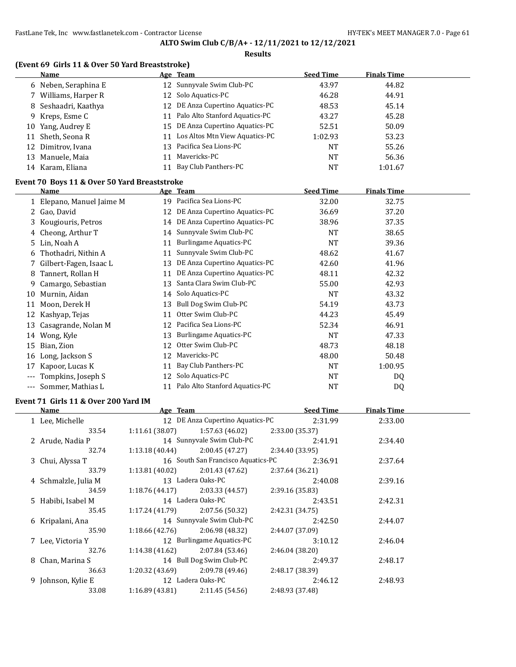#### **Results**

## **(Event 69 Girls 11 & Over 50 Yard Breaststroke)**

|    | <b>Name</b>          |    | <u>Age Team</u>                   | <b>Seed Time</b> | <b>Finals Time</b> |
|----|----------------------|----|-----------------------------------|------------------|--------------------|
|    | 6 Neben, Seraphina E |    | 12 Sunnyvale Swim Club-PC         | 43.97            | 44.82              |
|    | 7 Williams, Harper R |    | 12 Solo Aquatics-PC               | 46.28            | 44.91              |
|    | 8 Seshaadri, Kaathya |    | 12 DE Anza Cupertino Aquatics-PC  | 48.53            | 45.14              |
|    | 9 Kreps, Esme C      |    | 11 Palo Alto Stanford Aquatics-PC | 43.27            | 45.28              |
|    | 10 Yang, Audrey E    |    | 15 DE Anza Cupertino Aquatics-PC  | 52.51            | 50.09              |
| 11 | Sheth, Seona R       | 11 | Los Altos Mtn View Aquatics-PC    | 1:02.93          | 53.23              |
|    | 12 Dimitrov, Ivana   |    | 13 Pacifica Sea Lions-PC          | <b>NT</b>        | 55.26              |
|    | 13 Manuele, Maia     |    | Mavericks-PC                      | <b>NT</b>        | 56.36              |
|    | 14 Karam, Eliana     |    | Bay Club Panthers-PC              | <b>NT</b>        | 1:01.67            |

## **Event 70 Boys 11 & Over 50 Yard Breaststroke**

|     | Name                      |    | Age Team                       | <b>Seed Time</b> | <b>Finals Time</b> |  |
|-----|---------------------------|----|--------------------------------|------------------|--------------------|--|
|     | 1 Elepano, Manuel Jaime M | 19 | Pacifica Sea Lions-PC          | 32.00            | 32.75              |  |
|     | Gao, David                | 12 | DE Anza Cupertino Aquatics-PC  | 36.69            | 37.20              |  |
|     | 3 Kougiouris, Petros      | 14 | DE Anza Cupertino Aquatics-PC  | 38.96            | 37.35              |  |
| 4   | Cheong, Arthur T          |    | 14 Sunnyvale Swim Club-PC      | NT               | 38.65              |  |
| 5.  | Lin, Noah A               | 11 | Burlingame Aquatics-PC         | NT               | 39.36              |  |
| 6   | Thothadri, Nithin A       | 11 | Sunnyvale Swim Club-PC         | 48.62            | 41.67              |  |
|     | Gilbert-Fagen, Isaac L    | 13 | DE Anza Cupertino Aquatics-PC  | 42.60            | 41.96              |  |
| 8   | Tannert, Rollan H         | 11 | DE Anza Cupertino Aquatics-PC  | 48.11            | 42.32              |  |
| 9.  | Camargo, Sebastian        | 13 | Santa Clara Swim Club-PC       | 55.00            | 42.93              |  |
| 10  | Murnin, Aidan             |    | 14 Solo Aquatics-PC            | NT               | 43.32              |  |
| 11  | Moon, Derek H             | 13 | Bull Dog Swim Club-PC          | 54.19            | 43.73              |  |
| 12  | Kashyap, Tejas            | 11 | Otter Swim Club-PC             | 44.23            | 45.49              |  |
| 13  | Casagrande, Nolan M       | 12 | Pacifica Sea Lions-PC          | 52.34            | 46.91              |  |
| 14  | Wong, Kyle                | 13 | <b>Burlingame Aquatics-PC</b>  | <b>NT</b>        | 47.33              |  |
| 15  | Bian, Zion                | 12 | Otter Swim Club-PC             | 48.73            | 48.18              |  |
| 16  | Long, Jackson S           | 12 | Mavericks-PC                   | 48.00            | 50.48              |  |
| 17  | Kapoor, Lucas K           | 11 | Bay Club Panthers-PC           | <b>NT</b>        | 1:00.95            |  |
|     | Tompkins, Joseph S        | 12 | Solo Aquatics-PC               | NT               | DQ                 |  |
| --- | Sommer, Mathias L         | 11 | Palo Alto Stanford Aquatics-PC | NT               | DQ                 |  |

#### **Event 71 Girls 11 & Over 200 Yard IM**

| Name                 | Age Team        |                                    |                 | <b>Seed Time</b> | <b>Finals Time</b> |  |
|----------------------|-----------------|------------------------------------|-----------------|------------------|--------------------|--|
| 1 Lee, Michelle      |                 | 12 DE Anza Cupertino Aquatics-PC   |                 | 2:31.99          | 2:33.00            |  |
| 33.54                | 1:11.61 (38.07) | 1:57.63 (46.02)                    | 2:33.00 (35.37) |                  |                    |  |
| 2 Arude, Nadia P     |                 | 14 Sunnyvale Swim Club-PC          |                 | 2:41.91          | 2:34.40            |  |
| 32.74                | 1:13.18 (40.44) | 2:00.45 (47.27)                    | 2:34.40 (33.95) |                  |                    |  |
| 3 Chui, Alyssa T     |                 | 16 South San Francisco Aquatics-PC |                 | 2:36.91          | 2:37.64            |  |
| 33.79                | 1:13.81 (40.02) | 2:01.43 (47.62)                    | 2:37.64 (36.21) |                  |                    |  |
| 4 Schmalzle, Julia M |                 | 13 Ladera Oaks-PC                  |                 | 2:40.08          | 2:39.16            |  |
| 34.59                |                 | $1:18.76(44.17)$ 2:03.33 (44.57)   | 2:39.16 (35.83) |                  |                    |  |
| 5 Habibi, Isabel M   |                 | 14 Ladera Oaks-PC                  |                 | 2:43.51          | 2:42.31            |  |
| 35.45                |                 | $1:17.24(41.79)$ $2:07.56(50.32)$  | 2:42.31 (34.75) |                  |                    |  |
| 6 Kripalani, Ana     |                 | 14 Sunnyvale Swim Club-PC          |                 | 2:42.50          | 2:44.07            |  |
| 35.90                |                 | $1:18.66(42.76)$ 2:06.98 (48.32)   | 2:44.07 (37.09) |                  |                    |  |
| 7 Lee, Victoria Y    |                 | 12 Burlingame Aquatics-PC          |                 | 3:10.12          | 2:46.04            |  |
| 32.76                | 1:14.38 (41.62) | 2:07.84 (53.46)                    | 2:46.04(38.20)  |                  |                    |  |
| 8 Chan, Marina S     |                 | 14 Bull Dog Swim Club-PC           |                 | 2:49.37          | 2:48.17            |  |
| 36.63                |                 | $1:20.32(43.69)$ $2:09.78(49.46)$  | 2:48.17 (38.39) |                  |                    |  |
| 9 Johnson, Kylie E   |                 | 12 Ladera Oaks-PC                  |                 | 2:46.12          | 2:48.93            |  |
| 33.08                | 1:16.89 (43.81) | 2:11.45(54.56)                     | 2:48.93 (37.48) |                  |                    |  |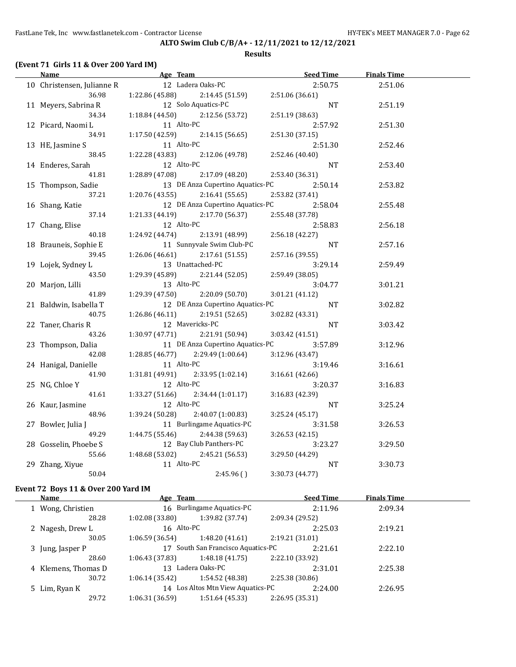#### **Results**

## **(Event 71 Girls 11 & Over 200 Yard IM)**

| <u>Name</u>                | <b>Example 2</b> Age Team |                                   | <b>Seed Time</b> | <b>Finals Time</b> |  |
|----------------------------|---------------------------|-----------------------------------|------------------|--------------------|--|
| 10 Christensen, Julianne R |                           | 12 Ladera Oaks-PC                 | 2:50.75          | 2:51.06            |  |
| 36.98                      | 1:22.86 (45.88)           | 2:14.45(51.59)                    | 2:51.06 (36.61)  |                    |  |
| 11 Meyers, Sabrina R       |                           | 12 Solo Aquatics-PC               | NT               | 2:51.19            |  |
| 34.34                      | 1:18.84(44.50)            | 2:12.56 (53.72)                   | 2:51.19 (38.63)  |                    |  |
| 12 Picard, Naomi L         | 11 Alto-PC                |                                   | 2:57.92          | 2:51.30            |  |
| 34.91                      | 1:17.50(42.59)            | 2:14.15(56.65)                    | 2:51.30 (37.15)  |                    |  |
| 13 HE, Jasmine S           | 11 Alto-PC                |                                   | 2:51.30          | 2:52.46            |  |
| 38.45                      | 1:22.28 (43.83)           | 2:12.06 (49.78)                   | 2:52.46 (40.40)  |                    |  |
| 14 Enderes, Sarah          | 12 Alto-PC                |                                   | NT.              | 2:53.40            |  |
| 41.81                      | 1:28.89 (47.08)           | 2:17.09 (48.20)                   | 2:53.40 (36.31)  |                    |  |
| 15 Thompson, Sadie         |                           | 13 DE Anza Cupertino Aquatics-PC  | 2:50.14          | 2:53.82            |  |
| 37.21                      | 1:20.76(43.55)            | 2:16.41(55.65)                    | 2:53.82 (37.41)  |                    |  |
| 16 Shang, Katie            |                           | 12 DE Anza Cupertino Aquatics-PC  | 2:58.04          | 2:55.48            |  |
| 37.14                      | 1:21.33 (44.19)           | 2:17.70 (56.37)                   | 2:55.48 (37.78)  |                    |  |
| 17 Chang, Elise            | 12 Alto-PC                |                                   | 2:58.83          | 2:56.18            |  |
| 40.18                      | 1:24.92 (44.74)           | 2:13.91 (48.99)                   | 2:56.18(42.27)   |                    |  |
| 18 Brauneis, Sophie E      |                           | 11 Sunnyvale Swim Club-PC         | $\rm{NT}$        | 2:57.16            |  |
| 39.45                      | 1:26.06(46.61)            | 2:17.61(51.55)                    | 2:57.16 (39.55)  |                    |  |
| 19 Lojek, Sydney L         |                           | 13 Unattached-PC                  | 3:29.14          | 2:59.49            |  |
| 43.50                      | 1:29.39 (45.89)           | 2:21.44 (52.05)                   | 2:59.49 (38.05)  |                    |  |
| 20 Marjon, Lilli           | 13 Alto-PC                |                                   | 3:04.77          | 3:01.21            |  |
| 41.89                      | 1:29.39(47.50)            | 2:20.09 (50.70)                   | 3:01.21(41.12)   |                    |  |
| 21 Baldwin, Isabella T     |                           | 12 DE Anza Cupertino Aquatics-PC  | NT               | 3:02.82            |  |
| 40.75                      | 1:26.86(46.11)            | 2:19.51 (52.65)                   | 3:02.82 (43.31)  |                    |  |
| 22 Taner, Charis R         |                           | 12 Mavericks-PC                   | NT               | 3:03.42            |  |
| 43.26                      |                           | $1:30.97(47.71)$ $2:21.91(50.94)$ | 3:03.42(41.51)   |                    |  |
| 23 Thompson, Dalia         |                           | 11 DE Anza Cupertino Aquatics-PC  | 3:57.89          | 3:12.96            |  |
| 42.08                      | 1:28.85(46.77)            | 2:29.49 (1:00.64)                 | 3:12.96 (43.47)  |                    |  |
| 24 Hanigal, Danielle       | 11 Alto-PC                |                                   | 3:19.46          | 3:16.61            |  |
| 41.90                      | 1:31.81 (49.91)           | 2:33.95 (1:02.14)                 | 3:16.61 (42.66)  |                    |  |
| 25 NG, Chloe Y             | 12 Alto-PC                |                                   | 3:20.37          | 3:16.83            |  |
| 41.61                      | 1:33.27 (51.66)           | 2:34.44(1:01.17)                  | 3:16.83 (42.39)  |                    |  |
| 26 Kaur, Jasmine           | 12 Alto-PC                |                                   | NT               | 3:25.24            |  |
| 48.96                      | 1:39.24(50.28)            | 2:40.07 (1:00.83)                 | 3:25.24(45.17)   |                    |  |
| 27 Bowler, Julia J         |                           | 11 Burlingame Aquatics-PC         | 3:31.58          | 3:26.53            |  |
| 49.29                      |                           | $1:44.75(55.46)$ 2:44.38(59.63)   | 3:26.53 (42.15)  |                    |  |
| 28 Gosselin, Phoebe S      |                           | 12 Bay Club Panthers-PC           | 3:23.27          | 3:29.50            |  |
| 55.66                      | 1:48.68 (53.02)           | 2:45.21 (56.53)                   | 3:29.50 (44.29)  |                    |  |
| 29 Zhang, Xiyue            | 11 Alto-PC                |                                   | $\rm{NT}$        | 3:30.73            |  |
| 50.04                      |                           | 2:45.96()                         | 3:30.73 (44.77)  |                    |  |
|                            |                           |                                   |                  |                    |  |

### **Event 72 Boys 11 & Over 200 Yard IM**

| Name                | Age Team       |                                   | <b>Seed Time</b> | <b>Finals Time</b> |  |
|---------------------|----------------|-----------------------------------|------------------|--------------------|--|
| 1 Wong, Christien   |                | 16 Burlingame Aquatics-PC         | 2:11.96          | 2:09.34            |  |
| 28.28               | 1:02.08(33.80) | 1:39.82 (37.74)                   | 2:09.34 (29.52)  |                    |  |
| 2 Nagesh, Drew L    | 16 Alto-PC     |                                   | 2:25.03          | 2:19.21            |  |
| 30.05               | 1:06.59(36.54) | 1:48.20(41.61)                    | 2:19.21(31.01)   |                    |  |
| 3 Jung, Jasper P    |                | South San Francisco Aquatics-PC   | 2:21.61          | 2:22.10            |  |
| 28.60               | 1:06.43(37.83) | 1:48.18(41.75)                    | 2:22.10 (33.92)  |                    |  |
| 4 Klemens, Thomas D | 13             | Ladera Oaks-PC                    | 2:31.01          | 2:25.38            |  |
| 30.72               | 1:06.14(35.42) | 1:54.52 (48.38)                   | 2:25.38 (30.86)  |                    |  |
| 5 Lim, Ryan K       |                | 14 Los Altos Mtn View Aquatics-PC | 2:24.00          | 2:26.95            |  |
| 29.72               | 1:06.31(36.59) | 1:51.64(45.33)                    | 2:26.95 (35.31)  |                    |  |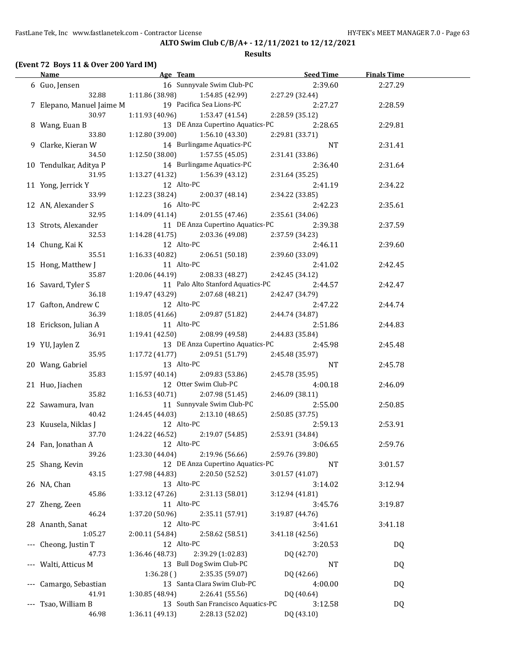### **Results**

# **(Event 72 Boys 11 & Over 200 Yard IM)**

| Name                      |                                   |                                    | Age Team Seed Time | <b>Finals Time</b> |  |
|---------------------------|-----------------------------------|------------------------------------|--------------------|--------------------|--|
| 6 Guo, Jensen             |                                   | 16 Sunnyvale Swim Club-PC          | 2:39.60            | 2:27.29            |  |
| 32.88                     | $1:11.86(38.98)$ $1:54.85(42.99)$ |                                    | 2:27.29 (32.44)    |                    |  |
| 7 Elepano, Manuel Jaime M |                                   | 19 Pacifica Sea Lions-PC           | 2:27.27            | 2:28.59            |  |
| 30.97                     | $1:11.93(40.96)$ $1:53.47(41.54)$ |                                    | 2:28.59 (35.12)    |                    |  |
| 8 Wang, Euan B            |                                   | 13 DE Anza Cupertino Aquatics-PC   | 2:28.65            | 2:29.81            |  |
| 33.80                     | $1:12.80(39.00)$ $1:56.10(43.30)$ |                                    | 2:29.81 (33.71)    |                    |  |
| 9 Clarke, Kieran W        |                                   | 14 Burlingame Aquatics-PC          | NT                 | 2:31.41            |  |
| 34.50                     | 1:12.50(38.00)                    | 1:57.55 (45.05)                    | 2:31.41 (33.86)    |                    |  |
| 10 Tendulkar, Aditya P    |                                   | 14 Burlingame Aquatics-PC          | 2:36.40            | 2:31.64            |  |
| 31.95                     | $1:13.27(41.32)$ $1:56.39(43.12)$ |                                    | 2:31.64 (35.25)    |                    |  |
| 11 Yong, Jerrick Y        | 12 Alto-PC                        |                                    | 2:41.19            | 2:34.22            |  |
| 33.99                     | 1:12.23 (38.24)                   | 2:00.37 (48.14)                    | 2:34.22 (33.85)    |                    |  |
| 12 AN, Alexander S        | 16 Alto-PC                        |                                    | 2:42.23            | 2:35.61            |  |
| 32.95                     | 1:14.09 (41.14)                   | 2:01.55(47.46)                     | 2:35.61 (34.06)    |                    |  |
|                           |                                   | 11 DE Anza Cupertino Aquatics-PC   |                    |                    |  |
| 13 Strots, Alexander      |                                   |                                    | 2:39.38            | 2:37.59            |  |
| 32.53                     | 1:14.28 (41.75)                   | 2:03.36 (49.08)                    | 2:37.59 (34.23)    |                    |  |
| 14 Chung, Kai K           | 12 Alto-PC                        |                                    | 2:46.11            | 2:39.60            |  |
| 35.51                     | 1:16.33 (40.82)                   | 2:06.51(50.18)                     | 2:39.60 (33.09)    |                    |  |
| 15 Hong, Matthew J        | 11 Alto-PC                        |                                    | 2:41.02            | 2:42.45            |  |
| 35.87                     | 1:20.06 (44.19)                   | 2:08.33 (48.27)                    | 2:42.45 (34.12)    |                    |  |
| 16 Savard, Tyler S        |                                   | 11 Palo Alto Stanford Aquatics-PC  | 2:44.57            | 2:42.47            |  |
| 36.18                     | 1:19.47 (43.29)                   | 2:07.68(48.21)                     | 2:42.47 (34.79)    |                    |  |
| 17 Gafton, Andrew C       | 12 Alto-PC                        |                                    | 2:47.22            | 2:44.74            |  |
| 36.39                     | 1:18.05 (41.66)                   | 2:09.87 (51.82)                    | 2:44.74 (34.87)    |                    |  |
| 18 Erickson, Julian A     | 11 Alto-PC                        |                                    | 2:51.86            | 2:44.83            |  |
| 36.91                     | 1:19.41(42.50)                    | 2:08.99 (49.58)                    | 2:44.83 (35.84)    |                    |  |
| 19 YU, Jaylen Z           |                                   | 13 DE Anza Cupertino Aquatics-PC   | 2:45.98            | 2:45.48            |  |
| 35.95                     | 1:17.72 (41.77)                   | 2:09.51 (51.79)                    | 2:45.48 (35.97)    |                    |  |
| 20 Wang, Gabriel          | 13 Alto-PC                        |                                    | NT                 | 2:45.78            |  |
| 35.83                     | $1:15.97(40.14)$ $2:09.83(53.86)$ |                                    | 2:45.78 (35.95)    |                    |  |
| 21 Huo, Jiachen           |                                   | 12 Otter Swim Club-PC              | 4:00.18            | 2:46.09            |  |
| 35.82                     | 1:16.53(40.71)                    | 2:07.98 (51.45)                    | 2:46.09 (38.11)    |                    |  |
| 22 Sawamura, Ivan         |                                   | 11 Sunnyvale Swim Club-PC          | 2:55.00            | 2:50.85            |  |
| 40.42                     | 1:24.45 (44.03)                   | 2:13.10(48.65)                     | 2:50.85 (37.75)    |                    |  |
| 23 Kuusela, Niklas J      | 12 Alto-PC                        |                                    | 2:59.13            | 2:53.91            |  |
| 37.70                     | $1:24.22(46.52)$ $2:19.07(54.85)$ |                                    | 2:53.91 (34.84)    |                    |  |
| 24 Fan, Jonathan A        | 12 Alto-PC                        |                                    | 3:06.65            | 2:59.76            |  |
| 39.26                     | 1:23.30 (44.04)                   | 2:19.96 (56.66)                    | 2:59.76 (39.80)    |                    |  |
| 25 Shang, Kevin           |                                   | 12 DE Anza Cupertino Aquatics-PC   | NT                 | 3:01.57            |  |
| 43.15                     | 1:27.98 (44.83)                   | 2:20.50 (52.52)                    | 3:01.57 (41.07)    |                    |  |
| 26 NA, Chan               | 13 Alto-PC                        |                                    | 3:14.02            | 3:12.94            |  |
| 45.86                     | 1:33.12 (47.26)                   | 2:31.13 (58.01)                    | 3:12.94 (41.81)    |                    |  |
| 27 Zheng, Zeen            | 11 Alto-PC                        |                                    | 3:45.76            | 3:19.87            |  |
| 46.24                     | 1:37.20 (50.96)                   | 2:35.11 (57.91)                    | 3:19.87 (44.76)    |                    |  |
| 28 Ananth, Sanat          | 12 Alto-PC                        |                                    |                    | 3:41.18            |  |
| 1:05.27                   |                                   |                                    | 3:41.61            |                    |  |
|                           | 2:00.11 (54.84)<br>12 Alto-PC     | 2:58.62 (58.51)                    | 3:41.18 (42.56)    |                    |  |
| --- Cheong, Justin T      |                                   |                                    | 3:20.53            | DQ                 |  |
| 47.73                     | 1:36.46 (48.73)                   | 2:39.29 (1:02.83)                  | DQ (42.70)         |                    |  |
| --- Walti, Atticus M      |                                   | 13 Bull Dog Swim Club-PC           | NT                 | DQ                 |  |
|                           | 1:36.28()                         | 2:35.35 (59.07)                    | DQ (42.66)         |                    |  |
| --- Camargo, Sebastian    |                                   | 13 Santa Clara Swim Club-PC        | 4:00.00            | DQ                 |  |
| 41.91                     | 1:30.85 (48.94)                   | 2:26.41 (55.56)                    | DQ (40.64)         |                    |  |
| --- Tsao, William B       |                                   | 13 South San Francisco Aquatics-PC | 3:12.58            | <b>DQ</b>          |  |
| 46.98                     | 1:36.11 (49.13)                   | 2:28.13 (52.02)                    | DQ (43.10)         |                    |  |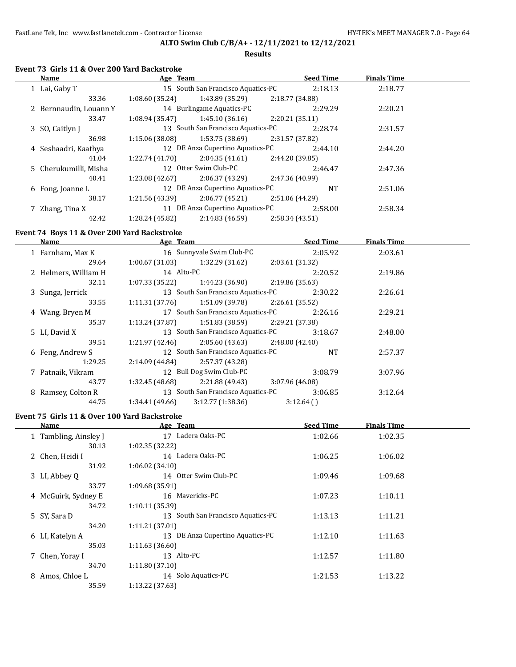### **Results**

# **Event 73 Girls 11 & Over 200 Yard Backstroke**

| Name                   | Age Team        |                                    |                 | <b>Seed Time</b> | <b>Finals Time</b> |  |
|------------------------|-----------------|------------------------------------|-----------------|------------------|--------------------|--|
| 1 Lai, Gaby T          |                 | 15 South San Francisco Aquatics-PC |                 | 2:18.13          | 2:18.77            |  |
| 33.36                  | 1:08.60(35.24)  | 1:43.89 (35.29)                    | 2:18.77 (34.88) |                  |                    |  |
| 2 Bernnaudin, Louann Y |                 | 14 Burlingame Aquatics-PC          |                 | 2:29.29          | 2:20.21            |  |
| 33.47                  | 1:08.94(35.47)  | 1:45.10 (36.16)                    | 2:20.21(35.11)  |                  |                    |  |
| 3 SO, Caitlyn J        |                 | 13 South San Francisco Aquatics-PC |                 | 2:28.74          | 2:31.57            |  |
| 36.98                  | 1:15.06(38.08)  | 1:53.75 (38.69)                    | 2:31.57 (37.82) |                  |                    |  |
| 4 Seshaadri, Kaathya   |                 | 12 DE Anza Cupertino Aquatics-PC   |                 | 2:44.10          | 2:44.20            |  |
| 41.04                  | 1:22.74(41.70)  | 2:04.35(41.61)                     | 2:44.20 (39.85) |                  |                    |  |
| 5 Cherukumilli, Misha  |                 | 12 Otter Swim Club-PC              |                 | 2:46.47          | 2:47.36            |  |
| 40.41                  | 1:23.08(42.67)  | 2:06.37(43.29)                     | 2:47.36 (40.99) |                  |                    |  |
| 6 Fong, Joanne L       |                 | 12 DE Anza Cupertino Aquatics-PC   |                 | <b>NT</b>        | 2:51.06            |  |
| 38.17                  | 1:21.56 (43.39) | 2:06.77(45.21)                     | 2:51.06 (44.29) |                  |                    |  |
| 7 Zhang, Tina X        |                 | 11 DE Anza Cupertino Aquatics-PC   |                 | 2:58.00          | 2:58.34            |  |
| 42.42                  | 1:28.24 (45.82) | 2:14.83(46.59)                     | 2:58.34(43.51)  |                  |                    |  |

## **Event 74 Boys 11 & Over 200 Yard Backstroke**

 $\overline{a}$ 

| Name                 | Age Team        |                                    |                 | <b>Seed Time</b> | <b>Finals Time</b> |  |
|----------------------|-----------------|------------------------------------|-----------------|------------------|--------------------|--|
| 1 Farnham, Max K     |                 | 16 Sunnyvale Swim Club-PC          |                 | 2:05.92          | 2:03.61            |  |
| 29.64                | 1:00.67(31.03)  | 1:32.29 (31.62)                    | 2:03.61(31.32)  |                  |                    |  |
| 2 Helmers, William H | 14 Alto-PC      |                                    |                 | 2:20.52          | 2:19.86            |  |
| 32.11                | 1:07.33(35.22)  | 1:44.23 (36.90)                    | 2:19.86 (35.63) |                  |                    |  |
| 3 Sunga, Jerrick     |                 | 13 South San Francisco Aquatics-PC |                 | 2:30.22          | 2:26.61            |  |
| 33.55                | 1:11.31(37.76)  | 1:51.09 (39.78)                    | 2:26.61 (35.52) |                  |                    |  |
| 4 Wang, Bryen M      |                 | 17 South San Francisco Aquatics-PC |                 | 2:26.16          | 2:29.21            |  |
| 35.37                | 1:13.24(37.87)  | 1:51.83 (38.59)                    | 2:29.21 (37.38) |                  |                    |  |
| 5 LI, David X        |                 | 13 South San Francisco Aquatics-PC |                 | 3:18.67          | 2:48.00            |  |
| 39.51                | 1:21.97 (42.46) | 2:05.60 (43.63)                    | 2:48.00(42.40)  |                  |                    |  |
| 6 Feng, Andrew S     |                 | 12 South San Francisco Aquatics-PC |                 | <b>NT</b>        | 2:57.37            |  |
| 1:29.25              | 2:14.09(44.84)  | 2:57.37 (43.28)                    |                 |                  |                    |  |
| 7 Patnaik, Vikram    |                 | 12 Bull Dog Swim Club-PC           |                 | 3:08.79          | 3:07.96            |  |
| 43.77                | 1:32.45 (48.68) | 2:21.88 (49.43)                    | 3:07.96 (46.08) |                  |                    |  |
| 8 Ramsey, Colton R   |                 | 13 South San Francisco Aquatics-PC |                 | 3:06.85          | 3:12.64            |  |
| 44.75                | 1:34.41(49.66)  | 3:12.77(1:38.36)                   | 3:12.64()       |                  |                    |  |

# **Event 75 Girls 11 & Over 100 Yard Backstroke**

| Name                  | Age Team                               | <b>Seed Time</b> | <b>Finals Time</b> |  |
|-----------------------|----------------------------------------|------------------|--------------------|--|
| 1 Tambling, Ainsley J | Ladera Oaks-PC<br>17                   | 1:02.66          | 1:02.35            |  |
| 30.13                 | 1:02.35(32.22)                         |                  |                    |  |
| 2 Chen, Heidi I       | 14 Ladera Oaks-PC                      | 1:06.25          | 1:06.02            |  |
| 31.92                 | 1:06.02(34.10)                         |                  |                    |  |
| 3 LI, Abbey Q         | 14 Otter Swim Club-PC                  | 1:09.46          | 1:09.68            |  |
| 33.77                 | 1:09.68 (35.91)                        |                  |                    |  |
| 4 McGuirk, Sydney E   | 16 Mavericks-PC                        | 1:07.23          | 1:10.11            |  |
| 34.72                 | 1:10.11 (35.39)                        |                  |                    |  |
| 5 SY, Sara D          | South San Francisco Aquatics-PC<br>13. | 1:13.13          | 1:11.21            |  |
| 34.20                 | 1:11.21(37.01)                         |                  |                    |  |
| 6 LI, Katelyn A       | DE Anza Cupertino Aquatics-PC<br>13.   | 1:12.10          | 1:11.63            |  |
| 35.03                 | 1:11.63(36.60)                         |                  |                    |  |
| 7 Chen, Yoray I       | 13 Alto-PC                             | 1:12.57          | 1:11.80            |  |
| 34.70                 | 1:11.80(37.10)                         |                  |                    |  |
| Amos, Chloe L<br>8    | Solo Aquatics-PC<br>14                 | 1:21.53          | 1:13.22            |  |
| 35.59                 | 1:13.22 (37.63)                        |                  |                    |  |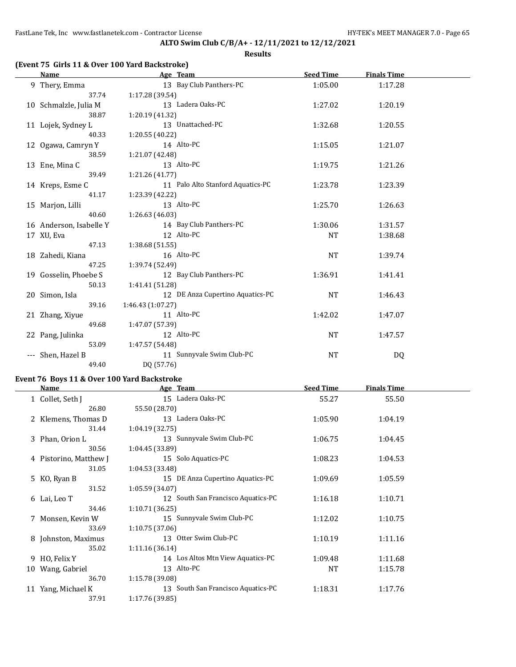**Results**

|  |  |  | (Event 75 Girls 11 & Over 100 Yard Backstroke) |  |
|--|--|--|------------------------------------------------|--|
|--|--|--|------------------------------------------------|--|

| Name                    | Age Team                                                                                                                                                                                                                                                                                                                           | <b>Seed Time</b> | <b>Finals Time</b> |  |
|-------------------------|------------------------------------------------------------------------------------------------------------------------------------------------------------------------------------------------------------------------------------------------------------------------------------------------------------------------------------|------------------|--------------------|--|
| 9 Thery, Emma           | 13 Bay Club Panthers-PC                                                                                                                                                                                                                                                                                                            | 1:05.00          | 1:17.28            |  |
| 37.74                   | 1:17.28 (39.54)                                                                                                                                                                                                                                                                                                                    |                  |                    |  |
| 10 Schmalzle, Julia M   | 13 Ladera Oaks-PC                                                                                                                                                                                                                                                                                                                  | 1:27.02          | 1:20.19            |  |
| 38.87                   | 1:20.19 (41.32)                                                                                                                                                                                                                                                                                                                    |                  |                    |  |
| 11 Lojek, Sydney L      | 13 Unattached-PC                                                                                                                                                                                                                                                                                                                   | 1:32.68          | 1:20.55            |  |
| 40.33                   | 1:20.55 (40.22)                                                                                                                                                                                                                                                                                                                    |                  |                    |  |
| 12 Ogawa, Camryn Y      | 14 Alto-PC                                                                                                                                                                                                                                                                                                                         | 1:15.05          | 1:21.07            |  |
| 38.59                   | 1:21.07 (42.48)                                                                                                                                                                                                                                                                                                                    |                  |                    |  |
| 13 Ene, Mina C          | 13 Alto-PC                                                                                                                                                                                                                                                                                                                         | 1:19.75          | 1:21.26            |  |
| 39.49                   | 1:21.26 (41.77)                                                                                                                                                                                                                                                                                                                    |                  |                    |  |
| 14 Kreps, Esme C        | 11 Palo Alto Stanford Aquatics-PC                                                                                                                                                                                                                                                                                                  | 1:23.78          | 1:23.39            |  |
| 41.17                   | 1:23.39 (42.22)                                                                                                                                                                                                                                                                                                                    |                  |                    |  |
| 15 Marjon, Lilli        | 13 Alto-PC                                                                                                                                                                                                                                                                                                                         | 1:25.70          | 1:26.63            |  |
| 40.60                   | 1:26.63 (46.03)                                                                                                                                                                                                                                                                                                                    |                  |                    |  |
| 16 Anderson, Isabelle Y | 14 Bay Club Panthers-PC                                                                                                                                                                                                                                                                                                            | 1:30.06          | 1:31.57            |  |
| 17 XU, Eva              | 12 Alto-PC                                                                                                                                                                                                                                                                                                                         | NT               | 1:38.68            |  |
| 47.13                   | 1:38.68(51.55)                                                                                                                                                                                                                                                                                                                     |                  |                    |  |
| 18 Zahedi, Kiana        | 16 Alto-PC                                                                                                                                                                                                                                                                                                                         | NT               | 1:39.74            |  |
| 47.25                   | 1:39.74 (52.49)                                                                                                                                                                                                                                                                                                                    |                  |                    |  |
| 19 Gosselin, Phoebe S   | 12 Bay Club Panthers-PC                                                                                                                                                                                                                                                                                                            | 1:36.91          | 1:41.41            |  |
| 50.13                   | 1:41.41 (51.28)                                                                                                                                                                                                                                                                                                                    |                  |                    |  |
| 20 Simon, Isla          | 12 DE Anza Cupertino Aquatics-PC                                                                                                                                                                                                                                                                                                   | <b>NT</b>        | 1:46.43            |  |
| 39.16                   | 1:46.43 (1:07.27)                                                                                                                                                                                                                                                                                                                  |                  |                    |  |
| 21 Zhang, Xiyue         | 11 Alto-PC                                                                                                                                                                                                                                                                                                                         | 1:42.02          | 1:47.07            |  |
| 49.68                   | 1:47.07 (57.39)                                                                                                                                                                                                                                                                                                                    |                  |                    |  |
| 22 Pang, Julinka        | 12 Alto-PC                                                                                                                                                                                                                                                                                                                         | <b>NT</b>        | 1:47.57            |  |
| 53.09                   | 1:47.57 (54.48)                                                                                                                                                                                                                                                                                                                    |                  |                    |  |
| --- Shen, Hazel B       | 11 Sunnyvale Swim Club-PC                                                                                                                                                                                                                                                                                                          | <b>NT</b>        | DQ                 |  |
| 49.40                   | DQ (57.76)                                                                                                                                                                                                                                                                                                                         |                  |                    |  |
|                         | $\overline{a}$ and $\overline{a}$ and $\overline{a}$ and $\overline{a}$ and $\overline{a}$ and $\overline{a}$ and $\overline{a}$ and $\overline{a}$ and $\overline{a}$ and $\overline{a}$ and $\overline{a}$ and $\overline{a}$ and $\overline{a}$ and $\overline{a}$ and $\overline{a}$ and $\overline{a}$ and $\overline{a}$ and |                  |                    |  |

## **Event 76 Boys 11 & Over 100 Yard Backstroke**

|    | Name                   | Age Team                           | <b>Seed Time</b> | <b>Finals Time</b> |  |
|----|------------------------|------------------------------------|------------------|--------------------|--|
|    | 1 Collet, Seth J       | 15 Ladera Oaks-PC                  | 55.27            | 55.50              |  |
|    | 26.80                  | 55.50 (28.70)                      |                  |                    |  |
|    | 2 Klemens, Thomas D    | 13 Ladera Oaks-PC                  | 1:05.90          | 1:04.19            |  |
|    | 31.44                  | 1:04.19(32.75)                     |                  |                    |  |
|    | 3 Phan, Orion L        | 13 Sunnyvale Swim Club-PC          | 1:06.75          | 1:04.45            |  |
|    | 30.56                  | 1:04.45 (33.89)                    |                  |                    |  |
|    | 4 Pistorino, Matthew J | 15 Solo Aquatics-PC                | 1:08.23          | 1:04.53            |  |
|    | 31.05                  | 1:04.53(33.48)                     |                  |                    |  |
|    | 5 KO, Ryan B           | 15 DE Anza Cupertino Aquatics-PC   | 1:09.69          | 1:05.59            |  |
|    | 31.52                  | 1:05.59(34.07)                     |                  |                    |  |
|    | 6 Lai, Leo T           | 12 South San Francisco Aquatics-PC | 1:16.18          | 1:10.71            |  |
|    | 34.46                  | 1:10.71(36.25)                     |                  |                    |  |
|    | 7 Monsen, Kevin W      | 15 Sunnyvale Swim Club-PC          | 1:12.02          | 1:10.75            |  |
|    | 33.69                  | 1:10.75(37.06)                     |                  |                    |  |
|    | 8 Johnston, Maximus    | 13 Otter Swim Club-PC              | 1:10.19          | 1:11.16            |  |
|    | 35.02                  | 1:11.16 (36.14)                    |                  |                    |  |
|    | 9 HO, Felix Y          | 14 Los Altos Mtn View Aquatics-PC  | 1:09.48          | 1:11.68            |  |
| 10 | Wang, Gabriel          | 13 Alto-PC                         | <b>NT</b>        | 1:15.78            |  |
|    | 36.70                  | 1:15.78 (39.08)                    |                  |                    |  |
|    | 11 Yang, Michael K     | 13 South San Francisco Aquatics-PC | 1:18.31          | 1:17.76            |  |
|    | 37.91                  | 1:17.76 (39.85)                    |                  |                    |  |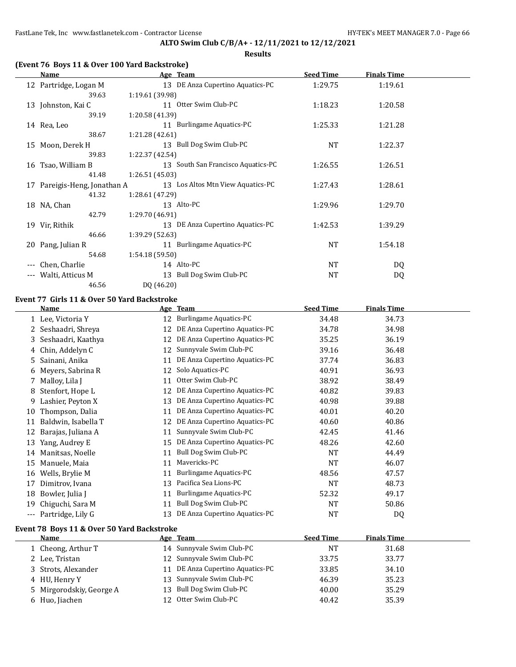FastLane Tek, Inc www.fastlanetek.com - Contractor License **HY-TEK's MEET MANAGER 7.0** - Page 66

## **ALTO Swim Club C/B/A+ - 12/11/2021 to 12/12/2021**

**Results**

|  |  |  | (Event 76 Boys 11 & Over 100 Yard Backstroke) |
|--|--|--|-----------------------------------------------|
|--|--|--|-----------------------------------------------|

|     | Name                         | Age Team                           | <b>Seed Time</b> | <b>Finals Time</b> |  |
|-----|------------------------------|------------------------------------|------------------|--------------------|--|
|     | 12 Partridge, Logan M        | 13 DE Anza Cupertino Aquatics-PC   | 1:29.75          | 1:19.61            |  |
|     | 39.63                        | 1:19.61(39.98)                     |                  |                    |  |
|     | 13 Johnston, Kai C           | 11 Otter Swim Club-PC              | 1:18.23          | 1:20.58            |  |
|     | 39.19                        | 1:20.58 (41.39)                    |                  |                    |  |
|     | 14 Rea, Leo                  | 11 Burlingame Aquatics-PC          | 1:25.33          | 1:21.28            |  |
|     | 38.67                        | 1:21.28 (42.61)                    |                  |                    |  |
| 15  | Moon, Derek H                | 13 Bull Dog Swim Club-PC           | NT               | 1:22.37            |  |
|     | 39.83                        | 1:22.37 (42.54)                    |                  |                    |  |
|     | 16 Tsao, William B           | 13 South San Francisco Aquatics-PC | 1:26.55          | 1:26.51            |  |
|     | 41.48                        | 1:26.51(45.03)                     |                  |                    |  |
|     | 17 Pareigis-Heng, Jonathan A | 13 Los Altos Mtn View Aquatics-PC  | 1:27.43          | 1:28.61            |  |
|     | 41.32                        | 1:28.61 (47.29)                    |                  |                    |  |
|     | 18 NA, Chan                  | 13 Alto-PC                         | 1:29.96          | 1:29.70            |  |
|     | 42.79                        | 1:29.70 (46.91)                    |                  |                    |  |
|     | 19 Vir, Rithik               | 13 DE Anza Cupertino Aquatics-PC   | 1:42.53          | 1:39.29            |  |
|     | 46.66                        | 1:39.29 (52.63)                    |                  |                    |  |
|     | 20 Pang, Julian R            | 11 Burlingame Aquatics-PC          | NT               | 1:54.18            |  |
|     | 54.68                        | 1:54.18(59.50)                     |                  |                    |  |
| --- | Chen, Charlie                | 14 Alto-PC                         | <b>NT</b>        | DQ                 |  |
|     | Walti, Atticus M             | 13 Bull Dog Swim Club-PC           | <b>NT</b>        | DQ                 |  |
|     | 46.56                        | DQ (46.20)                         |                  |                    |  |

### **Event 77 Girls 11 & Over 50 Yard Backstroke**

|                                            | <b>Name</b>         |    | Age Team                      | <b>Seed Time</b> | <b>Finals Time</b> |  |  |
|--------------------------------------------|---------------------|----|-------------------------------|------------------|--------------------|--|--|
|                                            | 1 Lee, Victoria Y   | 12 | <b>Burlingame Aquatics-PC</b> | 34.48            | 34.73              |  |  |
| 2                                          | Seshaadri, Shreya   | 12 | DE Anza Cupertino Aquatics-PC | 34.78            | 34.98              |  |  |
| 3                                          | Seshaadri, Kaathya  | 12 | DE Anza Cupertino Aquatics-PC | 35.25            | 36.19              |  |  |
| 4                                          | Chin, Addelyn C     | 12 | Sunnyvale Swim Club-PC        | 39.16            | 36.48              |  |  |
| 5.                                         | Sainani, Anika      | 11 | DE Anza Cupertino Aquatics-PC | 37.74            | 36.83              |  |  |
| 6                                          | Meyers, Sabrina R   | 12 | Solo Aquatics-PC              | 40.91            | 36.93              |  |  |
|                                            | Malloy, Lila J      | 11 | Otter Swim Club-PC            | 38.92            | 38.49              |  |  |
| 8                                          | Stenfort, Hope L    | 12 | DE Anza Cupertino Aquatics-PC | 40.82            | 39.83              |  |  |
| 9.                                         | Lashier, Peyton X   | 13 | DE Anza Cupertino Aquatics-PC | 40.98            | 39.88              |  |  |
| 10                                         | Thompson, Dalia     | 11 | DE Anza Cupertino Aquatics-PC | 40.01            | 40.20              |  |  |
| 11                                         | Baldwin, Isabella T | 12 | DE Anza Cupertino Aquatics-PC | 40.60            | 40.86              |  |  |
| 12                                         | Barajas, Juliana A  | 11 | Sunnyvale Swim Club-PC        | 42.45            | 41.46              |  |  |
| 13                                         | Yang, Audrey E      | 15 | DE Anza Cupertino Aquatics-PC | 48.26            | 42.60              |  |  |
| 14                                         | Manitsas, Noelle    | 11 | Bull Dog Swim Club-PC         | <b>NT</b>        | 44.49              |  |  |
| 15                                         | Manuele, Maia       | 11 | Mavericks-PC                  | <b>NT</b>        | 46.07              |  |  |
| 16                                         | Wells, Brylie M     | 11 | Burlingame Aquatics-PC        | 48.56            | 47.57              |  |  |
| 17                                         | Dimitrov, Ivana     | 13 | Pacifica Sea Lions-PC         | NT               | 48.73              |  |  |
| 18                                         | Bowler, Julia J     | 11 | <b>Burlingame Aquatics-PC</b> | 52.32            | 49.17              |  |  |
| 19                                         | Chiguchi, Sara M    | 11 | Bull Dog Swim Club-PC         | <b>NT</b>        | 50.86              |  |  |
| $\cdots$                                   | Partridge, Lily G   | 13 | DE Anza Cupertino Aquatics-PC | NT               | DQ                 |  |  |
| Event 78 Boys 11 & Over 50 Yard Backstroke |                     |    |                               |                  |                    |  |  |

| <b>Name</b>              | Age Team                         | <b>Seed Time</b> | <b>Finals Time</b> |  |
|--------------------------|----------------------------------|------------------|--------------------|--|
| 1 Cheong, Arthur T       | 14 Sunnyvale Swim Club-PC        | NT               | 31.68              |  |
| 2 Lee, Tristan           | 12 Sunnyvale Swim Club-PC        | 33.75            | 33.77              |  |
| 3 Strots, Alexander      | 11 DE Anza Cupertino Aquatics-PC | 33.85            | 34.10              |  |
| 4 HU, Henry Y            | 13 Sunnyvale Swim Club-PC        | 46.39            | 35.23              |  |
| 5 Mirgorodskiy, George A | 13 Bull Dog Swim Club-PC         | 40.00            | 35.29              |  |
| 6 Huo, Jiachen           | 12 Otter Swim Club-PC            | 40.42            | 35.39              |  |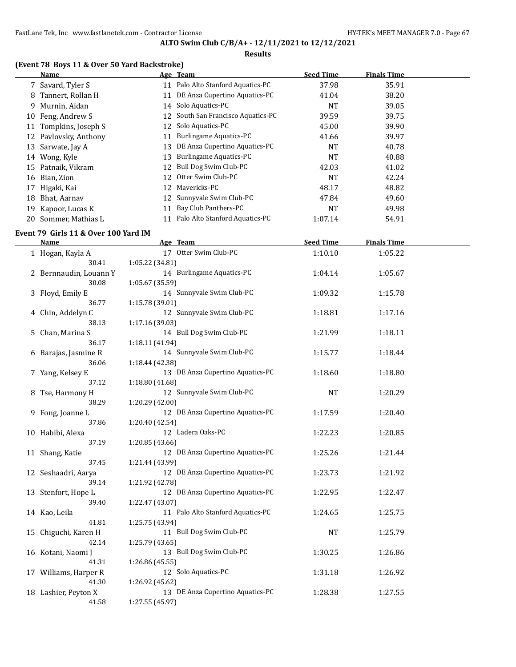### **Results**

# **(Event 78 Boys 11 & Over 50 Yard Backstroke)**

|    | TERCIIL 70 DOVS II & OVEL JO TATU DAUNSLIONET<br><b>Name</b> | Age Team                                            | <b>Seed Time</b> | <b>Finals Time</b> |  |
|----|--------------------------------------------------------------|-----------------------------------------------------|------------------|--------------------|--|
|    | 7 Savard, Tyler S                                            | 11 Palo Alto Stanford Aquatics-PC                   | 37.98            | 35.91              |  |
|    | 8 Tannert, Rollan H                                          | 11 DE Anza Cupertino Aquatics-PC                    | 41.04            | 38.20              |  |
|    | 9 Murnin, Aidan                                              | 14 Solo Aquatics-PC                                 | NT               | 39.05              |  |
|    | 10 Feng, Andrew S                                            | 12 South San Francisco Aquatics-PC                  | 39.59            | 39.75              |  |
|    | 11 Tompkins, Joseph S                                        | 12 Solo Aquatics-PC                                 | 45.00            | 39.90              |  |
|    | 12 Pavlovsky, Anthony                                        | 11 Burlingame Aquatics-PC                           | 41.66            | 39.97              |  |
|    | 13 Sarwate, Jay A                                            | 13 DE Anza Cupertino Aquatics-PC                    | <b>NT</b>        | 40.78              |  |
|    | 14 Wong, Kyle                                                | 13 Burlingame Aquatics-PC                           | <b>NT</b>        | 40.88              |  |
|    | 15 Patnaik, Vikram                                           | 12 Bull Dog Swim Club-PC                            | 42.03            | 41.02              |  |
|    | 16 Bian, Zion                                                | 12 Otter Swim Club-PC                               | <b>NT</b>        | 42.24              |  |
|    | 17 Higaki, Kai                                               | 12 Mavericks-PC                                     | 48.17            | 48.82              |  |
|    | 18 Bhat, Aarnav                                              | 12 Sunnyvale Swim Club-PC                           | 47.84            | 49.60              |  |
|    |                                                              | Bay Club Panthers-PC<br>11                          |                  |                    |  |
| 19 | Kapoor, Lucas K                                              | 11 Palo Alto Stanford Aquatics-PC                   | <b>NT</b>        | 49.98              |  |
|    | 20 Sommer, Mathias L                                         |                                                     | 1:07.14          | 54.91              |  |
|    | Event 79 Girls 11 & Over 100 Yard IM                         |                                                     |                  |                    |  |
|    | <b>Name</b>                                                  | Age Team                                            | <b>Seed Time</b> | <b>Finals Time</b> |  |
|    | 1 Hogan, Kayla A                                             | 17 Otter Swim Club-PC                               | 1:10.10          | 1:05.22            |  |
|    | 30.41                                                        | 1:05.22 (34.81)                                     |                  |                    |  |
|    | 2 Bernnaudin, Louann Y                                       | 14 Burlingame Aquatics-PC                           | 1:04.14          | 1:05.67            |  |
|    | 30.08                                                        | 1:05.67 (35.59)                                     |                  |                    |  |
|    | 3 Floyd, Emily E                                             | 14 Sunnyvale Swim Club-PC                           | 1:09.32          | 1:15.78            |  |
|    | 36.77                                                        | 1:15.78 (39.01)                                     |                  |                    |  |
|    | 4 Chin, Addelyn C                                            | 12 Sunnyvale Swim Club-PC                           | 1:18.81          | 1:17.16            |  |
|    | 38.13                                                        | 1:17.16 (39.03)                                     |                  |                    |  |
|    | 5 Chan, Marina S                                             | 14 Bull Dog Swim Club-PC                            | 1:21.99          | 1:18.11            |  |
|    | 36.17                                                        | 1:18.11 (41.94)                                     |                  |                    |  |
|    | 6 Barajas, Jasmine R                                         | 14 Sunnyvale Swim Club-PC                           | 1:15.77          | 1:18.44            |  |
|    | 36.06                                                        | 1:18.44 (42.38)                                     |                  |                    |  |
|    | 7 Yang, Kelsey E                                             | 13 DE Anza Cupertino Aquatics-PC                    | 1:18.60          | 1:18.80            |  |
|    | 37.12                                                        | 1:18.80 (41.68)                                     |                  |                    |  |
|    | 8 Tse, Harmony H                                             | 12 Sunnyvale Swim Club-PC                           | NT               | 1:20.29            |  |
|    | 38.29                                                        | 1:20.29 (42.00)<br>12 DE Anza Cupertino Aquatics-PC |                  |                    |  |
|    | 9 Fong, Joanne L                                             | 1:20.40 (42.54)                                     | 1:17.59          | 1:20.40            |  |
|    | 37.86                                                        | 12 Ladera Oaks-PC                                   |                  | 1:20.85            |  |
|    | 10 Habibi, Alexa<br>37.19                                    | 1:20.85 (43.66)                                     | 1:22.23          |                    |  |
|    |                                                              | 12 DE Anza Cupertino Aquatics-PC                    | 1:25.26          | 1:21.44            |  |
|    | 11 Shang, Katie<br>37.45                                     | 1:21.44 (43.99)                                     |                  |                    |  |
|    | 12 Seshaadri, Aarya                                          | 12 DE Anza Cupertino Aquatics-PC                    | 1:23.73          | 1:21.92            |  |
|    | 39.14                                                        | 1:21.92 (42.78)                                     |                  |                    |  |
|    | 13 Stenfort, Hope L                                          | 12 DE Anza Cupertino Aquatics-PC                    | 1:22.95          | 1:22.47            |  |
|    | 39.40                                                        | 1:22.47 (43.07)                                     |                  |                    |  |
|    | 14 Kao, Leila                                                | 11 Palo Alto Stanford Aquatics-PC                   | 1:24.65          | 1:25.75            |  |
|    | 41.81                                                        | 1:25.75 (43.94)                                     |                  |                    |  |
|    | 15 Chiguchi, Karen H                                         | 11 Bull Dog Swim Club-PC                            | NT               | 1:25.79            |  |
|    | 42.14                                                        | 1:25.79 (43.65)                                     |                  |                    |  |
|    | 16 Kotani, Naomi J                                           | 13 Bull Dog Swim Club-PC                            | 1:30.25          | 1:26.86            |  |
|    | 41.31                                                        | 1:26.86 (45.55)                                     |                  |                    |  |
|    | 17 Williams, Harper R                                        | 12 Solo Aquatics-PC                                 | 1:31.18          | 1:26.92            |  |
|    | 41.30                                                        | 1:26.92 (45.62)                                     |                  |                    |  |

18 Lashier, Peyton X 13 DE Anza Cupertino Aquatics-PC 1:28.38 1:27.55

41.58 1:27.55 (45.97)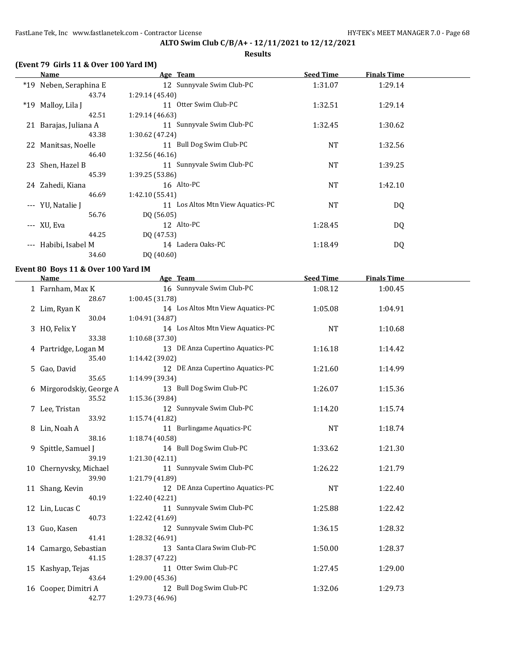## **ALTO Swim Club C/B/A+ - 12/11/2021 to 12/12/2021 Results**

# **(Event 79 Girls 11 & Over 100 Yard IM)**

|          | Name                   | Age Team                          | <b>Seed Time</b> | <b>Finals Time</b> |  |
|----------|------------------------|-----------------------------------|------------------|--------------------|--|
|          | *19 Neben, Seraphina E | 12 Sunnyvale Swim Club-PC         | 1:31.07          | 1:29.14            |  |
|          | 43.74                  | 1:29.14(45.40)                    |                  |                    |  |
| $*19$    | Malloy, Lila J         | Otter Swim Club-PC<br>11          | 1:32.51          | 1:29.14            |  |
|          | 42.51                  | 1:29.14 (46.63)                   |                  |                    |  |
| 21       | Barajas, Juliana A     | 11 Sunnyvale Swim Club-PC         | 1:32.45          | 1:30.62            |  |
|          | 43.38                  | 1:30.62 (47.24)                   |                  |                    |  |
|          | 22 Manitsas, Noelle    | 11 Bull Dog Swim Club-PC          | <b>NT</b>        | 1:32.56            |  |
|          | 46.40                  | 1:32.56(46.16)                    |                  |                    |  |
|          | 23 Shen, Hazel B       | 11 Sunnyvale Swim Club-PC         | <b>NT</b>        | 1:39.25            |  |
|          | 45.39                  | 1:39.25 (53.86)                   |                  |                    |  |
|          | 24 Zahedi, Kiana       | 16 Alto-PC                        | <b>NT</b>        | 1:42.10            |  |
|          | 46.69                  | 1:42.10 (55.41)                   |                  |                    |  |
|          | --- YU, Natalie J      | 11 Los Altos Mtn View Aquatics-PC | <b>NT</b>        | DQ                 |  |
|          | 56.76                  | DQ (56.05)                        |                  |                    |  |
|          | --- XU, Eva            | 12 Alto-PC                        | 1:28.45          | DQ                 |  |
|          | 44.25                  | DQ (47.53)                        |                  |                    |  |
| $\cdots$ | Habibi, Isabel M       | 14 Ladera Oaks-PC                 | 1:18.49          | DQ                 |  |
|          | 34.60                  | DQ (40.60)                        |                  |                    |  |

#### **Event 80 Boys 11 & Over 100 Yard IM**

| <b>Name</b>              | Age Team                          | <b>Seed Time</b> | <b>Finals Time</b> |  |
|--------------------------|-----------------------------------|------------------|--------------------|--|
| 1 Farnham, Max K         | 16 Sunnyvale Swim Club-PC         | 1:08.12          | 1:00.45            |  |
| 28.67                    | 1:00.45 (31.78)                   |                  |                    |  |
| 2 Lim, Ryan K            | 14 Los Altos Mtn View Aquatics-PC | 1:05.08          | 1:04.91            |  |
| 30.04                    | 1:04.91 (34.87)                   |                  |                    |  |
| 3 HO, Felix Y            | 14 Los Altos Mtn View Aquatics-PC | <b>NT</b>        | 1:10.68            |  |
| 33.38                    | 1:10.68 (37.30)                   |                  |                    |  |
| 4 Partridge, Logan M     | 13 DE Anza Cupertino Aquatics-PC  | 1:16.18          | 1:14.42            |  |
| 35.40                    | 1:14.42 (39.02)                   |                  |                    |  |
| 5 Gao, David             | 12 DE Anza Cupertino Aquatics-PC  | 1:21.60          | 1:14.99            |  |
| 35.65                    | 1:14.99 (39.34)                   |                  |                    |  |
| 6 Mirgorodskiy, George A | 13 Bull Dog Swim Club-PC          | 1:26.07          | 1:15.36            |  |
| 35.52                    | 1:15.36 (39.84)                   |                  |                    |  |
| 7 Lee, Tristan           | 12 Sunnyvale Swim Club-PC         | 1:14.20          | 1:15.74            |  |
| 33.92                    | 1:15.74 (41.82)                   |                  |                    |  |
| 8 Lin, Noah A            | 11 Burlingame Aquatics-PC         | <b>NT</b>        | 1:18.74            |  |
| 38.16                    | 1:18.74 (40.58)                   |                  |                    |  |
| 9 Spittle, Samuel J      | 14 Bull Dog Swim Club-PC          | 1:33.62          | 1:21.30            |  |
| 39.19                    | 1:21.30 (42.11)                   |                  |                    |  |
| 10 Chernyvsky, Michael   | 11 Sunnyvale Swim Club-PC         | 1:26.22          | 1:21.79            |  |
| 39.90                    | 1:21.79 (41.89)                   |                  |                    |  |
| 11 Shang, Kevin          | 12 DE Anza Cupertino Aquatics-PC  | <b>NT</b>        | 1:22.40            |  |
| 40.19                    | 1:22.40 (42.21)                   |                  |                    |  |
| 12 Lin, Lucas C          | 11 Sunnyvale Swim Club-PC         | 1:25.88          | 1:22.42            |  |
| 40.73                    | 1:22.42 (41.69)                   |                  |                    |  |
| 13 Guo, Kasen            | 12 Sunnyvale Swim Club-PC         | 1:36.15          | 1:28.32            |  |
| 41.41                    | 1:28.32 (46.91)                   |                  |                    |  |
| 14 Camargo, Sebastian    | 13 Santa Clara Swim Club-PC       | 1:50.00          | 1:28.37            |  |
| 41.15                    | 1:28.37 (47.22)                   |                  |                    |  |
| 15 Kashyap, Tejas        | 11 Otter Swim Club-PC             | 1:27.45          | 1:29.00            |  |
| 43.64                    | 1:29.00 (45.36)                   |                  |                    |  |
| 16 Cooper, Dimitri A     | 12 Bull Dog Swim Club-PC          | 1:32.06          | 1:29.73            |  |
| 42.77                    | 1:29.73 (46.96)                   |                  |                    |  |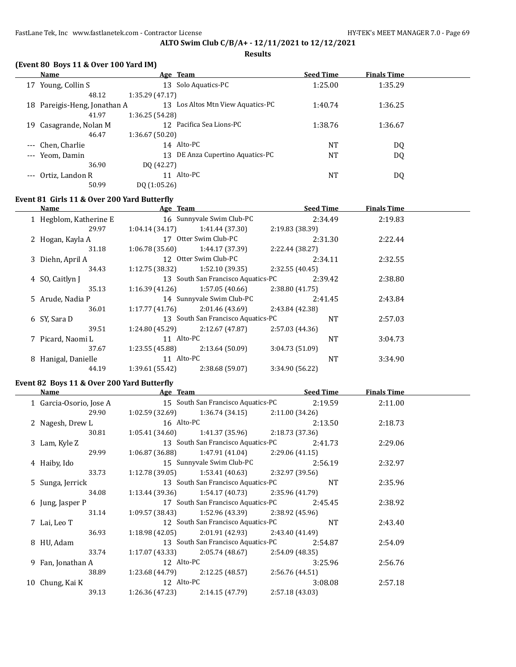**Results**

## **(Event 80 Boys 11 & Over 100 Yard IM)**

|     | Name                         | Age Team                          | <b>Seed Time</b> | <b>Finals Time</b> |  |
|-----|------------------------------|-----------------------------------|------------------|--------------------|--|
| 17  | Young, Collin S              | Solo Aquatics-PC<br>13            | 1:25.00          | 1:35.29            |  |
|     | 48.12                        | 1:35.29(47.17)                    |                  |                    |  |
|     | 18 Pareigis-Heng, Jonathan A | 13 Los Altos Mtn View Aquatics-PC | 1:40.74          | 1:36.25            |  |
|     | 41.97                        | 1:36.25(54.28)                    |                  |                    |  |
| 19. | Casagrande, Nolan M          | 12 Pacifica Sea Lions-PC          | 1:38.76          | 1:36.67            |  |
|     | 46.47                        | 1:36.67(50.20)                    |                  |                    |  |
|     | --- Chen, Charlie            | 14 Alto-PC                        | NT               | DQ                 |  |
|     | --- Yeom, Damin              | 13 DE Anza Cupertino Aquatics-PC  | <b>NT</b>        | DQ                 |  |
|     | 36.90                        | DQ (42.27)                        |                  |                    |  |
|     | Ortiz, Landon R              | Alto-PC<br>11                     | <b>NT</b>        | DQ                 |  |
|     | 50.99                        | DQ(1:05.26)                       |                  |                    |  |

## **Event 81 Girls 11 & Over 200 Yard Butterfly**

| Name                   | Age Team        |                                    | <b>Seed Time</b> |           | <b>Finals Time</b> |
|------------------------|-----------------|------------------------------------|------------------|-----------|--------------------|
| 1 Hegblom, Katherine E |                 | 16 Sunnyvale Swim Club-PC          | 2:34.49          |           | 2:19.83            |
| 29.97                  | 1:04.14 (34.17) | 1:41.44 (37.30)                    | 2:19.83 (38.39)  |           |                    |
| 2 Hogan, Kayla A       |                 | 17 Otter Swim Club-PC              | 2:31.30          |           | 2:22.44            |
| 31.18                  | 1:06.78 (35.60) | 1:44.17 (37.39)                    | 2:22.44 (38.27)  |           |                    |
| 3 Diehn, April A       |                 | 12 Otter Swim Club-PC              | 2:34.11          |           | 2:32.55            |
| 34.43                  | 1:12.75 (38.32) | 1:52.10 (39.35)                    | 2:32.55(40.45)   |           |                    |
| 4 SO, Caitlyn J        |                 | 13 South San Francisco Aquatics-PC | 2:39.42          |           | 2:38.80            |
| 35.13                  | 1:16.39 (41.26) | 1:57.05 (40.66)                    | 2:38.80(41.75)   |           |                    |
| 5 Arude, Nadia P       |                 | 14 Sunnyvale Swim Club-PC          | 2:41.45          |           | 2:43.84            |
| 36.01                  | 1:17.77 (41.76) | 2:01.46 (43.69)                    | 2:43.84 (42.38)  |           |                    |
| 6 SY, Sara D           |                 | 13 South San Francisco Aquatics-PC |                  | <b>NT</b> | 2:57.03            |
| 39.51                  | 1:24.80 (45.29) | 2:12.67 (47.87)                    | 2:57.03 (44.36)  |           |                    |
| 7 Picard, Naomi L      | 11 Alto-PC      |                                    |                  | <b>NT</b> | 3:04.73            |
| 37.67                  | 1:23.55 (45.88) | 2:13.64(50.09)                     | 3:04.73(51.09)   |           |                    |
| 8 Hanigal, Danielle    | 11 Alto-PC      |                                    |                  | <b>NT</b> | 3:34.90            |
| 44.19                  | 1:39.61(55.42)  | 2:38.68 (59.07)                    | 3:34.90 (56.22)  |           |                    |

### **Event 82 Boys 11 & Over 200 Yard Butterfly**

 $\overline{a}$ 

| Name                    | Age Team        |                                                    |                 | <b>Seed Time</b> | <b>Finals Time</b> |  |
|-------------------------|-----------------|----------------------------------------------------|-----------------|------------------|--------------------|--|
| 1 Garcia-Osorio, Jose A |                 | 15 South San Francisco Aquatics-PC                 | 2:19.59         |                  | 2:11.00            |  |
| 29.90                   |                 | $1:02.59(32.69)$ $1:36.74(34.15)$                  | 2:11.00(34.26)  |                  |                    |  |
| 2 Nagesh, Drew L        |                 | 16 Alto-PC                                         |                 | 2:13.50          | 2:18.73            |  |
| 30.81                   |                 | $1:05.41(34.60)$ $1:41.37(35.96)$                  | 2:18.73(37.36)  |                  |                    |  |
| 3 Lam, Kyle Z           |                 | 13 South San Francisco Aquatics-PC                 |                 | 2:41.73          | 2:29.06            |  |
| 29.99                   |                 | $1:06.87(36.88)$ $1:47.91(41.04)$ $2:29.06(41.15)$ |                 |                  |                    |  |
| 4 Haiby, Ido            |                 | 15 Sunnyvale Swim Club-PC                          |                 | 2:56.19          | 2:32.97            |  |
| 33.73                   |                 | $1:12.78(39.05)$ $1:53.41(40.63)$ $2:32.97(39.56)$ |                 |                  |                    |  |
| 5 Sunga, Jerrick        |                 | 13 South San Francisco Aquatics-PC                 |                 | NT               | 2:35.96            |  |
| 34.08                   |                 | $1:13.44(39.36)$ $1:54.17(40.73)$ $2:35.96(41.79)$ |                 |                  |                    |  |
| 6 Jung, Jasper P        |                 | 17 South San Francisco Aquatics-PC                 |                 | 2:45.45          | 2:38.92            |  |
| 31.14                   |                 | $1:09.57(38.43)$ $1:52.96(43.39)$                  | 2:38.92 (45.96) |                  |                    |  |
| 7 Lai, Leo T            |                 | 12 South San Francisco Aquatics-PC                 |                 | <b>NT</b>        | 2:43.40            |  |
| 36.93                   |                 | $1:18.98(42.05)$ $2:01.91(42.93)$                  | 2:43.40 (41.49) |                  |                    |  |
| 8 HU, Adam              |                 | 13 South San Francisco Aquatics-PC                 |                 | 2:54.87          | 2:54.09            |  |
| 33.74                   |                 | $1:17.07(43.33)$ $2:05.74(48.67)$ $2:54.09(48.35)$ |                 |                  |                    |  |
| 9 Fan, Jonathan A       |                 | 12 Alto-PC                                         |                 | 3:25.96          | 2:56.76            |  |
| 38.89                   | 1:23.68 (44.79) | 2:12.25 (48.57)                                    | 2:56.76 (44.51) |                  |                    |  |
| 10 Chung, Kai K         |                 | 12 Alto-PC                                         |                 | 3:08.08          | 2:57.18            |  |
| 39.13                   | 1:26.36 (47.23) | 2:14.15 (47.79)                                    | 2:57.18(43.03)  |                  |                    |  |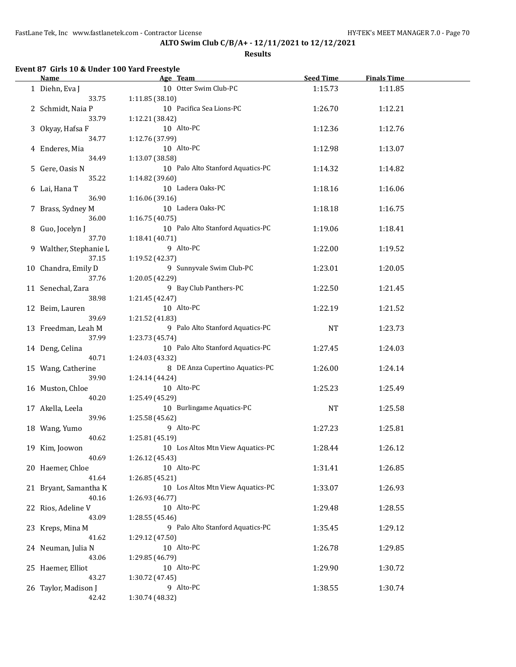**Results**

# **Event 87 Girls 10 & Under 100 Yard Freestyle**

| <b>Name</b>            |                 | Age Team                          | <b>Seed Time</b> | <b>Finals Time</b> |  |
|------------------------|-----------------|-----------------------------------|------------------|--------------------|--|
| 1 Diehn, Eva J         |                 | 10 Otter Swim Club-PC             | 1:15.73          | 1:11.85            |  |
| 33.75                  | 1:11.85(38.10)  |                                   |                  |                    |  |
| 2 Schmidt, Naia P      |                 | 10 Pacifica Sea Lions-PC          | 1:26.70          | 1:12.21            |  |
| 33.79                  | 1:12.21 (38.42) |                                   |                  |                    |  |
| 3 Okyay, Hafsa F       |                 | 10 Alto-PC                        | 1:12.36          | 1:12.76            |  |
| 34.77                  | 1:12.76 (37.99) |                                   |                  |                    |  |
| 4 Enderes, Mia         |                 | 10 Alto-PC                        | 1:12.98          | 1:13.07            |  |
| 34.49                  | 1:13.07 (38.58) |                                   |                  |                    |  |
| 5 Gere, Oasis N        |                 | 10 Palo Alto Stanford Aquatics-PC | 1:14.32          | 1:14.82            |  |
| 35.22                  | 1:14.82 (39.60) |                                   |                  |                    |  |
| 6 Lai, Hana T          |                 | 10 Ladera Oaks-PC                 | 1:18.16          | 1:16.06            |  |
| 36.90                  | 1:16.06 (39.16) |                                   |                  |                    |  |
| 7 Brass, Sydney M      |                 | 10 Ladera Oaks-PC                 | 1:18.18          | 1:16.75            |  |
| 36.00                  | 1:16.75(40.75)  |                                   |                  |                    |  |
| 8 Guo, Jocelyn J       |                 | 10 Palo Alto Stanford Aquatics-PC | 1:19.06          | 1:18.41            |  |
| 37.70                  | 1:18.41(40.71)  |                                   |                  |                    |  |
| 9 Walther, Stephanie L |                 | 9 Alto-PC                         | 1:22.00          | 1:19.52            |  |
| 37.15                  | 1:19.52 (42.37) |                                   |                  |                    |  |
| 10 Chandra, Emily D    |                 | 9 Sunnyvale Swim Club-PC          | 1:23.01          | 1:20.05            |  |
| 37.76                  | 1:20.05 (42.29) |                                   |                  |                    |  |
| 11 Senechal, Zara      |                 | 9 Bay Club Panthers-PC            | 1:22.50          | 1:21.45            |  |
| 38.98                  | 1:21.45 (42.47) |                                   |                  |                    |  |
| 12 Beim, Lauren        |                 | 10 Alto-PC                        | 1:22.19          | 1:21.52            |  |
| 39.69                  | 1:21.52 (41.83) |                                   |                  |                    |  |
| 13 Freedman, Leah M    |                 | 9 Palo Alto Stanford Aquatics-PC  | <b>NT</b>        | 1:23.73            |  |
| 37.99                  | 1:23.73 (45.74) |                                   |                  |                    |  |
| 14 Deng, Celina        |                 | 10 Palo Alto Stanford Aquatics-PC | 1:27.45          | 1:24.03            |  |
| 40.71                  | 1:24.03 (43.32) |                                   |                  |                    |  |
| 15 Wang, Catherine     |                 | 8 DE Anza Cupertino Aquatics-PC   | 1:26.00          | 1:24.14            |  |
| 39.90                  | 1:24.14 (44.24) |                                   |                  |                    |  |
| 16 Muston, Chloe       |                 | 10 Alto-PC                        | 1:25.23          | 1:25.49            |  |
| 40.20                  | 1:25.49 (45.29) |                                   |                  |                    |  |
| 17 Akella, Leela       |                 | 10 Burlingame Aquatics-PC         | NT               | 1:25.58            |  |
| 39.96                  | 1:25.58 (45.62) |                                   |                  |                    |  |
| 18 Wang, Yumo          |                 | 9 Alto-PC                         | 1:27.23          | 1:25.81            |  |
| 40.62                  | 1:25.81 (45.19) |                                   |                  |                    |  |
| 19 Kim, Joowon         |                 | 10 Los Altos Mtn View Aquatics-PC | 1:28.44          | 1:26.12            |  |
| 40.69                  | 1:26.12(45.43)  |                                   |                  |                    |  |
| 20 Haemer, Chloe       |                 | 10 Alto-PC                        | 1:31.41          | 1:26.85            |  |
| 41.64                  | 1:26.85 (45.21) |                                   |                  |                    |  |
| 21 Bryant, Samantha K  |                 | 10 Los Altos Mtn View Aquatics-PC | 1:33.07          | 1:26.93            |  |
| 40.16                  | 1:26.93 (46.77) |                                   |                  |                    |  |
| 22 Rios, Adeline V     |                 | 10 Alto-PC                        | 1:29.48          | 1:28.55            |  |
| 43.09                  | 1:28.55 (45.46) |                                   |                  |                    |  |
| 23 Kreps, Mina M       |                 | 9 Palo Alto Stanford Aquatics-PC  | 1:35.45          | 1:29.12            |  |
| 41.62                  | 1:29.12 (47.50) |                                   |                  |                    |  |
| 24 Neuman, Julia N     |                 | 10 Alto-PC                        | 1:26.78          | 1:29.85            |  |
| 43.06                  | 1:29.85 (46.79) |                                   |                  |                    |  |
| 25 Haemer, Elliot      |                 | 10 Alto-PC                        | 1:29.90          | 1:30.72            |  |
| 43.27                  | 1:30.72 (47.45) |                                   |                  |                    |  |
| 26 Taylor, Madison J   |                 | 9 Alto-PC                         | 1:38.55          | 1:30.74            |  |
| 42.42                  | 1:30.74 (48.32) |                                   |                  |                    |  |
|                        |                 |                                   |                  |                    |  |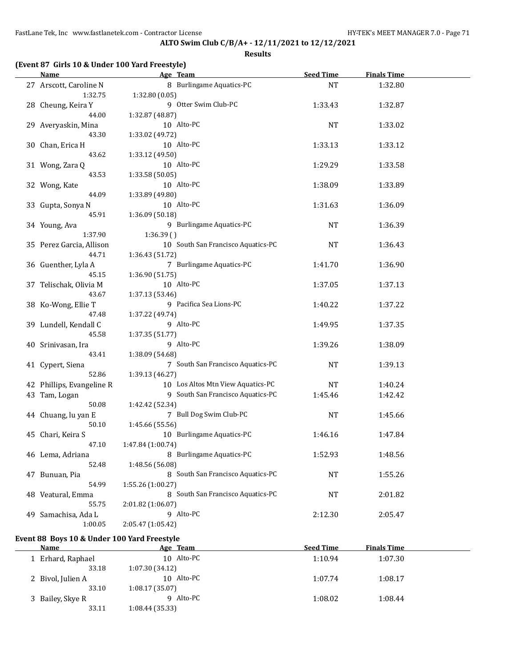**Results**

| <b>Name</b>               | Age Team                           | <b>Seed Time</b> | <b>Finals Time</b> |  |
|---------------------------|------------------------------------|------------------|--------------------|--|
| 27 Arscott, Caroline N    | 8 Burlingame Aquatics-PC           | <b>NT</b>        | 1:32.80            |  |
| 1:32.75                   | 1:32.80(0.05)                      |                  |                    |  |
| 28 Cheung, Keira Y        | 9 Otter Swim Club-PC               | 1:33.43          | 1:32.87            |  |
| 44.00                     | 1:32.87 (48.87)                    |                  |                    |  |
| 29 Averyaskin, Mina       | 10 Alto-PC                         | <b>NT</b>        | 1:33.02            |  |
| 43.30                     | 1:33.02 (49.72)                    |                  |                    |  |
| 30 Chan, Erica H          | 10 Alto-PC                         | 1:33.13          | 1:33.12            |  |
| 43.62                     | 1:33.12 (49.50)                    |                  |                    |  |
| 31 Wong, Zara Q           | 10 Alto-PC                         | 1:29.29          | 1:33.58            |  |
| 43.53                     | 1:33.58 (50.05)                    |                  |                    |  |
|                           | 10 Alto-PC                         | 1:38.09          | 1:33.89            |  |
| 32 Wong, Kate<br>44.09    |                                    |                  |                    |  |
|                           | 1:33.89 (49.80)                    |                  |                    |  |
| 33 Gupta, Sonya N         | 10 Alto-PC                         | 1:31.63          | 1:36.09            |  |
| 45.91                     | 1:36.09 (50.18)                    |                  |                    |  |
| 34 Young, Ava             | 9 Burlingame Aquatics-PC           | <b>NT</b>        | 1:36.39            |  |
| 1:37.90                   | 1:36.39(                           |                  |                    |  |
| 35 Perez Garcia, Allison  | 10 South San Francisco Aquatics-PC | <b>NT</b>        | 1:36.43            |  |
| 44.71                     | 1:36.43 (51.72)                    |                  |                    |  |
| 36 Guenther, Lyla A       | 7 Burlingame Aquatics-PC           | 1:41.70          | 1:36.90            |  |
| 45.15                     | 1:36.90 (51.75)                    |                  |                    |  |
| 37 Telischak, Olivia M    | 10 Alto-PC                         | 1:37.05          | 1:37.13            |  |
| 43.67                     | 1:37.13 (53.46)                    |                  |                    |  |
| 38 Ko-Wong, Ellie T       | 9 Pacifica Sea Lions-PC            | 1:40.22          | 1:37.22            |  |
| 47.48                     | 1:37.22 (49.74)                    |                  |                    |  |
| 39 Lundell, Kendall C     | 9 Alto-PC                          | 1:49.95          | 1:37.35            |  |
| 45.58                     | 1:37.35 (51.77)                    |                  |                    |  |
| 40 Srinivasan, Ira        | 9 Alto-PC                          | 1:39.26          | 1:38.09            |  |
| 43.41                     | 1:38.09 (54.68)                    |                  |                    |  |
| 41 Cypert, Siena          | 7 South San Francisco Aquatics-PC  | <b>NT</b>        | 1:39.13            |  |
| 52.86                     | 1:39.13 (46.27)                    |                  |                    |  |
| 42 Phillips, Evangeline R | 10 Los Altos Mtn View Aquatics-PC  | <b>NT</b>        | 1:40.24            |  |
| 43 Tam, Logan             | 9 South San Francisco Aquatics-PC  | 1:45.46          | 1:42.42            |  |
| 50.08                     | 1:42.42 (52.34)                    |                  |                    |  |
| 44 Chuang, lu yan E       | 7 Bull Dog Swim Club-PC            | <b>NT</b>        | 1:45.66            |  |
| 50.10                     | 1:45.66 (55.56)                    |                  |                    |  |
| 45 Chari, Keira S         | 10 Burlingame Aquatics-PC          | 1:46.16          | 1:47.84            |  |
| 47.10                     | 1:47.84 (1:00.74)                  |                  |                    |  |
| 46 Lema, Adriana          | 8 Burlingame Aquatics-PC           |                  |                    |  |
|                           |                                    | 1:52.93          | 1:48.56            |  |
| 52.48                     | 1:48.56 (56.08)                    |                  |                    |  |
| 47 Bunuan, Pia            | 8 South San Francisco Aquatics-PC  | <b>NT</b>        | 1:55.26            |  |
| 54.99                     | 1:55.26 (1:00.27)                  |                  |                    |  |
| 48 Veatural, Emma         | 8 South San Francisco Aquatics-PC  | <b>NT</b>        | 2:01.82            |  |
| 55.75                     | 2:01.82 (1:06.07)                  |                  |                    |  |
| 49 Samachisa, Ada L       | 9 Alto-PC                          | 2:12.30          | 2:05.47            |  |
| 1:00.05                   | 2:05.47 (1:05.42)                  |                  |                    |  |

## **Event 88 Boys 10 & Under 100 Yard Freestyle**

| Name              | Age Team       | <b>Seed Time</b> | <b>Finals Time</b> |  |
|-------------------|----------------|------------------|--------------------|--|
| 1 Erhard, Raphael | 10 Alto-PC     | 1:10.94          | 1:07.30            |  |
| 33.18             | 1:07.30(34.12) |                  |                    |  |
| 2 Bivol, Julien A | 10 Alto-PC     | 1:07.74          | 1:08.17            |  |
| 33.10             | 1:08.17(35.07) |                  |                    |  |
| 3 Bailey, Skye R  | 9 Alto-PC      | 1:08.02          | 1:08.44            |  |
| 33.11             | 1:08.44(35.33) |                  |                    |  |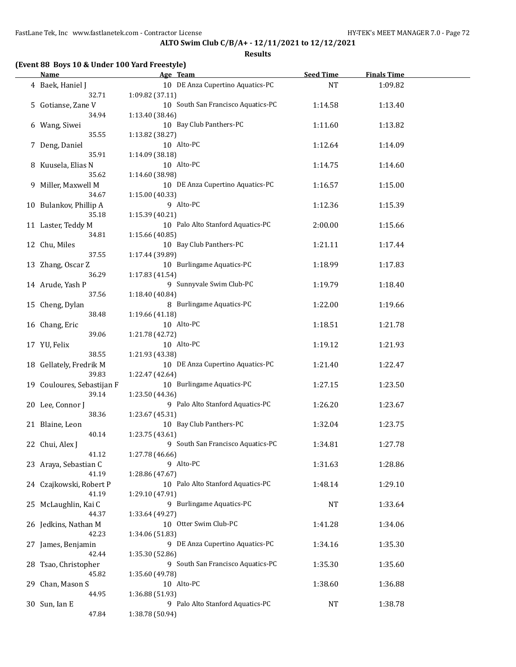**Results**

# **(Event 88 Boys 10 & Under 100 Yard Freestyle)**

| <b>Name</b>                | Age Team                           | <b>Seed Time</b> | <b>Finals Time</b> |  |
|----------------------------|------------------------------------|------------------|--------------------|--|
| 4 Baek, Haniel J           | 10 DE Anza Cupertino Aquatics-PC   | <b>NT</b>        | 1:09.82            |  |
| 32.71                      | 1:09.82 (37.11)                    |                  |                    |  |
| 5 Gotianse, Zane V         | 10 South San Francisco Aquatics-PC | 1:14.58          | 1:13.40            |  |
| 34.94                      | 1:13.40 (38.46)                    |                  |                    |  |
| 6 Wang, Siwei              | 10 Bay Club Panthers-PC            | 1:11.60          | 1:13.82            |  |
| 35.55                      | 1:13.82 (38.27)                    |                  |                    |  |
|                            | 10 Alto-PC                         |                  |                    |  |
| 7 Deng, Daniel<br>35.91    | 1:14.09 (38.18)                    | 1:12.64          | 1:14.09            |  |
|                            |                                    |                  |                    |  |
| 8 Kuusela, Elias N         | 10 Alto-PC                         | 1:14.75          | 1:14.60            |  |
| 35.62                      | 1:14.60 (38.98)                    |                  |                    |  |
| 9 Miller, Maxwell M        | 10 DE Anza Cupertino Aquatics-PC   | 1:16.57          | 1:15.00            |  |
| 34.67                      | 1:15.00 (40.33)                    |                  |                    |  |
| 10 Bulankov, Phillip A     | 9 Alto-PC                          | 1:12.36          | 1:15.39            |  |
| 35.18                      | 1:15.39 (40.21)                    |                  |                    |  |
| 11 Laster, Teddy M         | 10 Palo Alto Stanford Aquatics-PC  | 2:00.00          | 1:15.66            |  |
| 34.81                      | 1:15.66 (40.85)                    |                  |                    |  |
| 12 Chu, Miles              | 10 Bay Club Panthers-PC            | 1:21.11          | 1:17.44            |  |
| 37.55                      | 1:17.44 (39.89)                    |                  |                    |  |
| 13 Zhang, Oscar Z          | 10 Burlingame Aquatics-PC          | 1:18.99          | 1:17.83            |  |
| 36.29                      | 1:17.83 (41.54)                    |                  |                    |  |
| 14 Arude, Yash P           | 9 Sunnyvale Swim Club-PC           | 1:19.79          | 1:18.40            |  |
| 37.56                      | 1:18.40 (40.84)                    |                  |                    |  |
| 15 Cheng, Dylan            | 8 Burlingame Aquatics-PC           | 1:22.00          | 1:19.66            |  |
| 38.48                      | 1:19.66 (41.18)                    |                  |                    |  |
| 16 Chang, Eric             | 10 Alto-PC                         | 1:18.51          | 1:21.78            |  |
| 39.06                      | 1:21.78 (42.72)                    |                  |                    |  |
| 17 YU, Felix               | 10 Alto-PC                         | 1:19.12          | 1:21.93            |  |
| 38.55                      | 1:21.93 (43.38)                    |                  |                    |  |
|                            | 10 DE Anza Cupertino Aquatics-PC   |                  |                    |  |
| 18 Gellately, Fredrik M    |                                    | 1:21.40          | 1:22.47            |  |
| 39.83                      | 1:22.47 (42.64)                    |                  |                    |  |
| 19 Couloures, Sebastijan F | 10 Burlingame Aquatics-PC          | 1:27.15          | 1:23.50            |  |
| 39.14                      | 1:23.50 (44.36)                    |                  |                    |  |
| 20 Lee, Connor J           | 9 Palo Alto Stanford Aquatics-PC   | 1:26.20          | 1:23.67            |  |
| 38.36                      | 1:23.67 (45.31)                    |                  |                    |  |
| 21 Blaine, Leon            | 10 Bay Club Panthers-PC            | 1:32.04          | 1:23.75            |  |
| 40.14                      | 1:23.75 (43.61)                    |                  |                    |  |
| 22 Chui, Alex J            | 9 South San Francisco Aquatics-PC  | 1:34.81          | 1:27.78            |  |
| 41.12                      | 1:27.78 (46.66)                    |                  |                    |  |
| 23 Araya, Sebastian C      | 9 Alto-PC                          | 1:31.63          | 1:28.86            |  |
| 41.19                      | 1:28.86 (47.67)                    |                  |                    |  |
| 24 Czajkowski, Robert P    | 10 Palo Alto Stanford Aquatics-PC  | 1:48.14          | 1:29.10            |  |
| 41.19                      | 1:29.10 (47.91)                    |                  |                    |  |
| 25 McLaughlin, Kai C       | 9 Burlingame Aquatics-PC           | <b>NT</b>        | 1:33.64            |  |
| 44.37                      | 1:33.64 (49.27)                    |                  |                    |  |
| 26 Jedkins, Nathan M       | 10 Otter Swim Club-PC              | 1:41.28          | 1:34.06            |  |
| 42.23                      | 1:34.06 (51.83)                    |                  |                    |  |
| 27 James, Benjamin         | 9 DE Anza Cupertino Aquatics-PC    | 1:34.16          | 1:35.30            |  |
| 42.44                      | 1:35.30 (52.86)                    |                  |                    |  |
| 28 Tsao, Christopher       | 9 South San Francisco Aquatics-PC  | 1:35.30          | 1:35.60            |  |
| 45.82                      | 1:35.60 (49.78)                    |                  |                    |  |
|                            | 10 Alto-PC                         |                  |                    |  |
| 29 Chan, Mason S           |                                    | 1:38.60          | 1:36.88            |  |
| 44.95                      | 1:36.88 (51.93)                    |                  |                    |  |
| 30 Sun, Ian E              | 9 Palo Alto Stanford Aquatics-PC   | NT               | 1:38.78            |  |
| 47.84                      | 1:38.78 (50.94)                    |                  |                    |  |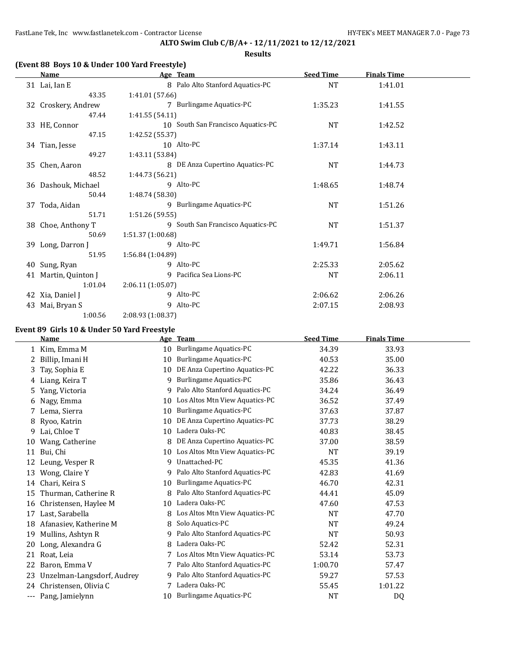#### **Results**

### **(Event 88 Boys 10 & Under 100 Yard Freestyle)**

|    | Name                 | Age Team          |                                    | <b>Seed Time</b> | <b>Finals Time</b> |  |
|----|----------------------|-------------------|------------------------------------|------------------|--------------------|--|
|    | 31 Lai, Ian E        |                   | 8 Palo Alto Stanford Aquatics-PC   | <b>NT</b>        | 1:41.01            |  |
|    | 43.35                | 1:41.01 (57.66)   |                                    |                  |                    |  |
|    | 32 Croskery, Andrew  |                   | 7 Burlingame Aquatics-PC           | 1:35.23          | 1:41.55            |  |
|    | 47.44                | 1:41.55(54.11)    |                                    |                  |                    |  |
|    | 33 HE, Connor        |                   | 10 South San Francisco Aquatics-PC | <b>NT</b>        | 1:42.52            |  |
|    | 47.15                | 1:42.52 (55.37)   |                                    |                  |                    |  |
|    | 34 Tian, Jesse       |                   | 10 Alto-PC                         | 1:37.14          | 1:43.11            |  |
|    | 49.27                | 1:43.11 (53.84)   |                                    |                  |                    |  |
|    | 35 Chen, Aaron       |                   | 8 DE Anza Cupertino Aquatics-PC    | <b>NT</b>        | 1:44.73            |  |
|    | 48.52                | 1:44.73 (56.21)   |                                    |                  |                    |  |
|    | 36 Dashouk, Michael  |                   | 9 Alto-PC                          | 1:48.65          | 1:48.74            |  |
|    | 50.44                | 1:48.74 (58.30)   |                                    |                  |                    |  |
|    | 37 Toda, Aidan       |                   | 9 Burlingame Aquatics-PC           | NT               | 1:51.26            |  |
|    | 51.71                | 1:51.26(59.55)    |                                    |                  |                    |  |
|    | 38 Choe, Anthony T   |                   | 9 South San Francisco Aquatics-PC  | <b>NT</b>        | 1:51.37            |  |
|    | 50.69                | 1:51.37 (1:00.68) |                                    |                  |                    |  |
|    | 39 Long, Darron J    |                   | 9 Alto-PC                          | 1:49.71          | 1:56.84            |  |
|    | 51.95                | 1:56.84(1:04.89)  |                                    |                  |                    |  |
|    | 40 Sung, Ryan        |                   | 9 Alto-PC                          | 2:25.33          | 2:05.62            |  |
|    | 41 Martin, Quinton J |                   | 9 Pacifica Sea Lions-PC            | <b>NT</b>        | 2:06.11            |  |
|    | 1:01.04              | 2:06.11(1:05.07)  |                                    |                  |                    |  |
|    | 42 Xia, Daniel J     |                   | 9 Alto-PC                          | 2:06.62          | 2:06.26            |  |
| 43 | Mai, Bryan S         |                   | 9 Alto-PC                          | 2:07.15          | 2:08.93            |  |
|    | 1:00.56              | 2:08.93 (1:08.37) |                                    |                  |                    |  |

## **Event 89 Girls 10 & Under 50 Yard Freestyle**

 $\overline{a}$ 

|     | Name                       |    | Age Team                         | <b>Seed Time</b> | <b>Finals Time</b> |  |
|-----|----------------------------|----|----------------------------------|------------------|--------------------|--|
| 1   | Kim, Emma M                | 10 | Burlingame Aquatics-PC           | 34.39            | 33.93              |  |
| 2   | Billip, Imani H            | 10 | Burlingame Aquatics-PC           | 40.53            | 35.00              |  |
| 3   | Tay, Sophia E              | 10 | DE Anza Cupertino Aquatics-PC    | 42.22            | 36.33              |  |
| 4   | Liang, Keira T             | 9  | Burlingame Aquatics-PC           | 35.86            | 36.43              |  |
| 5   | Yang, Victoria             | 9  | Palo Alto Stanford Aquatics-PC   | 34.24            | 36.49              |  |
| 6   | Nagy, Emma                 | 10 | Los Altos Mtn View Aquatics-PC   | 36.52            | 37.49              |  |
| 7   | Lema, Sierra               | 10 | Burlingame Aquatics-PC           | 37.63            | 37.87              |  |
| 8   | Ryoo, Katrin               | 10 | DE Anza Cupertino Aquatics-PC    | 37.73            | 38.29              |  |
| 9   | Lai, Chloe T               | 10 | Ladera Oaks-PC                   | 40.83            | 38.45              |  |
| 10  | Wang, Catherine            | 8  | DE Anza Cupertino Aquatics-PC    | 37.00            | 38.59              |  |
| 11  | Bui, Chi                   | 10 | Los Altos Mtn View Aquatics-PC   | <b>NT</b>        | 39.19              |  |
| 12  | Leung, Vesper R            | 9  | Unattached-PC                    | 45.35            | 41.36              |  |
| 13  | Wong, Claire Y             | 9  | Palo Alto Stanford Aquatics-PC   | 42.83            | 41.69              |  |
| 14  | Chari, Keira S             | 10 | Burlingame Aquatics-PC           | 46.70            | 42.31              |  |
| 15  | Thurman, Catherine R       | 8  | Palo Alto Stanford Aquatics-PC   | 44.41            | 45.09              |  |
| 16  | Christensen, Haylee M      | 10 | Ladera Oaks-PC                   | 47.60            | 47.53              |  |
| 17  | Last, Sarabella            | 8  | Los Altos Mtn View Aquatics-PC   | <b>NT</b>        | 47.70              |  |
| 18  | Afanasiev, Katherine M     | 8  | Solo Aquatics-PC                 | <b>NT</b>        | 49.24              |  |
| 19  | Mullins, Ashtyn R          | 9  | Palo Alto Stanford Aquatics-PC   | <b>NT</b>        | 50.93              |  |
| 20  | Long, Alexandra G          | 8  | Ladera Oaks-PC                   | 52.42            | 52.31              |  |
| 21  | Roat, Leia                 |    | 7 Los Altos Mtn View Aquatics-PC | 53.14            | 53.73              |  |
| 22  | Baron, Emma V              | 7  | Palo Alto Stanford Aquatics-PC   | 1:00.70          | 57.47              |  |
| 23  | Unzelman-Langsdorf, Audrey | 9  | Palo Alto Stanford Aquatics-PC   | 59.27            | 57.53              |  |
| 24  | Christensen, Olivia C      |    | Ladera Oaks-PC                   | 55.45            | 1:01.22            |  |
| --- | Pang, Jamielynn            | 10 | <b>Burlingame Aquatics-PC</b>    | <b>NT</b>        | D <sub>0</sub>     |  |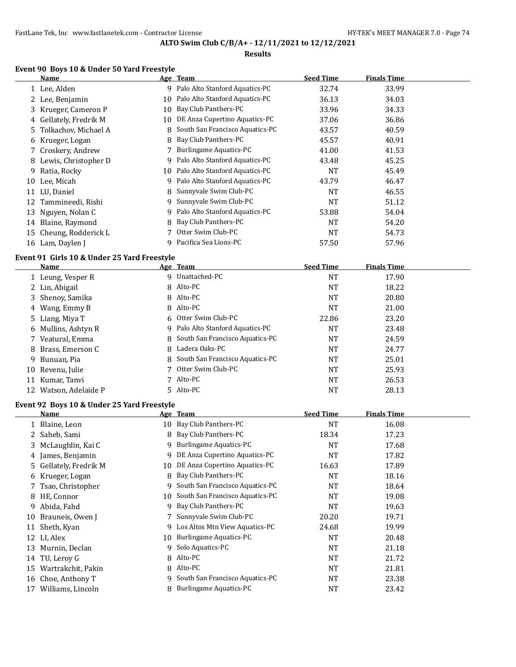### **Results**

## **Event 90 Boys 10 & Under 50 Yard Freestyle**

 $\overline{a}$ 

|    | Name                   |    | Age Team                          | <b>Seed Time</b> | <b>Finals Time</b> |  |
|----|------------------------|----|-----------------------------------|------------------|--------------------|--|
|    | 1 Lee, Alden           |    | 9 Palo Alto Stanford Aquatics-PC  | 32.74            | 33.99              |  |
|    | 2 Lee, Benjamin        | 10 | Palo Alto Stanford Aquatics-PC    | 36.13            | 34.03              |  |
|    | 3 Krueger, Cameron P   | 10 | Bay Club Panthers-PC              | 33.96            | 34.33              |  |
|    | 4 Gellately, Fredrik M | 10 | DE Anza Cupertino Aquatics-PC     | 37.06            | 36.86              |  |
|    | 5 Tolkachov, Michael A |    | 8 South San Francisco Aquatics-PC | 43.57            | 40.59              |  |
| 6  | Krueger, Logan         |    | 8 Bay Club Panthers-PC            | 45.57            | 40.91              |  |
|    | 7 Croskery, Andrew     |    | 7 Burlingame Aquatics-PC          | 41.00            | 41.53              |  |
| 8  | Lewis, Christopher D   |    | 9 Palo Alto Stanford Aquatics-PC  | 43.48            | 45.25              |  |
| 9  | Ratia, Rocky           |    | 10 Palo Alto Stanford Aquatics-PC | NT               | 45.49              |  |
| 10 | Lee, Micah             |    | 9 Palo Alto Stanford Aquatics-PC  | 43.79            | 46.47              |  |
|    | 11 LU, Daniel          |    | 8 Sunnyvale Swim Club-PC          | <b>NT</b>        | 46.55              |  |
|    | 12 Tammineedi, Rishi   | 9  | Sunnyvale Swim Club-PC            | NT               | 51.12              |  |
|    | 13 Nguyen, Nolan C     |    | 9 Palo Alto Stanford Aquatics-PC  | 53.88            | 54.04              |  |
| 14 | Blaine, Raymond        |    | 8 Bay Club Panthers-PC            | <b>NT</b>        | 54.20              |  |
|    | 15 Cheung, Rodderick L |    | Otter Swim Club-PC                | <b>NT</b>        | 54.73              |  |
|    | 16 Lam, Daylen J       |    | 9 Pacifica Sea Lions-PC           | 57.50            | 57.96              |  |

### **Event 91 Girls 10 & Under 25 Yard Freestyle**

|    | Name                  | Age Team                          | <b>Seed Time</b> | <b>Finals Time</b> |  |
|----|-----------------------|-----------------------------------|------------------|--------------------|--|
|    | 1 Leung, Vesper R     | 9 Unattached-PC                   | NT               | 17.90              |  |
|    | 2 Lin, Abigail        | 8 Alto-PC                         | <b>NT</b>        | 18.22              |  |
|    | 3 Shenoy, Samika      | 8 Alto-PC                         | <b>NT</b>        | 20.80              |  |
|    | 4 Wang, Emmy B        | 8 Alto-PC                         | NT               | 21.00              |  |
|    | 5 Liang, Miya T       | 6 Otter Swim Club-PC              | 22.86            | 23.20              |  |
|    | 6 Mullins, Ashtyn R   | 9 Palo Alto Stanford Aquatics-PC  | NT               | 23.48              |  |
|    | 7 Veatural, Emma      | 8 South San Francisco Aquatics-PC | <b>NT</b>        | 24.59              |  |
|    | 8 Brass, Emerson C    | 8 Ladera Oaks-PC                  | NT               | 24.77              |  |
|    | 9 Bunuan, Pia         | 8 South San Francisco Aquatics-PC | NT               | 25.01              |  |
|    | 10 Revenu, Julie      | 7 Otter Swim Club-PC              | NT               | 25.93              |  |
| 11 | Kumar, Tanvi          | 7 Alto-PC                         | NT               | 26.53              |  |
|    | 12 Watson, Adelaide P | 5 Alto-PC                         | NT               | 28.13              |  |

### **Event 92 Boys 10 & Under 25 Yard Freestyle**

|    | Name                   |    | Age Team                        | <b>Seed Time</b> | <b>Finals Time</b> |  |
|----|------------------------|----|---------------------------------|------------------|--------------------|--|
|    | 1 Blaine, Leon         |    | 10 Bay Club Panthers-PC         | <b>NT</b>        | 16.08              |  |
|    | 2 Saheb, Sami          | 8  | Bay Club Panthers-PC            | 18.34            | 17.23              |  |
|    | 3 McLaughlin, Kai C    | 9  | <b>Burlingame Aquatics-PC</b>   | <b>NT</b>        | 17.68              |  |
|    | 4 James, Benjamin      | 9  | DE Anza Cupertino Aquatics-PC   | <b>NT</b>        | 17.82              |  |
|    | 5 Gellately, Fredrik M | 10 | DE Anza Cupertino Aquatics-PC   | 16.63            | 17.89              |  |
|    | 6 Krueger, Logan       | 8  | Bay Club Panthers-PC            | <b>NT</b>        | 18.16              |  |
|    | 7 Tsao, Christopher    | 9. | South San Francisco Aquatics-PC | <b>NT</b>        | 18.64              |  |
|    | 8 HE, Connor           | 10 | South San Francisco Aquatics-PC | NT               | 19.08              |  |
| 9  | Abida, Fahd            | 9  | Bay Club Panthers-PC            | NT               | 19.63              |  |
| 10 | Brauneis, Owen J       |    | Sunnyvale Swim Club-PC          | 20.20            | 19.71              |  |
|    | 11 Sheth, Kyan         | 9. | Los Altos Mtn View Aquatics-PC  | 24.68            | 19.99              |  |
|    | 12 LI, Alex            | 10 | Burlingame Aquatics-PC          | <b>NT</b>        | 20.48              |  |
| 13 | Murnin, Declan         | 9  | Solo Aquatics-PC                | <b>NT</b>        | 21.18              |  |
| 14 | TU, Lerov G            | 8  | Alto-PC                         | <b>NT</b>        | 21.72              |  |
| 15 | Wartrakchit, Pakin     |    | 8 Alto-PC                       | <b>NT</b>        | 21.81              |  |
| 16 | Choe, Anthony T        | 9  | South San Francisco Aquatics-PC | <b>NT</b>        | 23.38              |  |
| 17 | Williams, Lincoln      | 8  | <b>Burlingame Aquatics-PC</b>   | NT               | 23.42              |  |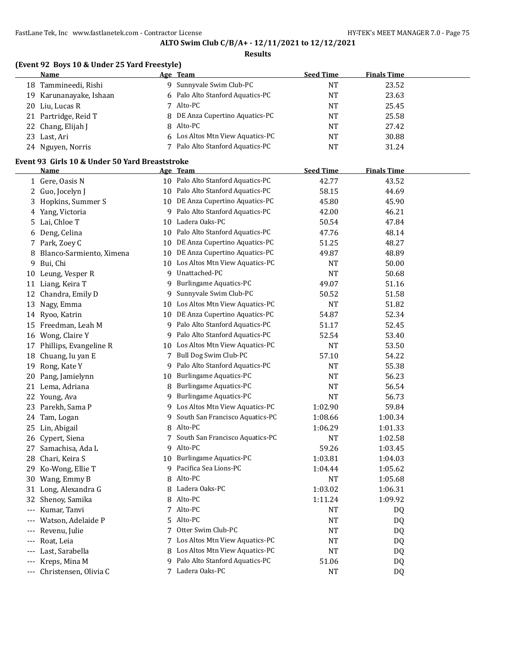**Results**

| (Event 92 Boys 10 & Under 25 Yard Freestyle) |  |
|----------------------------------------------|--|
|                                              |  |

| <b>Name</b>             | Age Team                         | <b>Seed Time</b> | <b>Finals Time</b> |  |
|-------------------------|----------------------------------|------------------|--------------------|--|
| 18 Tammineedi, Rishi    | 9 Sunnyvale Swim Club-PC         | NΤ               | 23.52              |  |
| 19 Karunanayake, Ishaan | 6 Palo Alto Stanford Aquatics-PC | NT               | 23.63              |  |
| 20 Liu, Lucas R         | Alto-PC                          | NT               | 25.45              |  |
| 21 Partridge, Reid T    | 8 DE Anza Cupertino Aquatics-PC  | NT               | 25.58              |  |
| 22 Chang, Elijah J      | 8 Alto-PC                        | NT               | 27.42              |  |
| 23 Last, Ari            | 6 Los Altos Mtn View Aquatics-PC | NT               | 30.88              |  |
| 24 Nguyen, Norris       | Palo Alto Stanford Aquatics-PC   | NT               | 31.24              |  |

### **Event 93 Girls 10 & Under 50 Yard Breaststroke**

|       | <b>Name</b>               |                 | Age Team                          | <b>Seed Time</b> | <b>Finals Time</b> |  |
|-------|---------------------------|-----------------|-----------------------------------|------------------|--------------------|--|
|       | 1 Gere, Oasis N           |                 | 10 Palo Alto Stanford Aquatics-PC | 42.77            | 43.52              |  |
|       | 2 Guo, Jocelyn J          |                 | 10 Palo Alto Stanford Aquatics-PC | 58.15            | 44.69              |  |
|       | 3 Hopkins, Summer S       |                 | 10 DE Anza Cupertino Aquatics-PC  | 45.80            | 45.90              |  |
|       | 4 Yang, Victoria          |                 | 9 Palo Alto Stanford Aquatics-PC  | 42.00            | 46.21              |  |
|       | 5 Lai, Chloe T            |                 | 10 Ladera Oaks-PC                 | 50.54            | 47.84              |  |
|       | 6 Deng, Celina            |                 | 10 Palo Alto Stanford Aquatics-PC | 47.76            | 48.14              |  |
|       | 7 Park, Zoey C            |                 | 10 DE Anza Cupertino Aquatics-PC  | 51.25            | 48.27              |  |
| 8     | Blanco-Sarmiento, Ximena  |                 | 10 DE Anza Cupertino Aquatics-PC  | 49.87            | 48.89              |  |
| 9     | Bui, Chi                  |                 | 10 Los Altos Mtn View Aquatics-PC | NT               | 50.00              |  |
| 10    | Leung, Vesper R           |                 | 9 Unattached-PC                   | NT               | 50.68              |  |
|       | 11 Liang, Keira T         | 9               | <b>Burlingame Aquatics-PC</b>     | 49.07            | 51.16              |  |
|       | 12 Chandra, Emily D       | 9               | Sunnyvale Swim Club-PC            | 50.52            | 51.58              |  |
| 13    | Nagy, Emma                |                 | 10 Los Altos Mtn View Aquatics-PC | NT               | 51.82              |  |
|       | 14 Ryoo, Katrin           | 10              | DE Anza Cupertino Aquatics-PC     | 54.87            | 52.34              |  |
| 15    | Freedman, Leah M          | 9               | Palo Alto Stanford Aquatics-PC    | 51.17            | 52.45              |  |
|       | 16 Wong, Claire Y         | 9               | Palo Alto Stanford Aquatics-PC    | 52.54            | 53.40              |  |
|       | 17 Phillips, Evangeline R | 10              | Los Altos Mtn View Aquatics-PC    | <b>NT</b>        | 53.50              |  |
| 18    | Chuang, lu yan E          |                 | 7 Bull Dog Swim Club-PC           | 57.10            | 54.22              |  |
| 19    | Rong, Kate Y              | 9               | Palo Alto Stanford Aquatics-PC    | NT               | 55.38              |  |
| 20    | Pang, Jamielynn           | 10              | <b>Burlingame Aquatics-PC</b>     | <b>NT</b>        | 56.23              |  |
|       | 21 Lema, Adriana          | 8               | <b>Burlingame Aquatics-PC</b>     | NT               | 56.54              |  |
|       | 22 Young, Ava             | 9               | <b>Burlingame Aquatics-PC</b>     | <b>NT</b>        | 56.73              |  |
|       | 23 Parekh, Sama P         |                 | 9 Los Altos Mtn View Aquatics-PC  | 1:02.90          | 59.84              |  |
| 24    | Tam, Logan                | 9               | South San Francisco Aquatics-PC   | 1:08.66          | 1:00.34            |  |
|       | 25 Lin, Abigail           | 8               | Alto-PC                           | 1:06.29          | 1:01.33            |  |
|       | 26 Cypert, Siena          | $7\overline{ }$ | South San Francisco Aquatics-PC   | NT               | 1:02.58            |  |
|       | 27 Samachisa, Ada L       |                 | 9 Alto-PC                         | 59.26            | 1:03.45            |  |
| 28    | Chari, Keira S            | 10              | <b>Burlingame Aquatics-PC</b>     | 1:03.81          | 1:04.03            |  |
|       | 29 Ko-Wong, Ellie T       |                 | 9 Pacifica Sea Lions-PC           | 1:04.44          | 1:05.62            |  |
| 30    | Wang, Emmy B              | 8               | Alto-PC                           | NT               | 1:05.68            |  |
| 31    | Long, Alexandra G         |                 | 8 Ladera Oaks-PC                  | 1:03.02          | 1:06.31            |  |
| 32    | Shenoy, Samika            | 8               | Alto-PC                           | 1:11.24          | 1:09.92            |  |
| $---$ | Kumar, Tanvi              | 7               | Alto-PC                           | <b>NT</b>        | DQ                 |  |
|       | Watson, Adelaide P        | 5               | Alto-PC                           | NT               | DQ                 |  |
| $---$ | Revenu, Julie             | 7               | Otter Swim Club-PC                | <b>NT</b>        | DQ                 |  |
|       | Roat, Leia                |                 | 7 Los Altos Mtn View Aquatics-PC  | <b>NT</b>        | DQ                 |  |
|       | Last, Sarabella           |                 | 8 Los Altos Mtn View Aquatics-PC  | NT               | DQ                 |  |
|       | Kreps, Mina M             |                 | 9 Palo Alto Stanford Aquatics-PC  | 51.06            | DQ                 |  |
| $---$ | Christensen, Olivia C     |                 | 7 Ladera Oaks-PC                  | NT               | D <sub>Q</sub>     |  |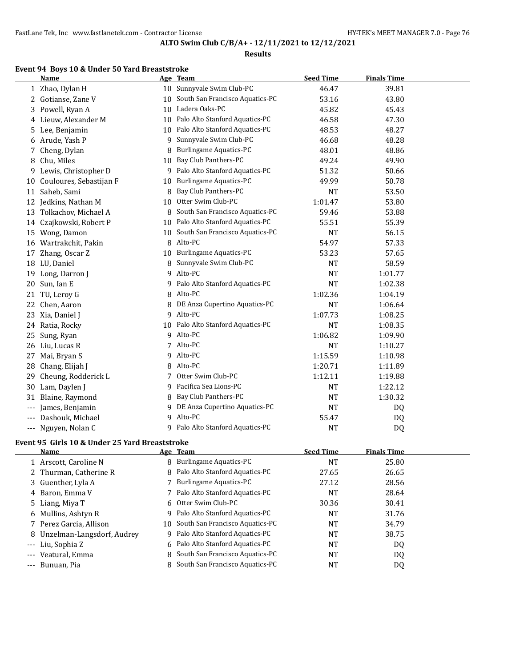### **Results**

# **Event 94 Boys 10 & Under 50 Yard Breaststroke**

|       | <b>Name</b>             |    | Age Team                          | <b>Seed Time</b> | <b>Finals Time</b> |  |
|-------|-------------------------|----|-----------------------------------|------------------|--------------------|--|
|       | 1 Zhao, Dylan H         | 10 | Sunnyvale Swim Club-PC            | 46.47            | 39.81              |  |
| 2     | Gotianse, Zane V        | 10 | South San Francisco Aquatics-PC   | 53.16            | 43.80              |  |
| 3     | Powell, Ryan A          | 10 | Ladera Oaks-PC                    | 45.82            | 45.43              |  |
| 4     | Lieuw, Alexander M      | 10 | Palo Alto Stanford Aquatics-PC    | 46.58            | 47.30              |  |
| 5     | Lee, Benjamin           | 10 | Palo Alto Stanford Aquatics-PC    | 48.53            | 48.27              |  |
| 6     | Arude, Yash P           | 9  | Sunnyvale Swim Club-PC            | 46.68            | 48.28              |  |
| 7     | Cheng, Dylan            | 8  | <b>Burlingame Aquatics-PC</b>     | 48.01            | 48.86              |  |
| 8     | Chu, Miles              | 10 | Bay Club Panthers-PC              | 49.24            | 49.90              |  |
| 9     | Lewis, Christopher D    | 9  | Palo Alto Stanford Aquatics-PC    | 51.32            | 50.66              |  |
| 10    | Couloures, Sebastijan F | 10 | <b>Burlingame Aquatics-PC</b>     | 49.99            | 50.78              |  |
| 11    | Saheb, Sami             | 8  | Bay Club Panthers-PC              | <b>NT</b>        | 53.50              |  |
| 12    | Jedkins, Nathan M       | 10 | Otter Swim Club-PC                | 1:01.47          | 53.80              |  |
| 13    | Tolkachov, Michael A    | 8  | South San Francisco Aquatics-PC   | 59.46            | 53.88              |  |
| 14    | Czajkowski, Robert P    | 10 | Palo Alto Stanford Aquatics-PC    | 55.51            | 55.39              |  |
| 15    | Wong, Damon             | 10 | South San Francisco Aquatics-PC   | <b>NT</b>        | 56.15              |  |
| 16    | Wartrakchit, Pakin      | 8  | Alto-PC                           | 54.97            | 57.33              |  |
| 17    | Zhang, Oscar Z          | 10 | <b>Burlingame Aquatics-PC</b>     | 53.23            | 57.65              |  |
| 18    | LU, Daniel              | 8  | Sunnyvale Swim Club-PC            | <b>NT</b>        | 58.59              |  |
| 19    | Long, Darron J          | 9  | Alto-PC                           | <b>NT</b>        | 1:01.77            |  |
| 20    | Sun, Ian E              | 9  | Palo Alto Stanford Aquatics-PC    | <b>NT</b>        | 1:02.38            |  |
| 21    | TU, Leroy G             | 8  | Alto-PC                           | 1:02.36          | 1:04.19            |  |
| 22    | Chen, Aaron             | 8  | DE Anza Cupertino Aquatics-PC     | <b>NT</b>        | 1:06.64            |  |
| 23    | Xia, Daniel J           | 9  | Alto-PC                           | 1:07.73          | 1:08.25            |  |
| 24    | Ratia, Rocky            |    | 10 Palo Alto Stanford Aquatics-PC | <b>NT</b>        | 1:08.35            |  |
| 25    | Sung, Ryan              | 9  | Alto-PC                           | 1:06.82          | 1:09.90            |  |
| 26    | Liu, Lucas R            |    | 7 Alto-PC                         | <b>NT</b>        | 1:10.27            |  |
| 27    | Mai, Bryan S            |    | 9 Alto-PC                         | 1:15.59          | 1:10.98            |  |
| 28    | Chang, Elijah J         |    | 8 Alto-PC                         | 1:20.71          | 1:11.89            |  |
| 29    | Cheung, Rodderick L     |    | 7 Otter Swim Club-PC              | 1:12.11          | 1:19.88            |  |
| 30    | Lam, Daylen J           | 9  | Pacifica Sea Lions-PC             | <b>NT</b>        | 1:22.12            |  |
| 31    | Blaine, Raymond         | 8  | Bay Club Panthers-PC              | <b>NT</b>        | 1:30.32            |  |
| $---$ | James, Benjamin         | 9  | DE Anza Cupertino Aquatics-PC     | <b>NT</b>        | DQ                 |  |
|       | Dashouk, Michael        | 9  | Alto-PC                           | 55.47            | DQ                 |  |
|       | Nguyen, Nolan C         |    | 9 Palo Alto Stanford Aquatics-PC  | <b>NT</b>        | DQ                 |  |
|       |                         |    |                                   |                  |                    |  |

## **Event 95 Girls 10 & Under 25 Yard Breaststroke**

| <b>Name</b> |                                                                                                                                                                                                                                                             | <b>Seed Time</b>                                                                                                                                                                                                                                                                                                                                                                                          | <b>Finals Time</b> |  |
|-------------|-------------------------------------------------------------------------------------------------------------------------------------------------------------------------------------------------------------------------------------------------------------|-----------------------------------------------------------------------------------------------------------------------------------------------------------------------------------------------------------------------------------------------------------------------------------------------------------------------------------------------------------------------------------------------------------|--------------------|--|
|             |                                                                                                                                                                                                                                                             | NT                                                                                                                                                                                                                                                                                                                                                                                                        | 25.80              |  |
|             |                                                                                                                                                                                                                                                             | 27.65                                                                                                                                                                                                                                                                                                                                                                                                     | 26.65              |  |
|             |                                                                                                                                                                                                                                                             | 27.12                                                                                                                                                                                                                                                                                                                                                                                                     | 28.56              |  |
|             |                                                                                                                                                                                                                                                             | NT                                                                                                                                                                                                                                                                                                                                                                                                        | 28.64              |  |
|             |                                                                                                                                                                                                                                                             | 30.36                                                                                                                                                                                                                                                                                                                                                                                                     | 30.41              |  |
|             |                                                                                                                                                                                                                                                             | NT                                                                                                                                                                                                                                                                                                                                                                                                        | 31.76              |  |
|             |                                                                                                                                                                                                                                                             | NT                                                                                                                                                                                                                                                                                                                                                                                                        | 34.79              |  |
|             | q                                                                                                                                                                                                                                                           | NT                                                                                                                                                                                                                                                                                                                                                                                                        | 38.75              |  |
|             |                                                                                                                                                                                                                                                             | NT                                                                                                                                                                                                                                                                                                                                                                                                        | DQ                 |  |
|             |                                                                                                                                                                                                                                                             | NT                                                                                                                                                                                                                                                                                                                                                                                                        | DQ                 |  |
|             |                                                                                                                                                                                                                                                             | NT                                                                                                                                                                                                                                                                                                                                                                                                        | DQ                 |  |
|             | 1 Arscott, Caroline N<br>2 Thurman, Catherine R<br>3 Guenther, Lyla A<br>4 Baron, Emma V<br>5 Liang, Miya T<br>6 Mullins, Ashtyn R<br>7 Perez Garcia, Allison<br>8 Unzelman-Langsdorf, Audrey<br>--- Liu, Sophia Z<br>--- Veatural, Emma<br>--- Bunuan. Pia | Age Team<br><b>Burlingame Aquatics-PC</b><br>8<br>8 Palo Alto Stanford Aquatics-PC<br><b>Burlingame Aquatics-PC</b><br>7 Palo Alto Stanford Aquatics-PC<br>6 Otter Swim Club-PC<br>9 Palo Alto Stanford Aquatics-PC<br>10 South San Francisco Aquatics-PC<br>Palo Alto Stanford Aquatics-PC<br>6 Palo Alto Stanford Aquatics-PC<br>8 South San Francisco Aquatics-PC<br>8 South San Francisco Aquatics-PC |                    |  |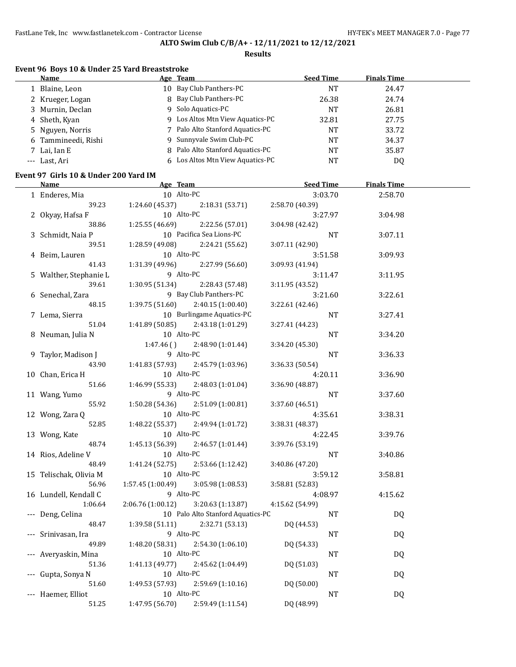### **Results**

## **Event 96 Boys 10 & Under 25 Yard Breaststroke**

| Name                |  | <b>Seed Time</b>                                                                                                                                                                                                                                                | <b>Finals Time</b> |
|---------------------|--|-----------------------------------------------------------------------------------------------------------------------------------------------------------------------------------------------------------------------------------------------------------------|--------------------|
| 1 Blaine, Leon      |  | NT                                                                                                                                                                                                                                                              | 24.47              |
| 2 Krueger, Logan    |  | 26.38                                                                                                                                                                                                                                                           | 24.74              |
| 3 Murnin, Declan    |  | <b>NT</b>                                                                                                                                                                                                                                                       | 26.81              |
| 4 Sheth, Kyan       |  | 32.81                                                                                                                                                                                                                                                           | 27.75              |
| 5 Nguyen, Norris    |  | NT                                                                                                                                                                                                                                                              | 33.72              |
| 6 Tammineedi, Rishi |  | NT                                                                                                                                                                                                                                                              | 34.37              |
| 7 Lai, Ian E        |  | NT                                                                                                                                                                                                                                                              | 35.87              |
| --- Last, Ari       |  | NT                                                                                                                                                                                                                                                              | D <sub>0</sub>     |
|                     |  | Age Team<br>10 Bay Club Panthers-PC<br>8 Bay Club Panthers-PC<br>9 Solo Aquatics-PC<br>9 Los Altos Mtn View Aquatics-PC<br>7 Palo Alto Stanford Aquatics-PC<br>9 Sunnyvale Swim Club-PC<br>8 Palo Alto Stanford Aquatics-PC<br>6 Los Altos Mtn View Aquatics-PC |                    |

### **Event 97 Girls 10 & Under 200 Yard IM**

 $\equiv$ 

| <u>Name</u>            | Age Team          |                                   | <b>Seed Time</b> | <b>Finals Time</b> |  |
|------------------------|-------------------|-----------------------------------|------------------|--------------------|--|
| 1 Enderes, Mia         | 10 Alto-PC        |                                   | 3:03.70          | 2:58.70            |  |
| 39.23                  | 1:24.60(45.37)    | 2:18.31(53.71)                    | 2:58.70 (40.39)  |                    |  |
| 2 Okyay, Hafsa F       | 10 Alto-PC        |                                   | 3:27.97          | 3:04.98            |  |
| 38.86                  | 1:25.55(46.69)    | 2:22.56 (57.01)                   | 3:04.98 (42.42)  |                    |  |
| 3 Schmidt, Naia P      |                   | 10 Pacifica Sea Lions-PC          | <b>NT</b>        | 3:07.11            |  |
| 39.51                  | 1:28.59 (49.08)   | 2:24.21 (55.62)                   | 3:07.11 (42.90)  |                    |  |
| 4 Beim, Lauren         | 10 Alto-PC        |                                   | 3:51.58          | 3:09.93            |  |
| 41.43                  | 1:31.39 (49.96)   | 2:27.99 (56.60)                   | 3:09.93 (41.94)  |                    |  |
| 5 Walther, Stephanie L | 9 Alto-PC         |                                   | 3:11.47          | 3:11.95            |  |
| 39.61                  | 1:30.95(51.34)    | 2:28.43 (57.48)                   | 3:11.95 (43.52)  |                    |  |
| 6 Senechal, Zara       |                   | 9 Bay Club Panthers-PC            | 3:21.60          | 3:22.61            |  |
| 48.15                  | 1:39.75(51.60)    | 2:40.15 (1:00.40)                 | 3:22.61 (42.46)  |                    |  |
| 7 Lema, Sierra         |                   | 10 Burlingame Aquatics-PC         | NT               | 3:27.41            |  |
| 51.04                  | 1:41.89(50.85)    | 2:43.18 (1:01.29)                 | 3:27.41 (44.23)  |                    |  |
| 8 Neuman, Julia N      | 10 Alto-PC        |                                   | NT               | 3:34.20            |  |
|                        | 1:47.46()         | 2:48.90 (1:01.44)                 | 3:34.20 (45.30)  |                    |  |
| 9 Taylor, Madison J    | 9 Alto-PC         |                                   | <b>NT</b>        | 3:36.33            |  |
| 43.90                  | 1:41.83 (57.93)   | 2:45.79 (1:03.96)                 | 3:36.33 (50.54)  |                    |  |
| 10 Chan, Erica H       | 10 Alto-PC        |                                   | 4:20.11          | 3:36.90            |  |
| 51.66                  | 1:46.99 (55.33)   | 2:48.03 (1:01.04)                 | 3:36.90 (48.87)  |                    |  |
| 11 Wang, Yumo          | 9 Alto-PC         |                                   | <b>NT</b>        | 3:37.60            |  |
| 55.92                  | 1:50.28 (54.36)   | 2:51.09 (1:00.81)                 | 3:37.60 (46.51)  |                    |  |
| 12 Wong, Zara Q        | 10 Alto-PC        |                                   | 4:35.61          | 3:38.31            |  |
| 52.85                  | 1:48.22 (55.37)   | 2:49.94 (1:01.72)                 | 3:38.31 (48.37)  |                    |  |
| 13 Wong, Kate          | 10 Alto-PC        |                                   | 4:22.45          | 3:39.76            |  |
| 48.74                  | 1:45.13 (56.39)   | 2:46.57 (1:01.44)                 | 3:39.76 (53.19)  |                    |  |
| 14 Rios, Adeline V     | 10 Alto-PC        |                                   | NT               | 3:40.86            |  |
| 48.49                  | 1:41.24 (52.75)   | 2:53.66 (1:12.42)                 | 3:40.86 (47.20)  |                    |  |
| 15 Telischak, Olivia M | 10 Alto-PC        |                                   | 3:59.12          | 3:58.81            |  |
| 56.96                  | 1:57.45 (1:00.49) | 3:05.98 (1:08.53)                 | 3:58.81 (52.83)  |                    |  |
| 16 Lundell, Kendall C  | 9 Alto-PC         |                                   | 4:08.97          | 4:15.62            |  |
| 1:06.64                | 2:06.76 (1:00.12) | 3:20.63(1:13.87)                  | 4:15.62 (54.99)  |                    |  |
| --- Deng, Celina       |                   | 10 Palo Alto Stanford Aquatics-PC | $\rm{NT}$        | <b>DQ</b>          |  |
| 48.47                  | 1:39.58(51.11)    | 2:32.71 (53.13)                   | DQ (44.53)       |                    |  |
| Srinivasan, Ira        | 9 Alto-PC         |                                   | NT               | DQ                 |  |
| 49.89                  | 1:48.20 (58.31)   | 2:54.30 (1:06.10)                 | DQ (54.33)       |                    |  |
| Averyaskin, Mina       | 10 Alto-PC        |                                   | <b>NT</b>        | DQ                 |  |
| 51.36                  | 1:41.13 (49.77)   | 2:45.62 (1:04.49)                 | DQ (51.03)       |                    |  |
| Gupta, Sonya N         | 10 Alto-PC        |                                   | NT               | DQ                 |  |
| 51.60                  | 1:49.53 (57.93)   | 2:59.69 (1:10.16)                 | DQ (50.00)       |                    |  |
| --- Haemer, Elliot     | 10 Alto-PC        |                                   | <b>NT</b>        | <b>DQ</b>          |  |
| 51.25                  | 1:47.95 (56.70)   | 2:59.49 (1:11.54)                 | DQ (48.99)       |                    |  |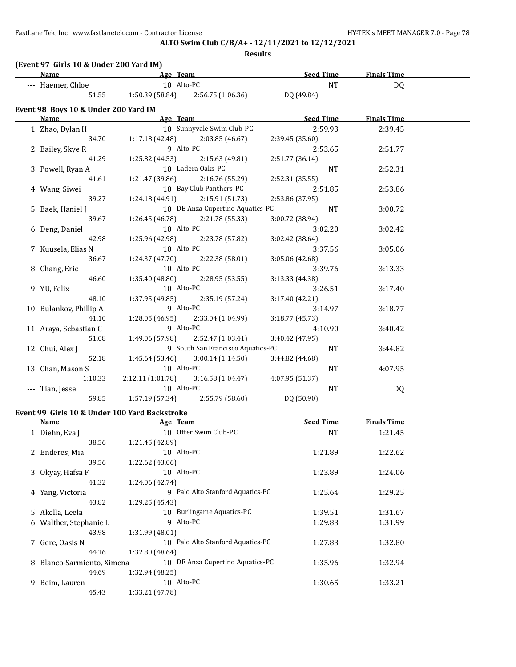45.43 1:33.21 (47.78)

# **ALTO Swim Club C/B/A+ - 12/11/2021 to 12/12/2021**

| (Event 97 Girls 10 & Under 200 Yard IM)<br>Name | Age Team                     |                                     | Seed Time Finals Time |                    |  |
|-------------------------------------------------|------------------------------|-------------------------------------|-----------------------|--------------------|--|
|                                                 | 10 Alto-PC                   |                                     | <b>NT</b>             |                    |  |
| --- Haemer, Chloe<br>51.55                      |                              | $1:50.39(58.84)$ $2:56.75(1:06.36)$ |                       | DQ                 |  |
|                                                 |                              |                                     | DQ (49.84)            |                    |  |
| Event 98 Boys 10 & Under 200 Yard IM<br>Name    |                              |                                     | <b>Seed Time</b>      |                    |  |
|                                                 | Age Team                     |                                     |                       | <b>Finals Time</b> |  |
| 1 Zhao, Dylan H                                 |                              | 10 Sunnyvale Swim Club-PC           | 2:59.93               | 2:39.45            |  |
| 34.70                                           | 1:17.18 (42.48)<br>9 Alto-PC | 2:03.85(46.67)                      | 2:39.45 (35.60)       |                    |  |
| 2 Bailey, Skye R                                |                              |                                     | 2:53.65               | 2:51.77            |  |
| 41.29                                           | 1:25.82 (44.53)              | 2:15.63 (49.81)                     | 2:51.77 (36.14)       |                    |  |
| 3 Powell, Ryan A                                |                              | 10 Ladera Oaks-PC                   | <b>NT</b>             | 2:52.31            |  |
| 41.61                                           | 1:21.47 (39.86)              | 2:16.76 (55.29)                     | 2:52.31 (35.55)       |                    |  |
| 4 Wang, Siwei                                   |                              | 10 Bay Club Panthers-PC             | 2:51.85               | 2:53.86            |  |
| 39.27                                           | 1:24.18(44.91)               | 2:15.91 (51.73)                     | 2:53.86 (37.95)       |                    |  |
| 5 Baek, Haniel J                                |                              | 10 DE Anza Cupertino Aquatics-PC    | <b>NT</b>             | 3:00.72            |  |
| 39.67                                           | 1:26.45(46.78)               | 2:21.78 (55.33)                     | 3:00.72 (38.94)       |                    |  |
| 6 Deng, Daniel                                  | 10 Alto-PC                   |                                     | 3:02.20               | 3:02.42            |  |
| 42.98                                           | 1:25.96 (42.98)              | 2:23.78 (57.82)                     | 3:02.42 (38.64)       |                    |  |
| 7 Kuusela, Elias N                              | 10 Alto-PC                   |                                     | 3:37.56               | 3:05.06            |  |
| 36.67                                           | 1:24.37 (47.70)              | 2:22.38 (58.01)                     | 3:05.06 (42.68)       |                    |  |
| 8 Chang, Eric                                   | 10 Alto-PC                   |                                     | 3:39.76               | 3:13.33            |  |
| 46.60                                           | 1:35.40 (48.80)              | 2:28.95 (53.55)                     | 3:13.33 (44.38)       |                    |  |
| 9 YU, Felix                                     | 10 Alto-PC                   |                                     | 3:26.51               | 3:17.40            |  |
| 48.10                                           | 1:37.95 (49.85)              | 2:35.19 (57.24)                     | 3:17.40 (42.21)       |                    |  |
| 10 Bulankov, Phillip A                          | 9 Alto-PC                    |                                     | 3:14.97               | 3:18.77            |  |
| 41.10                                           | 1:28.05 (46.95)              | 2:33.04 (1:04.99)                   | 3:18.77 (45.73)       |                    |  |
| 11 Araya, Sebastian C                           | 9 Alto-PC                    |                                     | 4:10.90               | 3:40.42            |  |
| 51.08                                           | 1:49.06 (57.98)              | 2:52.47 (1:03.41)                   | 3:40.42 (47.95)       |                    |  |
| 12 Chui, Alex J                                 |                              | 9 South San Francisco Aquatics-PC   | <b>NT</b>             | 3:44.82            |  |
| 52.18                                           | 1:45.64 (53.46)              | 3:00.14(1:14.50)                    | 3:44.82 (44.68)       |                    |  |
| 13 Chan, Mason S                                | 10 Alto-PC                   |                                     | NT                    | 4:07.95            |  |
| 1:10.33                                         | 2:12.11 (1:01.78)            | 3:16.58(1:04.47)                    | 4:07.95 (51.37)       |                    |  |
| --- Tian, Jesse                                 | 10 Alto-PC                   |                                     | <b>NT</b>             | DQ                 |  |
| 59.85                                           | 1:57.19 (57.34)              | 2:55.79 (58.60)                     | DQ (50.90)            |                    |  |
| Event 99 Girls 10 & Under 100 Yard Backstroke   |                              |                                     |                       |                    |  |
| <u>Name</u>                                     | Age Team                     |                                     | <b>Seed Time</b>      | <b>Finals Time</b> |  |
| 1 Diehn, Eva J                                  |                              | 10 Otter Swim Club-PC               | <b>NT</b>             | 1:21.45            |  |
| 38.56                                           | 1:21.45 (42.89)              |                                     |                       |                    |  |
| 2 Enderes, Mia                                  | 10 Alto-PC                   |                                     | 1:21.89               | 1:22.62            |  |
| 39.56                                           | 1:22.62 (43.06)              |                                     |                       |                    |  |
| 3 Okyay, Hafsa F                                | 10 Alto-PC                   |                                     | 1:23.89               | 1:24.06            |  |
| 41.32                                           | 1:24.06 (42.74)              |                                     |                       |                    |  |
| 4 Yang, Victoria                                |                              | 9 Palo Alto Stanford Aquatics-PC    | 1:25.64               | 1:29.25            |  |
| 43.82                                           | 1:29.25 (45.43)              |                                     |                       |                    |  |
| 5 Akella, Leela                                 |                              | 10 Burlingame Aquatics-PC           | 1:39.51               | 1:31.67            |  |
| 6 Walther, Stephanie L                          | 9 Alto-PC                    |                                     | 1:29.83               | 1:31.99            |  |
| 43.98                                           | 1:31.99 (48.01)              |                                     |                       |                    |  |
| 7 Gere, Oasis N                                 |                              | 10 Palo Alto Stanford Aquatics-PC   | 1:27.83               | 1:32.80            |  |
| 44.16                                           | 1:32.80 (48.64)              |                                     |                       |                    |  |
| 8 Blanco-Sarmiento, Ximena                      |                              | 10 DE Anza Cupertino Aquatics-PC    | 1:35.96               | 1:32.94            |  |
| 44.69                                           | 1:32.94 (48.25)              |                                     |                       |                    |  |
| 9 Beim, Lauren                                  | 10 Alto-PC                   |                                     | 1:30.65               | 1:33.21            |  |
|                                                 |                              |                                     |                       |                    |  |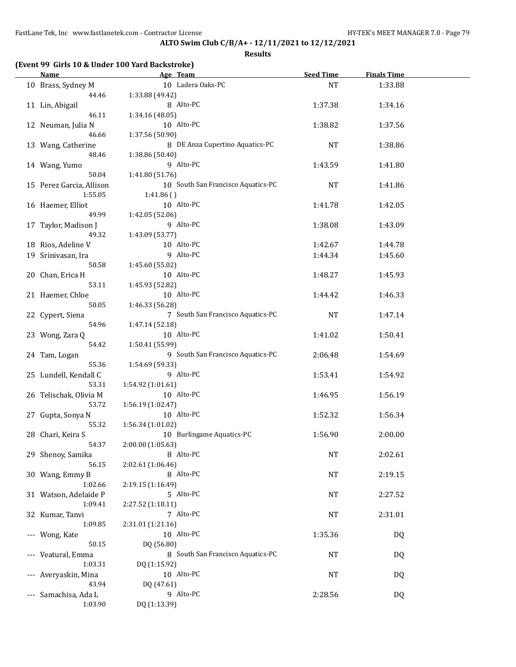|     | <u>Name</u>                 |                   | Age Team                           | Seed Time | <b>Finals Time</b> |  |
|-----|-----------------------------|-------------------|------------------------------------|-----------|--------------------|--|
|     | 10 Brass, Sydney M          |                   | 10 Ladera Oaks-PC                  | NT        | 1:33.88            |  |
|     | 44.46                       | 1:33.88 (49.42)   |                                    |           |                    |  |
|     | 11 Lin, Abigail             |                   | 8 Alto-PC                          | 1:37.38   | 1:34.16            |  |
|     | 46.11                       | 1:34.16(48.05)    |                                    |           |                    |  |
|     | 12 Neuman, Julia N          |                   | 10 Alto-PC                         | 1:38.82   | 1:37.56            |  |
|     | 46.66                       | 1:37.56 (50.90)   |                                    |           |                    |  |
|     | 13 Wang, Catherine          |                   | 8 DE Anza Cupertino Aquatics-PC    | <b>NT</b> | 1:38.86            |  |
|     | 48.46                       | 1:38.86 (50.40)   |                                    |           |                    |  |
|     | 14 Wang, Yumo               |                   | 9 Alto-PC                          | 1:43.59   | 1:41.80            |  |
|     | 50.04                       | 1:41.80 (51.76)   |                                    |           |                    |  |
|     | 15 Perez Garcia, Allison    |                   | 10 South San Francisco Aquatics-PC | NT        | 1:41.86            |  |
|     | 1:55.05                     | 1:41.86()         |                                    |           |                    |  |
|     | 16 Haemer, Elliot           |                   | 10 Alto-PC                         | 1:41.78   | 1:42.05            |  |
|     | 49.99                       | 1:42.05 (52.06)   |                                    |           |                    |  |
|     | 17 Taylor, Madison J        |                   | 9 Alto-PC                          | 1:38.08   | 1:43.09            |  |
|     | 49.32                       | 1:43.09 (53.77)   |                                    |           |                    |  |
|     | 18 Rios, Adeline V          |                   | 10 Alto-PC                         | 1:42.67   | 1:44.78            |  |
|     | 19 Srinivasan, Ira          |                   | 9 Alto-PC                          | 1:44.34   | 1:45.60            |  |
|     | 50.58                       | 1:45.60 (55.02)   |                                    |           |                    |  |
|     | 20 Chan, Erica H            |                   | 10 Alto-PC                         | 1:48.27   | 1:45.93            |  |
|     | 53.11                       | 1:45.93 (52.82)   |                                    |           |                    |  |
|     | 21 Haemer, Chloe<br>50.05   |                   | 10 Alto-PC                         | 1:44.42   | 1:46.33            |  |
|     | 22 Cypert, Siena            | 1:46.33 (56.28)   | 7 South San Francisco Aquatics-PC  | <b>NT</b> | 1:47.14            |  |
|     | 54.96                       | 1:47.14 (52.18)   |                                    |           |                    |  |
|     | 23 Wong, Zara Q             |                   | 10 Alto-PC                         | 1:41.02   | 1:50.41            |  |
|     | 54.42                       | 1:50.41 (55.99)   |                                    |           |                    |  |
|     | 24 Tam, Logan               |                   | 9 South San Francisco Aquatics-PC  | 2:06.48   | 1:54.69            |  |
|     | 55.36                       | 1:54.69 (59.33)   |                                    |           |                    |  |
|     | 25 Lundell, Kendall C       |                   | 9 Alto-PC                          | 1:53.41   | 1:54.92            |  |
|     | 53.31                       | 1:54.92 (1:01.61) |                                    |           |                    |  |
|     | 26 Telischak, Olivia M      |                   | 10 Alto-PC                         | 1:46.95   | 1:56.19            |  |
|     | 53.72                       | 1:56.19(1:02.47)  |                                    |           |                    |  |
|     | 27 Gupta, Sonya N           |                   | 10 Alto-PC                         | 1:52.32   | 1:56.34            |  |
|     | 55.32                       | 1:56.34(1:01.02)  |                                    |           |                    |  |
|     | 28 Chari, Keira S           |                   | 10 Burlingame Aquatics-PC          | 1:56.90   | 2:00.00            |  |
|     | 54.37                       | 2:00.00 (1:05.63) |                                    |           |                    |  |
|     | 29 Shenoy, Samika           |                   | 8 Alto-PC                          | <b>NT</b> | 2:02.61            |  |
|     | 56.15                       | 2:02.61 (1:06.46) |                                    |           |                    |  |
|     | 30 Wang, Emmy B             |                   | 8 Alto-PC                          | NT        | 2:19.15            |  |
|     | 1:02.66                     | 2:19.15 (1:16.49) |                                    |           |                    |  |
|     | 31 Watson, Adelaide P       |                   | 5 Alto-PC                          | NT        | 2:27.52            |  |
|     | 1:09.41                     | 2:27.52 (1:18.11) |                                    |           |                    |  |
|     | 32 Kumar, Tanvi             |                   | 7 Alto-PC                          | NT        | 2:31.01            |  |
|     | 1:09.85                     | 2:31.01 (1:21.16) |                                    |           |                    |  |
| --- | Wong, Kate                  |                   | 10 Alto-PC                         | 1:35.36   | DQ                 |  |
|     | 50.15                       | DQ (56.80)        |                                    |           |                    |  |
| --- | Veatural, Emma              |                   | 8 South San Francisco Aquatics-PC  | NT        | DQ                 |  |
|     | 1:03.31                     | DQ (1:15.92)      |                                    |           |                    |  |
| --- | Averyaskin, Mina            |                   | 10 Alto-PC                         | NT        | DQ                 |  |
|     | 43.94                       | DQ (47.61)        | 9 Alto-PC                          |           |                    |  |
| --- | Samachisa, Ada L<br>1:03.90 | DQ (1:13.39)      |                                    | 2:28.56   | DQ                 |  |
|     |                             |                   |                                    |           |                    |  |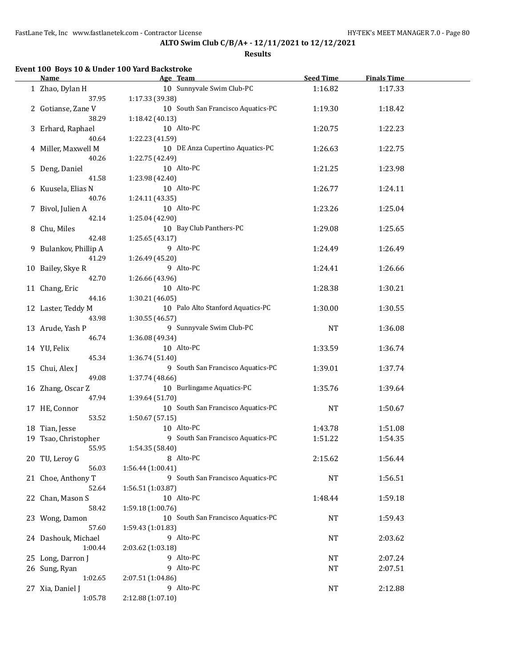**Results**

# **Event 100 Boys 10 & Under 100 Yard Backstroke**

| <b>Name</b>           | Age Team                           | <b>Seed Time</b> | <b>Finals Time</b> |  |
|-----------------------|------------------------------------|------------------|--------------------|--|
| 1 Zhao, Dylan H       | 10 Sunnyvale Swim Club-PC          | 1:16.82          | 1:17.33            |  |
| 37.95                 | 1:17.33 (39.38)                    |                  |                    |  |
| 2 Gotianse, Zane V    | 10 South San Francisco Aquatics-PC | 1:19.30          | 1:18.42            |  |
| 38.29                 | 1:18.42 (40.13)                    |                  |                    |  |
|                       | 10 Alto-PC                         |                  |                    |  |
| 3 Erhard, Raphael     |                                    | 1:20.75          | 1:22.23            |  |
| 40.64                 | 1:22.23 (41.59)                    |                  |                    |  |
| 4 Miller, Maxwell M   | 10 DE Anza Cupertino Aquatics-PC   | 1:26.63          | 1:22.75            |  |
| 40.26                 | 1:22.75 (42.49)                    |                  |                    |  |
| 5 Deng, Daniel        | 10 Alto-PC                         | 1:21.25          | 1:23.98            |  |
| 41.58                 | 1:23.98 (42.40)                    |                  |                    |  |
| 6 Kuusela, Elias N    | 10 Alto-PC                         | 1:26.77          | 1:24.11            |  |
| 40.76                 | 1:24.11 (43.35)                    |                  |                    |  |
| 7 Bivol, Julien A     | 10 Alto-PC                         | 1:23.26          | 1:25.04            |  |
| 42.14                 | 1:25.04 (42.90)                    |                  |                    |  |
| 8 Chu, Miles          | 10 Bay Club Panthers-PC            | 1:29.08          | 1:25.65            |  |
| 42.48                 | 1:25.65 (43.17)                    |                  |                    |  |
| 9 Bulankov, Phillip A | 9 Alto-PC                          | 1:24.49          | 1:26.49            |  |
| 41.29                 | 1:26.49 (45.20)                    |                  |                    |  |
|                       | 9 Alto-PC                          |                  |                    |  |
| 10 Bailey, Skye R     |                                    | 1:24.41          | 1:26.66            |  |
| 42.70                 | 1:26.66 (43.96)                    |                  |                    |  |
| 11 Chang, Eric        | 10 Alto-PC                         | 1:28.38          | 1:30.21            |  |
| 44.16                 | 1:30.21 (46.05)                    |                  |                    |  |
| 12 Laster, Teddy M    | 10 Palo Alto Stanford Aquatics-PC  | 1:30.00          | 1:30.55            |  |
| 43.98                 | 1:30.55 (46.57)                    |                  |                    |  |
| 13 Arude, Yash P      | 9 Sunnyvale Swim Club-PC           | <b>NT</b>        | 1:36.08            |  |
| 46.74                 | 1:36.08 (49.34)                    |                  |                    |  |
| 14 YU, Felix          | 10 Alto-PC                         | 1:33.59          | 1:36.74            |  |
| 45.34                 | 1:36.74 (51.40)                    |                  |                    |  |
| 15 Chui, Alex J       | 9 South San Francisco Aquatics-PC  | 1:39.01          | 1:37.74            |  |
| 49.08                 | 1:37.74 (48.66)                    |                  |                    |  |
| 16 Zhang, Oscar Z     | 10 Burlingame Aquatics-PC          | 1:35.76          | 1:39.64            |  |
| 47.94                 | 1:39.64 (51.70)                    |                  |                    |  |
| 17 HE, Connor         | 10 South San Francisco Aquatics-PC | <b>NT</b>        | 1:50.67            |  |
| 53.52                 | 1:50.67 (57.15)                    |                  |                    |  |
| 18 Tian, Jesse        | 10 Alto-PC                         | 1:43.78          | 1:51.08            |  |
|                       | 9 South San Francisco Aquatics-PC  | 1:51.22          | 1:54.35            |  |
| 19 Tsao, Christopher  |                                    |                  |                    |  |
| 55.95                 | 1:54.35 (58.40)                    |                  |                    |  |
| 20 TU, Leroy G        | 8 Alto-PC                          | 2:15.62          | 1:56.44            |  |
| 56.03                 | 1:56.44(1:00.41)                   |                  |                    |  |
| 21 Choe, Anthony T    | 9 South San Francisco Aquatics-PC  | NT               | 1:56.51            |  |
| 52.64                 | 1:56.51(1:03.87)                   |                  |                    |  |
| 22 Chan, Mason S      | 10 Alto-PC                         | 1:48.44          | 1:59.18            |  |
| 58.42                 | 1:59.18 (1:00.76)                  |                  |                    |  |
| 23 Wong, Damon        | 10 South San Francisco Aquatics-PC | NT               | 1:59.43            |  |
| 57.60                 | 1:59.43 (1:01.83)                  |                  |                    |  |
| 24 Dashouk, Michael   | 9 Alto-PC                          | NT               | 2:03.62            |  |
| 1:00.44               | 2:03.62 (1:03.18)                  |                  |                    |  |
| 25 Long, Darron J     | 9 Alto-PC                          | NT               | 2:07.24            |  |
| 26 Sung, Ryan         | 9 Alto-PC                          | <b>NT</b>        | 2:07.51            |  |
| 1:02.65               | 2:07.51 (1:04.86)                  |                  |                    |  |
| 27 Xia, Daniel J      | 9 Alto-PC                          | NT               | 2:12.88            |  |
| 1:05.78               | 2:12.88 (1:07.10)                  |                  |                    |  |
|                       |                                    |                  |                    |  |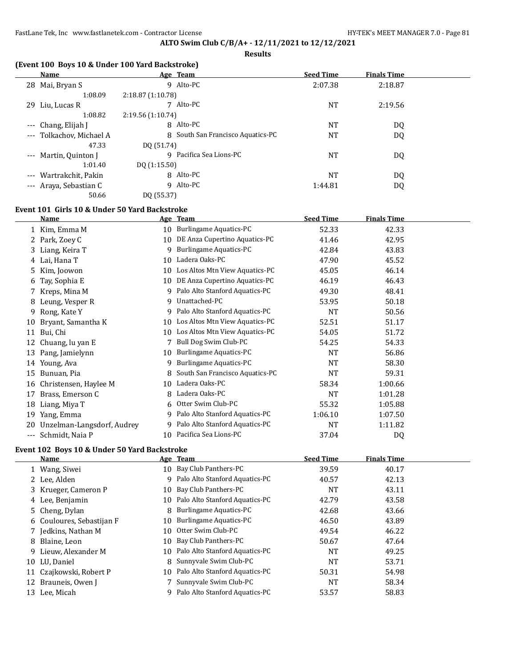**Results**

### **(Event 100 Boys 10 & Under 100 Yard Backstroke)**

| Name                          | Age Team                          | <b>Seed Time</b> | <b>Finals Time</b> |  |
|-------------------------------|-----------------------------------|------------------|--------------------|--|
| Mai, Bryan S<br>28            | 9 Alto-PC                         | 2:07.38          | 2:18.87            |  |
| 1:08.09                       | 2:18.87 (1:10.78)                 |                  |                    |  |
| 29 Liu, Lucas R               | Alto-PC<br>7                      | NT               | 2:19.56            |  |
| 1:08.82                       | 2:19.56 (1:10.74)                 |                  |                    |  |
| Chang, Elijah J<br>$---$      | 8 Alto-PC                         | <b>NT</b>        | DQ                 |  |
| Tolkachov, Michael A<br>$---$ | 8 South San Francisco Aquatics-PC | <b>NT</b>        | DQ                 |  |
| 47.33                         | DO (51.74)                        |                  |                    |  |
| --- Martin, Quinton J         | Pacifica Sea Lions-PC<br>q        | NT               | DQ                 |  |
| 1:01.40                       | DQ(1:15.50)                       |                  |                    |  |
| --- Wartrakchit, Pakin        | 8 Alto-PC                         | NT               | DQ                 |  |
| --- Araya, Sebastian C        | 9 Alto-PC                         | 1:44.81          | DQ                 |  |
| 50.66                         | DO (55.37)                        |                  |                    |  |

## **Event 101 Girls 10 & Under 50 Yard Backstroke**

|     | <b>Name</b>                |    | Age Team                        | <b>Seed Time</b> | <b>Finals Time</b> |  |
|-----|----------------------------|----|---------------------------------|------------------|--------------------|--|
|     | 1 Kim, Emma M              | 10 | Burlingame Aquatics-PC          | 52.33            | 42.33              |  |
|     | Park, Zoey C               | 10 | DE Anza Cupertino Aquatics-PC   | 41.46            | 42.95              |  |
| 3.  | Liang, Keira T             | 9  | Burlingame Aquatics-PC          | 42.84            | 43.83              |  |
| 4   | Lai, Hana T                | 10 | Ladera Oaks-PC                  | 47.90            | 45.52              |  |
| 5.  | Kim, Joowon                | 10 | Los Altos Mtn View Aquatics-PC  | 45.05            | 46.14              |  |
| 6   | Tay, Sophia E              | 10 | DE Anza Cupertino Aquatics-PC   | 46.19            | 46.43              |  |
|     | Kreps, Mina M              | 9  | Palo Alto Stanford Aquatics-PC  | 49.30            | 48.41              |  |
| 8   | Leung, Vesper R            | 9  | Unattached-PC                   | 53.95            | 50.18              |  |
| 9   | Rong, Kate Y               | 9  | Palo Alto Stanford Aquatics-PC  | <b>NT</b>        | 50.56              |  |
| 10  | Bryant, Samantha K         | 10 | Los Altos Mtn View Aquatics-PC  | 52.51            | 51.17              |  |
| 11  | Bui, Chi                   | 10 | Los Altos Mtn View Aquatics-PC  | 54.05            | 51.72              |  |
| 12  | Chuang, lu yan E           |    | Bull Dog Swim Club-PC           | 54.25            | 54.33              |  |
| 13  | Pang, Jamielynn            | 10 | Burlingame Aquatics-PC          | <b>NT</b>        | 56.86              |  |
| 14  | Young, Ava                 | 9  | Burlingame Aquatics-PC          | <b>NT</b>        | 58.30              |  |
| 15  | Bunuan, Pia                | 8  | South San Francisco Aquatics-PC | <b>NT</b>        | 59.31              |  |
| 16  | Christensen, Haylee M      | 10 | Ladera Oaks-PC                  | 58.34            | 1:00.66            |  |
| 17  | Brass, Emerson C           | 8  | Ladera Oaks-PC                  | NT               | 1:01.28            |  |
| 18  | Liang, Miya T              | 6  | Otter Swim Club-PC              | 55.32            | 1:05.88            |  |
| 19  | Yang, Emma                 | 9  | Palo Alto Stanford Aquatics-PC  | 1:06.10          | 1:07.50            |  |
| 20  | Unzelman-Langsdorf, Audrey | 9  | Palo Alto Stanford Aquatics-PC  | <b>NT</b>        | 1:11.82            |  |
| --- | Schmidt, Naia P            | 10 | Pacifica Sea Lions-PC           | 37.04            | DQ                 |  |

## **Event 102 Boys 10 & Under 50 Yard Backstroke**

|    | Name                      |    | Age Team                          | <b>Seed Time</b> | <b>Finals Time</b> |  |
|----|---------------------------|----|-----------------------------------|------------------|--------------------|--|
|    | 1 Wang, Siwei             |    | 10 Bay Club Panthers-PC           | 39.59            | 40.17              |  |
|    | 2 Lee, Alden              | 9  | Palo Alto Stanford Aquatics-PC    | 40.57            | 42.13              |  |
|    | 3 Krueger, Cameron P      |    | 10 Bay Club Panthers-PC           | NT               | 43.11              |  |
|    | 4 Lee, Benjamin           |    | 10 Palo Alto Stanford Aquatics-PC | 42.79            | 43.58              |  |
|    | 5 Cheng, Dylan            | 8  | <b>Burlingame Aquatics-PC</b>     | 42.68            | 43.66              |  |
|    | 6 Couloures, Sebastijan F | 10 | <b>Burlingame Aquatics-PC</b>     | 46.50            | 43.89              |  |
|    | 7 Jedkins, Nathan M       | 10 | Otter Swim Club-PC                | 49.54            | 46.22              |  |
|    | 8 Blaine, Leon            | 10 | Bay Club Panthers-PC              | 50.67            | 47.64              |  |
|    | 9 Lieuw, Alexander M      |    | 10 Palo Alto Stanford Aquatics-PC | <b>NT</b>        | 49.25              |  |
|    | 10 LU. Daniel             | 8  | Sunnyvale Swim Club-PC            | <b>NT</b>        | 53.71              |  |
|    | 11 Czajkowski, Robert P   |    | 10 Palo Alto Stanford Aquatics-PC | 50.31            | 54.98              |  |
|    | 12 Brauneis, Owen J       |    | Sunnyvale Swim Club-PC            | NT               | 58.34              |  |
| 13 | Lee, Micah                |    | Palo Alto Stanford Aquatics-PC    | 53.57            | 58.83              |  |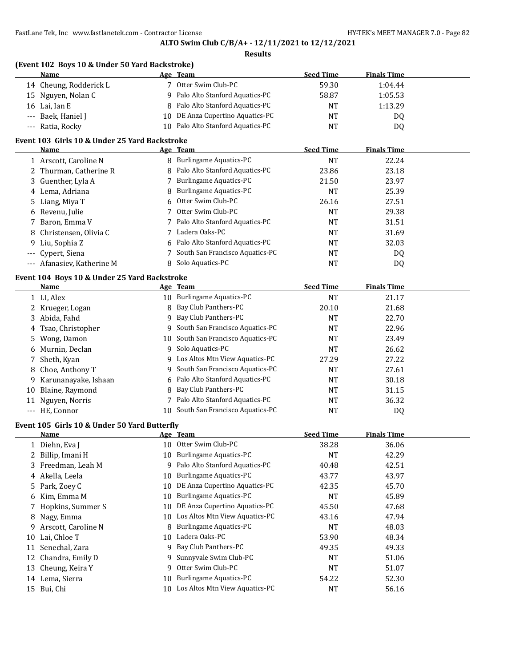#### **Results**

| (Event 102 Boys 10 & Under 50 Yard Backstroke) |                                      |                  |                    |  |  |  |  |  |  |
|------------------------------------------------|--------------------------------------|------------------|--------------------|--|--|--|--|--|--|
| <b>Name</b>                                    | Age Team                             | <b>Seed Time</b> | <b>Finals Time</b> |  |  |  |  |  |  |
| 14 Cheung, Rodderick L                         | Otter Swim Club-PC                   | 59.30            | 1:04.44            |  |  |  |  |  |  |
| 15 Nguyen, Nolan C                             | 9 Palo Alto Stanford Aquatics-PC     | 58.87            | 1:05.53            |  |  |  |  |  |  |
| 16 Lai, Ian E                                  | 8 Palo Alto Stanford Aquatics-PC     | <b>NT</b>        | 1:13.29            |  |  |  |  |  |  |
| --- Baek, Haniel J                             | DE Anza Cupertino Aquatics-PC<br>10. | <b>NT</b>        | DQ                 |  |  |  |  |  |  |
| --- Ratia, Rocky                               | Palo Alto Stanford Aquatics-PC<br>10 | NT               | DQ                 |  |  |  |  |  |  |

# **Event 103 Girls 10 & Under 25 Yard Backstroke**

|                   | Name                                         |    | Age Team                         | <b>Seed Time</b> | <b>Finals Time</b> |  |
|-------------------|----------------------------------------------|----|----------------------------------|------------------|--------------------|--|
|                   | 1 Arscott, Caroline N                        |    | 8 Burlingame Aquatics-PC         | NT               | 22.24              |  |
|                   | 2 Thurman, Catherine R                       |    | 8 Palo Alto Stanford Aquatics-PC | 23.86            | 23.18              |  |
|                   | 3 Guenther, Lyla A                           |    | <b>Burlingame Aquatics-PC</b>    | 21.50            | 23.97              |  |
|                   | 4 Lema, Adriana                              |    | 8 Burlingame Aquatics-PC         | <b>NT</b>        | 25.39              |  |
|                   | 5 Liang, Miya T                              |    | 6 Otter Swim Club-PC             | 26.16            | 27.51              |  |
|                   | 6 Revenu, Julie                              |    | Otter Swim Club-PC               | <b>NT</b>        | 29.38              |  |
|                   | 7 Baron, Emma V                              |    | 7 Palo Alto Stanford Aquatics-PC | NT               | 31.51              |  |
|                   | 8 Christensen, Olivia C                      |    | Ladera Oaks-PC                   | <b>NT</b>        | 31.69              |  |
|                   | 9 Liu, Sophia Z                              |    | 6 Palo Alto Stanford Aquatics-PC | NT               | 32.03              |  |
| $- - -$           | Cypert, Siena                                |    | South San Francisco Aquatics-PC  | NT               | DQ                 |  |
| $\qquad \qquad -$ | Afanasiev, Katherine M                       | 8  | Solo Aquatics-PC                 | <b>NT</b>        | DQ                 |  |
|                   | Event 104 Boys 10 & Under 25 Yard Backstroke |    |                                  |                  |                    |  |
|                   | Name                                         |    | Age Team                         | <b>Seed Time</b> | <b>Finals Time</b> |  |
|                   | 1 LI, Alex                                   | 10 | <b>Burlingame Aquatics-PC</b>    | NT               | 21.17              |  |

|    | 1 LI, Alex           | 10 | <b>Burlingame Aquatics-PC</b>     | <b>NT</b> | 21.17 |  |
|----|----------------------|----|-----------------------------------|-----------|-------|--|
|    | 2 Krueger, Logan     |    | 8 Bay Club Panthers-PC            | 20.10     | 21.68 |  |
| 3. | Abida, Fahd          |    | 9 Bay Club Panthers-PC            | <b>NT</b> | 22.70 |  |
|    | 4 Tsao, Christopher  |    | 9 South San Francisco Aquatics-PC | <b>NT</b> | 22.96 |  |
|    | 5 Wong, Damon        | 10 | South San Francisco Aquatics-PC   | <b>NT</b> | 23.49 |  |
| 6  | Murnin, Declan       |    | 9 Solo Aquatics-PC                | <b>NT</b> | 26.62 |  |
|    | Sheth, Kyan          |    | 9 Los Altos Mtn View Aquatics-PC  | 27.29     | 27.22 |  |
|    | 8 Choe, Anthony T    |    | 9 South San Francisco Aquatics-PC | <b>NT</b> | 27.61 |  |
| 9  | Karunanayake, Ishaan |    | 6 Palo Alto Stanford Aquatics-PC  | <b>NT</b> | 30.18 |  |
| 10 | Blaine, Raymond      |    | 8 Bay Club Panthers-PC            | <b>NT</b> | 31.15 |  |
| 11 | Nguyen, Norris       |    | 7 Palo Alto Stanford Aquatics-PC  | <b>NT</b> | 36.32 |  |
|    | --- HE, Connor       | 10 | South San Francisco Aquatics-PC   | NT        | DQ    |  |

### **Event 105 Girls 10 & Under 50 Yard Butterfly**

|    | Name                |     | Age Team                       | <b>Seed Time</b> | <b>Finals Time</b> |
|----|---------------------|-----|--------------------------------|------------------|--------------------|
|    | 1 Diehn, Eva J      | 10  | Otter Swim Club-PC             | 38.28            | 36.06              |
|    | 2 Billip, Imani H   | 10  | Burlingame Aquatics-PC         | NT               | 42.29              |
|    | 3 Freedman, Leah M  | 9   | Palo Alto Stanford Aquatics-PC | 40.48            | 42.51              |
|    | 4 Akella, Leela     | 10  | Burlingame Aquatics-PC         | 43.77            | 43.97              |
|    | 5 Park, Zoey C      | 10  | DE Anza Cupertino Aquatics-PC  | 42.35            | 45.70              |
|    | 6 Kim, Emma M       | 10  | Burlingame Aquatics-PC         | <b>NT</b>        | 45.89              |
|    | 7 Hopkins, Summer S | 10  | DE Anza Cupertino Aquatics-PC  | 45.50            | 47.68              |
|    | 8 Nagy, Emma        | 10. | Los Altos Mtn View Aquatics-PC | 43.16            | 47.94              |
| 9  | Arscott, Caroline N | 8   | Burlingame Aquatics-PC         | <b>NT</b>        | 48.03              |
| 10 | Lai, Chloe T        | 10  | Ladera Oaks-PC                 | 53.90            | 48.34              |
| 11 | Senechal, Zara      | 9   | Bay Club Panthers-PC           | 49.35            | 49.33              |
|    | 12 Chandra, Emily D |     | 9 Sunnyvale Swim Club-PC       | <b>NT</b>        | 51.06              |
| 13 | Cheung, Keira Y     | 9   | Otter Swim Club-PC             | <b>NT</b>        | 51.07              |
|    | 14 Lema, Sierra     | 10  | Burlingame Aquatics-PC         | 54.22            | 52.30              |
|    | 15 Bui, Chi         | 10  | Los Altos Mtn View Aquatics-PC | <b>NT</b>        | 56.16              |
|    |                     |     |                                |                  |                    |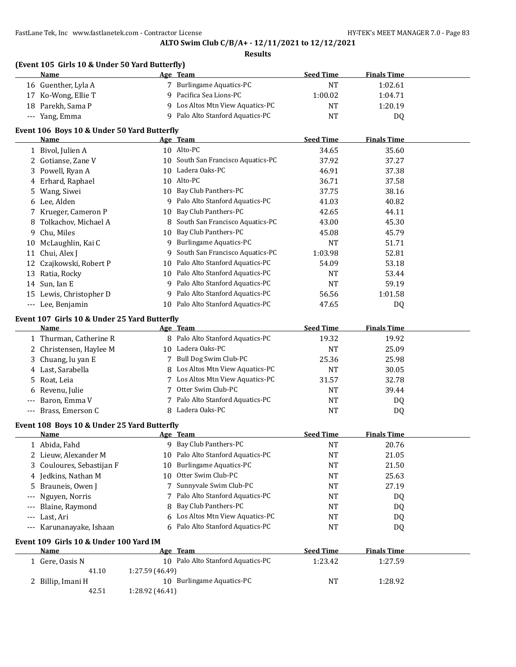# **ALTO Swim Club C/B/A+ - 12/11/2021 to 12/12/2021**

|       | (Event 105 Girls 10 & Under 50 Yard Butterfly)<br>Name |                 | Age Team                           | <b>Seed Time</b> | <b>Finals Time</b> |  |
|-------|--------------------------------------------------------|-----------------|------------------------------------|------------------|--------------------|--|
|       | 16 Guenther, Lyla A                                    |                 | 7 Burlingame Aquatics-PC           | <b>NT</b>        | 1:02.61            |  |
|       | 17 Ko-Wong, Ellie T                                    | 9               | Pacifica Sea Lions-PC              | 1:00.02          | 1:04.71            |  |
|       | 18 Parekh, Sama P                                      |                 | 9 Los Altos Mtn View Aquatics-PC   | <b>NT</b>        | 1:20.19            |  |
|       | --- Yang, Emma                                         |                 | 9 Palo Alto Stanford Aquatics-PC   | <b>NT</b>        | DQ                 |  |
|       | Event 106 Boys 10 & Under 50 Yard Butterfly            |                 |                                    |                  |                    |  |
|       | Name                                                   |                 | Age Team                           | <b>Seed Time</b> | <b>Finals Time</b> |  |
|       | 1 Bivol, Julien A                                      |                 | 10 Alto-PC                         | 34.65            | 35.60              |  |
|       | 2 Gotianse, Zane V                                     |                 | 10 South San Francisco Aquatics-PC | 37.92            | 37.27              |  |
| 3     | Powell, Ryan A                                         |                 | 10 Ladera Oaks-PC                  | 46.91            | 37.38              |  |
|       | 4 Erhard, Raphael                                      |                 | 10 Alto-PC                         | 36.71            | 37.58              |  |
| 5     | Wang, Siwei                                            | 10              | Bay Club Panthers-PC               | 37.75            | 38.16              |  |
|       | 6 Lee, Alden                                           | 9               | Palo Alto Stanford Aquatics-PC     | 41.03            | 40.82              |  |
|       | 7 Krueger, Cameron P                                   | 10              | Bay Club Panthers-PC               | 42.65            | 44.11              |  |
| 8     | Tolkachov, Michael A                                   | 8               | South San Francisco Aquatics-PC    | 43.00            | 45.30              |  |
| 9.    | Chu, Miles                                             | 10              | Bay Club Panthers-PC               | 45.08            | 45.79              |  |
|       | 10 McLaughlin, Kai C                                   | 9               | <b>Burlingame Aquatics-PC</b>      | <b>NT</b>        | 51.71              |  |
| 11    | Chui, Alex J                                           | 9               | South San Francisco Aquatics-PC    | 1:03.98          | 52.81              |  |
| 12    | Czajkowski, Robert P                                   | 10              | Palo Alto Stanford Aquatics-PC     | 54.09            | 53.18              |  |
|       | 13 Ratia, Rocky                                        | 10              | Palo Alto Stanford Aquatics-PC     | NT               | 53.44              |  |
|       | 14 Sun, Ian E                                          | 9               | Palo Alto Stanford Aquatics-PC     | <b>NT</b>        | 59.19              |  |
|       | 15 Lewis, Christopher D                                | 9               | Palo Alto Stanford Aquatics-PC     | 56.56            | 1:01.58            |  |
|       | --- Lee, Benjamin                                      | 10              | Palo Alto Stanford Aquatics-PC     | 47.65            | DQ                 |  |
|       | Event 107 Girls 10 & Under 25 Yard Butterfly           |                 |                                    |                  |                    |  |
|       | <b>Name</b>                                            |                 | Age Team                           | <b>Seed Time</b> | <b>Finals Time</b> |  |
|       | 1 Thurman, Catherine R                                 |                 | 8 Palo Alto Stanford Aquatics-PC   | 19.32            | 19.92              |  |
|       | 2 Christensen, Haylee M                                |                 | 10 Ladera Oaks-PC                  | <b>NT</b>        | 25.09              |  |
|       | 3 Chuang, lu yan E                                     |                 | 7 Bull Dog Swim Club-PC            | 25.36            | 25.98              |  |
|       | 4 Last, Sarabella                                      | 8               | Los Altos Mtn View Aquatics-PC     | <b>NT</b>        | 30.05              |  |
| 5.    | Roat, Leia                                             |                 | 7 Los Altos Mtn View Aquatics-PC   | 31.57            | 32.78              |  |
| 6     | Revenu, Julie                                          |                 | 7 Otter Swim Club-PC               | <b>NT</b>        | 39.44              |  |
| $---$ | Baron, Emma V                                          |                 | 7 Palo Alto Stanford Aquatics-PC   | NT               | DQ                 |  |
| ---   | Brass, Emerson C                                       | 8               | Ladera Oaks-PC                     | <b>NT</b>        | DQ                 |  |
|       | Event 108 Boys 10 & Under 25 Yard Butterfly            |                 |                                    |                  |                    |  |
|       | <u>Name</u>                                            |                 | <u>Age Team</u>                    | <b>Seed Time</b> | <b>Finals Time</b> |  |
|       | 1 Abida, Fahd                                          |                 | 9 Bay Club Panthers-PC             | <b>NT</b>        | 20.76              |  |
|       | 2 Lieuw, Alexander M                                   | 10              | Palo Alto Stanford Aquatics-PC     | <b>NT</b>        | 21.05              |  |
| 3     | Couloures, Sebastijan F                                | 10              | <b>Burlingame Aquatics-PC</b>      | NT               | 21.50              |  |
| 4     | Jedkins, Nathan M                                      | 10              | Otter Swim Club-PC                 | NT               | 25.63              |  |
| 5     | Brauneis, Owen J                                       | 7               | Sunnyvale Swim Club-PC             | NT               | 27.19              |  |
| ---   | Nguyen, Norris                                         | 7               | Palo Alto Stanford Aquatics-PC     | NT               | DQ                 |  |
| $---$ | Blaine, Raymond                                        | 8               | Bay Club Panthers-PC               | NT               | DQ                 |  |
| $---$ | Last, Ari                                              | 6               | Los Altos Mtn View Aquatics-PC     | NT               | DQ                 |  |
| ---   | Karunanayake, Ishaan                                   | 6               | Palo Alto Stanford Aquatics-PC     | NT               | DQ                 |  |
|       | Event 109 Girls 10 & Under 100 Yard IM<br>Name         |                 | Age Team                           | <b>Seed Time</b> | <b>Finals Time</b> |  |
|       | 1 Gere, Oasis N                                        |                 | 10 Palo Alto Stanford Aquatics-PC  | 1:23.42          | 1:27.59            |  |
|       |                                                        |                 |                                    |                  |                    |  |
|       |                                                        |                 |                                    |                  |                    |  |
|       | 41.10<br>2 Billip, Imani H                             | 1:27.59 (46.49) | 10 Burlingame Aquatics-PC          | NT               | 1:28.92            |  |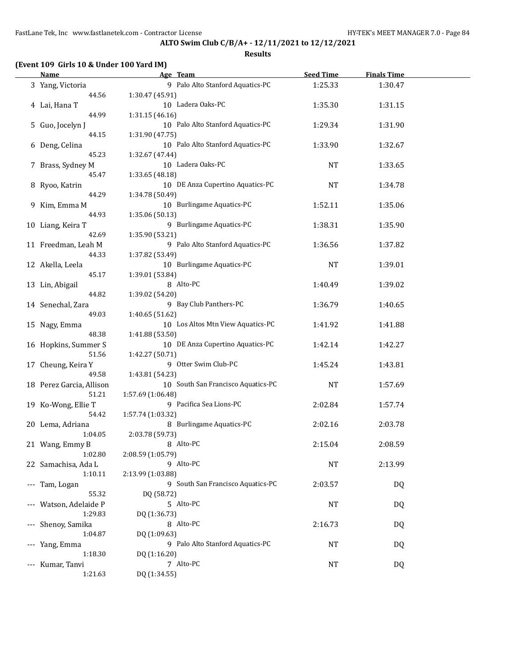|     | Name                     |                   | Age Team                           | <b>Seed Time</b> | <b>Finals Time</b> |  |
|-----|--------------------------|-------------------|------------------------------------|------------------|--------------------|--|
|     | 3 Yang, Victoria         |                   | 9 Palo Alto Stanford Aquatics-PC   | 1:25.33          | 1:30.47            |  |
|     | 44.56                    | 1:30.47 (45.91)   |                                    |                  |                    |  |
|     | 4 Lai, Hana T            |                   | 10 Ladera Oaks-PC                  | 1:35.30          | 1:31.15            |  |
|     | 44.99                    | 1:31.15(46.16)    |                                    |                  |                    |  |
|     | 5 Guo, Jocelyn J         |                   | 10 Palo Alto Stanford Aquatics-PC  | 1:29.34          | 1:31.90            |  |
|     | 44.15                    | 1:31.90 (47.75)   |                                    |                  |                    |  |
|     | 6 Deng, Celina           |                   | 10 Palo Alto Stanford Aquatics-PC  | 1:33.90          | 1:32.67            |  |
|     | 45.23                    | 1:32.67 (47.44)   |                                    |                  |                    |  |
|     | 7 Brass, Sydney M        |                   | 10 Ladera Oaks-PC                  | <b>NT</b>        | 1:33.65            |  |
|     | 45.47                    | 1:33.65 (48.18)   |                                    |                  |                    |  |
|     | 8 Ryoo, Katrin           |                   | 10 DE Anza Cupertino Aquatics-PC   | <b>NT</b>        | 1:34.78            |  |
|     | 44.29                    | 1:34.78 (50.49)   |                                    |                  |                    |  |
|     | 9 Kim, Emma M            |                   | 10 Burlingame Aquatics-PC          | 1:52.11          | 1:35.06            |  |
|     | 44.93                    | 1:35.06 (50.13)   |                                    |                  |                    |  |
|     | 10 Liang, Keira T        |                   | 9 Burlingame Aquatics-PC           | 1:38.31          | 1:35.90            |  |
|     | 42.69                    | 1:35.90 (53.21)   |                                    |                  |                    |  |
|     | 11 Freedman, Leah M      |                   | 9 Palo Alto Stanford Aquatics-PC   | 1:36.56          | 1:37.82            |  |
|     | 44.33                    | 1:37.82 (53.49)   |                                    |                  |                    |  |
|     | 12 Akella, Leela         |                   | 10 Burlingame Aquatics-PC          | <b>NT</b>        | 1:39.01            |  |
|     | 45.17                    | 1:39.01 (53.84)   |                                    |                  |                    |  |
|     | 13 Lin, Abigail          |                   | 8 Alto-PC                          | 1:40.49          | 1:39.02            |  |
|     | 44.82                    | 1:39.02 (54.20)   |                                    |                  |                    |  |
|     | 14 Senechal, Zara        |                   | 9 Bay Club Panthers-PC             | 1:36.79          | 1:40.65            |  |
|     | 49.03                    | 1:40.65 (51.62)   |                                    |                  |                    |  |
|     | 15 Nagy, Emma            |                   | 10 Los Altos Mtn View Aquatics-PC  | 1:41.92          | 1:41.88            |  |
|     | 48.38                    | 1:41.88 (53.50)   |                                    |                  |                    |  |
|     | 16 Hopkins, Summer S     |                   | 10 DE Anza Cupertino Aquatics-PC   | 1:42.14          | 1:42.27            |  |
|     | 51.56                    | 1:42.27 (50.71)   |                                    |                  |                    |  |
|     | 17 Cheung, Keira Y       |                   | 9 Otter Swim Club-PC               | 1:45.24          | 1:43.81            |  |
|     | 49.58                    | 1:43.81 (54.23)   |                                    |                  |                    |  |
|     | 18 Perez Garcia, Allison |                   | 10 South San Francisco Aquatics-PC | <b>NT</b>        | 1:57.69            |  |
|     | 51.21                    | 1:57.69 (1:06.48) |                                    |                  |                    |  |
|     | 19 Ko-Wong, Ellie T      |                   | 9 Pacifica Sea Lions-PC            | 2:02.84          | 1:57.74            |  |
|     | 54.42                    | 1:57.74 (1:03.32) |                                    |                  |                    |  |
|     | 20 Lema, Adriana         |                   | 8 Burlingame Aquatics-PC           | 2:02.16          | 2:03.78            |  |
|     | 1:04.05                  | 2:03.78 (59.73)   |                                    |                  |                    |  |
|     | 21 Wang, Emmy B          |                   | 8 Alto-PC                          | 2:15.04          | 2:08.59            |  |
|     | 1:02.80                  | 2:08.59 (1:05.79) |                                    |                  |                    |  |
|     | 22 Samachisa, Ada L      |                   | 9 Alto-PC                          | <b>NT</b>        | 2:13.99            |  |
|     | 1:10.11                  | 2:13.99 (1:03.88) |                                    |                  |                    |  |
| --- | Tam, Logan               |                   | 9 South San Francisco Aquatics-PC  | 2:03.57          | DQ                 |  |
|     | 55.32                    | DQ (58.72)        |                                    |                  |                    |  |
| --- | Watson, Adelaide P       |                   | 5 Alto-PC                          | NT               | DQ                 |  |
|     | 1:29.83                  | DQ (1:36.73)      |                                    |                  |                    |  |
|     | Shenoy, Samika           |                   | 8 Alto-PC                          | 2:16.73          | DQ                 |  |
|     | 1:04.87                  | DQ (1:09.63)      |                                    |                  |                    |  |
| --- | Yang, Emma               |                   | 9 Palo Alto Stanford Aquatics-PC   | NT               | DQ                 |  |
|     | 1:18.30                  | DQ (1:16.20)      |                                    |                  |                    |  |
|     | --- Kumar, Tanvi         |                   | 7 Alto-PC                          | <b>NT</b>        | <b>DQ</b>          |  |
|     | 1:21.63                  | DQ (1:34.55)      |                                    |                  |                    |  |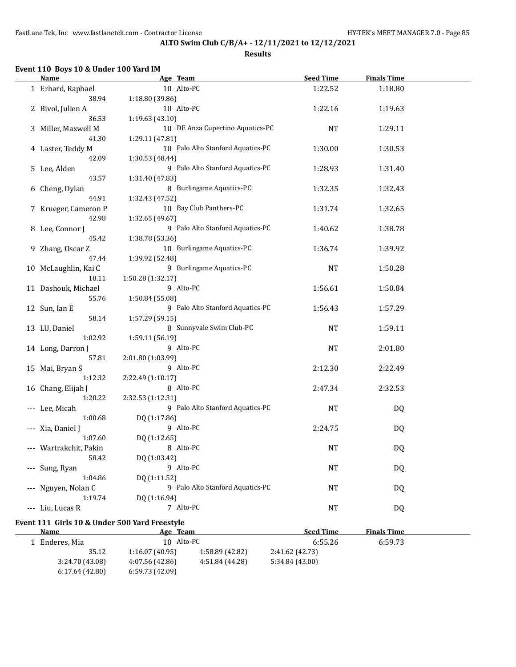**Results**

### **Event 110 Boys 10 & Under 100 Yard IM**

| Name                   | Age Team                          | <b>Seed Time</b> | <b>Finals Time</b> |  |
|------------------------|-----------------------------------|------------------|--------------------|--|
| 1 Erhard, Raphael      | 10 Alto-PC                        | 1:22.52          | 1:18.80            |  |
| 38.94                  | 1:18.80 (39.86)                   |                  |                    |  |
| 2 Bivol, Julien A      | 10 Alto-PC                        | 1:22.16          | 1:19.63            |  |
| 36.53                  | 1:19.63(43.10)                    |                  |                    |  |
| 3 Miller, Maxwell M    | 10 DE Anza Cupertino Aquatics-PC  | NT               | 1:29.11            |  |
| 41.30                  | 1:29.11 (47.81)                   |                  |                    |  |
| 4 Laster, Teddy M      | 10 Palo Alto Stanford Aquatics-PC | 1:30.00          | 1:30.53            |  |
| 42.09                  | 1:30.53 (48.44)                   |                  |                    |  |
| 5 Lee, Alden           | 9 Palo Alto Stanford Aquatics-PC  | 1:28.93          | 1:31.40            |  |
| 43.57                  | 1:31.40 (47.83)                   |                  |                    |  |
| 6 Cheng, Dylan         | 8 Burlingame Aquatics-PC          | 1:32.35          | 1:32.43            |  |
| 44.91                  | 1:32.43 (47.52)                   |                  |                    |  |
| 7 Krueger, Cameron P   | 10 Bay Club Panthers-PC           | 1:31.74          | 1:32.65            |  |
| 42.98                  | 1:32.65 (49.67)                   |                  |                    |  |
| 8 Lee, Connor J        | 9 Palo Alto Stanford Aquatics-PC  | 1:40.62          | 1:38.78            |  |
| 45.42                  | 1:38.78 (53.36)                   |                  |                    |  |
| 9 Zhang, Oscar Z       | 10 Burlingame Aquatics-PC         | 1:36.74          | 1:39.92            |  |
| 47.44                  | 1:39.92 (52.48)                   |                  |                    |  |
| 10 McLaughlin, Kai C   | 9 Burlingame Aquatics-PC          | <b>NT</b>        | 1:50.28            |  |
| 18.11                  | 1:50.28 (1:32.17)                 |                  |                    |  |
| 11 Dashouk, Michael    | 9 Alto-PC                         | 1:56.61          | 1:50.84            |  |
| 55.76                  | 1:50.84 (55.08)                   |                  |                    |  |
| 12 Sun, Ian E          | 9 Palo Alto Stanford Aquatics-PC  | 1:56.43          | 1:57.29            |  |
| 58.14                  | 1:57.29 (59.15)                   |                  |                    |  |
| 13 LU, Daniel          | 8 Sunnyvale Swim Club-PC          | <b>NT</b>        | 1:59.11            |  |
| 1:02.92                | 1:59.11 (56.19)                   |                  |                    |  |
| 14 Long, Darron J      | 9 Alto-PC                         | <b>NT</b>        | 2:01.80            |  |
| 57.81                  | 2:01.80 (1:03.99)                 |                  |                    |  |
| 15 Mai, Bryan S        | 9 Alto-PC                         | 2:12.30          | 2:22.49            |  |
| 1:12.32                | 2:22.49 (1:10.17)                 |                  |                    |  |
| 16 Chang, Elijah J     | 8 Alto-PC                         | 2:47.34          | 2:32.53            |  |
| 1:20.22                | 2:32.53 (1:12.31)                 |                  |                    |  |
| --- Lee, Micah         | 9 Palo Alto Stanford Aquatics-PC  | <b>NT</b>        | DQ                 |  |
| 1:00.68                | DQ (1:17.86)                      |                  |                    |  |
| --- Xia, Daniel J      | 9 Alto-PC                         | 2:24.75          | DQ                 |  |
| 1:07.60                | DQ (1:12.65)                      |                  |                    |  |
| --- Wartrakchit, Pakin | 8 Alto-PC                         | <b>NT</b>        | DQ                 |  |
| 58.42                  | DQ (1:03.42)                      |                  |                    |  |
| --- Sung, Ryan         | 9 Alto-PC                         | <b>NT</b>        | <b>DQ</b>          |  |
| 1:04.86                | DQ (1:11.52)                      |                  |                    |  |
| --- Nguyen, Nolan C    | 9 Palo Alto Stanford Aquatics-PC  | NT               | DQ                 |  |
| 1:19.74                | DQ (1:16.94)                      |                  |                    |  |
| --- Liu, Lucas R       | 7 Alto-PC                         | NT               | DQ                 |  |
|                        |                                   |                  |                    |  |

### **Event 111 Girls 10 & Under 500 Yard Freestyle**

| <b>Name</b>     | Age Team        |                 | <b>Seed Time</b> | <b>Finals Time</b> |  |
|-----------------|-----------------|-----------------|------------------|--------------------|--|
| 1 Enderes, Mia  | 10 Alto-PC      |                 | 6:55.26          | 6:59.73            |  |
| 35.12           | 1:16.07(40.95)  | 1:58.89 (42.82) | 2:41.62 (42.73)  |                    |  |
| 3:24.70 (43.08) | 4:07.56 (42.86) | 4:51.84 (44.28) | 5:34.84(43.00)   |                    |  |
| 6:17.64(42.80)  | 6:59.73(42.09)  |                 |                  |                    |  |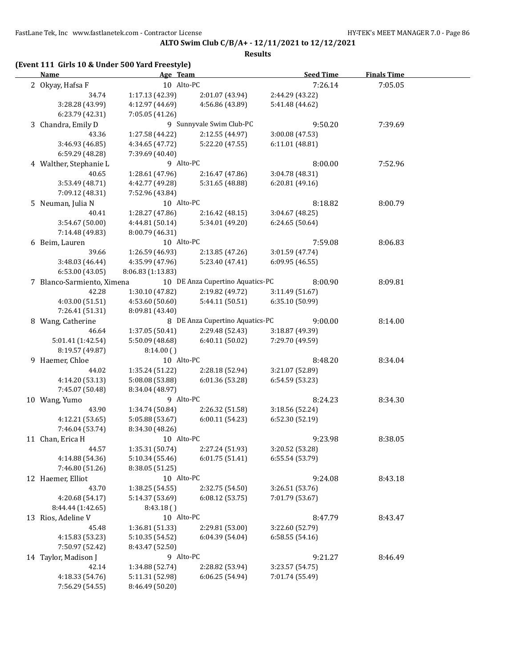### **ALTO Swim Club C/B/A+ - 12/11/2021 to 12/12/2021**

**Results**

## **(Event 111 Girls 10 & Under 500 Yard Freestyle)**

| <b>Name</b>                | Age Team          |                                  | <b>Seed Time</b> | <b>Finals Time</b> |  |
|----------------------------|-------------------|----------------------------------|------------------|--------------------|--|
| 2 Okyay, Hafsa F           | 10 Alto-PC        |                                  | 7:26.14          | 7:05.05            |  |
| 34.74                      | 1:17.13 (42.39)   | 2:01.07 (43.94)                  | 2:44.29 (43.22)  |                    |  |
| 3:28.28 (43.99)            | 4:12.97 (44.69)   | 4:56.86 (43.89)                  | 5:41.48 (44.62)  |                    |  |
| 6:23.79 (42.31)            | 7:05.05 (41.26)   |                                  |                  |                    |  |
| 3 Chandra, Emily D         |                   | 9 Sunnyvale Swim Club-PC         | 9:50.20          | 7:39.69            |  |
| 43.36                      | 1:27.58 (44.22)   | 2:12.55 (44.97)                  | 3:00.08 (47.53)  |                    |  |
| 3:46.93 (46.85)            | 4:34.65 (47.72)   | 5:22.20 (47.55)                  | 6:11.01 (48.81)  |                    |  |
| 6:59.29 (48.28)            | 7:39.69 (40.40)   |                                  |                  |                    |  |
| 4 Walther, Stephanie L     | 9 Alto-PC         |                                  | 8:00.00          | 7:52.96            |  |
| 40.65                      | 1:28.61 (47.96)   | 2:16.47 (47.86)                  | 3:04.78 (48.31)  |                    |  |
| 3:53.49 (48.71)            | 4:42.77 (49.28)   | 5:31.65 (48.88)                  | 6:20.81(49.16)   |                    |  |
| 7:09.12 (48.31)            | 7:52.96 (43.84)   |                                  |                  |                    |  |
| 5 Neuman, Julia N          | 10 Alto-PC        |                                  | 8:18.82          | 8:00.79            |  |
| 40.41                      | 1:28.27(47.86)    | 2:16.42(48.15)                   | 3:04.67 (48.25)  |                    |  |
| 3:54.67 (50.00)            | 4:44.81 (50.14)   | 5:34.01 (49.20)                  | 6:24.65 (50.64)  |                    |  |
| 7:14.48 (49.83)            | 8:00.79 (46.31)   |                                  |                  |                    |  |
|                            | 10 Alto-PC        |                                  |                  |                    |  |
| 6 Beim, Lauren             |                   |                                  | 7:59.08          | 8:06.83            |  |
| 39.66                      | 1:26.59 (46.93)   | 2:13.85(47.26)                   | 3:01.59 (47.74)  |                    |  |
| 3:48.03 (46.44)            | 4:35.99 (47.96)   | 5:23.40 (47.41)                  | 6:09.95 (46.55)  |                    |  |
| 6:53.00(43.05)             | 8:06.83 (1:13.83) |                                  |                  |                    |  |
| 7 Blanco-Sarmiento, Ximena |                   | 10 DE Anza Cupertino Aquatics-PC | 8:00.90          | 8:09.81            |  |
| 42.28                      | 1:30.10(47.82)    | 2:19.82 (49.72)                  | 3:11.49 (51.67)  |                    |  |
| 4:03.00 (51.51)            | 4:53.60 (50.60)   | 5:44.11(50.51)                   | 6:35.10 (50.99)  |                    |  |
| 7:26.41 (51.31)            | 8:09.81 (43.40)   |                                  |                  |                    |  |
| 8 Wang, Catherine          |                   | 8 DE Anza Cupertino Aquatics-PC  | 9:00.00          | 8:14.00            |  |
| 46.64                      | 1:37.05 (50.41)   | 2:29.48 (52.43)                  | 3:18.87 (49.39)  |                    |  |
| 5:01.41 (1:42.54)          | 5:50.09 (48.68)   | 6:40.11 (50.02)                  | 7:29.70 (49.59)  |                    |  |
| 8:19.57 (49.87)            | 8:14.00()         |                                  |                  |                    |  |
| 9 Haemer, Chloe            | 10 Alto-PC        |                                  | 8:48.20          | 8:34.04            |  |
| 44.02                      | 1:35.24 (51.22)   | 2:28.18 (52.94)                  | 3:21.07 (52.89)  |                    |  |
| 4:14.20 (53.13)            | 5:08.08 (53.88)   | 6:01.36 (53.28)                  | 6:54.59 (53.23)  |                    |  |
| 7:45.07 (50.48)            | 8:34.04 (48.97)   |                                  |                  |                    |  |
| 10 Wang, Yumo              | 9 Alto-PC         |                                  | 8:24.23          | 8:34.30            |  |
| 43.90                      | 1:34.74 (50.84)   | 2:26.32 (51.58)                  | 3:18.56 (52.24)  |                    |  |
| 4:12.21(53.65)             | 5:05.88 (53.67)   | 6:00.11(54.23)                   | 6:52.30 (52.19)  |                    |  |
| 7:46.04 (53.74)            | 8:34.30 (48.26)   |                                  |                  |                    |  |
| 11 Chan, Erica H           | 10 Alto-PC        |                                  | 9:23.98          | 8:38.05            |  |
| 44.57                      | 1:35.31 (50.74)   | 2:27.24 (51.93)                  | 3:20.52 (53.28)  |                    |  |
| 4:14.88 (54.36)            | 5:10.34 (55.46)   | 6:01.75 (51.41)                  | 6:55.54 (53.79)  |                    |  |
| 7:46.80 (51.26)            | 8:38.05 (51.25)   |                                  |                  |                    |  |
| 12 Haemer, Elliot          | 10 Alto-PC        |                                  | 9:24.08          | 8:43.18            |  |
| 43.70                      | 1:38.25 (54.55)   | 2:32.75 (54.50)                  | 3:26.51 (53.76)  |                    |  |
| 4:20.68 (54.17)            | 5:14.37 (53.69)   | 6:08.12(53.75)                   | 7:01.79 (53.67)  |                    |  |
| 8:44.44 (1:42.65)          | 8:43.18()         |                                  |                  |                    |  |
| 13 Rios, Adeline V         | 10 Alto-PC        |                                  | 8:47.79          | 8:43.47            |  |
| 45.48                      | 1:36.81 (51.33)   | 2:29.81 (53.00)                  | 3:22.60 (52.79)  |                    |  |
| 4:15.83 (53.23)            | 5:10.35 (54.52)   | 6:04.39 (54.04)                  | 6:58.55(54.16)   |                    |  |
| 7:50.97 (52.42)            | 8:43.47 (52.50)   |                                  |                  |                    |  |
| 14 Taylor, Madison J       | 9 Alto-PC         |                                  | 9:21.27          | 8:46.49            |  |
| 42.14                      | 1:34.88 (52.74)   | 2:28.82 (53.94)                  | 3:23.57 (54.75)  |                    |  |
| 4:18.33 (54.76)            | 5:11.31 (52.98)   | 6:06.25 (54.94)                  | 7:01.74 (55.49)  |                    |  |
| 7:56.29 (54.55)            | 8:46.49 (50.20)   |                                  |                  |                    |  |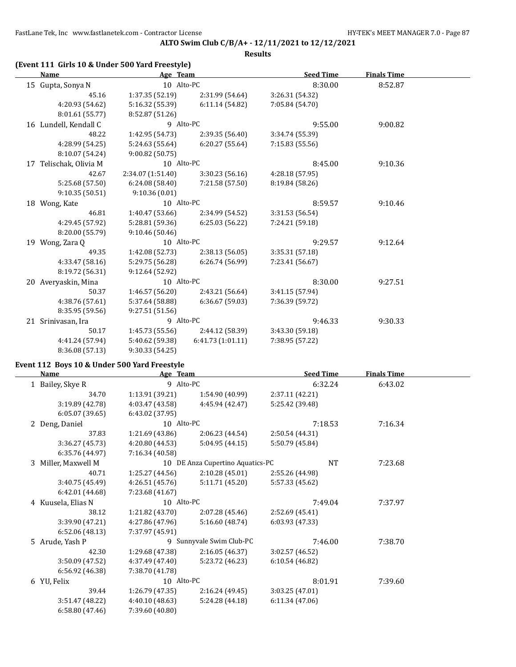### **ALTO Swim Club C/B/A+ - 12/11/2021 to 12/12/2021**

**Results**

## **(Event 111 Girls 10 & Under 500 Yard Freestyle)**

|    | Name                  | Age Team          |                   | <b>Seed Time</b> | <b>Finals Time</b> |  |
|----|-----------------------|-------------------|-------------------|------------------|--------------------|--|
|    | 15 Gupta, Sonya N     | 10 Alto-PC        |                   | 8:30.00          | 8:52.87            |  |
|    | 45.16                 | 1:37.35 (52.19)   | 2:31.99 (54.64)   | 3:26.31 (54.32)  |                    |  |
|    | 4:20.93 (54.62)       | 5:16.32 (55.39)   | 6:11.14(54.82)    | 7:05.84 (54.70)  |                    |  |
|    | 8:01.61 (55.77)       | 8:52.87 (51.26)   |                   |                  |                    |  |
|    | 16 Lundell, Kendall C | 9 Alto-PC         |                   | 9:55.00          | 9:00.82            |  |
|    | 48.22                 | 1:42.95 (54.73)   | 2:39.35 (56.40)   | 3:34.74 (55.39)  |                    |  |
|    | 4:28.99 (54.25)       | 5:24.63 (55.64)   | 6:20.27(55.64)    | 7:15.83 (55.56)  |                    |  |
|    | 8:10.07 (54.24)       | 9:00.82(50.75)    |                   |                  |                    |  |
| 17 | Telischak, Olivia M   | 10 Alto-PC        |                   | 8:45.00          | 9:10.36            |  |
|    | 42.67                 | 2:34.07 (1:51.40) | 3:30.23(56.16)    | 4:28.18 (57.95)  |                    |  |
|    | 5:25.68 (57.50)       | 6:24.08 (58.40)   | 7:21.58 (57.50)   | 8:19.84 (58.26)  |                    |  |
|    | 9:10.35(50.51)        | 9:10.36(0.01)     |                   |                  |                    |  |
|    | 18 Wong, Kate         | 10 Alto-PC        |                   | 8:59.57          | 9:10.46            |  |
|    | 46.81                 | 1:40.47 (53.66)   | 2:34.99 (54.52)   | 3:31.53 (56.54)  |                    |  |
|    | 4:29.45 (57.92)       | 5:28.81(59.36)    | 6:25.03(56.22)    | 7:24.21 (59.18)  |                    |  |
|    | 8:20.00 (55.79)       | 9:10.46(50.46)    |                   |                  |                    |  |
| 19 | Wong, Zara Q          | 10 Alto-PC        |                   | 9:29.57          | 9:12.64            |  |
|    | 49.35                 | 1:42.08 (52.73)   | 2:38.13 (56.05)   | 3:35.31 (57.18)  |                    |  |
|    | 4:33.47 (58.16)       | 5:29.75 (56.28)   | 6:26.74 (56.99)   | 7:23.41 (56.67)  |                    |  |
|    | 8:19.72 (56.31)       | 9:12.64 (52.92)   |                   |                  |                    |  |
|    | 20 Averyaskin, Mina   | 10 Alto-PC        |                   | 8:30.00          | 9:27.51            |  |
|    | 50.37                 | 1:46.57 (56.20)   | 2:43.21 (56.64)   | 3:41.15 (57.94)  |                    |  |
|    | 4:38.76 (57.61)       | 5:37.64 (58.88)   | 6:36.67 (59.03)   | 7:36.39 (59.72)  |                    |  |
|    | 8:35.95 (59.56)       | 9:27.51(51.56)    |                   |                  |                    |  |
|    | 21 Srinivasan, Ira    | 9 Alto-PC         |                   | 9:46.33          | 9:30.33            |  |
|    | 50.17                 | 1:45.73(55.56)    | 2:44.12 (58.39)   | 3:43.30 (59.18)  |                    |  |
|    | 4:41.24 (57.94)       | 5:40.62 (59.38)   | 6:41.73 (1:01.11) | 7:38.95 (57.22)  |                    |  |
|    | 8:36.08 (57.13)       | 9:30.33(54.25)    |                   |                  |                    |  |

### **Event 112 Boys 10 & Under 500 Yard Freestyle**

| Name                | Age Team        |                                  | <b>Seed Time</b> | Finals Time |  |
|---------------------|-----------------|----------------------------------|------------------|-------------|--|
| 1 Bailey, Skye R    | 9 Alto-PC       |                                  | 6:32.24          | 6:43.02     |  |
| 34.70               | 1:13.91 (39.21) | 1:54.90 (40.99)                  | 2:37.11 (42.21)  |             |  |
| 3:19.89 (42.78)     | 4:03.47 (43.58) | 4:45.94 (42.47)                  | 5:25.42 (39.48)  |             |  |
| 6:05.07(39.65)      | 6:43.02(37.95)  |                                  |                  |             |  |
| 2 Deng, Daniel      | 10 Alto-PC      |                                  | 7:18.53          | 7:16.34     |  |
| 37.83               | 1:21.69(43.86)  | 2:06.23(44.54)                   | 2:50.54 (44.31)  |             |  |
| 3:36.27(45.73)      | 4:20.80 (44.53) | 5:04.95(44.15)                   | 5:50.79 (45.84)  |             |  |
| 6:35.76 (44.97)     | 7:16.34 (40.58) |                                  |                  |             |  |
| 3 Miller, Maxwell M |                 | 10 DE Anza Cupertino Aquatics-PC | NT               | 7:23.68     |  |
| 40.71               | 1:25.27 (44.56) | 2:10.28(45.01)                   | 2:55.26 (44.98)  |             |  |
| 3:40.75 (45.49)     | 4:26.51 (45.76) | 5:11.71 (45.20)                  | 5:57.33 (45.62)  |             |  |
| 6:42.01(44.68)      | 7:23.68 (41.67) |                                  |                  |             |  |
| 4 Kuusela, Elias N  | 10 Alto-PC      |                                  | 7:49.04          | 7:37.97     |  |
| 38.12               | 1:21.82(43.70)  | 2:07.28(45.46)                   | 2:52.69 (45.41)  |             |  |
| 3:39.90 (47.21)     | 4:27.86 (47.96) | 5:16.60 (48.74)                  | 6:03.93 (47.33)  |             |  |
| 6:52.06(48.13)      | 7:37.97 (45.91) |                                  |                  |             |  |
| 5 Arude, Yash P     |                 | 9 Sunnyvale Swim Club-PC         | 7:46.00          | 7:38.70     |  |
| 42.30               | 1:29.68 (47.38) | 2:16.05 (46.37)                  | 3:02.57 (46.52)  |             |  |
| 3:50.09 (47.52)     | 4:37.49 (47.40) | 5:23.72 (46.23)                  | 6:10.54(46.82)   |             |  |
| 6:56.92 (46.38)     | 7:38.70 (41.78) |                                  |                  |             |  |
| 6 YU, Felix         | 10 Alto-PC      |                                  | 8:01.91          | 7:39.60     |  |
| 39.44               | 1:26.79(47.35)  | 2:16.24 (49.45)                  | 3:03.25 (47.01)  |             |  |
| 3:51.47(48.22)      | 4:40.10 (48.63) | 5:24.28 (44.18)                  | 6:11.34(47.06)   |             |  |
| 6:58.80 (47.46)     | 7:39.60 (40.80) |                                  |                  |             |  |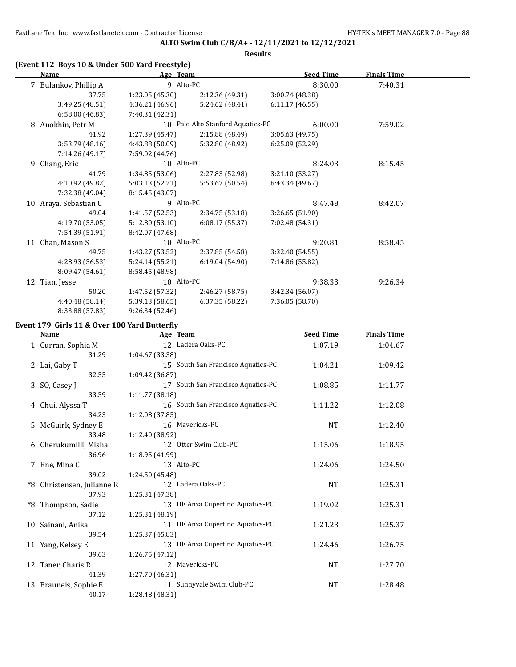### **ALTO Swim Club C/B/A+ - 12/11/2021 to 12/12/2021**

**Results**

## **(Event 112 Boys 10 & Under 500 Yard Freestyle)**

|    | Name                  | Age Team        |                                   | <b>Seed Time</b> | <b>Finals Time</b> |  |
|----|-----------------------|-----------------|-----------------------------------|------------------|--------------------|--|
|    | 7 Bulankov, Phillip A | 9 Alto-PC       |                                   | 8:30.00          | 7:40.31            |  |
|    | 37.75                 | 1:23.05(45.30)  | 2:12.36 (49.31)                   | 3:00.74 (48.38)  |                    |  |
|    | 3:49.25 (48.51)       | 4:36.21 (46.96) | 5:24.62 (48.41)                   | 6:11.17 (46.55)  |                    |  |
|    | 6:58.00(46.83)        | 7:40.31 (42.31) |                                   |                  |                    |  |
|    | 8 Anokhin, Petr M     |                 | 10 Palo Alto Stanford Aquatics-PC | 6:00.00          | 7:59.02            |  |
|    | 41.92                 | 1:27.39 (45.47) | 2:15.88(48.49)                    | 3:05.63(49.75)   |                    |  |
|    | 3:53.79(48.16)        | 4:43.88 (50.09) | 5:32.80 (48.92)                   | 6:25.09(52.29)   |                    |  |
|    | 7:14.26 (49.17)       | 7:59.02 (44.76) |                                   |                  |                    |  |
| 9  | Chang, Eric           | 10 Alto-PC      |                                   | 8:24.03          | 8:15.45            |  |
|    | 41.79                 | 1:34.85 (53.06) | 2:27.83 (52.98)                   | 3:21.10 (53.27)  |                    |  |
|    | 4:10.92 (49.82)       | 5:03.13 (52.21) | 5:53.67 (50.54)                   | 6:43.34 (49.67)  |                    |  |
|    | 7:32.38 (49.04)       | 8:15.45 (43.07) |                                   |                  |                    |  |
|    | 10 Araya, Sebastian C | 9 Alto-PC       |                                   | 8:47.48          | 8:42.07            |  |
|    | 49.04                 | 1:41.57 (52.53) | 2:34.75 (53.18)                   | 3:26.65 (51.90)  |                    |  |
|    | 4:19.70 (53.05)       | 5:12.80 (53.10) | 6:08.17(55.37)                    | 7:02.48 (54.31)  |                    |  |
|    | 7:54.39 (51.91)       | 8:42.07 (47.68) |                                   |                  |                    |  |
|    | 11 Chan, Mason S      | 10 Alto-PC      |                                   | 9:20.81          | 8:58.45            |  |
|    | 49.75                 | 1:43.27 (53.52) | 2:37.85 (54.58)                   | 3:32.40 (54.55)  |                    |  |
|    | 4:28.93 (56.53)       | 5:24.14 (55.21) | 6:19.04(54.90)                    | 7:14.86 (55.82)  |                    |  |
|    | 8:09.47 (54.61)       | 8:58.45 (48.98) |                                   |                  |                    |  |
| 12 | Tian, Jesse           | 10 Alto-PC      |                                   | 9:38.33          | 9:26.34            |  |
|    | 50.20                 | 1:47.52 (57.32) | 2:46.27 (58.75)                   | 3:42.34 (56.07)  |                    |  |
|    | 4:40.48 (58.14)       | 5:39.13 (58.65) | 6:37.35(58.22)                    | 7:36.05 (58.70)  |                    |  |
|    | 8:33.88 (57.83)       | 9:26.34(52.46)  |                                   |                  |                    |  |

## **Event 179 Girls 11 & Over 100 Yard Butterfly**

| Name                       | Age Team                           | <b>Seed Time</b> | <b>Finals Time</b> |  |
|----------------------------|------------------------------------|------------------|--------------------|--|
| 1 Curran, Sophia M         | 12 Ladera Oaks-PC                  | 1:07.19          | 1:04.67            |  |
| 31.29                      | 1:04.67 (33.38)                    |                  |                    |  |
| 2 Lai, Gaby T              | 15 South San Francisco Aquatics-PC | 1:04.21          | 1:09.42            |  |
| 32.55                      | 1:09.42 (36.87)                    |                  |                    |  |
| 3 SO, Casey J              | 17 South San Francisco Aquatics-PC | 1:08.85          | 1:11.77            |  |
| 33.59                      | 1:11.77 (38.18)                    |                  |                    |  |
| 4 Chui, Alyssa T           | 16 South San Francisco Aquatics-PC | 1:11.22          | 1:12.08            |  |
| 34.23                      | 1:12.08 (37.85)                    |                  |                    |  |
| 5 McGuirk, Sydney E        | 16 Mavericks-PC                    | <b>NT</b>        | 1:12.40            |  |
| 33.48                      | 1:12.40 (38.92)                    |                  |                    |  |
| 6 Cherukumilli, Misha      | 12 Otter Swim Club-PC              | 1:15.06          | 1:18.95            |  |
| 36.96                      | 1:18.95 (41.99)                    |                  |                    |  |
| 7 Ene, Mina C              | 13 Alto-PC                         | 1:24.06          | 1:24.50            |  |
| 39.02                      | 1:24.50 (45.48)                    |                  |                    |  |
| *8 Christensen, Julianne R | 12 Ladera Oaks-PC                  | <b>NT</b>        | 1:25.31            |  |
| 37.93                      | 1:25.31 (47.38)                    |                  |                    |  |
| *8 Thompson, Sadie         | 13 DE Anza Cupertino Aquatics-PC   | 1:19.02          | 1:25.31            |  |
| 37.12                      | 1:25.31(48.19)                     |                  |                    |  |
| 10 Sainani, Anika          | 11 DE Anza Cupertino Aquatics-PC   | 1:21.23          | 1:25.37            |  |
| 39.54                      | 1:25.37 (45.83)                    |                  |                    |  |
| 11 Yang, Kelsey E          | 13 DE Anza Cupertino Aquatics-PC   | 1:24.46          | 1:26.75            |  |
| 39.63                      | 1:26.75 (47.12)                    |                  |                    |  |
| 12 Taner, Charis R         | 12 Mavericks-PC                    | <b>NT</b>        | 1:27.70            |  |
| 41.39                      | 1:27.70 (46.31)                    |                  |                    |  |
| 13 Brauneis, Sophie E      | 11 Sunnyvale Swim Club-PC          | <b>NT</b>        | 1:28.48            |  |
| 40.17                      | 1:28.48 (48.31)                    |                  |                    |  |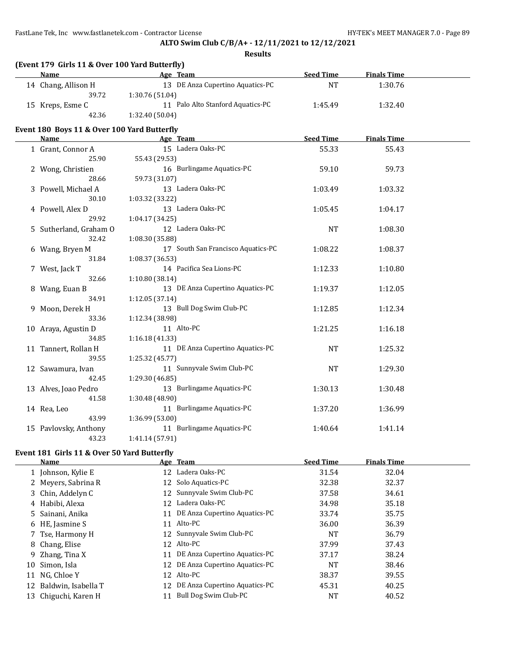### **ALTO Swim Club C/B/A+ - 12/11/2021 to 12/12/2021**

**Results**

| (Event 179 Girls 11 & Over 100 Yard Butterfly) |                                   |                  |                    |  |  |  |
|------------------------------------------------|-----------------------------------|------------------|--------------------|--|--|--|
| Name                                           | Age Team                          | <b>Seed Time</b> | <b>Finals Time</b> |  |  |  |
| 14 Chang, Allison H                            | 13 DE Anza Cupertino Aquatics-PC  | NT               | 1:30.76            |  |  |  |
| 39.72                                          | 1:30.76 (51.04)                   |                  |                    |  |  |  |
| 15 Kreps, Esme C                               | 11 Palo Alto Stanford Aquatics-PC | 1:45.49          | 1:32.40            |  |  |  |
| 42.36                                          | 1:32.40(50.04)                    |                  |                    |  |  |  |

#### **Event 180 Boys 11 & Over 100 Yard Butterfly**

| Name and the state of the state of the state of the state of the state of the state of the state of the state of the state of the state of the state of the state of the state of the state of the state of the state of the s | Age Team                           | <b>Seed Time</b> | <b>Finals Time</b> |  |
|--------------------------------------------------------------------------------------------------------------------------------------------------------------------------------------------------------------------------------|------------------------------------|------------------|--------------------|--|
| 1 Grant, Connor A                                                                                                                                                                                                              | 15 Ladera Oaks-PC                  | 55.33            | 55.43              |  |
| 25.90                                                                                                                                                                                                                          | 55.43 (29.53)                      |                  |                    |  |
| 2 Wong, Christien                                                                                                                                                                                                              | 16 Burlingame Aquatics-PC          | 59.10            | 59.73              |  |
| 28.66                                                                                                                                                                                                                          | 59.73 (31.07)                      |                  |                    |  |
| 3 Powell, Michael A                                                                                                                                                                                                            | 13 Ladera Oaks-PC                  | 1:03.49          | 1:03.32            |  |
| 30.10                                                                                                                                                                                                                          | 1:03.32 (33.22)                    |                  |                    |  |
| 4 Powell, Alex D                                                                                                                                                                                                               | 13 Ladera Oaks-PC                  | 1:05.45          | 1:04.17            |  |
| 29.92                                                                                                                                                                                                                          | 1:04.17 (34.25)                    |                  |                    |  |
| 5 Sutherland, Graham O                                                                                                                                                                                                         | 12 Ladera Oaks-PC                  | <b>NT</b>        | 1:08.30            |  |
| 32.42                                                                                                                                                                                                                          | 1:08.30 (35.88)                    |                  |                    |  |
| 6 Wang, Bryen M                                                                                                                                                                                                                | 17 South San Francisco Aquatics-PC | 1:08.22          | 1:08.37            |  |
| 31.84                                                                                                                                                                                                                          | 1:08.37 (36.53)                    |                  |                    |  |
| 7 West, Jack T                                                                                                                                                                                                                 | 14 Pacifica Sea Lions-PC           | 1:12.33          | 1:10.80            |  |
| 32.66                                                                                                                                                                                                                          | 1:10.80(38.14)                     |                  |                    |  |
| 8 Wang, Euan B                                                                                                                                                                                                                 | 13 DE Anza Cupertino Aquatics-PC   | 1:19.37          | 1:12.05            |  |
| 34.91                                                                                                                                                                                                                          | 1:12.05(37.14)                     |                  |                    |  |
| 9 Moon, Derek H                                                                                                                                                                                                                | 13 Bull Dog Swim Club-PC           | 1:12.85          | 1:12.34            |  |
| 33.36                                                                                                                                                                                                                          | 1:12.34 (38.98)                    |                  |                    |  |
| 10 Araya, Agustin D                                                                                                                                                                                                            | 11 Alto-PC                         | 1:21.25          | 1:16.18            |  |
| 34.85                                                                                                                                                                                                                          | 1:16.18(41.33)                     |                  |                    |  |
| 11 Tannert, Rollan H                                                                                                                                                                                                           | 11 DE Anza Cupertino Aquatics-PC   | <b>NT</b>        | 1:25.32            |  |
| 39.55                                                                                                                                                                                                                          | 1:25.32 (45.77)                    |                  |                    |  |
| 12 Sawamura, Ivan                                                                                                                                                                                                              | 11 Sunnyvale Swim Club-PC          | <b>NT</b>        | 1:29.30            |  |
| 42.45                                                                                                                                                                                                                          | 1:29.30 (46.85)                    |                  |                    |  |
| 13 Alves, Joao Pedro                                                                                                                                                                                                           | 13 Burlingame Aquatics-PC          | 1:30.13          | 1:30.48            |  |
| 41.58                                                                                                                                                                                                                          | 1:30.48 (48.90)                    |                  |                    |  |
| 14 Rea, Leo                                                                                                                                                                                                                    | 11 Burlingame Aquatics-PC          | 1:37.20          | 1:36.99            |  |
| 43.99                                                                                                                                                                                                                          | 1:36.99 (53.00)                    |                  |                    |  |
| 15 Pavlovsky, Anthony                                                                                                                                                                                                          | 11 Burlingame Aquatics-PC          | 1:40.64          | 1:41.14            |  |
| 43.23                                                                                                                                                                                                                          | 1:41.14 (57.91)                    |                  |                    |  |

### **Event 181 Girls 11 & Over 50 Yard Butterfly**

|    | Name                   |                 | Age Team                         | <b>Seed Time</b> | <b>Finals Time</b> |
|----|------------------------|-----------------|----------------------------------|------------------|--------------------|
|    | 1 Johnson, Kylie E     | 12 <sup>1</sup> | Ladera Oaks-PC                   | 31.54            | 32.04              |
|    | 2 Meyers, Sabrina R    |                 | 12 Solo Aquatics-PC              | 32.38            | 32.37              |
|    | 3 Chin, Addelyn C      |                 | 12 Sunnyvale Swim Club-PC        | 37.58            | 34.61              |
|    | 4 Habibi, Alexa        |                 | 12 Ladera Oaks-PC                | 34.98            | 35.18              |
|    | 5 Sainani, Anika       |                 | 11 DE Anza Cupertino Aquatics-PC | 33.74            | 35.75              |
|    | 6 HE, Jasmine S        |                 | 11 Alto-PC                       | 36.00            | 36.39              |
|    | 7 Tse, Harmony H       |                 | 12 Sunnyvale Swim Club-PC        | <b>NT</b>        | 36.79              |
|    | 8 Chang, Elise         |                 | 12 Alto-PC                       | 37.99            | 37.43              |
|    | 9 Zhang, Tina X        | 11              | DE Anza Cupertino Aquatics-PC    | 37.17            | 38.24              |
| 10 | Simon, Isla            |                 | 12 DE Anza Cupertino Aquatics-PC | <b>NT</b>        | 38.46              |
| 11 | NG, Chloe Y            | 12              | Alto-PC                          | 38.37            | 39.55              |
|    | 12 Baldwin, Isabella T | 12 <sup>1</sup> | DE Anza Cupertino Aquatics-PC    | 45.31            | 40.25              |
| 13 | Chiguchi, Karen H      | 11              | Bull Dog Swim Club-PC            | <b>NT</b>        | 40.52              |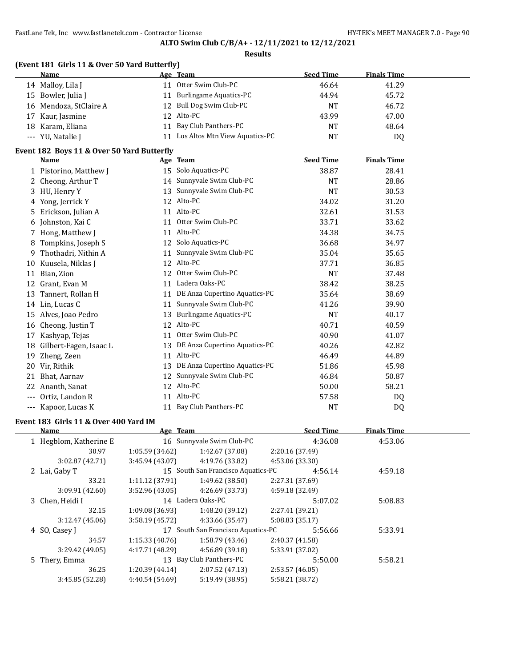### **ALTO Swim Club C/B/A+ - 12/11/2021 to 12/12/2021**

#### **Results**

# **(Event 181 Girls 11 & Over 50 Yard Butterfly)**

| <b>Name</b>            | Age Team                       | <b>Seed Time</b> | <b>Finals Time</b> |
|------------------------|--------------------------------|------------------|--------------------|
| 14 Malloy, Lila J      | Otter Swim Club-PC             | 46.64            | 41.29              |
| 15 Bowler, Julia J     | <b>Burlingame Aquatics-PC</b>  | 44.94            | 45.72              |
| 16 Mendoza, StClaire A | 12 Bull Dog Swim Club-PC       | <b>NT</b>        | 46.72              |
| 17 Kaur, Jasmine       | 12 Alto-PC                     | 43.99            | 47.00              |
| 18 Karam, Eliana       | 11 Bay Club Panthers-PC        | <b>NT</b>        | 48.64              |
| --- YU, Natalie J      | Los Altos Mtn View Aquatics-PC | NT               | D <sub>0</sub>     |

### **Event 182 Boys 11 & Over 50 Yard Butterfly**

|              | <b>Name</b>            |    | Age Team                      | <b>Seed Time</b> | <b>Finals Time</b> |  |
|--------------|------------------------|----|-------------------------------|------------------|--------------------|--|
|              | 1 Pistorino, Matthew J |    | 15 Solo Aquatics-PC           | 38.87            | 28.41              |  |
| $\mathbf{Z}$ | Cheong, Arthur T       | 14 | Sunnyvale Swim Club-PC        | <b>NT</b>        | 28.86              |  |
| 3            | HU, Henry Y            | 13 | Sunnyvale Swim Club-PC        | <b>NT</b>        | 30.53              |  |
| 4            | Yong, Jerrick Y        | 12 | Alto-PC                       | 34.02            | 31.20              |  |
| 5.           | Erickson, Julian A     | 11 | Alto-PC                       | 32.61            | 31.53              |  |
| 6            | Johnston, Kai C        | 11 | Otter Swim Club-PC            | 33.71            | 33.62              |  |
|              | 7 Hong, Matthew J      | 11 | Alto-PC                       | 34.38            | 34.75              |  |
| 8            | Tompkins, Joseph S     | 12 | Solo Aquatics-PC              | 36.68            | 34.97              |  |
| 9            | Thothadri, Nithin A    | 11 | Sunnyvale Swim Club-PC        | 35.04            | 35.65              |  |
| 10           | Kuusela, Niklas J      | 12 | Alto-PC                       | 37.71            | 36.85              |  |
| 11           | Bian, Zion             | 12 | Otter Swim Club-PC            | NT               | 37.48              |  |
| 12           | Grant, Evan M          | 11 | Ladera Oaks-PC                | 38.42            | 38.25              |  |
| 13           | Tannert, Rollan H      | 11 | DE Anza Cupertino Aquatics-PC | 35.64            | 38.69              |  |
| 14           | Lin, Lucas C           | 11 | Sunnyvale Swim Club-PC        | 41.26            | 39.90              |  |
| 15           | Alves, Joao Pedro      | 13 | Burlingame Aquatics-PC        | <b>NT</b>        | 40.17              |  |
| 16           | Cheong, Justin T       | 12 | Alto-PC                       | 40.71            | 40.59              |  |
| 17           | Kashyap, Tejas         | 11 | Otter Swim Club-PC            | 40.90            | 41.07              |  |
| 18           | Gilbert-Fagen, Isaac L | 13 | DE Anza Cupertino Aquatics-PC | 40.26            | 42.82              |  |
| 19           | Zheng, Zeen            | 11 | Alto-PC                       | 46.49            | 44.89              |  |
| 20           | Vir, Rithik            | 13 | DE Anza Cupertino Aquatics-PC | 51.86            | 45.98              |  |
| 21           | Bhat, Aarnav           | 12 | Sunnyvale Swim Club-PC        | 46.84            | 50.87              |  |
| 22           | Ananth, Sanat          | 12 | Alto-PC                       | 50.00            | 58.21              |  |
| $- - -$      | Ortiz, Landon R        |    | 11 Alto-PC                    | 57.58            | DQ                 |  |
| ---          | Kapoor, Lucas K        | 11 | Bay Club Panthers-PC          | NT               | DQ                 |  |

### **Event 183 Girls 11 & Over 400 Yard IM**

| Name                   | Age Team        |                                    |                 | <b>Seed Time</b> | <b>Finals Time</b> |  |
|------------------------|-----------------|------------------------------------|-----------------|------------------|--------------------|--|
| 1 Hegblom, Katherine E |                 | 16 Sunnyvale Swim Club-PC          |                 | 4:36.08          | 4:53.06            |  |
| 30.97                  | 1:05.59(34.62)  | 1:42.67 (37.08)                    | 2:20.16(37.49)  |                  |                    |  |
| 3:02.87(42.71)         | 3:45.94(43.07)  | 4:19.76 (33.82)                    | 4:53.06 (33.30) |                  |                    |  |
| 2 Lai, Gaby T          |                 | 15 South San Francisco Aquatics-PC |                 | 4:56.14          | 4:59.18            |  |
| 33.21                  | 1:11.12(37.91)  | 1:49.62(38.50)                     | 2:27.31 (37.69) |                  |                    |  |
| 3:09.91(42.60)         | 3:52.96(43.05)  | 4:26.69 (33.73)                    | 4:59.18 (32.49) |                  |                    |  |
| 3 Chen, Heidi I        |                 | 14 Ladera Oaks-PC                  |                 | 5:07.02          | 5:08.83            |  |
| 32.15                  | 1:09.08(36.93)  | 1:48.20 (39.12)                    | 2:27.41 (39.21) |                  |                    |  |
| 3:12.47(45.06)         | 3:58.19(45.72)  | 4:33.66 (35.47)                    | 5:08.83(35.17)  |                  |                    |  |
| 4 SO, Casey J          |                 | 17 South San Francisco Aquatics-PC |                 | 5:56.66          | 5:33.91            |  |
| 34.57                  | 1:15.33(40.76)  | 1:58.79 (43.46)                    | 2:40.37 (41.58) |                  |                    |  |
| 3:29.42(49.05)         | 4:17.71 (48.29) | 4:56.89 (39.18)                    | 5:33.91 (37.02) |                  |                    |  |
| 5 Thery, Emma          |                 | 13 Bay Club Panthers-PC            |                 | 5:50.00          | 5:58.21            |  |
| 36.25                  | 1:20.39(44.14)  | 2:07.52(47.13)                     | 2:53.57(46.05)  |                  |                    |  |
| 3:45.85 (52.28)        | 4:40.54 (54.69) | 5:19.49 (38.95)                    | 5:58.21 (38.72) |                  |                    |  |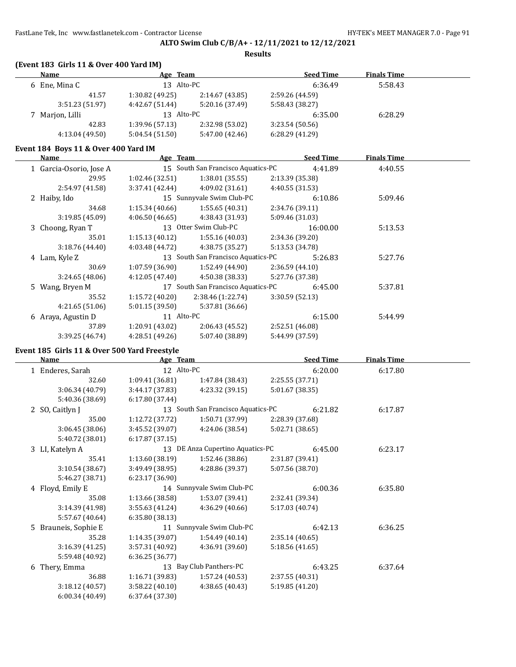**Results**

| <b>Name</b>     | Age Team        |                 | <b>Seed Time</b> | <b>Finals Time</b> |
|-----------------|-----------------|-----------------|------------------|--------------------|
| 6 Ene, Mina C   | 13 Alto-PC      |                 | 6:36.49          | 5:58.43            |
| 41.57           | 1:30.82(49.25)  | 2:14.67 (43.85) | 2:59.26 (44.59)  |                    |
| 3:51.23(51.97)  | 4:42.67 (51.44) | 5:20.16 (37.49) | 5:58.43 (38.27)  |                    |
| 7 Marjon, Lilli | 13 Alto-PC      |                 | 6:35.00          | 6:28.29            |
| 42.83           | 1:39.96(57.13)  | 2:32.98 (53.02) | 3:23.54(50.56)   |                    |
| 4:13.04(49.50)  | 5:04.54(51.50)  | 5:47.00 (42.46) | 6:28.29(41.29)   |                    |

### **Event 184 Boys 11 & Over 400 Yard IM**

| Name                    | Age Team        |                                    |                 | <b>Seed Time</b> | <b>Finals Time</b> |  |
|-------------------------|-----------------|------------------------------------|-----------------|------------------|--------------------|--|
| 1 Garcia-Osorio, Jose A |                 | 15 South San Francisco Aquatics-PC |                 | 4:41.89          | 4:40.55            |  |
| 29.95                   | 1:02.46 (32.51) | 1:38.01(35.55)                     | 2:13.39 (35.38) |                  |                    |  |
| 2:54.97 (41.58)         | 3:37.41(42.44)  | 4:09.02(31.61)                     | 4:40.55 (31.53) |                  |                    |  |
| 2 Haiby, Ido            |                 | 15 Sunnyvale Swim Club-PC          |                 | 6:10.86          | 5:09.46            |  |
| 34.68                   | 1:15.34(40.66)  | 1:55.65(40.31)                     | 2:34.76 (39.11) |                  |                    |  |
| 3:19.85 (45.09)         | 4:06.50 (46.65) | 4:38.43 (31.93)                    | 5:09.46 (31.03) |                  |                    |  |
| 3 Choong, Ryan T        |                 | 13 Otter Swim Club-PC              |                 | 16:00.00         | 5:13.53            |  |
| 35.01                   | 1:15.13(40.12)  | 1:55.16(40.03)                     | 2:34.36 (39.20) |                  |                    |  |
| 3:18.76(44.40)          | 4:03.48 (44.72) | 4:38.75 (35.27)                    | 5:13.53 (34.78) |                  |                    |  |
| 4 Lam, Kyle Z           |                 | 13 South San Francisco Aquatics-PC |                 | 5:26.83          | 5:27.76            |  |
| 30.69                   | 1:07.59(36.90)  | 1:52.49 (44.90)                    | 2:36.59(44.10)  |                  |                    |  |
| 3:24.65(48.06)          | 4:12.05(47.40)  | 4:50.38 (38.33)                    | 5:27.76 (37.38) |                  |                    |  |
| 5 Wang, Bryen M         |                 | 17 South San Francisco Aquatics-PC |                 | 6:45.00          | 5:37.81            |  |
| 35.52                   | 1:15.72(40.20)  | 2:38.46(1:22.74)                   | 3:30.59(52.13)  |                  |                    |  |
| 4:21.65(51.06)          | 5:01.15(39.50)  | 5:37.81 (36.66)                    |                 |                  |                    |  |
| 6 Araya, Agustin D      | 11 Alto-PC      |                                    |                 | 6:15.00          | 5:44.99            |  |
| 37.89                   | 1:20.91(43.02)  | 2:06.43(45.52)                     | 2:52.51 (46.08) |                  |                    |  |
| 3:39.25 (46.74)         | 4:28.51(49.26)  | 5:07.40 (38.89)                    | 5:44.99 (37.59) |                  |                    |  |

### **Event 185 Girls 11 & Over 500 Yard Freestyle**

| Name                 | Age Team        |                                    | <b>Seed Time</b> | <b>Finals Time</b> |  |
|----------------------|-----------------|------------------------------------|------------------|--------------------|--|
| 1 Enderes, Sarah     | 12 Alto-PC      |                                    | 6:20.00          | 6:17.80            |  |
| 32.60                | 1:09.41 (36.81) | 1:47.84 (38.43)                    | 2:25.55 (37.71)  |                    |  |
| 3:06.34 (40.79)      | 3:44.17 (37.83) | 4:23.32 (39.15)                    | 5:01.67 (38.35)  |                    |  |
| 5:40.36 (38.69)      | 6:17.80 (37.44) |                                    |                  |                    |  |
| 2 SO, Caitlyn J      |                 | 13 South San Francisco Aquatics-PC | 6:21.82          | 6:17.87            |  |
| 35.00                | 1:12.72 (37.72) | 1:50.71 (37.99)                    | 2:28.39 (37.68)  |                    |  |
| 3:06.45(38.06)       | 3:45.52 (39.07) | 4:24.06 (38.54)                    | 5:02.71 (38.65)  |                    |  |
| 5:40.72 (38.01)      | 6:17.87(37.15)  |                                    |                  |                    |  |
| 3 LI, Katelyn A      |                 | 13 DE Anza Cupertino Aquatics-PC   | 6:45.00          | 6:23.17            |  |
| 35.41                | 1:13.60(38.19)  | 1:52.46 (38.86)                    | 2:31.87 (39.41)  |                    |  |
| 3:10.54 (38.67)      | 3:49.49 (38.95) | 4:28.86 (39.37)                    | 5:07.56 (38.70)  |                    |  |
| 5:46.27 (38.71)      | 6:23.17(36.90)  |                                    |                  |                    |  |
| 4 Floyd, Emily E     |                 | 14 Sunnyvale Swim Club-PC          | 6:00.36          | 6:35.80            |  |
| 35.08                | 1:13.66 (38.58) | 1:53.07 (39.41)                    | 2:32.41 (39.34)  |                    |  |
| 3:14.39 (41.98)      | 3:55.63 (41.24) | 4:36.29(40.66)                     | 5:17.03(40.74)   |                    |  |
| 5:57.67 (40.64)      | 6:35.80 (38.13) |                                    |                  |                    |  |
| 5 Brauneis, Sophie E |                 | 11 Sunnyvale Swim Club-PC          | 6:42.13          | 6:36.25            |  |
| 35.28                | 1:14.35(39.07)  | 1:54.49(40.14)                     | 2:35.14 (40.65)  |                    |  |
| 3:16.39 (41.25)      | 3:57.31 (40.92) | 4:36.91 (39.60)                    | 5:18.56 (41.65)  |                    |  |
| 5:59.48 (40.92)      | 6:36.25(36.77)  |                                    |                  |                    |  |
| 6 Thery, Emma        |                 | 13 Bay Club Panthers-PC            | 6:43.25          | 6:37.64            |  |
| 36.88                | 1:16.71(39.83)  | 1:57.24(40.53)                     | 2:37.55 (40.31)  |                    |  |
| 3:18.12(40.57)       | 3:58.22(40.10)  | 4:38.65 (40.43)                    | 5:19.85 (41.20)  |                    |  |
| 6:00.34(40.49)       | 6:37.64 (37.30) |                                    |                  |                    |  |